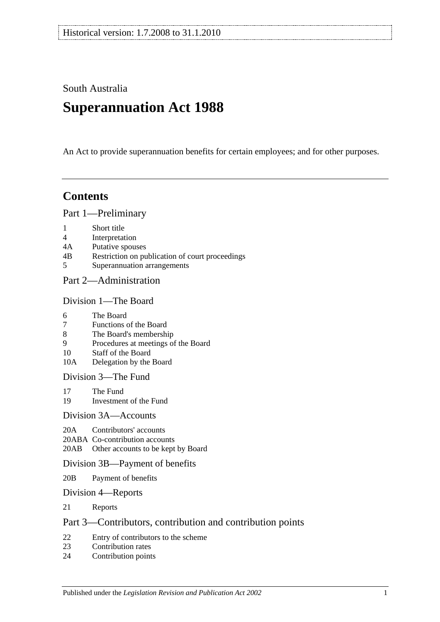South Australia

# **Superannuation Act 1988**

An Act to provide superannuation benefits for certain employees; and for other purposes.

# **Contents**

[Part 1—Preliminary](#page-6-0)

- 1 [Short title](#page-6-1)
- 4 [Interpretation](#page-6-2)
- 4A [Putative spouses](#page-13-0)
- 4B [Restriction on publication of court proceedings](#page-14-0)
- 5 [Superannuation arrangements](#page-14-1)

# [Part 2—Administration](#page-18-0)

#### [Division 1—The Board](#page-18-1)

- 6 [The Board](#page-18-2)
- 7 [Functions of the Board](#page-18-3)
- 8 [The Board's membership](#page-18-4)
- 9 [Procedures at meetings of the Board](#page-19-0)
- 10 [Staff of the Board](#page-19-1)
- 10A [Delegation by the Board](#page-19-2)

[Division 3—The Fund](#page-20-0)

- 17 [The Fund](#page-20-1)<br>19 Investmen
- [Investment of the Fund](#page-21-0)

#### [Division 3A—Accounts](#page-21-1)

- 20A [Contributors' accounts](#page-21-2)
- 20ABA [Co-contribution accounts](#page-22-0)
- 20AB [Other accounts to be kept by Board](#page-22-1)

#### [Division 3B—Payment of benefits](#page-23-0)

- 20B [Payment of benefits](#page-23-1)
- [Division 4—Reports](#page-23-2)
- 21 [Reports](#page-23-3)

# [Part 3—Contributors, contribution and contribution points](#page-24-0)

- 22 [Entry of contributors to the scheme](#page-24-1)<br>23 Contribution rates
- [Contribution rates](#page-26-0)
- 24 [Contribution points](#page-28-0)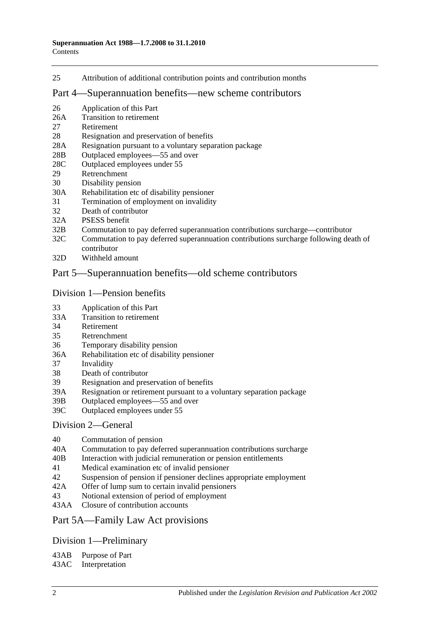25 [Attribution of additional contribution points and contribution months](#page-29-0)

#### [Part 4—Superannuation benefits—new scheme contributors](#page-30-0)

- 26 [Application of this Part](#page-30-1)
- 26A [Transition to retirement](#page-30-2)
- 27 [Retirement](#page-33-0)
- 28 [Resignation and preservation of benefits](#page-34-0)
- 28A [Resignation pursuant to a voluntary separation package](#page-38-0)
- 28B [Outplaced employees—55 and over](#page-39-0)
- 28C [Outplaced employees under 55](#page-39-1)
- 29 [Retrenchment](#page-40-0)
- 30 [Disability pension](#page-41-0)
- 30A [Rehabilitation etc of disability pensioner](#page-42-0)
- 31 [Termination of employment on invalidity](#page-42-1)
- 32 [Death of contributor](#page-45-0)
- 32A [PSESS benefit](#page-50-0)
- 32B [Commutation to pay deferred superannuation contributions surcharge—contributor](#page-51-0)
- 32C [Commutation to pay deferred superannuation contributions surcharge following death of](#page-52-0)  [contributor](#page-52-0)
- 32D [Withheld amount](#page-54-0)

### [Part 5—Superannuation benefits—old scheme contributors](#page-56-0)

#### [Division 1—Pension benefits](#page-56-1)

- 33 [Application of this Part](#page-56-2)
- 33A [Transition to retirement](#page-56-3)
- 34 [Retirement](#page-59-0)
- 35 [Retrenchment](#page-61-0)
- 36 [Temporary disability pension](#page-63-0)
- 36A [Rehabilitation etc of disability pensioner](#page-64-0)
- 37 [Invalidity](#page-65-0)
- 38 [Death of contributor](#page-68-0)
- 39 [Resignation and preservation of benefits](#page-71-0)
- 39A [Resignation or retirement pursuant to a voluntary separation package](#page-77-0)
- 39B [Outplaced employees—55 and over](#page-79-0)
- 39C [Outplaced employees under 55](#page-80-0)

#### [Division 2—General](#page-81-0)

- 40 [Commutation of pension](#page-81-1)
- 40A [Commutation to pay deferred superannuation contributions surcharge](#page-81-2)
- 40B [Interaction with judicial remuneration or pension entitlements](#page-82-0)
- 41 [Medical examination etc of invalid pensioner](#page-83-0)
- 42 [Suspension of pension if pensioner declines appropriate employment](#page-83-1)
- 42A [Offer of lump sum to certain invalid pensioners](#page-84-0)
- 43 [Notional extension of period of employment](#page-85-0)
- 43AA [Closure of contribution accounts](#page-85-1)

#### [Part 5A—Family Law Act provisions](#page-86-0)

# [Division 1—Preliminary](#page-86-1)

43AB [Purpose of Part](#page-86-2)

43AC [Interpretation](#page-86-3)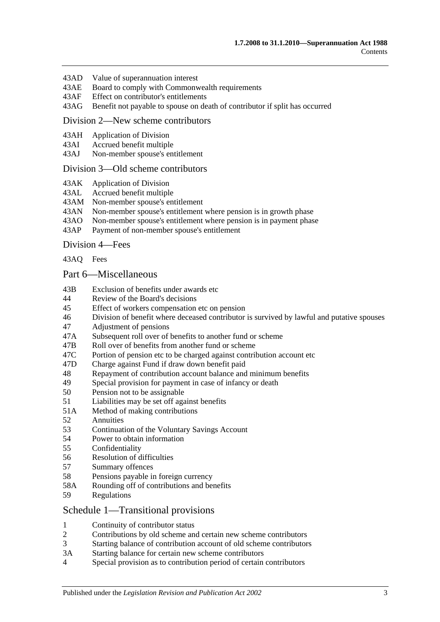- 43AD [Value of superannuation interest](#page-87-0)
- 43AE [Board to comply with Commonwealth requirements](#page-87-1)
- 43AF [Effect on contributor's entitlements](#page-87-2)
- 43AG [Benefit not payable to spouse on death of contributor if split has occurred](#page-88-0)

#### [Division 2—New scheme contributors](#page-88-1)

- 43AH [Application of Division](#page-88-2)
- 43AI [Accrued benefit multiple](#page-88-3)
- 43AJ [Non-member spouse's entitlement](#page-89-0)

#### [Division 3—Old scheme contributors](#page-89-1)

- 43AK [Application of Division](#page-89-2)
- 43AL [Accrued benefit multiple](#page-89-3)
- 43AM [Non-member spouse's entitlement](#page-90-0)
- 43AN [Non-member spouse's entitlement where pension is in growth phase](#page-90-1)
- 43AO [Non-member spouse's entitlement where pension is in payment phase](#page-90-2)<br>43AP Payment of non-member spouse's entitlement
- [Payment of non-member spouse's entitlement](#page-92-0)

[Division 4—Fees](#page-92-1)

[43AQ](#page-92-2) Fees

#### [Part 6—Miscellaneous](#page-94-0)

- 43B [Exclusion of benefits under awards etc](#page-94-1)
- 44 [Review of the Board's decisions](#page-94-2)
- 45 [Effect of workers compensation etc on pension](#page-94-3)
- 46 [Division of benefit where deceased contributor is survived by lawful and putative spouses](#page-96-0)
- 47 [Adjustment of pensions](#page-97-0)
- 47A [Subsequent roll over of benefits to another fund or scheme](#page-98-0)
- 47B [Roll over of benefits from another fund or scheme](#page-98-1)
- 47C [Portion of pension etc to be charged against contribution account etc](#page-98-2)
- 47D [Charge against Fund if draw down benefit paid](#page-98-3)
- 48 [Repayment of contribution account balance and minimum benefits](#page-98-4)
- 49 [Special provision for payment in case of infancy or death](#page-100-0)
- 50 [Pension not to be assignable](#page-100-1)
- 51 [Liabilities may be set off against benefits](#page-100-2)
- 51A [Method of making contributions](#page-100-3)
- 52 [Annuities](#page-100-4)
- 53 [Continuation of the Voluntary Savings Account](#page-100-5)
- 54 [Power to obtain information](#page-101-0)
- 55 [Confidentiality](#page-101-1)
- 56 [Resolution of difficulties](#page-102-0)
- 57 [Summary offences](#page-103-0)
- 58 [Pensions payable in foreign currency](#page-103-1)
- 58A [Rounding off of contributions and benefits](#page-103-2)
- 59 [Regulations](#page-103-3)

#### [Schedule 1—Transitional provisions](#page-104-0)

- 1 [Continuity of contributor status](#page-104-1)
- 2 [Contributions by old scheme and certain new scheme contributors](#page-104-2)
- 3 [Starting balance of contribution account of old scheme contributors](#page-105-0)
- 3A [Starting balance for certain new scheme contributors](#page-105-1)
- 4 [Special provision as to contribution period of certain contributors](#page-105-2)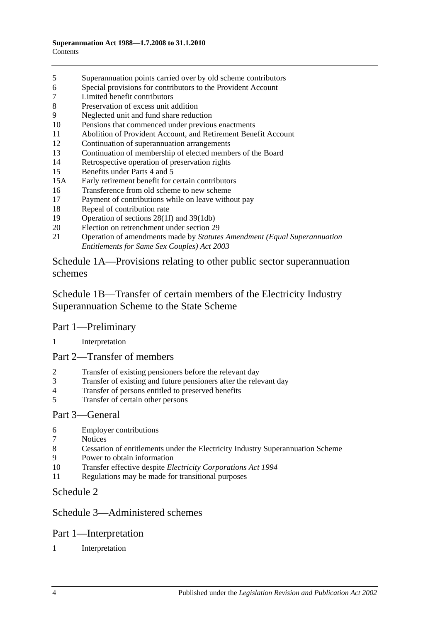- [Superannuation points carried over by old scheme contributors](#page-106-0)
- [Special provisions for contributors to the Provident Account](#page-107-0)
- [Limited benefit contributors](#page-108-0)
- [Preservation of excess unit addition](#page-109-0)
- [Neglected unit and fund share reduction](#page-109-1)
- [Pensions that commenced under previous enactments](#page-109-2)
- [Abolition of Provident Account, and Retirement Benefit Account](#page-110-0)
- [Continuation of superannuation arrangements](#page-110-1)
- [Continuation of membership of elected members of the Board](#page-110-2)
- [Retrospective operation of preservation rights](#page-110-3)
- [Benefits under Parts 4](#page-110-4) and [5](#page-110-4)
- 15A [Early retirement benefit for certain contributors](#page-111-0)
- [Transference from old scheme to new scheme](#page-112-0)
- [Payment of contributions while on leave without pay](#page-113-0)
- [Repeal of contribution rate](#page-113-1)
- [Operation of sections](#page-114-0) 28(1f) and [39\(1db\)](#page-114-0)
- [Election on retrenchment under section](#page-114-1) 29
- Operation of amendments made by *[Statutes Amendment \(Equal Superannuation](#page-114-2)  [Entitlements for Same Sex Couples\) Act 2003](#page-114-2)*

[Schedule 1A—Provisions relating to other public sector superannuation](#page-114-3)  [schemes](#page-114-3)

[Schedule 1B—Transfer of certain members of the Electricity Industry](#page-115-0)  [Superannuation Scheme to the State Scheme](#page-115-0)

# Part 1—Preliminary

#### [Interpretation](#page-115-1)

# Part 2—Transfer of members

- [Transfer of existing pensioners before the relevant day](#page-116-0)
- [Transfer of existing and future pensioners after the relevant day](#page-117-0)
- [Transfer of persons entitled to preserved benefits](#page-119-0)
- [Transfer of certain other persons](#page-121-0)

#### Part 3—General

- [Employer contributions](#page-123-0)
- [Notices](#page-123-1)
- [Cessation of entitlements under the Electricity Industry Superannuation Scheme](#page-123-2)
- [Power to obtain information](#page-123-3)
- Transfer effective despite *[Electricity Corporations Act](#page-123-4) 1994*
- [Regulations may be made for transitional purposes](#page-123-5)

# [Schedule 2](#page-124-0)

# [Schedule 3—Administered schemes](#page-128-0)

# Part 1—Interpretation

[Interpretation](#page-128-1)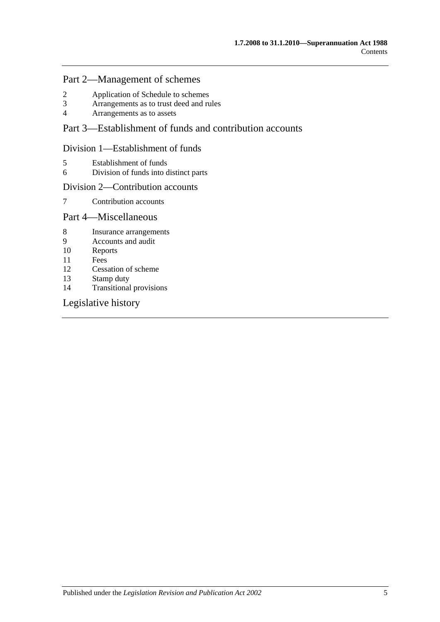# Part 2—Management of schemes

- 2 [Application of Schedule to schemes](#page-129-0)<br>3 Arrangements as to trust deed and ru
- 3 [Arrangements as to trust deed and rules](#page-130-0)<br>4 Arrangements as to assets
- 4 [Arrangements as to assets](#page-131-0)

# Part 3—Establishment of funds and contribution accounts

### Division 1—Establishment of funds

- 5 [Establishment of funds](#page-131-1)
- 6 [Division of funds into distinct parts](#page-132-0)

#### Division 2—Contribution accounts

7 [Contribution accounts](#page-132-1)

# Part 4—Miscellaneous

- 8 [Insurance arrangements](#page-133-0)
- 9 [Accounts and audit](#page-133-1)
- 10 [Reports](#page-134-0)
- 11 [Fees](#page-134-1)
- 12 [Cessation of scheme](#page-135-0)<br>13 Stamp duty
- [Stamp duty](#page-135-1)
- 14 [Transitional provisions](#page-135-2)

# [Legislative history](#page-136-0)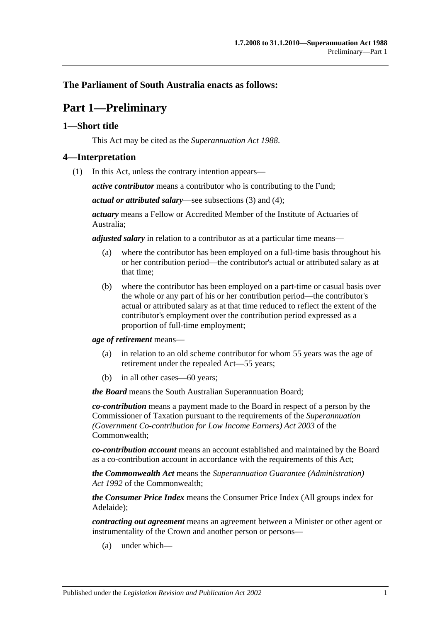# <span id="page-6-0"></span>**The Parliament of South Australia enacts as follows:**

# **Part 1—Preliminary**

# <span id="page-6-1"></span>**1—Short title**

This Act may be cited as the *Superannuation Act 1988*.

### <span id="page-6-3"></span><span id="page-6-2"></span>**4—Interpretation**

(1) In this Act, unless the contrary intention appears—

*active contributor* means a contributor who is contributing to the Fund;

*actual or attributed salary*—see [subsections](#page-11-0) (3) and [\(4\);](#page-11-1)

*actuary* means a Fellow or Accredited Member of the Institute of Actuaries of Australia;

*adjusted salary* in relation to a contributor as at a particular time means—

- (a) where the contributor has been employed on a full-time basis throughout his or her contribution period—the contributor's actual or attributed salary as at that time;
- (b) where the contributor has been employed on a part-time or casual basis over the whole or any part of his or her contribution period—the contributor's actual or attributed salary as at that time reduced to reflect the extent of the contributor's employment over the contribution period expressed as a proportion of full-time employment;

*age of retirement* means—

- (a) in relation to an old scheme contributor for whom 55 years was the age of retirement under the repealed Act—55 years;
- (b) in all other cases—60 years;

*the Board* means the South Australian Superannuation Board;

*co-contribution* means a payment made to the Board in respect of a person by the Commissioner of Taxation pursuant to the requirements of the *Superannuation (Government Co-contribution for Low Income Earners) Act 2003* of the Commonwealth;

*co-contribution account* means an account established and maintained by the Board as a co-contribution account in accordance with the requirements of this Act;

*the Commonwealth Act* means the *Superannuation Guarantee (Administration) Act 1992* of the Commonwealth;

*the Consumer Price Index* means the Consumer Price Index (All groups index for Adelaide);

*contracting out agreement* means an agreement between a Minister or other agent or instrumentality of the Crown and another person or persons—

(a) under which—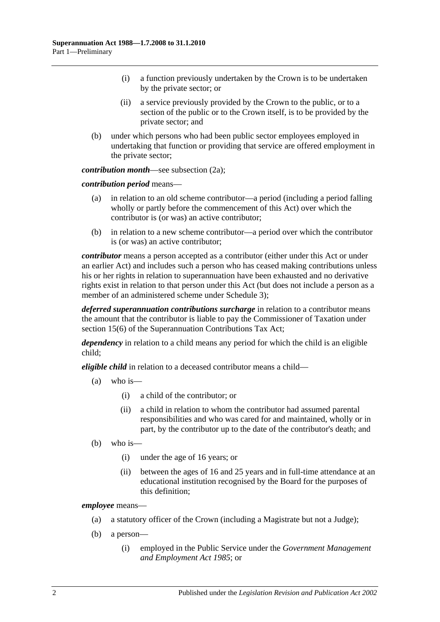- (i) a function previously undertaken by the Crown is to be undertaken by the private sector; or
- (ii) a service previously provided by the Crown to the public, or to a section of the public or to the Crown itself, is to be provided by the private sector; and
- (b) under which persons who had been public sector employees employed in undertaking that function or providing that service are offered employment in the private sector;

*contribution month—see [subsection](#page-10-0) (2a)*;

*contribution period* means—

- (a) in relation to an old scheme contributor—a period (including a period falling wholly or partly before the commencement of this Act) over which the contributor is (or was) an active contributor;
- (b) in relation to a new scheme contributor—a period over which the contributor is (or was) an active contributor;

*contributor* means a person accepted as a contributor (either under this Act or under an earlier Act) and includes such a person who has ceased making contributions unless his or her rights in relation to superannuation have been exhausted and no derivative rights exist in relation to that person under this Act (but does not include a person as a member of an administered scheme under [Schedule](#page-128-0) 3);

*deferred superannuation contributions surcharge* in relation to a contributor means the amount that the contributor is liable to pay the Commissioner of Taxation under section 15(6) of the Superannuation Contributions Tax Act;

*dependency* in relation to a child means any period for which the child is an eligible child;

*eligible child* in relation to a deceased contributor means a child—

- (a) who is—
	- (i) a child of the contributor; or
	- (ii) a child in relation to whom the contributor had assumed parental responsibilities and who was cared for and maintained, wholly or in part, by the contributor up to the date of the contributor's death; and
- (b) who is—
	- (i) under the age of 16 years; or
	- (ii) between the ages of 16 and 25 years and in full-time attendance at an educational institution recognised by the Board for the purposes of this definition;

*employee* means—

- (a) a statutory officer of the Crown (including a Magistrate but not a Judge);
- (b) a person—
	- (i) employed in the Public Service under the *[Government Management](http://www.legislation.sa.gov.au/index.aspx?action=legref&type=act&legtitle=Government%20Management%20and%20Employment%20Act%201985)  [and Employment Act](http://www.legislation.sa.gov.au/index.aspx?action=legref&type=act&legtitle=Government%20Management%20and%20Employment%20Act%201985) 1985*; or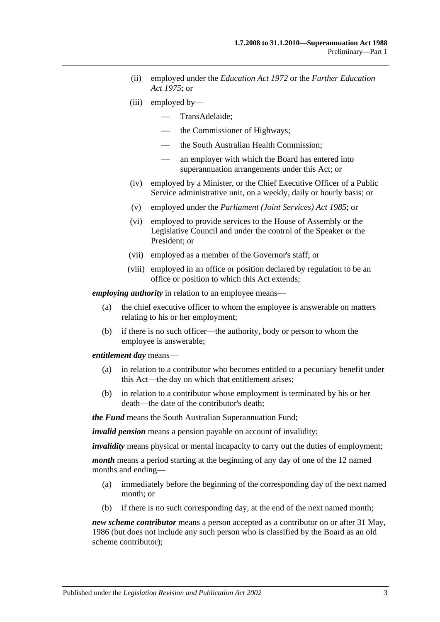- (ii) employed under the *[Education Act](http://www.legislation.sa.gov.au/index.aspx?action=legref&type=act&legtitle=Education%20Act%201972) 1972* or the *[Further Education](http://www.legislation.sa.gov.au/index.aspx?action=legref&type=act&legtitle=Further%20Education%20Act%201975)  Act [1975](http://www.legislation.sa.gov.au/index.aspx?action=legref&type=act&legtitle=Further%20Education%20Act%201975)*; or
- (iii) employed by—
	- TransAdelaide;
	- the Commissioner of Highways;
	- the South Australian Health Commission;
	- an employer with which the Board has entered into superannuation arrangements under this Act; or
- (iv) employed by a Minister, or the Chief Executive Officer of a Public Service administrative unit, on a weekly, daily or hourly basis; or
- (v) employed under the *[Parliament \(Joint Services\) Act](http://www.legislation.sa.gov.au/index.aspx?action=legref&type=act&legtitle=Parliament%20(Joint%20Services)%20Act%201985) 1985*; or
- (vi) employed to provide services to the House of Assembly or the Legislative Council and under the control of the Speaker or the President; or
- (vii) employed as a member of the Governor's staff; or
- (viii) employed in an office or position declared by regulation to be an office or position to which this Act extends;

*employing authority* in relation to an employee means—

- (a) the chief executive officer to whom the employee is answerable on matters relating to his or her employment;
- (b) if there is no such officer—the authority, body or person to whom the employee is answerable;

*entitlement day* means—

- (a) in relation to a contributor who becomes entitled to a pecuniary benefit under this Act—the day on which that entitlement arises;
- (b) in relation to a contributor whose employment is terminated by his or her death—the date of the contributor's death;

*the Fund* means the South Australian Superannuation Fund;

*invalid pension* means a pension payable on account of invalidity;

*invalidity* means physical or mental incapacity to carry out the duties of employment;

*month* means a period starting at the beginning of any day of one of the 12 named months and ending—

- (a) immediately before the beginning of the corresponding day of the next named month; or
- (b) if there is no such corresponding day, at the end of the next named month;

*new scheme contributor* means a person accepted as a contributor on or after 31 May, 1986 (but does not include any such person who is classified by the Board as an old scheme contributor);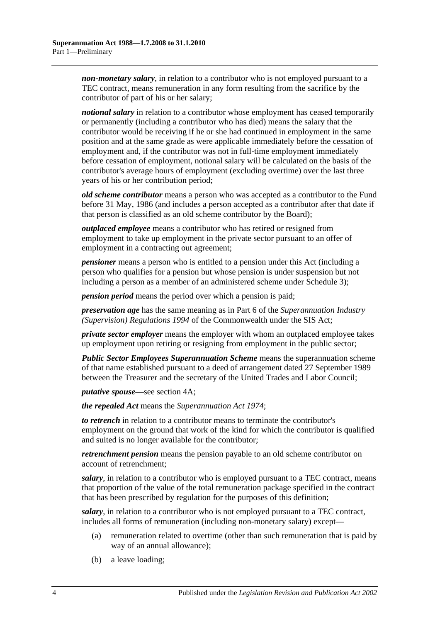*non-monetary salary*, in relation to a contributor who is not employed pursuant to a TEC contract, means remuneration in any form resulting from the sacrifice by the contributor of part of his or her salary;

*notional salary* in relation to a contributor whose employment has ceased temporarily or permanently (including a contributor who has died) means the salary that the contributor would be receiving if he or she had continued in employment in the same position and at the same grade as were applicable immediately before the cessation of employment and, if the contributor was not in full-time employment immediately before cessation of employment, notional salary will be calculated on the basis of the contributor's average hours of employment (excluding overtime) over the last three years of his or her contribution period;

*old scheme contributor* means a person who was accepted as a contributor to the Fund before 31 May, 1986 (and includes a person accepted as a contributor after that date if that person is classified as an old scheme contributor by the Board);

*outplaced employee* means a contributor who has retired or resigned from employment to take up employment in the private sector pursuant to an offer of employment in a contracting out agreement;

*pensioner* means a person who is entitled to a pension under this Act (including a person who qualifies for a pension but whose pension is under suspension but not including a person as a member of an administered scheme under [Schedule 3\)](#page-128-0);

*pension period* means the period over which a pension is paid;

*preservation age* has the same meaning as in Part 6 of the *Superannuation Industry (Supervision) Regulations 1994* of the Commonwealth under the SIS Act;

*private sector employer* means the employer with whom an outplaced employee takes up employment upon retiring or resigning from employment in the public sector;

*Public Sector Employees Superannuation Scheme* means the superannuation scheme of that name established pursuant to a deed of arrangement dated 27 September 1989 between the Treasurer and the secretary of the United Trades and Labor Council;

*putative spouse*—see [section](#page-13-0) 4A;

*the repealed Act* means the *[Superannuation Act](http://www.legislation.sa.gov.au/index.aspx?action=legref&type=act&legtitle=Superannuation%20Act%201974) 1974*;

*to retrench* in relation to a contributor means to terminate the contributor's employment on the ground that work of the kind for which the contributor is qualified and suited is no longer available for the contributor;

*retrenchment pension* means the pension payable to an old scheme contributor on account of retrenchment;

*salary*, in relation to a contributor who is employed pursuant to a TEC contract, means that proportion of the value of the total remuneration package specified in the contract that has been prescribed by regulation for the purposes of this definition;

*salary*, in relation to a contributor who is not employed pursuant to a TEC contract, includes all forms of remuneration (including non-monetary salary) except—

- (a) remuneration related to overtime (other than such remuneration that is paid by way of an annual allowance);
- (b) a leave loading;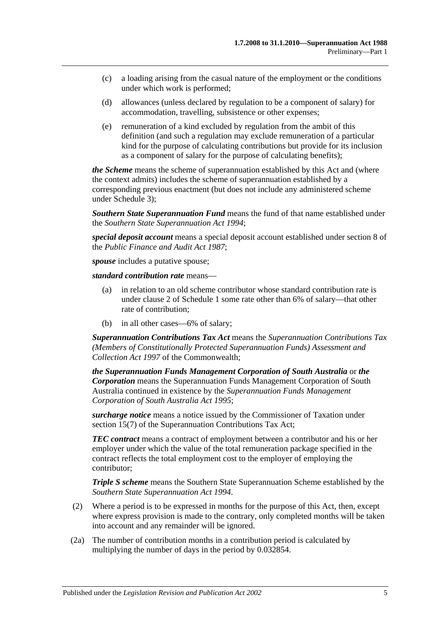- (c) a loading arising from the casual nature of the employment or the conditions under which work is performed;
- (d) allowances (unless declared by regulation to be a component of salary) for accommodation, travelling, subsistence or other expenses;
- (e) remuneration of a kind excluded by regulation from the ambit of this definition (and such a regulation may exclude remuneration of a particular kind for the purpose of calculating contributions but provide for its inclusion as a component of salary for the purpose of calculating benefits);

*the Scheme* means the scheme of superannuation established by this Act and (where the context admits) includes the scheme of superannuation established by a corresponding previous enactment (but does not include any administered scheme under [Schedule 3\)](#page-128-0);

*Southern State Superannuation Fund* means the fund of that name established under the *[Southern State Superannuation Act](http://www.legislation.sa.gov.au/index.aspx?action=legref&type=act&legtitle=Southern%20State%20Superannuation%20Act%201994) 1994*;

*special deposit account* means a special deposit account established under section 8 of the *[Public Finance and Audit Act](http://www.legislation.sa.gov.au/index.aspx?action=legref&type=act&legtitle=Public%20Finance%20and%20Audit%20Act%201987) 1987*;

*spouse* includes a putative spouse;

*standard contribution rate* means—

- (a) in relation to an old scheme contributor whose standard contribution rate is under [clause](#page-104-2) 2 of [Schedule 1](#page-104-0) some rate other than 6% of salary—that other rate of contribution;
- (b) in all other cases—6% of salary;

*Superannuation Contributions Tax Act* means the *Superannuation Contributions Tax (Members of Constitutionally Protected Superannuation Funds) Assessment and Collection Act 1997* of the Commonwealth;

*the Superannuation Funds Management Corporation of South Australia* or *the Corporation* means the Superannuation Funds Management Corporation of South Australia continued in existence by the *Superannuation [Funds Management](http://www.legislation.sa.gov.au/index.aspx?action=legref&type=act&legtitle=Superannuation%20Funds%20Management%20Corporation%20of%20South%20Australia%20Act%201995)  [Corporation of South Australia Act](http://www.legislation.sa.gov.au/index.aspx?action=legref&type=act&legtitle=Superannuation%20Funds%20Management%20Corporation%20of%20South%20Australia%20Act%201995) 1995*;

*surcharge notice* means a notice issued by the Commissioner of Taxation under section 15(7) of the Superannuation Contributions Tax Act;

*TEC contract* means a contract of employment between a contributor and his or her employer under which the value of the total remuneration package specified in the contract reflects the total employment cost to the employer of employing the contributor;

*Triple S scheme* means the Southern State Superannuation Scheme established by the *[Southern State Superannuation Act](http://www.legislation.sa.gov.au/index.aspx?action=legref&type=act&legtitle=Southern%20State%20Superannuation%20Act%201994) 1994*.

- (2) Where a period is to be expressed in months for the purpose of this Act, then, except where express provision is made to the contrary, only completed months will be taken into account and any remainder will be ignored.
- <span id="page-10-0"></span>(2a) The number of contribution months in a contribution period is calculated by multiplying the number of days in the period by 0.032854.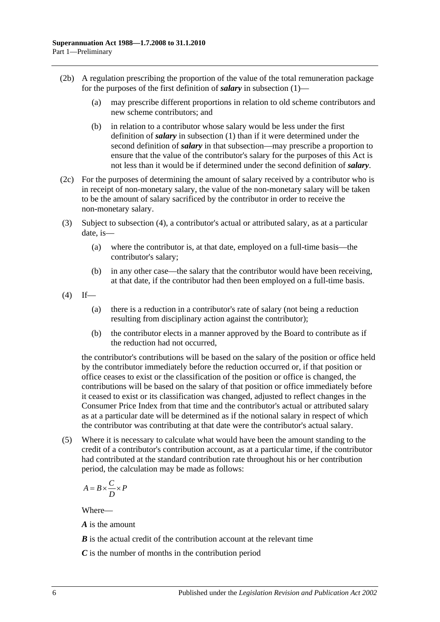- (2b) A regulation prescribing the proportion of the value of the total remuneration package for the purposes of the first definition of *salary* in [subsection](#page-6-3) (1)—
	- (a) may prescribe different proportions in relation to old scheme contributors and new scheme contributors; and
	- (b) in relation to a contributor whose salary would be less under the first definition of *salary* in [subsection](#page-6-3) (1) than if it were determined under the second definition of *salary* in that subsection—may prescribe a proportion to ensure that the value of the contributor's salary for the purposes of this Act is not less than it would be if determined under the second definition of *salary*.
- (2c) For the purposes of determining the amount of salary received by a contributor who is in receipt of non-monetary salary, the value of the non-monetary salary will be taken to be the amount of salary sacrificed by the contributor in order to receive the non-monetary salary.
- <span id="page-11-0"></span>(3) Subject to [subsection](#page-11-1) (4), a contributor's actual or attributed salary, as at a particular date, is—
	- (a) where the contributor is, at that date, employed on a full-time basis—the contributor's salary;
	- (b) in any other case—the salary that the contributor would have been receiving, at that date, if the contributor had then been employed on a full-time basis.
- <span id="page-11-1"></span> $(4)$  If—
	- (a) there is a reduction in a contributor's rate of salary (not being a reduction resulting from disciplinary action against the contributor);
	- (b) the contributor elects in a manner approved by the Board to contribute as if the reduction had not occurred,

the contributor's contributions will be based on the salary of the position or office held by the contributor immediately before the reduction occurred or, if that position or office ceases to exist or the classification of the position or office is changed, the contributions will be based on the salary of that position or office immediately before it ceased to exist or its classification was changed, adjusted to reflect changes in the Consumer Price Index from that time and the contributor's actual or attributed salary as at a particular date will be determined as if the notional salary in respect of which the contributor was contributing at that date were the contributor's actual salary.

(5) Where it is necessary to calculate what would have been the amount standing to the credit of a contributor's contribution account, as at a particular time, if the contributor had contributed at the standard contribution rate throughout his or her contribution period, the calculation may be made as follows:

$$
A = B \times \frac{C}{D} \times P
$$

Where—

*A* is the amount

*B* is the actual credit of the contribution account at the relevant time

*C* is the number of months in the contribution period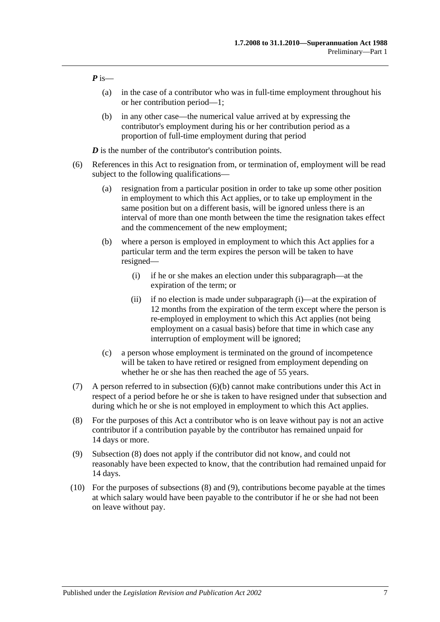*P* is—

- (a) in the case of a contributor who was in full-time employment throughout his or her contribution period—1;
- (b) in any other case—the numerical value arrived at by expressing the contributor's employment during his or her contribution period as a proportion of full-time employment during that period

*D* is the number of the contributor's contribution points.

- <span id="page-12-1"></span><span id="page-12-0"></span>(6) References in this Act to resignation from, or termination of, employment will be read subject to the following qualifications—
	- (a) resignation from a particular position in order to take up some other position in employment to which this Act applies, or to take up employment in the same position but on a different basis, will be ignored unless there is an interval of more than one month between the time the resignation takes effect and the commencement of the new employment;
	- (b) where a person is employed in employment to which this Act applies for a particular term and the term expires the person will be taken to have resigned—
		- (i) if he or she makes an election under this subparagraph—at the expiration of the term; or
		- (ii) if no election is made under [subparagraph](#page-12-0) (i)—at the expiration of 12 months from the expiration of the term except where the person is re-employed in employment to which this Act applies (not being employment on a casual basis) before that time in which case any interruption of employment will be ignored;
	- (c) a person whose employment is terminated on the ground of incompetence will be taken to have retired or resigned from employment depending on whether he or she has then reached the age of 55 years.
- (7) A person referred to in [subsection](#page-12-1) (6)(b) cannot make contributions under this Act in respect of a period before he or she is taken to have resigned under that subsection and during which he or she is not employed in employment to which this Act applies.
- <span id="page-12-2"></span>(8) For the purposes of this Act a contributor who is on leave without pay is not an active contributor if a contribution payable by the contributor has remained unpaid for 14 days or more.
- <span id="page-12-3"></span>(9) [Subsection](#page-12-2) (8) does not apply if the contributor did not know, and could not reasonably have been expected to know, that the contribution had remained unpaid for 14 days.
- (10) For the purposes of [subsections](#page-12-2) (8) and [\(9\),](#page-12-3) contributions become payable at the times at which salary would have been payable to the contributor if he or she had not been on leave without pay.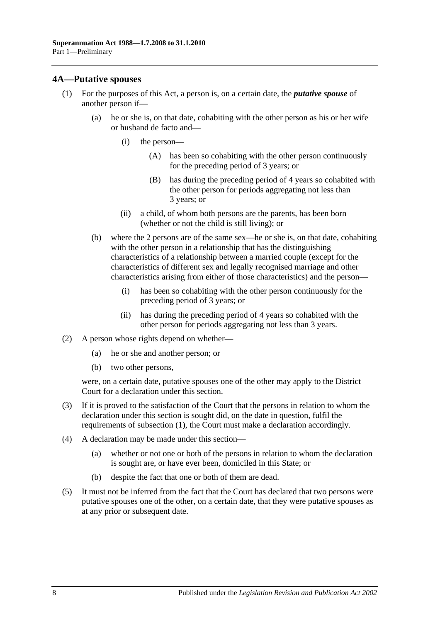#### <span id="page-13-0"></span>**4A—Putative spouses**

- (1) For the purposes of this Act, a person is, on a certain date, the *putative spouse* of another person if—
	- (a) he or she is, on that date, cohabiting with the other person as his or her wife or husband de facto and—
		- (i) the person—
			- (A) has been so cohabiting with the other person continuously for the preceding period of 3 years; or
			- (B) has during the preceding period of 4 years so cohabited with the other person for periods aggregating not less than 3 years; or
		- (ii) a child, of whom both persons are the parents, has been born (whether or not the child is still living); or
	- (b) where the 2 persons are of the same sex—he or she is, on that date, cohabiting with the other person in a relationship that has the distinguishing characteristics of a relationship between a married couple (except for the characteristics of different sex and legally recognised marriage and other characteristics arising from either of those characteristics) and the person—
		- (i) has been so cohabiting with the other person continuously for the preceding period of 3 years; or
		- (ii) has during the preceding period of 4 years so cohabited with the other person for periods aggregating not less than 3 years.
- (2) A person whose rights depend on whether—
	- (a) he or she and another person; or
	- (b) two other persons,

were, on a certain date, putative spouses one of the other may apply to the District Court for a declaration under this section.

- (3) If it is proved to the satisfaction of the Court that the persons in relation to whom the declaration under this section is sought did, on the date in question, fulfil the requirements of subsection (1), the Court must make a declaration accordingly.
- (4) A declaration may be made under this section—
	- (a) whether or not one or both of the persons in relation to whom the declaration is sought are, or have ever been, domiciled in this State; or
	- (b) despite the fact that one or both of them are dead.
- (5) It must not be inferred from the fact that the Court has declared that two persons were putative spouses one of the other, on a certain date, that they were putative spouses as at any prior or subsequent date.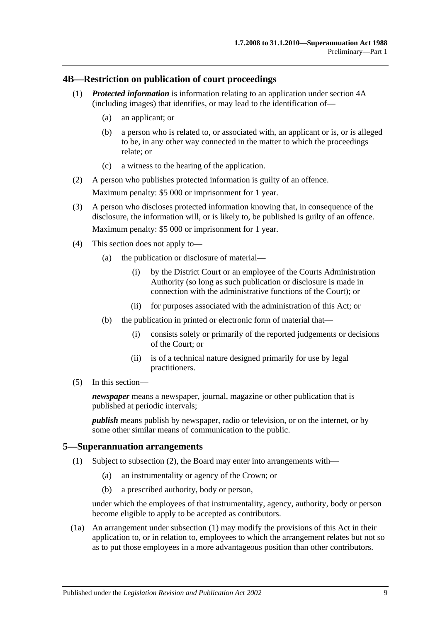#### <span id="page-14-0"></span>**4B—Restriction on publication of court proceedings**

- (1) *Protected information* is information relating to an application under [section](#page-13-0) 4A (including images) that identifies, or may lead to the identification of—
	- (a) an applicant; or
	- (b) a person who is related to, or associated with, an applicant or is, or is alleged to be, in any other way connected in the matter to which the proceedings relate; or
	- (c) a witness to the hearing of the application.
- (2) A person who publishes protected information is guilty of an offence. Maximum penalty: \$5 000 or imprisonment for 1 year.
- (3) A person who discloses protected information knowing that, in consequence of the disclosure, the information will, or is likely to, be published is guilty of an offence. Maximum penalty: \$5 000 or imprisonment for 1 year.
- (4) This section does not apply to—
	- (a) the publication or disclosure of material—
		- (i) by the District Court or an employee of the Courts Administration Authority (so long as such publication or disclosure is made in connection with the administrative functions of the Court); or
		- (ii) for purposes associated with the administration of this Act; or
	- (b) the publication in printed or electronic form of material that—
		- (i) consists solely or primarily of the reported judgements or decisions of the Court; or
		- (ii) is of a technical nature designed primarily for use by legal practitioners.
- (5) In this section—

*newspaper* means a newspaper, journal, magazine or other publication that is published at periodic intervals;

*publish* means publish by newspaper, radio or television, or on the internet, or by some other similar means of communication to the public.

#### <span id="page-14-2"></span><span id="page-14-1"></span>**5—Superannuation arrangements**

- (1) Subject to [subsection](#page-15-0) (2), the Board may enter into arrangements with—
	- (a) an instrumentality or agency of the Crown; or
	- (b) a prescribed authority, body or person,

under which the employees of that instrumentality, agency, authority, body or person become eligible to apply to be accepted as contributors.

(1a) An arrangement under [subsection](#page-14-2) (1) may modify the provisions of this Act in their application to, or in relation to, employees to which the arrangement relates but not so as to put those employees in a more advantageous position than other contributors.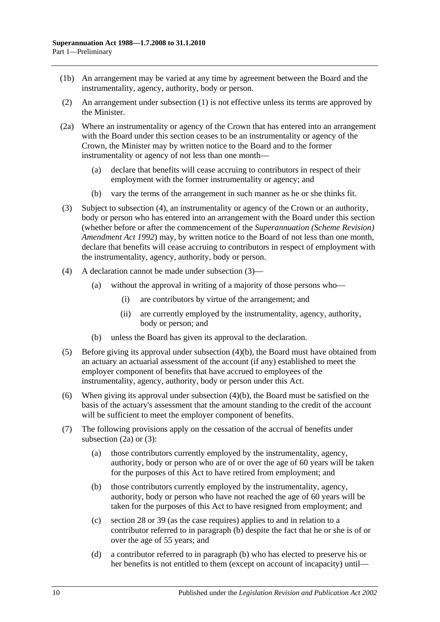- (1b) An arrangement may be varied at any time by agreement between the Board and the instrumentality, agency, authority, body or person.
- <span id="page-15-0"></span>(2) An arrangement under [subsection](#page-14-2) (1) is not effective unless its terms are approved by the Minister.
- <span id="page-15-4"></span>(2a) Where an instrumentality or agency of the Crown that has entered into an arrangement with the Board under this section ceases to be an instrumentality or agency of the Crown, the Minister may by written notice to the Board and to the former instrumentality or agency of not less than one month—
	- (a) declare that benefits will cease accruing to contributors in respect of their employment with the former instrumentality or agency; and
	- (b) vary the terms of the arrangement in such manner as he or she thinks fit.
- <span id="page-15-2"></span>(3) Subject to [subsection](#page-15-1) (4), an instrumentality or agency of the Crown or an authority, body or person who has entered into an arrangement with the Board under this section (whether before or after the commencement of the *[Superannuation \(Scheme Revision\)](http://www.legislation.sa.gov.au/index.aspx?action=legref&type=act&legtitle=Superannuation%20(Scheme%20Revision)%20Amendment%20Act%201992)  [Amendment Act](http://www.legislation.sa.gov.au/index.aspx?action=legref&type=act&legtitle=Superannuation%20(Scheme%20Revision)%20Amendment%20Act%201992) 1992*) may, by written notice to the Board of not less than one month, declare that benefits will cease accruing to contributors in respect of employment with the instrumentality, agency, authority, body or person.
- <span id="page-15-1"></span>(4) A declaration cannot be made under [subsection](#page-15-2) (3)—
	- (a) without the approval in writing of a majority of those persons who—
		- (i) are contributors by virtue of the arrangement; and
		- (ii) are currently employed by the instrumentality, agency, authority, body or person; and
	- (b) unless the Board has given its approval to the declaration.
- <span id="page-15-3"></span>(5) Before giving its approval under [subsection](#page-15-3) (4)(b), the Board must have obtained from an actuary an actuarial assessment of the account (if any) established to meet the employer component of benefits that have accrued to employees of the instrumentality, agency, authority, body or person under this Act.
- (6) When giving its approval under [subsection](#page-15-3) (4)(b), the Board must be satisfied on the basis of the actuary's assessment that the amount standing to the credit of the account will be sufficient to meet the employer component of benefits.
- <span id="page-15-5"></span>(7) The following provisions apply on the cessation of the accrual of benefits under [subsection](#page-15-4)  $(2a)$  or  $(3)$ :
	- (a) those contributors currently employed by the instrumentality, agency, authority, body or person who are of or over the age of 60 years will be taken for the purposes of this Act to have retired from employment; and
	- (b) those contributors currently employed by the instrumentality, agency, authority, body or person who have not reached the age of 60 years will be taken for the purposes of this Act to have resigned from employment; and
	- (c) [section](#page-34-0) 28 or [39](#page-71-0) (as the case requires) applies to and in relation to a contributor referred to in [paragraph](#page-15-5) (b) despite the fact that he or she is of or over the age of 55 years; and
	- (d) a contributor referred to in [paragraph](#page-15-5) (b) who has elected to preserve his or her benefits is not entitled to them (except on account of incapacity) until—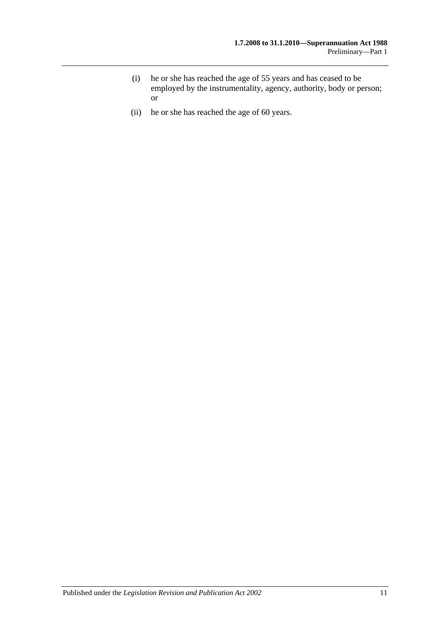- (i) he or she has reached the age of 55 years and has ceased to be employed by the instrumentality, agency, authority, body or person; or
- (ii) he or she has reached the age of 60 years.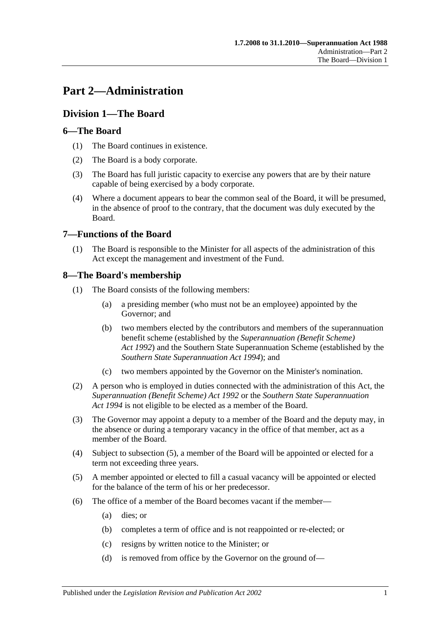# <span id="page-18-0"></span>**Part 2—Administration**

# <span id="page-18-1"></span>**Division 1—The Board**

# <span id="page-18-2"></span>**6—The Board**

- (1) The Board continues in existence.
- (2) The Board is a body corporate.
- (3) The Board has full juristic capacity to exercise any powers that are by their nature capable of being exercised by a body corporate.
- (4) Where a document appears to bear the common seal of the Board, it will be presumed, in the absence of proof to the contrary, that the document was duly executed by the Board.

# <span id="page-18-3"></span>**7—Functions of the Board**

(1) The Board is responsible to the Minister for all aspects of the administration of this Act except the management and investment of the Fund.

# <span id="page-18-4"></span>**8—The Board's membership**

- (1) The Board consists of the following members:
	- (a) a presiding member (who must not be an employee) appointed by the Governor; and
	- (b) two members elected by the contributors and members of the superannuation benefit scheme (established by the *[Superannuation \(Benefit Scheme\)](http://www.legislation.sa.gov.au/index.aspx?action=legref&type=act&legtitle=Superannuation%20(Benefit%20Scheme)%20Act%201992)  Act [1992](http://www.legislation.sa.gov.au/index.aspx?action=legref&type=act&legtitle=Superannuation%20(Benefit%20Scheme)%20Act%201992)*) and the Southern State Superannuation Scheme (established by the *[Southern State Superannuation Act](http://www.legislation.sa.gov.au/index.aspx?action=legref&type=act&legtitle=Southern%20State%20Superannuation%20Act%201994) 1994*); and
	- (c) two members appointed by the Governor on the Minister's nomination.
- (2) A person who is employed in duties connected with the administration of this Act, the *[Superannuation \(Benefit Scheme\) Act](http://www.legislation.sa.gov.au/index.aspx?action=legref&type=act&legtitle=Superannuation%20(Benefit%20Scheme)%20Act%201992) 1992* or the *[Southern State Superannuation](http://www.legislation.sa.gov.au/index.aspx?action=legref&type=act&legtitle=Southern%20State%20Superannuation%20Act%201994)  Act [1994](http://www.legislation.sa.gov.au/index.aspx?action=legref&type=act&legtitle=Southern%20State%20Superannuation%20Act%201994)* is not eligible to be elected as a member of the Board.
- (3) The Governor may appoint a deputy to a member of the Board and the deputy may, in the absence or during a temporary vacancy in the office of that member, act as a member of the Board.
- (4) Subject to [subsection](#page-18-5) (5), a member of the Board will be appointed or elected for a term not exceeding three years.
- <span id="page-18-5"></span>(5) A member appointed or elected to fill a casual vacancy will be appointed or elected for the balance of the term of his or her predecessor.
- (6) The office of a member of the Board becomes vacant if the member—
	- (a) dies; or
	- (b) completes a term of office and is not reappointed or re-elected; or
	- (c) resigns by written notice to the Minister; or
	- (d) is removed from office by the Governor on the ground of—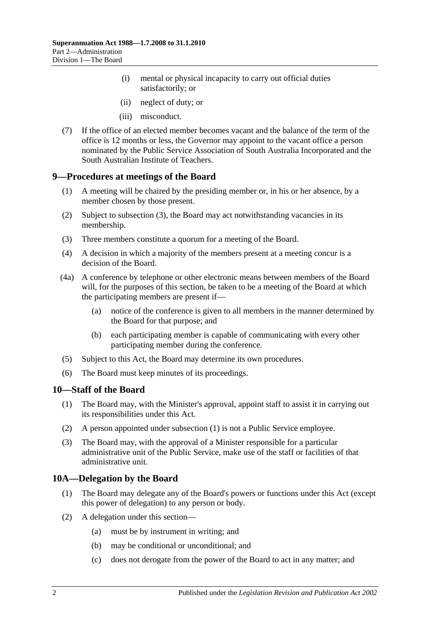- (i) mental or physical incapacity to carry out official duties satisfactorily; or
- (ii) neglect of duty; or
- (iii) misconduct.
- (7) If the office of an elected member becomes vacant and the balance of the term of the office is 12 months or less, the Governor may appoint to the vacant office a person nominated by the Public Service Association of South Australia Incorporated and the South Australian Institute of Teachers.

#### <span id="page-19-0"></span>**9—Procedures at meetings of the Board**

- (1) A meeting will be chaired by the presiding member or, in his or her absence, by a member chosen by those present.
- (2) Subject to [subsection](#page-19-3) (3), the Board may act notwithstanding vacancies in its membership.
- <span id="page-19-3"></span>(3) Three members constitute a quorum for a meeting of the Board.
- (4) A decision in which a majority of the members present at a meeting concur is a decision of the Board.
- (4a) A conference by telephone or other electronic means between members of the Board will, for the purposes of this section, be taken to be a meeting of the Board at which the participating members are present if—
	- (a) notice of the conference is given to all members in the manner determined by the Board for that purpose; and
	- (b) each participating member is capable of communicating with every other participating member during the conference.
- (5) Subject to this Act, the Board may determine its own procedures.
- (6) The Board must keep minutes of its proceedings.

#### <span id="page-19-4"></span><span id="page-19-1"></span>**10—Staff of the Board**

- (1) The Board may, with the Minister's approval, appoint staff to assist it in carrying out its responsibilities under this Act.
- (2) A person appointed under [subsection](#page-19-4) (1) is not a Public Service employee.
- (3) The Board may, with the approval of a Minister responsible for a particular administrative unit of the Public Service, make use of the staff or facilities of that administrative unit.

# <span id="page-19-2"></span>**10A—Delegation by the Board**

- (1) The Board may delegate any of the Board's powers or functions under this Act (except this power of delegation) to any person or body.
- (2) A delegation under this section—
	- (a) must be by instrument in writing; and
	- (b) may be conditional or unconditional; and
	- (c) does not derogate from the power of the Board to act in any matter; and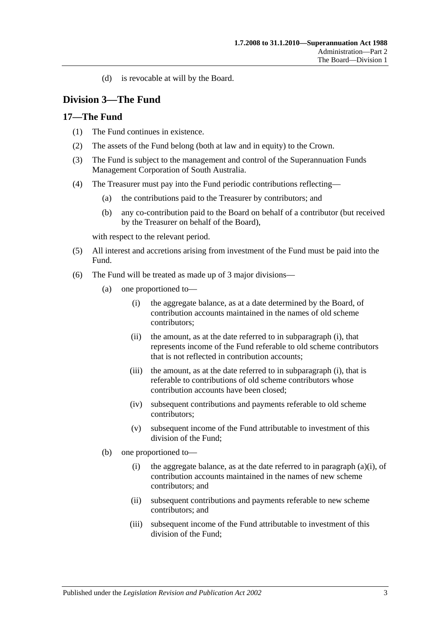(d) is revocable at will by the Board.

# <span id="page-20-0"></span>**Division 3—The Fund**

# <span id="page-20-1"></span>**17—The Fund**

- (1) The Fund continues in existence.
- (2) The assets of the Fund belong (both at law and in equity) to the Crown.
- (3) The Fund is subject to the management and control of the Superannuation Funds Management Corporation of South Australia.
- (4) The Treasurer must pay into the Fund periodic contributions reflecting—
	- (a) the contributions paid to the Treasurer by contributors; and
	- (b) any co-contribution paid to the Board on behalf of a contributor (but received by the Treasurer on behalf of the Board),

with respect to the relevant period.

- (5) All interest and accretions arising from investment of the Fund must be paid into the Fund.
- <span id="page-20-2"></span>(6) The Fund will be treated as made up of 3 major divisions—
	- (a) one proportioned to—
		- (i) the aggregate balance, as at a date determined by the Board, of contribution accounts maintained in the names of old scheme contributors;
		- (ii) the amount, as at the date referred to in [subparagraph](#page-20-2) (i), that represents income of the Fund referable to old scheme contributors that is not reflected in contribution accounts;
		- (iii) the amount, as at the date referred to in [subparagraph](#page-20-2) (i), that is referable to contributions of old scheme contributors whose contribution accounts have been closed;
		- (iv) subsequent contributions and payments referable to old scheme contributors;
		- (v) subsequent income of the Fund attributable to investment of this division of the Fund;
	- (b) one proportioned to
		- (i) the aggregate balance, as at the date referred to in [paragraph](#page-20-2)  $(a)(i)$ , of contribution accounts maintained in the names of new scheme contributors; and
		- (ii) subsequent contributions and payments referable to new scheme contributors; and
		- (iii) subsequent income of the Fund attributable to investment of this division of the Fund;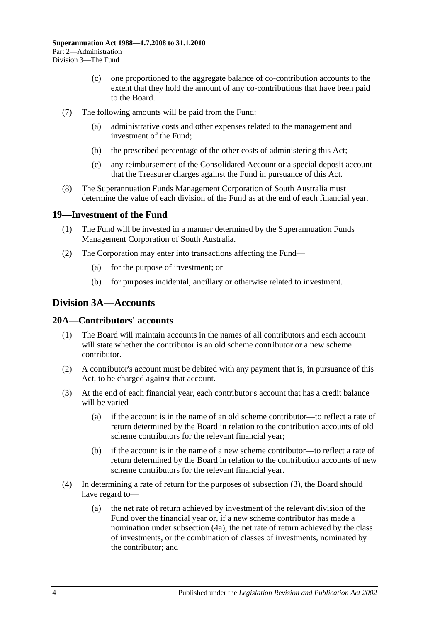- (c) one proportioned to the aggregate balance of co-contribution accounts to the extent that they hold the amount of any co-contributions that have been paid to the Board.
- (7) The following amounts will be paid from the Fund:
	- (a) administrative costs and other expenses related to the management and investment of the Fund;
	- (b) the prescribed percentage of the other costs of administering this Act;
	- (c) any reimbursement of the Consolidated Account or a special deposit account that the Treasurer charges against the Fund in pursuance of this Act.
- (8) The Superannuation Funds Management Corporation of South Australia must determine the value of each division of the Fund as at the end of each financial year.

# <span id="page-21-0"></span>**19—Investment of the Fund**

- (1) The Fund will be invested in a manner determined by the Superannuation Funds Management Corporation of South Australia.
- (2) The Corporation may enter into transactions affecting the Fund—
	- (a) for the purpose of investment; or
	- (b) for purposes incidental, ancillary or otherwise related to investment.

# <span id="page-21-1"></span>**Division 3A—Accounts**

# <span id="page-21-2"></span>**20A—Contributors' accounts**

- (1) The Board will maintain accounts in the names of all contributors and each account will state whether the contributor is an old scheme contributor or a new scheme contributor.
- (2) A contributor's account must be debited with any payment that is, in pursuance of this Act, to be charged against that account.
- <span id="page-21-3"></span>(3) At the end of each financial year, each contributor's account that has a credit balance will be varied—
	- (a) if the account is in the name of an old scheme contributor—to reflect a rate of return determined by the Board in relation to the contribution accounts of old scheme contributors for the relevant financial year;
	- (b) if the account is in the name of a new scheme contributor—to reflect a rate of return determined by the Board in relation to the contribution accounts of new scheme contributors for the relevant financial year.
- (4) In determining a rate of return for the purposes of [subsection](#page-21-3) (3), the Board should have regard to—
	- (a) the net rate of return achieved by investment of the relevant division of the Fund over the financial year or, if a new scheme contributor has made a nomination under [subsection](#page-22-2) (4a), the net rate of return achieved by the class of investments, or the combination of classes of investments, nominated by the contributor; and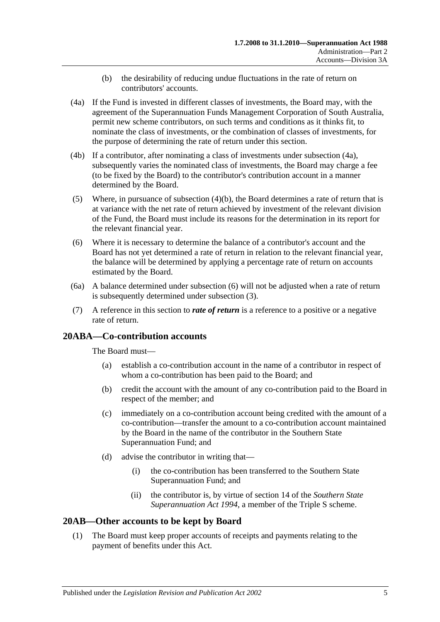- (b) the desirability of reducing undue fluctuations in the rate of return on contributors' accounts.
- <span id="page-22-3"></span><span id="page-22-2"></span>(4a) If the Fund is invested in different classes of investments, the Board may, with the agreement of the Superannuation Funds Management Corporation of South Australia, permit new scheme contributors, on such terms and conditions as it thinks fit, to nominate the class of investments, or the combination of classes of investments, for the purpose of determining the rate of return under this section.
- (4b) If a contributor, after nominating a class of investments under [subsection](#page-22-2) (4a), subsequently varies the nominated class of investments, the Board may charge a fee (to be fixed by the Board) to the contributor's contribution account in a manner determined by the Board.
- (5) Where, in pursuance of [subsection](#page-22-3)  $(4)(b)$ , the Board determines a rate of return that is at variance with the net rate of return achieved by investment of the relevant division of the Fund, the Board must include its reasons for the determination in its report for the relevant financial year.
- <span id="page-22-4"></span>(6) Where it is necessary to determine the balance of a contributor's account and the Board has not yet determined a rate of return in relation to the relevant financial year, the balance will be determined by applying a percentage rate of return on accounts estimated by the Board.
- (6a) A balance determined under [subsection](#page-22-4) (6) will not be adjusted when a rate of return is subsequently determined under [subsection](#page-21-3) (3).
- (7) A reference in this section to *rate of return* is a reference to a positive or a negative rate of return.

# <span id="page-22-0"></span>**20ABA—Co-contribution accounts**

The Board must—

- (a) establish a co-contribution account in the name of a contributor in respect of whom a co-contribution has been paid to the Board; and
- (b) credit the account with the amount of any co-contribution paid to the Board in respect of the member; and
- (c) immediately on a co-contribution account being credited with the amount of a co-contribution—transfer the amount to a co-contribution account maintained by the Board in the name of the contributor in the Southern State Superannuation Fund; and
- (d) advise the contributor in writing that—
	- (i) the co-contribution has been transferred to the Southern State Superannuation Fund; and
	- (ii) the contributor is, by virtue of section 14 of the *[Southern State](http://www.legislation.sa.gov.au/index.aspx?action=legref&type=act&legtitle=Southern%20State%20Superannuation%20Act%201994)  [Superannuation Act](http://www.legislation.sa.gov.au/index.aspx?action=legref&type=act&legtitle=Southern%20State%20Superannuation%20Act%201994) 1994*, a member of the Triple S scheme.

# <span id="page-22-5"></span><span id="page-22-1"></span>**20AB—Other accounts to be kept by Board**

(1) The Board must keep proper accounts of receipts and payments relating to the payment of benefits under this Act.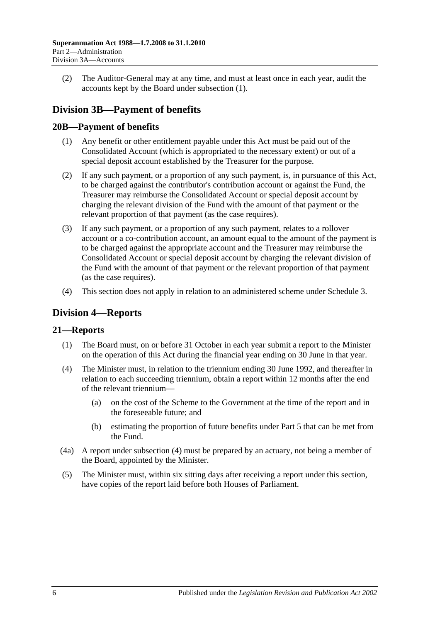(2) The Auditor-General may at any time, and must at least once in each year, audit the accounts kept by the Board under [subsection](#page-22-5) (1).

# <span id="page-23-0"></span>**Division 3B—Payment of benefits**

# <span id="page-23-1"></span>**20B—Payment of benefits**

- (1) Any benefit or other entitlement payable under this Act must be paid out of the Consolidated Account (which is appropriated to the necessary extent) or out of a special deposit account established by the Treasurer for the purpose.
- (2) If any such payment, or a proportion of any such payment, is, in pursuance of this Act, to be charged against the contributor's contribution account or against the Fund, the Treasurer may reimburse the Consolidated Account or special deposit account by charging the relevant division of the Fund with the amount of that payment or the relevant proportion of that payment (as the case requires).
- (3) If any such payment, or a proportion of any such payment, relates to a rollover account or a co-contribution account, an amount equal to the amount of the payment is to be charged against the appropriate account and the Treasurer may reimburse the Consolidated Account or special deposit account by charging the relevant division of the Fund with the amount of that payment or the relevant proportion of that payment (as the case requires).
- (4) This section does not apply in relation to an administered scheme under [Schedule 3.](#page-128-0)

# <span id="page-23-2"></span>**Division 4—Reports**

# <span id="page-23-3"></span>**21—Reports**

- (1) The Board must, on or before 31 October in each year submit a report to the Minister on the operation of this Act during the financial year ending on 30 June in that year.
- <span id="page-23-4"></span>(4) The Minister must, in relation to the triennium ending 30 June 1992, and thereafter in relation to each succeeding triennium, obtain a report within 12 months after the end of the relevant triennium—
	- (a) on the cost of the Scheme to the Government at the time of the report and in the foreseeable future; and
	- (b) estimating the proportion of future benefits under [Part 5](#page-56-0) that can be met from the Fund.
- (4a) A report under [subsection](#page-23-4) (4) must be prepared by an actuary, not being a member of the Board, appointed by the Minister.
- (5) The Minister must, within six sitting days after receiving a report under this section, have copies of the report laid before both Houses of Parliament.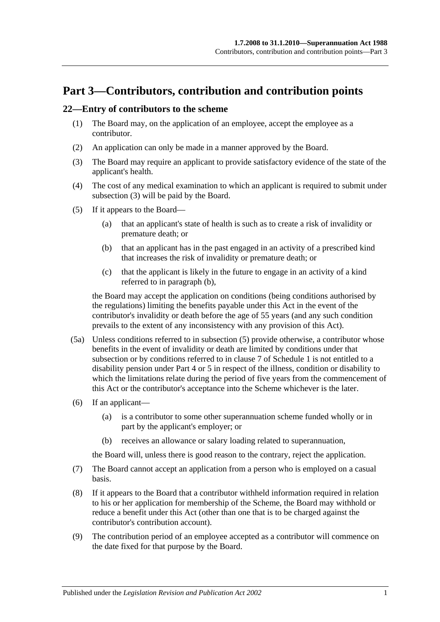# <span id="page-24-0"></span>**Part 3—Contributors, contribution and contribution points**

#### <span id="page-24-5"></span><span id="page-24-1"></span>**22—Entry of contributors to the scheme**

- (1) The Board may, on the application of an employee, accept the employee as a contributor.
- (2) An application can only be made in a manner approved by the Board.
- <span id="page-24-2"></span>(3) The Board may require an applicant to provide satisfactory evidence of the state of the applicant's health.
- (4) The cost of any medical examination to which an applicant is required to submit under [subsection](#page-24-2) (3) will be paid by the Board.
- <span id="page-24-4"></span><span id="page-24-3"></span>(5) If it appears to the Board—
	- (a) that an applicant's state of health is such as to create a risk of invalidity or premature death; or
	- (b) that an applicant has in the past engaged in an activity of a prescribed kind that increases the risk of invalidity or premature death; or
	- (c) that the applicant is likely in the future to engage in an activity of a kind referred to in [paragraph](#page-24-3) (b),

the Board may accept the application on conditions (being conditions authorised by the regulations) limiting the benefits payable under this Act in the event of the contributor's invalidity or death before the age of 55 years (and any such condition prevails to the extent of any inconsistency with any provision of this Act).

- (5a) Unless conditions referred to in [subsection](#page-24-4) (5) provide otherwise, a contributor whose benefits in the event of invalidity or death are limited by conditions under that subsection or by conditions referred to in [clause](#page-108-0) 7 of [Schedule 1](#page-104-0) is not entitled to a disability pension under [Part 4](#page-30-0) or [5](#page-56-0) in respect of the illness, condition or disability to which the limitations relate during the period of five years from the commencement of this Act or the contributor's acceptance into the Scheme whichever is the later.
- (6) If an applicant—
	- (a) is a contributor to some other superannuation scheme funded wholly or in part by the applicant's employer; or
	- (b) receives an allowance or salary loading related to superannuation,

the Board will, unless there is good reason to the contrary, reject the application.

- (7) The Board cannot accept an application from a person who is employed on a casual basis.
- (8) If it appears to the Board that a contributor withheld information required in relation to his or her application for membership of the Scheme, the Board may withhold or reduce a benefit under this Act (other than one that is to be charged against the contributor's contribution account).
- (9) The contribution period of an employee accepted as a contributor will commence on the date fixed for that purpose by the Board.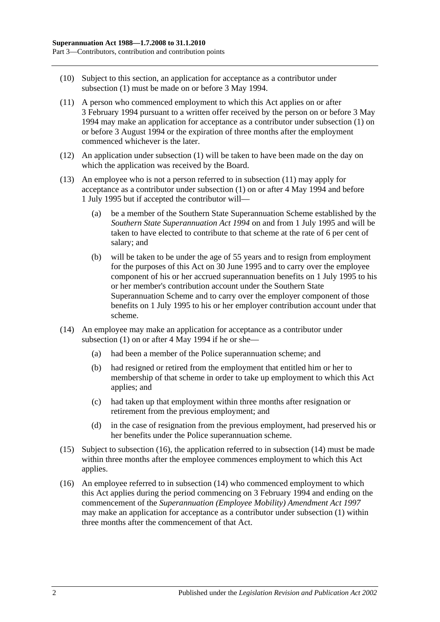- (10) Subject to this section, an application for acceptance as a contributor under [subsection](#page-24-5) (1) must be made on or before 3 May 1994.
- <span id="page-25-0"></span>(11) A person who commenced employment to which this Act applies on or after 3 February 1994 pursuant to a written offer received by the person on or before 3 May 1994 may make an application for acceptance as a contributor under [subsection](#page-24-5) (1) on or before 3 August 1994 or the expiration of three months after the employment commenced whichever is the later.
- (12) An application under [subsection](#page-24-5) (1) will be taken to have been made on the day on which the application was received by the Board.
- (13) An employee who is not a person referred to in [subsection](#page-25-0) (11) may apply for acceptance as a contributor under [subsection](#page-24-5) (1) on or after 4 May 1994 and before 1 July 1995 but if accepted the contributor will—
	- (a) be a member of the Southern State Superannuation Scheme established by the *[Southern State Superannuation Act](http://www.legislation.sa.gov.au/index.aspx?action=legref&type=act&legtitle=Southern%20State%20Superannuation%20Act%201994) 1994* on and from 1 July 1995 and will be taken to have elected to contribute to that scheme at the rate of 6 per cent of salary; and
	- (b) will be taken to be under the age of 55 years and to resign from employment for the purposes of this Act on 30 June 1995 and to carry over the employee component of his or her accrued superannuation benefits on 1 July 1995 to his or her member's contribution account under the Southern State Superannuation Scheme and to carry over the employer component of those benefits on 1 July 1995 to his or her employer contribution account under that scheme.
- <span id="page-25-2"></span>(14) An employee may make an application for acceptance as a contributor under [subsection](#page-24-5)  $(1)$  on or after 4 May 1994 if he or she-
	- (a) had been a member of the Police superannuation scheme; and
	- (b) had resigned or retired from the employment that entitled him or her to membership of that scheme in order to take up employment to which this Act applies; and
	- (c) had taken up that employment within three months after resignation or retirement from the previous employment; and
	- (d) in the case of resignation from the previous employment, had preserved his or her benefits under the Police superannuation scheme.
- (15) Subject to [subsection](#page-25-1) (16), the application referred to in [subsection](#page-25-2) (14) must be made within three months after the employee commences employment to which this Act applies.
- <span id="page-25-1"></span>(16) An employee referred to in [subsection](#page-25-2) (14) who commenced employment to which this Act applies during the period commencing on 3 February 1994 and ending on the commencement of the *[Superannuation \(Employee Mobility\) Amendment Act](http://www.legislation.sa.gov.au/index.aspx?action=legref&type=act&legtitle=Superannuation%20(Employee%20Mobility)%20Amendment%20Act%201997) 1997* may make an application for acceptance as a contributor under [subsection](#page-24-5) (1) within three months after the commencement of that Act.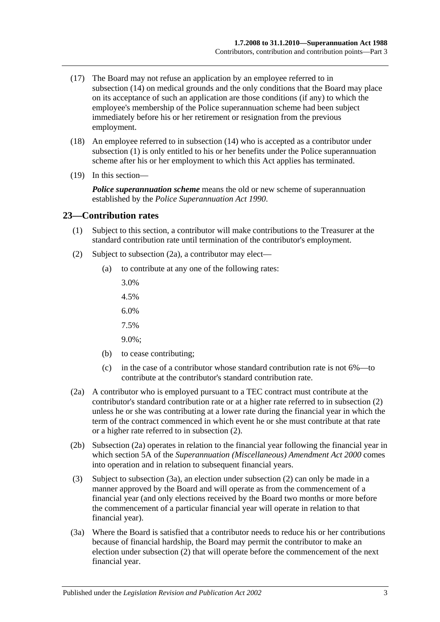- (17) The Board may not refuse an application by an employee referred to in [subsection](#page-25-2) (14) on medical grounds and the only conditions that the Board may place on its acceptance of such an application are those conditions (if any) to which the employee's membership of the Police superannuation scheme had been subject immediately before his or her retirement or resignation from the previous employment.
- (18) An employee referred to in [subsection](#page-25-2) (14) who is accepted as a contributor under [subsection](#page-24-5) (1) is only entitled to his or her benefits under the Police superannuation scheme after his or her employment to which this Act applies has terminated.
- (19) In this section—

*Police superannuation scheme* means the old or new scheme of superannuation established by the *[Police Superannuation Act](http://www.legislation.sa.gov.au/index.aspx?action=legref&type=act&legtitle=Police%20Superannuation%20Act%201990) 1990*.

#### <span id="page-26-0"></span>**23—Contribution rates**

- (1) Subject to this section, a contributor will make contributions to the Treasurer at the standard contribution rate until termination of the contributor's employment.
- <span id="page-26-2"></span>(2) Subject to [subsection](#page-26-1) (2a), a contributor may elect—
	- (a) to contribute at any one of the following rates:
		- 3.0%
		- 4.5%
		- 6.0%
		- 7.5%
		- 9.0%;
	- (b) to cease contributing;
	- (c) in the case of a contributor whose standard contribution rate is not 6%—to contribute at the contributor's standard contribution rate.
- <span id="page-26-1"></span>(2a) A contributor who is employed pursuant to a TEC contract must contribute at the contributor's standard contribution rate or at a higher rate referred to in [subsection](#page-26-2) (2) unless he or she was contributing at a lower rate during the financial year in which the term of the contract commenced in which event he or she must contribute at that rate or a higher rate referred to in [subsection](#page-26-2) (2).
- (2b) [Subsection](#page-26-1) (2a) operates in relation to the financial year following the financial year in which section 5A of the *[Superannuation \(Miscellaneous\) Amendment Act](http://www.legislation.sa.gov.au/index.aspx?action=legref&type=act&legtitle=Superannuation%20(Miscellaneous)%20Amendment%20Act%202000) 2000* comes into operation and in relation to subsequent financial years.
- (3) Subject to [subsection](#page-26-3) (3a), an election under [subsection](#page-26-2) (2) can only be made in a manner approved by the Board and will operate as from the commencement of a financial year (and only elections received by the Board two months or more before the commencement of a particular financial year will operate in relation to that financial year).
- <span id="page-26-3"></span>(3a) Where the Board is satisfied that a contributor needs to reduce his or her contributions because of financial hardship, the Board may permit the contributor to make an election under [subsection](#page-26-2) (2) that will operate before the commencement of the next financial year.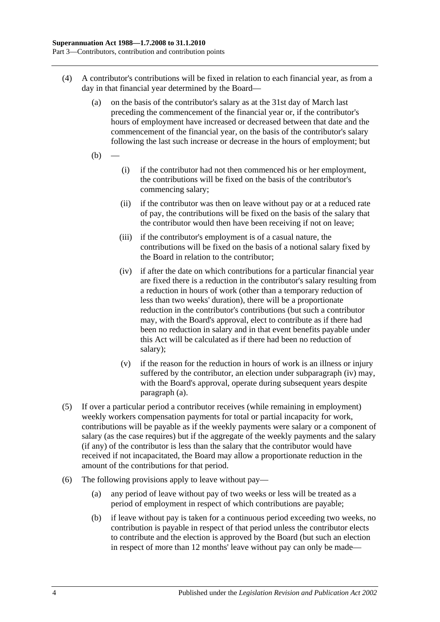- <span id="page-27-1"></span>(4) A contributor's contributions will be fixed in relation to each financial year, as from a day in that financial year determined by the Board—
	- (a) on the basis of the contributor's salary as at the 31st day of March last preceding the commencement of the financial year or, if the contributor's hours of employment have increased or decreased between that date and the commencement of the financial year, on the basis of the contributor's salary following the last such increase or decrease in the hours of employment; but
	- $(b)$
- (i) if the contributor had not then commenced his or her employment, the contributions will be fixed on the basis of the contributor's commencing salary;
- (ii) if the contributor was then on leave without pay or at a reduced rate of pay, the contributions will be fixed on the basis of the salary that the contributor would then have been receiving if not on leave;
- (iii) if the contributor's employment is of a casual nature, the contributions will be fixed on the basis of a notional salary fixed by the Board in relation to the contributor;
- <span id="page-27-0"></span>(iv) if after the date on which contributions for a particular financial year are fixed there is a reduction in the contributor's salary resulting from a reduction in hours of work (other than a temporary reduction of less than two weeks' duration), there will be a proportionate reduction in the contributor's contributions (but such a contributor may, with the Board's approval, elect to contribute as if there had been no reduction in salary and in that event benefits payable under this Act will be calculated as if there had been no reduction of salary);
- (v) if the reason for the reduction in hours of work is an illness or injury suffered by the contributor, an election under [subparagraph](#page-27-0) (iv) may, with the Board's approval, operate during subsequent years despite [paragraph](#page-27-1) (a).
- (5) If over a particular period a contributor receives (while remaining in employment) weekly workers compensation payments for total or partial incapacity for work, contributions will be payable as if the weekly payments were salary or a component of salary (as the case requires) but if the aggregate of the weekly payments and the salary (if any) of the contributor is less than the salary that the contributor would have received if not incapacitated, the Board may allow a proportionate reduction in the amount of the contributions for that period.
- <span id="page-27-2"></span>(6) The following provisions apply to leave without pay—
	- (a) any period of leave without pay of two weeks or less will be treated as a period of employment in respect of which contributions are payable;
	- (b) if leave without pay is taken for a continuous period exceeding two weeks, no contribution is payable in respect of that period unless the contributor elects to contribute and the election is approved by the Board (but such an election in respect of more than 12 months' leave without pay can only be made—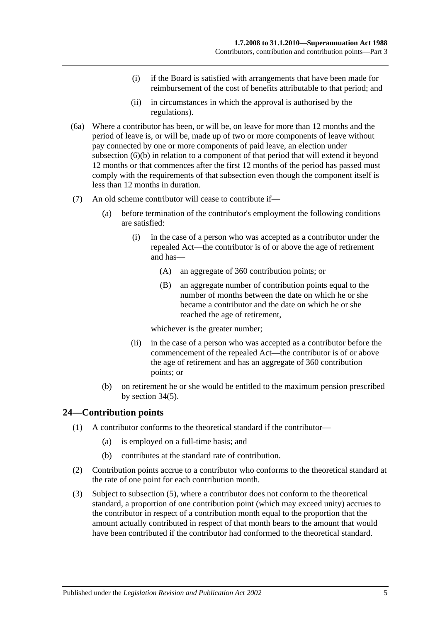- (i) if the Board is satisfied with arrangements that have been made for reimbursement of the cost of benefits attributable to that period; and
- (ii) in circumstances in which the approval is authorised by the regulations).
- (6a) Where a contributor has been, or will be, on leave for more than 12 months and the period of leave is, or will be, made up of two or more components of leave without pay connected by one or more components of paid leave, an election under [subsection](#page-27-2) (6)(b) in relation to a component of that period that will extend it beyond 12 months or that commences after the first 12 months of the period has passed must comply with the requirements of that subsection even though the component itself is less than 12 months in duration.
- (7) An old scheme contributor will cease to contribute if—
	- (a) before termination of the contributor's employment the following conditions are satisfied:
		- (i) in the case of a person who was accepted as a contributor under the repealed Act—the contributor is of or above the age of retirement and has—
			- (A) an aggregate of 360 contribution points; or
			- (B) an aggregate number of contribution points equal to the number of months between the date on which he or she became a contributor and the date on which he or she reached the age of retirement,

whichever is the greater number;

- (ii) in the case of a person who was accepted as a contributor before the commencement of the repealed Act—the contributor is of or above the age of retirement and has an aggregate of 360 contribution points; or
- (b) on retirement he or she would be entitled to the maximum pension prescribed by [section](#page-60-0) 34(5).

# <span id="page-28-0"></span>**24—Contribution points**

- (1) A contributor conforms to the theoretical standard if the contributor—
	- (a) is employed on a full-time basis; and
	- (b) contributes at the standard rate of contribution.
- (2) Contribution points accrue to a contributor who conforms to the theoretical standard at the rate of one point for each contribution month.
- (3) Subject to [subsection](#page-29-1) (5), where a contributor does not conform to the theoretical standard, a proportion of one contribution point (which may exceed unity) accrues to the contributor in respect of a contribution month equal to the proportion that the amount actually contributed in respect of that month bears to the amount that would have been contributed if the contributor had conformed to the theoretical standard.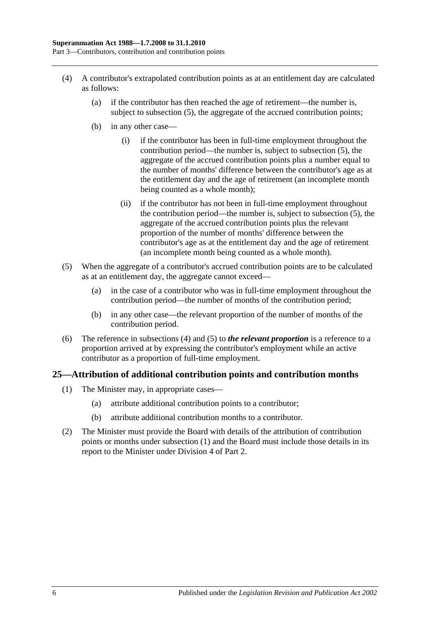- <span id="page-29-2"></span>(4) A contributor's extrapolated contribution points as at an entitlement day are calculated as follows:
	- (a) if the contributor has then reached the age of retirement—the number is, subject to [subsection](#page-29-1) (5), the aggregate of the accrued contribution points;
	- (b) in any other case—
		- (i) if the contributor has been in full-time employment throughout the contribution period—the number is, subject to [subsection](#page-29-1) (5), the aggregate of the accrued contribution points plus a number equal to the number of months' difference between the contributor's age as at the entitlement day and the age of retirement (an incomplete month being counted as a whole month);
		- (ii) if the contributor has not been in full-time employment throughout the contribution period—the number is, subject to [subsection](#page-29-1) (5), the aggregate of the accrued contribution points plus the relevant proportion of the number of months' difference between the contributor's age as at the entitlement day and the age of retirement (an incomplete month being counted as a whole month).
- <span id="page-29-1"></span>(5) When the aggregate of a contributor's accrued contribution points are to be calculated as at an entitlement day, the aggregate cannot exceed—
	- (a) in the case of a contributor who was in full-time employment throughout the contribution period—the number of months of the contribution period;
	- (b) in any other case—the relevant proportion of the number of months of the contribution period.
- (6) The reference in [subsections](#page-29-2) (4) and [\(5\)](#page-29-1) to *the relevant proportion* is a reference to a proportion arrived at by expressing the contributor's employment while an active contributor as a proportion of full-time employment.

# <span id="page-29-3"></span><span id="page-29-0"></span>**25—Attribution of additional contribution points and contribution months**

- (1) The Minister may, in appropriate cases—
	- (a) attribute additional contribution points to a contributor;
	- (b) attribute additional contribution months to a contributor.
- (2) The Minister must provide the Board with details of the attribution of contribution points or months under [subsection](#page-29-3) (1) and the Board must include those details in its report to the Minister under [Division 4](#page-23-2) of [Part 2.](#page-18-0)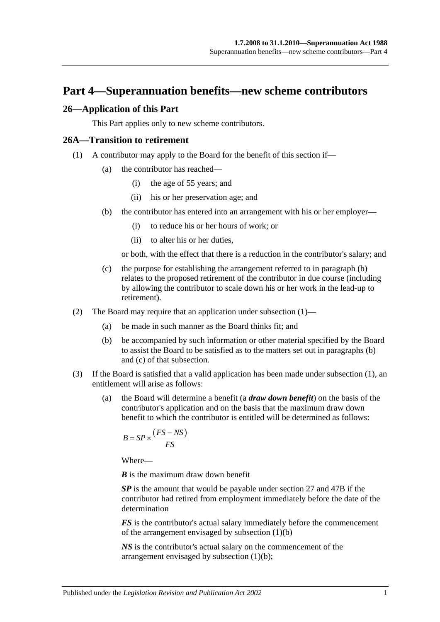# <span id="page-30-0"></span>**Part 4—Superannuation benefits—new scheme contributors**

#### <span id="page-30-1"></span>**26—Application of this Part**

This Part applies only to new scheme contributors.

#### <span id="page-30-4"></span><span id="page-30-2"></span>**26A—Transition to retirement**

- <span id="page-30-3"></span>(1) A contributor may apply to the Board for the benefit of this section if—
	- (a) the contributor has reached—
		- (i) the age of 55 years; and
		- (ii) his or her preservation age; and
	- (b) the contributor has entered into an arrangement with his or her employer—
		- (i) to reduce his or her hours of work; or
		- (ii) to alter his or her duties,

or both, with the effect that there is a reduction in the contributor's salary; and

- <span id="page-30-5"></span>(c) the purpose for establishing the arrangement referred to in [paragraph](#page-30-3) (b) relates to the proposed retirement of the contributor in due course (including by allowing the contributor to scale down his or her work in the lead-up to retirement).
- (2) The Board may require that an application under [subsection](#page-30-4) (1)—
	- (a) be made in such manner as the Board thinks fit; and
	- (b) be accompanied by such information or other material specified by the Board to assist the Board to be satisfied as to the matters set out in [paragraphs](#page-30-3) (b) and [\(c\)](#page-30-5) of that subsection.
- <span id="page-30-7"></span><span id="page-30-6"></span>(3) If the Board is satisfied that a valid application has been made under [subsection](#page-30-4) (1), an entitlement will arise as follows:
	- (a) the Board will determine a benefit (a *draw down benefit*) on the basis of the contributor's application and on the basis that the maximum draw down benefit to which the contributor is entitled will be determined as follows:

$$
B = SP \times \frac{(FS - NS)}{FS}
$$

Where—

*B* is the maximum draw down benefit

*SP* is the amount that would be payable under [section](#page-33-0) 27 and [47B](#page-98-1) if the contributor had retired from employment immediately before the date of the determination

*FS* is the contributor's actual salary immediately before the commencement of the arrangement envisaged by [subsection](#page-30-3) (1)(b)

*NS* is the contributor's actual salary on the commencement of the arrangement envisaged by [subsection](#page-30-3) (1)(b);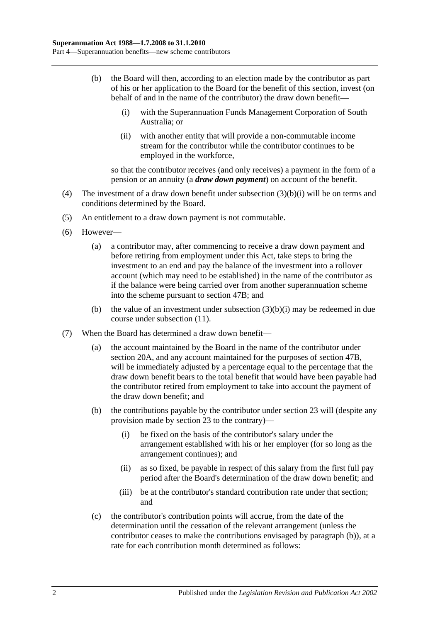- <span id="page-31-2"></span><span id="page-31-0"></span>(b) the Board will then, according to an election made by the contributor as part of his or her application to the Board for the benefit of this section, invest (on behalf of and in the name of the contributor) the draw down benefit—
	- (i) with the Superannuation Funds Management Corporation of South Australia; or
	- (ii) with another entity that will provide a non-commutable income stream for the contributor while the contributor continues to be employed in the workforce,

so that the contributor receives (and only receives) a payment in the form of a pension or an annuity (a *draw down payment*) on account of the benefit.

- (4) The investment of a draw down benefit under [subsection](#page-31-0) (3)(b)(i) will be on terms and conditions determined by the Board.
- (5) An entitlement to a draw down payment is not commutable.
- (6) However—
	- (a) a contributor may, after commencing to receive a draw down payment and before retiring from employment under this Act, take steps to bring the investment to an end and pay the balance of the investment into a rollover account (which may need to be established) in the name of the contributor as if the balance were being carried over from another superannuation scheme into the scheme pursuant to [section](#page-98-1) 47B; and
	- (b) the value of an investment under [subsection](#page-31-0)  $(3)(b)(i)$  may be redeemed in due course under [subsection](#page-32-0) (11).
- <span id="page-31-1"></span>(7) When the Board has determined a draw down benefit—
	- (a) the account maintained by the Board in the name of the contributor under [section](#page-21-2) 20A, and any account maintained for the purposes of [section](#page-98-1) 47B, will be immediately adjusted by a percentage equal to the percentage that the draw down benefit bears to the total benefit that would have been payable had the contributor retired from employment to take into account the payment of the draw down benefit; and
	- (b) the contributions payable by the contributor under [section](#page-26-0) 23 will (despite any provision made by [section](#page-26-0) 23 to the contrary)—
		- (i) be fixed on the basis of the contributor's salary under the arrangement established with his or her employer (for so long as the arrangement continues); and
		- (ii) as so fixed, be payable in respect of this salary from the first full pay period after the Board's determination of the draw down benefit; and
		- (iii) be at the contributor's standard contribution rate under that section; and
	- (c) the contributor's contribution points will accrue, from the date of the determination until the cessation of the relevant arrangement (unless the contributor ceases to make the contributions envisaged by [paragraph](#page-31-1) (b)), at a rate for each contribution month determined as follows: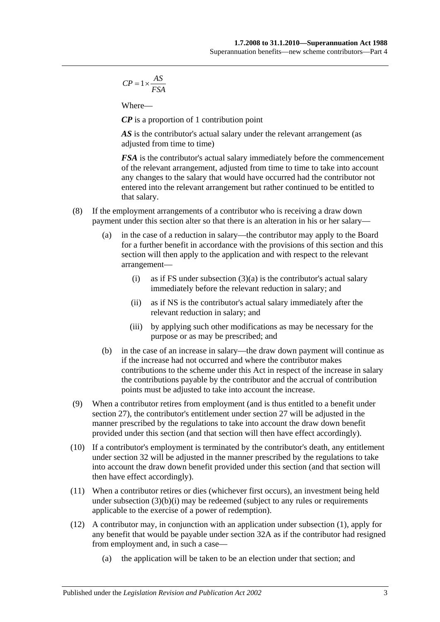$$
CP = 1 \times \frac{AS}{FSA}
$$

Where—

*CP* is a proportion of 1 contribution point

AS is the contributor's actual salary under the relevant arrangement (as adjusted from time to time)

*FSA* is the contributor's actual salary immediately before the commencement of the relevant arrangement, adjusted from time to time to take into account any changes to the salary that would have occurred had the contributor not entered into the relevant arrangement but rather continued to be entitled to that salary.

- (8) If the employment arrangements of a contributor who is receiving a draw down payment under this section alter so that there is an alteration in his or her salary—
	- (a) in the case of a reduction in salary—the contributor may apply to the Board for a further benefit in accordance with the provisions of this section and this section will then apply to the application and with respect to the relevant arrangement
		- (i) as if FS under [subsection](#page-30-6)  $(3)(a)$  is the contributor's actual salary immediately before the relevant reduction in salary; and
		- (ii) as if NS is the contributor's actual salary immediately after the relevant reduction in salary; and
		- (iii) by applying such other modifications as may be necessary for the purpose or as may be prescribed; and
	- (b) in the case of an increase in salary—the draw down payment will continue as if the increase had not occurred and where the contributor makes contributions to the scheme under this Act in respect of the increase in salary the contributions payable by the contributor and the accrual of contribution points must be adjusted to take into account the increase.
- (9) When a contributor retires from employment (and is thus entitled to a benefit under [section](#page-33-0) 27), the contributor's entitlement under [section](#page-33-0) 27 will be adjusted in the manner prescribed by the regulations to take into account the draw down benefit provided under this section (and that section will then have effect accordingly).
- (10) If a contributor's employment is terminated by the contributor's death, any entitlement under [section](#page-45-0) 32 will be adjusted in the manner prescribed by the regulations to take into account the draw down benefit provided under this section (and that section will then have effect accordingly).
- <span id="page-32-0"></span>(11) When a contributor retires or dies (whichever first occurs), an investment being held under [subsection](#page-31-0)  $(3)(b)(i)$  may be redeemed (subject to any rules or requirements applicable to the exercise of a power of redemption).
- (12) A contributor may, in conjunction with an application under [subsection](#page-30-4) (1), apply for any benefit that would be payable under [section](#page-50-0) 32A as if the contributor had resigned from employment and, in such a case—
	- (a) the application will be taken to be an election under that section; and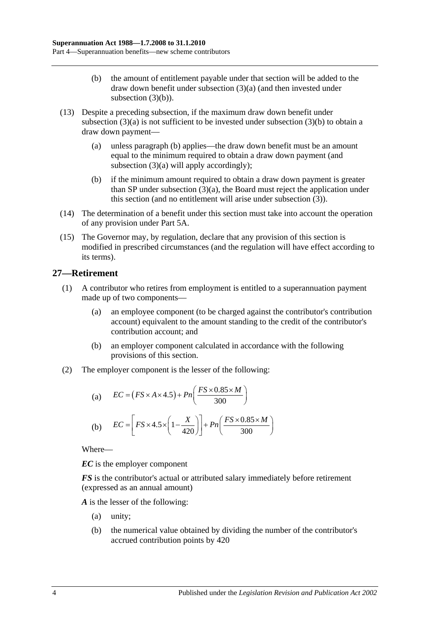- (b) the amount of entitlement payable under that section will be added to the draw down benefit under [subsection](#page-30-6) (3)(a) (and then invested under [subsection](#page-31-2)  $(3)(b)$ ).
- (13) Despite a preceding subsection, if the maximum draw down benefit under [subsection](#page-30-6)  $(3)(a)$  is not sufficient to be invested under [subsection](#page-31-2)  $(3)(b)$  to obtain a draw down payment—
	- (a) unless [paragraph](#page-33-1) (b) applies—the draw down benefit must be an amount equal to the minimum required to obtain a draw down payment (and [subsection](#page-30-6) (3)(a) will apply accordingly);
	- (b) if the minimum amount required to obtain a draw down payment is greater than SP under [subsection](#page-30-6) (3)(a), the Board must reject the application under this section (and no entitlement will arise under [subsection](#page-30-7) (3)).
- <span id="page-33-1"></span>(14) The determination of a benefit under this section must take into account the operation of any provision under [Part 5A.](#page-86-0)
- (15) The Governor may, by regulation, declare that any provision of this section is modified in prescribed circumstances (and the regulation will have effect according to its terms).

# <span id="page-33-0"></span>**27—Retirement**

- (1) A contributor who retires from employment is entitled to a superannuation payment made up of two components—
	- (a) an employee component (to be charged against the contributor's contribution account) equivalent to the amount standing to the credit of the contributor's contribution account; and
	- (b) an employer component calculated in accordance with the following provisions of this section.
- (2) The employer component is the lesser of the following:

(a) 
$$
EC = (FS \times A \times 4.5) + Pn\left(\frac{FS \times 0.85 \times M}{300}\right)
$$
  
(b) 
$$
EC = \left[FS \times 4.5 \times \left(1 - \frac{X}{420}\right)\right] + Pn\left(\frac{FS \times 0.85 \times M}{300}\right)
$$

Where—

*EC* is the employer component

*FS* is the contributor's actual or attributed salary immediately before retirement (expressed as an annual amount)

*A* is the lesser of the following:

- (a) unity;
- (b) the numerical value obtained by dividing the number of the contributor's accrued contribution points by 420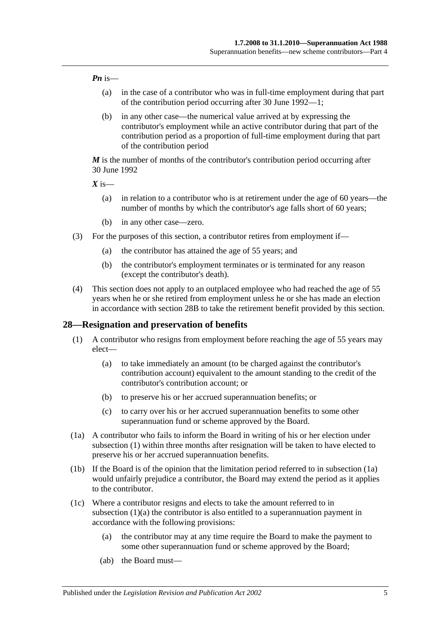#### *Pn* is—

- (a) in the case of a contributor who was in full-time employment during that part of the contribution period occurring after 30 June 1992—1;
- (b) in any other case—the numerical value arrived at by expressing the contributor's employment while an active contributor during that part of the contribution period as a proportion of full-time employment during that part of the contribution period

*M* is the number of months of the contributor's contribution period occurring after 30 June 1992

 $X$  is—

- (a) in relation to a contributor who is at retirement under the age of 60 years—the number of months by which the contributor's age falls short of 60 years;
- (b) in any other case—zero.
- (3) For the purposes of this section, a contributor retires from employment if—
	- (a) the contributor has attained the age of 55 years; and
	- (b) the contributor's employment terminates or is terminated for any reason (except the contributor's death).
- (4) This section does not apply to an outplaced employee who had reached the age of 55 years when he or she retired from employment unless he or she has made an election in accordance with [section](#page-39-0) 28B to take the retirement benefit provided by this section.

#### <span id="page-34-1"></span><span id="page-34-0"></span>**28—Resignation and preservation of benefits**

- <span id="page-34-3"></span>(1) A contributor who resigns from employment before reaching the age of 55 years may elect—
	- (a) to take immediately an amount (to be charged against the contributor's contribution account) equivalent to the amount standing to the credit of the contributor's contribution account; or
	- (b) to preserve his or her accrued superannuation benefits; or
	- (c) to carry over his or her accrued superannuation benefits to some other superannuation fund or scheme approved by the Board.
- <span id="page-34-2"></span>(1a) A contributor who fails to inform the Board in writing of his or her election under [subsection](#page-34-1) (1) within three months after resignation will be taken to have elected to preserve his or her accrued superannuation benefits.
- (1b) If the Board is of the opinion that the limitation period referred to in [subsection](#page-34-2) (1a) would unfairly prejudice a contributor, the Board may extend the period as it applies to the contributor.
- <span id="page-34-4"></span>(1c) Where a contributor resigns and elects to take the amount referred to in [subsection](#page-34-3) (1)(a) the contributor is also entitled to a superannuation payment in accordance with the following provisions:
	- (a) the contributor may at any time require the Board to make the payment to some other superannuation fund or scheme approved by the Board;
	- (ab) the Board must—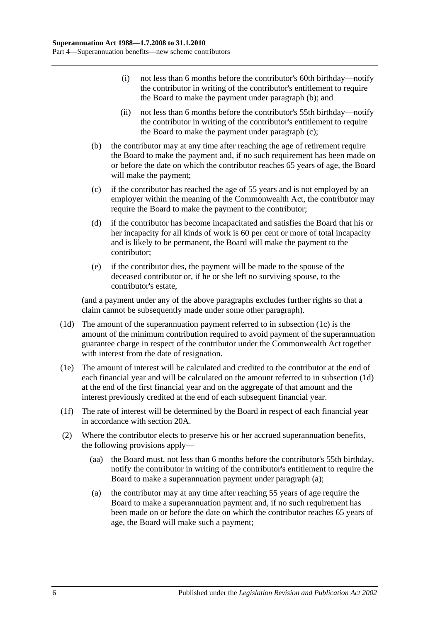- (i) not less than 6 months before the contributor's 60th birthday—notify the contributor in writing of the contributor's entitlement to require the Board to make the payment under [paragraph](#page-35-0) (b); and
- (ii) not less than 6 months before the contributor's 55th birthday—notify the contributor in writing of the contributor's entitlement to require the Board to make the payment under [paragraph](#page-35-1) (c);
- <span id="page-35-0"></span>(b) the contributor may at any time after reaching the age of retirement require the Board to make the payment and, if no such requirement has been made on or before the date on which the contributor reaches 65 years of age, the Board will make the payment;
- <span id="page-35-1"></span>(c) if the contributor has reached the age of 55 years and is not employed by an employer within the meaning of the Commonwealth Act, the contributor may require the Board to make the payment to the contributor;
- (d) if the contributor has become incapacitated and satisfies the Board that his or her incapacity for all kinds of work is 60 per cent or more of total incapacity and is likely to be permanent, the Board will make the payment to the contributor;
- (e) if the contributor dies, the payment will be made to the spouse of the deceased contributor or, if he or she left no surviving spouse, to the contributor's estate,

(and a payment under any of the above paragraphs excludes further rights so that a claim cannot be subsequently made under some other paragraph).

- <span id="page-35-2"></span>(1d) The amount of the superannuation payment referred to in [subsection](#page-34-4) (1c) is the amount of the minimum contribution required to avoid payment of the superannuation guarantee charge in respect of the contributor under the Commonwealth Act together with interest from the date of resignation.
- (1e) The amount of interest will be calculated and credited to the contributor at the end of each financial year and will be calculated on the amount referred to in [subsection](#page-35-2) (1d) at the end of the first financial year and on the aggregate of that amount and the interest previously credited at the end of each subsequent financial year.
- (1f) The rate of interest will be determined by the Board in respect of each financial year in accordance with [section](#page-21-2) 20A.
- <span id="page-35-3"></span>(2) Where the contributor elects to preserve his or her accrued superannuation benefits, the following provisions apply—
	- (aa) the Board must, not less than 6 months before the contributor's 55th birthday, notify the contributor in writing of the contributor's entitlement to require the Board to make a superannuation payment under [paragraph](#page-35-3) (a);
	- (a) the contributor may at any time after reaching 55 years of age require the Board to make a superannuation payment and, if no such requirement has been made on or before the date on which the contributor reaches 65 years of age, the Board will make such a payment;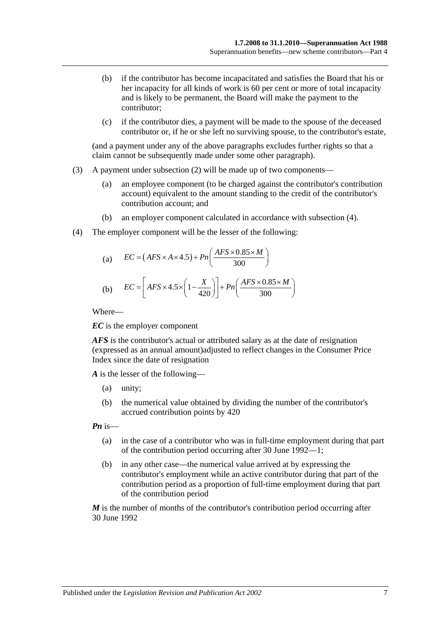- (b) if the contributor has become incapacitated and satisfies the Board that his or her incapacity for all kinds of work is 60 per cent or more of total incapacity and is likely to be permanent, the Board will make the payment to the contributor;
- (c) if the contributor dies, a payment will be made to the spouse of the deceased contributor or, if he or she left no surviving spouse, to the contributor's estate,

(and a payment under any of the above paragraphs excludes further rights so that a claim cannot be subsequently made under some other paragraph).

- (3) A payment under [subsection](#page-35-0) (2) will be made up of two components—
	- (a) an employee component (to be charged against the contributor's contribution account) equivalent to the amount standing to the credit of the contributor's contribution account; and
	- (b) an employer component calculated in accordance with [subsection](#page-36-0) (4).
- <span id="page-36-0"></span>(4) The employer component will be the lesser of the following:

(a) 
$$
EC = (AFS \times A \times 4.5) + Pn\left(\frac{AFS \times 0.85 \times M}{300}\right)
$$
  
(b) 
$$
EC = \left[ AFS \times 4.5 \times \left(1 - \frac{X}{420}\right)\right] + Pn\left(\frac{AFS \times 0.85 \times M}{300}\right)
$$

Where—

*EC* is the employer component

*AFS* is the contributor's actual or attributed salary as at the date of resignation (expressed as an annual amount)adjusted to reflect changes in the Consumer Price Index since the date of resignation

*A* is the lesser of the following—

- (a) unity;
- (b) the numerical value obtained by dividing the number of the contributor's accrued contribution points by 420

*Pn* is—

- (a) in the case of a contributor who was in full-time employment during that part of the contribution period occurring after 30 June 1992—1;
- (b) in any other case—the numerical value arrived at by expressing the contributor's employment while an active contributor during that part of the contribution period as a proportion of full-time employment during that part of the contribution period

*M* is the number of months of the contributor's contribution period occurring after 30 June 1992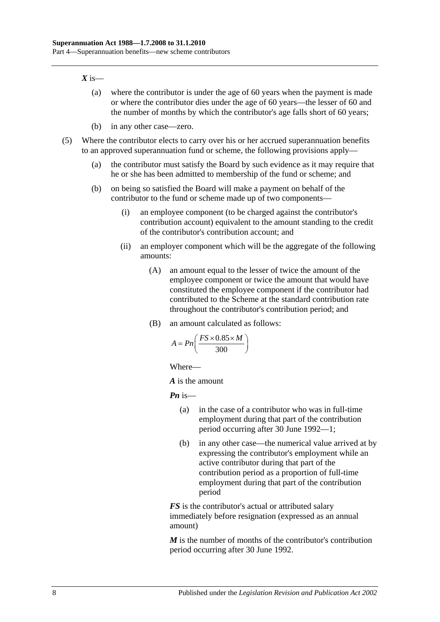#### $X$  is—

- (a) where the contributor is under the age of 60 years when the payment is made or where the contributor dies under the age of 60 years—the lesser of 60 and the number of months by which the contributor's age falls short of 60 years;
- (b) in any other case—zero.
- (5) Where the contributor elects to carry over his or her accrued superannuation benefits to an approved superannuation fund or scheme, the following provisions apply—
	- (a) the contributor must satisfy the Board by such evidence as it may require that he or she has been admitted to membership of the fund or scheme; and
	- (b) on being so satisfied the Board will make a payment on behalf of the contributor to the fund or scheme made up of two components—
		- (i) an employee component (to be charged against the contributor's contribution account) equivalent to the amount standing to the credit of the contributor's contribution account; and
		- (ii) an employer component which will be the aggregate of the following amounts:
			- (A) an amount equal to the lesser of twice the amount of the employee component or twice the amount that would have constituted the employee component if the contributor had contributed to the Scheme at the standard contribution rate throughout the contributor's contribution period; and
			- (B) an amount calculated as follows:

$$
A = P_n\left(\frac{FS \times 0.85 \times M}{300}\right)
$$

Where—

*A* is the amount

*Pn* is—

- (a) in the case of a contributor who was in full-time employment during that part of the contribution period occurring after 30 June 1992—1;
- (b) in any other case—the numerical value arrived at by expressing the contributor's employment while an active contributor during that part of the contribution period as a proportion of full-time employment during that part of the contribution period

*FS* is the contributor's actual or attributed salary immediately before resignation (expressed as an annual amount)

*M* is the number of months of the contributor's contribution period occurring after 30 June 1992.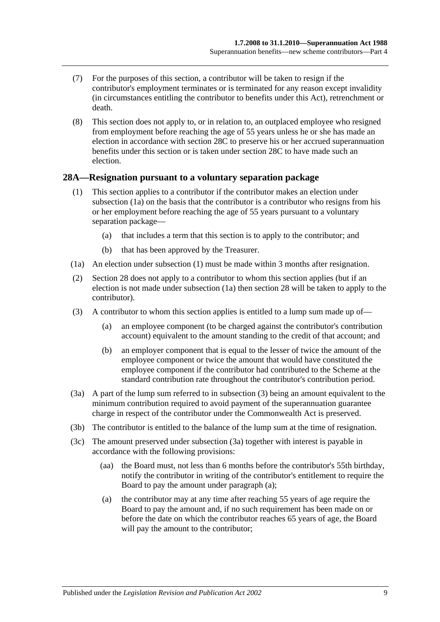- (7) For the purposes of this section, a contributor will be taken to resign if the contributor's employment terminates or is terminated for any reason except invalidity (in circumstances entitling the contributor to benefits under this Act), retrenchment or death.
- (8) This section does not apply to, or in relation to, an outplaced employee who resigned from employment before reaching the age of 55 years unless he or she has made an election in accordance with [section](#page-39-0) 28C to preserve his or her accrued superannuation benefits under this section or is taken under [section](#page-39-0) 28C to have made such an election.

#### <span id="page-38-5"></span><span id="page-38-1"></span>**28A—Resignation pursuant to a voluntary separation package**

- (1) This section applies to a contributor if the contributor makes an election under [subsection](#page-38-0) (1a) on the basis that the contributor is a contributor who resigns from his or her employment before reaching the age of 55 years pursuant to a voluntary separation package—
	- (a) that includes a term that this section is to apply to the contributor; and
	- (b) that has been approved by the Treasurer.
- <span id="page-38-0"></span>(1a) An election under [subsection](#page-38-1) (1) must be made within 3 months after resignation.
- (2) [Section](#page-34-0) 28 does not apply to a contributor to whom this section applies (but if an election is not made under subsection (1a) then section 28 will be taken to apply to the contributor).
- <span id="page-38-2"></span>(3) A contributor to whom this section applies is entitled to a lump sum made up of—
	- (a) an employee component (to be charged against the contributor's contribution account) equivalent to the amount standing to the credit of that account; and
	- (b) an employer component that is equal to the lesser of twice the amount of the employee component or twice the amount that would have constituted the employee component if the contributor had contributed to the Scheme at the standard contribution rate throughout the contributor's contribution period.
- <span id="page-38-3"></span>(3a) A part of the lump sum referred to in [subsection](#page-38-2) (3) being an amount equivalent to the minimum contribution required to avoid payment of the superannuation guarantee charge in respect of the contributor under the Commonwealth Act is preserved.
- (3b) The contributor is entitled to the balance of the lump sum at the time of resignation.
- <span id="page-38-4"></span>(3c) The amount preserved under [subsection](#page-38-3) (3a) together with interest is payable in accordance with the following provisions:
	- (aa) the Board must, not less than 6 months before the contributor's 55th birthday, notify the contributor in writing of the contributor's entitlement to require the Board to pay the amount under [paragraph](#page-38-4) (a);
	- (a) the contributor may at any time after reaching 55 years of age require the Board to pay the amount and, if no such requirement has been made on or before the date on which the contributor reaches 65 years of age, the Board will pay the amount to the contributor;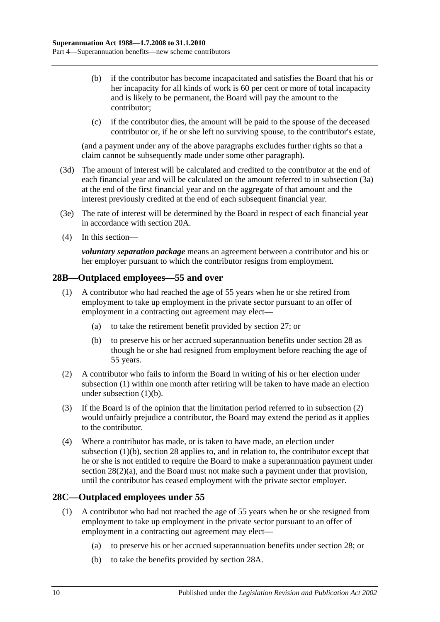- (b) if the contributor has become incapacitated and satisfies the Board that his or her incapacity for all kinds of work is 60 per cent or more of total incapacity and is likely to be permanent, the Board will pay the amount to the contributor;
- (c) if the contributor dies, the amount will be paid to the spouse of the deceased contributor or, if he or she left no surviving spouse, to the contributor's estate,

(and a payment under any of the above paragraphs excludes further rights so that a claim cannot be subsequently made under some other paragraph).

- (3d) The amount of interest will be calculated and credited to the contributor at the end of each financial year and will be calculated on the amount referred to in [subsection](#page-38-3) (3a) at the end of the first financial year and on the aggregate of that amount and the interest previously credited at the end of each subsequent financial year.
- (3e) The rate of interest will be determined by the Board in respect of each financial year in accordance with [section](#page-21-0) 20A.
- (4) In this section—

*voluntary separation package* means an agreement between a contributor and his or her employer pursuant to which the contributor resigns from employment.

## <span id="page-39-1"></span>**28B—Outplaced employees—55 and over**

- (1) A contributor who had reached the age of 55 years when he or she retired from employment to take up employment in the private sector pursuant to an offer of employment in a contracting out agreement may elect—
	- (a) to take the retirement benefit provided by [section](#page-33-0) 27; or
	- (b) to preserve his or her accrued superannuation benefits under [section](#page-34-0) 28 as though he or she had resigned from employment before reaching the age of 55 years.
- <span id="page-39-3"></span><span id="page-39-2"></span>(2) A contributor who fails to inform the Board in writing of his or her election under [subsection](#page-39-1) (1) within one month after retiring will be taken to have made an election under [subsection](#page-39-2) (1)(b).
- (3) If the Board is of the opinion that the limitation period referred to in [subsection](#page-39-3) (2) would unfairly prejudice a contributor, the Board may extend the period as it applies to the contributor.
- (4) Where a contributor has made, or is taken to have made, an election under [subsection](#page-39-2) (1)(b), [section](#page-34-0) 28 applies to, and in relation to, the contributor except that he or she is not entitled to require the Board to make a superannuation payment under section [28\(2\)\(a\),](#page-35-1) and the Board must not make such a payment under that provision, until the contributor has ceased employment with the private sector employer.

## <span id="page-39-4"></span><span id="page-39-0"></span>**28C—Outplaced employees under 55**

- <span id="page-39-6"></span><span id="page-39-5"></span>(1) A contributor who had not reached the age of 55 years when he or she resigned from employment to take up employment in the private sector pursuant to an offer of employment in a contracting out agreement may elect—
	- (a) to preserve his or her accrued superannuation benefits under [section](#page-34-0) 28; or
	- (b) to take the benefits provided by [section](#page-38-5) 28A.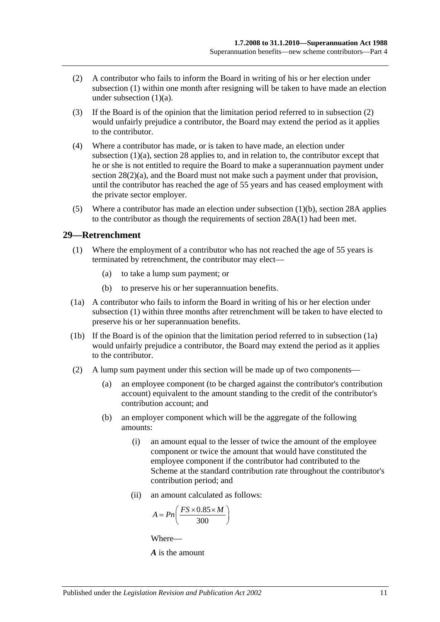- <span id="page-40-0"></span>(2) A contributor who fails to inform the Board in writing of his or her election under [subsection](#page-39-4) (1) within one month after resigning will be taken to have made an election under [subsection](#page-39-5)  $(1)(a)$ .
- (3) If the Board is of the opinion that the limitation period referred to in [subsection](#page-40-0) (2) would unfairly prejudice a contributor, the Board may extend the period as it applies to the contributor.
- (4) Where a contributor has made, or is taken to have made, an election under [subsection](#page-39-5) (1)(a), [section](#page-34-0) 28 applies to, and in relation to, the contributor except that he or she is not entitled to require the Board to make a superannuation payment under section [28\(2\)\(a\),](#page-35-1) and the Board must not make such a payment under that provision, until the contributor has reached the age of 55 years and has ceased employment with the private sector employer.
- (5) Where a contributor has made an election under [subsection](#page-39-6) (1)(b), [section](#page-38-5) 28A applies to the contributor as though the requirements of [section](#page-38-1) 28A(1) had been met.

#### <span id="page-40-1"></span>**29—Retrenchment**

- (1) Where the employment of a contributor who has not reached the age of 55 years is terminated by retrenchment, the contributor may elect—
	- (a) to take a lump sum payment; or
	- (b) to preserve his or her superannuation benefits.
- <span id="page-40-2"></span>(1a) A contributor who fails to inform the Board in writing of his or her election under [subsection](#page-40-1) (1) within three months after retrenchment will be taken to have elected to preserve his or her superannuation benefits.
- (1b) If the Board is of the opinion that the limitation period referred to in [subsection](#page-40-2) (1a) would unfairly prejudice a contributor, the Board may extend the period as it applies to the contributor.
- (2) A lump sum payment under this section will be made up of two components—
	- (a) an employee component (to be charged against the contributor's contribution account) equivalent to the amount standing to the credit of the contributor's contribution account; and
	- (b) an employer component which will be the aggregate of the following amounts:
		- (i) an amount equal to the lesser of twice the amount of the employee component or twice the amount that would have constituted the employee component if the contributor had contributed to the Scheme at the standard contribution rate throughout the contributor's contribution period; and
		- (ii) an amount calculated as follows:

$$
A = P n \left( \frac{FS \times 0.85 \times M}{300} \right)
$$

Where—

*A* is the amount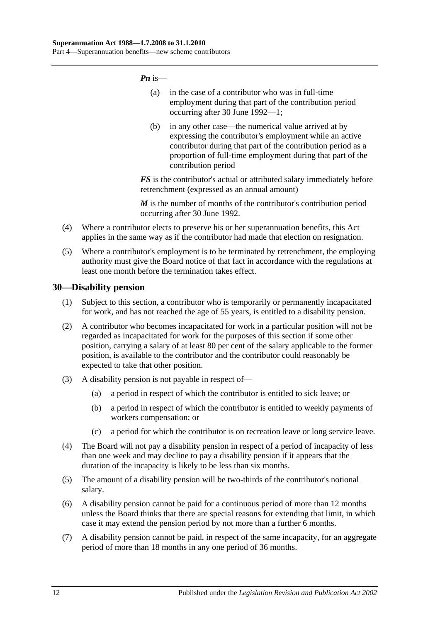*Pn* is—

- (a) in the case of a contributor who was in full-time employment during that part of the contribution period occurring after 30 June 1992—1;
- (b) in any other case—the numerical value arrived at by expressing the contributor's employment while an active contributor during that part of the contribution period as a proportion of full-time employment during that part of the contribution period

*FS* is the contributor's actual or attributed salary immediately before retrenchment (expressed as an annual amount)

*M* is the number of months of the contributor's contribution period occurring after 30 June 1992.

- (4) Where a contributor elects to preserve his or her superannuation benefits, this Act applies in the same way as if the contributor had made that election on resignation.
- (5) Where a contributor's employment is to be terminated by retrenchment, the employing authority must give the Board notice of that fact in accordance with the regulations at least one month before the termination takes effect.

## **30—Disability pension**

- (1) Subject to this section, a contributor who is temporarily or permanently incapacitated for work, and has not reached the age of 55 years, is entitled to a disability pension.
- (2) A contributor who becomes incapacitated for work in a particular position will not be regarded as incapacitated for work for the purposes of this section if some other position, carrying a salary of at least 80 per cent of the salary applicable to the former position, is available to the contributor and the contributor could reasonably be expected to take that other position.
- (3) A disability pension is not payable in respect of—
	- (a) a period in respect of which the contributor is entitled to sick leave; or
	- (b) a period in respect of which the contributor is entitled to weekly payments of workers compensation; or
	- (c) a period for which the contributor is on recreation leave or long service leave.
- (4) The Board will not pay a disability pension in respect of a period of incapacity of less than one week and may decline to pay a disability pension if it appears that the duration of the incapacity is likely to be less than six months.
- (5) The amount of a disability pension will be two-thirds of the contributor's notional salary.
- (6) A disability pension cannot be paid for a continuous period of more than 12 months unless the Board thinks that there are special reasons for extending that limit, in which case it may extend the pension period by not more than a further 6 months.
- (7) A disability pension cannot be paid, in respect of the same incapacity, for an aggregate period of more than 18 months in any one period of 36 months.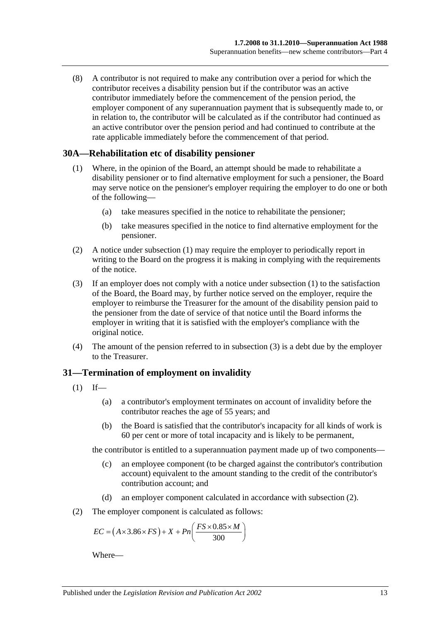(8) A contributor is not required to make any contribution over a period for which the contributor receives a disability pension but if the contributor was an active contributor immediately before the commencement of the pension period, the employer component of any superannuation payment that is subsequently made to, or in relation to, the contributor will be calculated as if the contributor had continued as an active contributor over the pension period and had continued to contribute at the rate applicable immediately before the commencement of that period.

#### <span id="page-42-0"></span>**30A—Rehabilitation etc of disability pensioner**

- (1) Where, in the opinion of the Board, an attempt should be made to rehabilitate a disability pensioner or to find alternative employment for such a pensioner, the Board may serve notice on the pensioner's employer requiring the employer to do one or both of the following—
	- (a) take measures specified in the notice to rehabilitate the pensioner;
	- (b) take measures specified in the notice to find alternative employment for the pensioner.
- (2) A notice under [subsection](#page-42-0) (1) may require the employer to periodically report in writing to the Board on the progress it is making in complying with the requirements of the notice.
- <span id="page-42-1"></span>(3) If an employer does not comply with a notice under [subsection](#page-42-0) (1) to the satisfaction of the Board, the Board may, by further notice served on the employer, require the employer to reimburse the Treasurer for the amount of the disability pension paid to the pensioner from the date of service of that notice until the Board informs the employer in writing that it is satisfied with the employer's compliance with the original notice.
- (4) The amount of the pension referred to in [subsection](#page-42-1) (3) is a debt due by the employer to the Treasurer.

## **31—Termination of employment on invalidity**

- <span id="page-42-3"></span> $(1)$  If—
	- (a) a contributor's employment terminates on account of invalidity before the contributor reaches the age of 55 years; and
	- (b) the Board is satisfied that the contributor's incapacity for all kinds of work is 60 per cent or more of total incapacity and is likely to be permanent,

the contributor is entitled to a superannuation payment made up of two components—

- (c) an employee component (to be charged against the contributor's contribution account) equivalent to the amount standing to the credit of the contributor's contribution account; and
- (d) an employer component calculated in accordance with [subsection](#page-42-2) (2).
- <span id="page-42-2"></span>(2) The employer component is calculated as follows:

$$
EC = (A \times 3.86 \times FS) + X + Pn\left(\frac{FS \times 0.85 \times M}{300}\right)
$$

Where—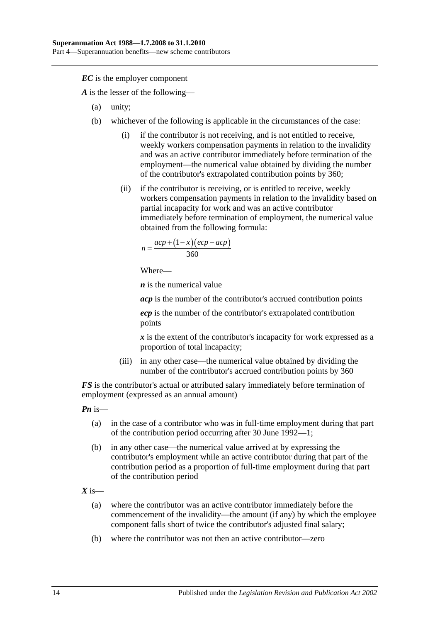*EC* is the employer component

*A* is the lesser of the following—

- (a) unity;
- (b) whichever of the following is applicable in the circumstances of the case:
	- (i) if the contributor is not receiving, and is not entitled to receive, weekly workers compensation payments in relation to the invalidity and was an active contributor immediately before termination of the employment—the numerical value obtained by dividing the number of the contributor's extrapolated contribution points by 360;
	- (ii) if the contributor is receiving, or is entitled to receive, weekly workers compensation payments in relation to the invalidity based on partial incapacity for work and was an active contributor immediately before termination of employment, the numerical value obtained from the following formula:

$$
n = \frac{acp + (1 - x)(ecp - acp)}{360}
$$

Where—

*n* is the numerical value

*acp* is the number of the contributor's accrued contribution points

*ecp* is the number of the contributor's extrapolated contribution points

*x* is the extent of the contributor's incapacity for work expressed as a proportion of total incapacity;

(iii) in any other case—the numerical value obtained by dividing the number of the contributor's accrued contribution points by 360

*FS* is the contributor's actual or attributed salary immediately before termination of employment (expressed as an annual amount)

*Pn* is—

- (a) in the case of a contributor who was in full-time employment during that part of the contribution period occurring after 30 June 1992—1;
- (b) in any other case—the numerical value arrived at by expressing the contributor's employment while an active contributor during that part of the contribution period as a proportion of full-time employment during that part of the contribution period

 $X$  is—

- (a) where the contributor was an active contributor immediately before the commencement of the invalidity—the amount (if any) by which the employee component falls short of twice the contributor's adjusted final salary;
- (b) where the contributor was not then an active contributor—zero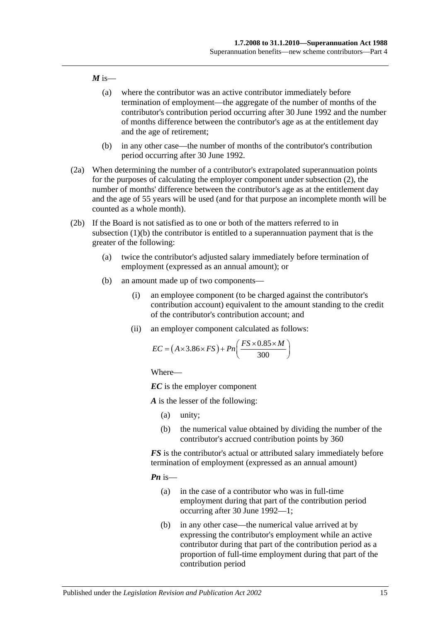#### $M$  is—

- (a) where the contributor was an active contributor immediately before termination of employment—the aggregate of the number of months of the contributor's contribution period occurring after 30 June 1992 and the number of months difference between the contributor's age as at the entitlement day and the age of retirement;
- (b) in any other case—the number of months of the contributor's contribution period occurring after 30 June 1992.
- (2a) When determining the number of a contributor's extrapolated superannuation points for the purposes of calculating the employer component under [subsection](#page-42-2) (2), the number of months' difference between the contributor's age as at the entitlement day and the age of 55 years will be used (and for that purpose an incomplete month will be counted as a whole month).
- <span id="page-44-0"></span>(2b) If the Board is not satisfied as to one or both of the matters referred to in [subsection](#page-42-3) (1)(b) the contributor is entitled to a superannuation payment that is the greater of the following:
	- (a) twice the contributor's adjusted salary immediately before termination of employment (expressed as an annual amount); or
	- (b) an amount made up of two components—
		- (i) an employee component (to be charged against the contributor's contribution account) equivalent to the amount standing to the credit of the contributor's contribution account; and
		- (ii) an employer component calculated as follows:

$$
EC = (A \times 3.86 \times FS) + Pn\left(\frac{FS \times 0.85 \times M}{300}\right)
$$

Where—

*EC* is the employer component

*A* is the lesser of the following:

- (a) unity;
- (b) the numerical value obtained by dividing the number of the contributor's accrued contribution points by 360

*FS* is the contributor's actual or attributed salary immediately before termination of employment (expressed as an annual amount)

*Pn* is—

- (a) in the case of a contributor who was in full-time employment during that part of the contribution period occurring after 30 June 1992—1;
- (b) in any other case—the numerical value arrived at by expressing the contributor's employment while an active contributor during that part of the contribution period as a proportion of full-time employment during that part of the contribution period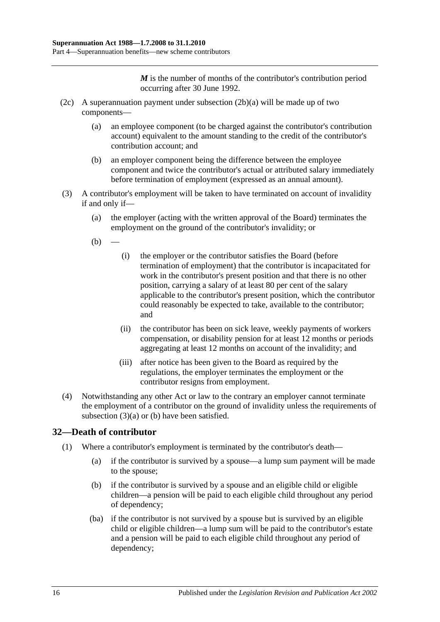*M* is the number of months of the contributor's contribution period occurring after 30 June 1992.

- (2c) A superannuation payment under [subsection](#page-44-0)  $(2b)(a)$  will be made up of two components—
	- (a) an employee component (to be charged against the contributor's contribution account) equivalent to the amount standing to the credit of the contributor's contribution account; and
	- (b) an employer component being the difference between the employee component and twice the contributor's actual or attributed salary immediately before termination of employment (expressed as an annual amount).
- <span id="page-45-1"></span><span id="page-45-0"></span>(3) A contributor's employment will be taken to have terminated on account of invalidity if and only if—
	- (a) the employer (acting with the written approval of the Board) terminates the employment on the ground of the contributor's invalidity; or
	- $(b)$
- (i) the employer or the contributor satisfies the Board (before termination of employment) that the contributor is incapacitated for work in the contributor's present position and that there is no other position, carrying a salary of at least 80 per cent of the salary applicable to the contributor's present position, which the contributor could reasonably be expected to take, available to the contributor; and
- (ii) the contributor has been on sick leave, weekly payments of workers compensation, or disability pension for at least 12 months or periods aggregating at least 12 months on account of the invalidity; and
- (iii) after notice has been given to the Board as required by the regulations, the employer terminates the employment or the contributor resigns from employment.
- (4) Notwithstanding any other Act or law to the contrary an employer cannot terminate the employment of a contributor on the ground of invalidity unless the requirements of [subsection](#page-45-0) (3)(a) or [\(b\)](#page-45-1) have been satisfied.

# **32—Death of contributor**

- (1) Where a contributor's employment is terminated by the contributor's death—
	- (a) if the contributor is survived by a spouse—a lump sum payment will be made to the spouse;
	- (b) if the contributor is survived by a spouse and an eligible child or eligible children—a pension will be paid to each eligible child throughout any period of dependency;
	- (ba) if the contributor is not survived by a spouse but is survived by an eligible child or eligible children—a lump sum will be paid to the contributor's estate and a pension will be paid to each eligible child throughout any period of dependency;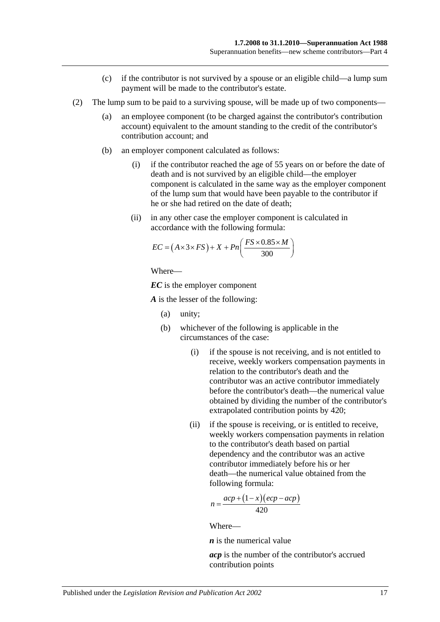- (c) if the contributor is not survived by a spouse or an eligible child—a lump sum payment will be made to the contributor's estate.
- (2) The lump sum to be paid to a surviving spouse, will be made up of two components—
	- (a) an employee component (to be charged against the contributor's contribution account) equivalent to the amount standing to the credit of the contributor's contribution account; and
	- (b) an employer component calculated as follows:
		- (i) if the contributor reached the age of 55 years on or before the date of death and is not survived by an eligible child—the employer component is calculated in the same way as the employer component of the lump sum that would have been payable to the contributor if he or she had retired on the date of death;
		- (ii) in any other case the employer component is calculated in accordance with the following formula:

$$
EC = (A \times 3 \times FS) + X + Pn\left(\frac{FS \times 0.85 \times M}{300}\right)
$$

Where—

*EC* is the employer component

*A* is the lesser of the following:

- (a) unity;
- (b) whichever of the following is applicable in the circumstances of the case:
	- (i) if the spouse is not receiving, and is not entitled to receive, weekly workers compensation payments in relation to the contributor's death and the contributor was an active contributor immediately before the contributor's death—the numerical value obtained by dividing the number of the contributor's extrapolated contribution points by 420;
	- (ii) if the spouse is receiving, or is entitled to receive, weekly workers compensation payments in relation to the contributor's death based on partial dependency and the contributor was an active contributor immediately before his or her death—the numerical value obtained from the following formula:

$$
n = \frac{acp + (1 - x)(ecp - acp)}{420}
$$

Where—

*n* is the numerical value

*acp* is the number of the contributor's accrued contribution points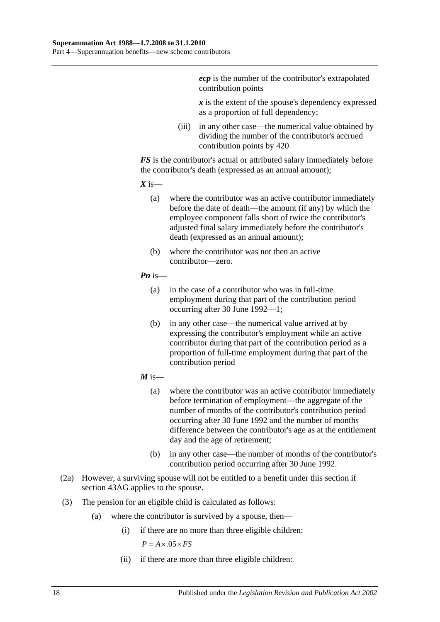*ecp* is the number of the contributor's extrapolated contribution points

*x* is the extent of the spouse's dependency expressed as a proportion of full dependency;

(iii) in any other case—the numerical value obtained by dividing the number of the contributor's accrued contribution points by 420

*FS* is the contributor's actual or attributed salary immediately before the contributor's death (expressed as an annual amount);

 $X$  is—

- (a) where the contributor was an active contributor immediately before the date of death—the amount (if any) by which the employee component falls short of twice the contributor's adjusted final salary immediately before the contributor's death (expressed as an annual amount);
- (b) where the contributor was not then an active contributor—zero.

#### *Pn* is—

- (a) in the case of a contributor who was in full-time employment during that part of the contribution period occurring after 30 June 1992—1;
- (b) in any other case—the numerical value arrived at by expressing the contributor's employment while an active contributor during that part of the contribution period as a proportion of full-time employment during that part of the contribution period
- $M$  is—
	- (a) where the contributor was an active contributor immediately before termination of employment—the aggregate of the number of months of the contributor's contribution period occurring after 30 June 1992 and the number of months difference between the contributor's age as at the entitlement day and the age of retirement;
	- (b) in any other case—the number of months of the contributor's contribution period occurring after 30 June 1992.
- (2a) However, a surviving spouse will not be entitled to a benefit under this section if section 43AG applies to the spouse.
- (3) The pension for an eligible child is calculated as follows:
	- (a) where the contributor is survived by a spouse, then—
		- (i) if there are no more than three eligible children:

 $P = A \times .05 \times FS$ 

(ii) if there are more than three eligible children: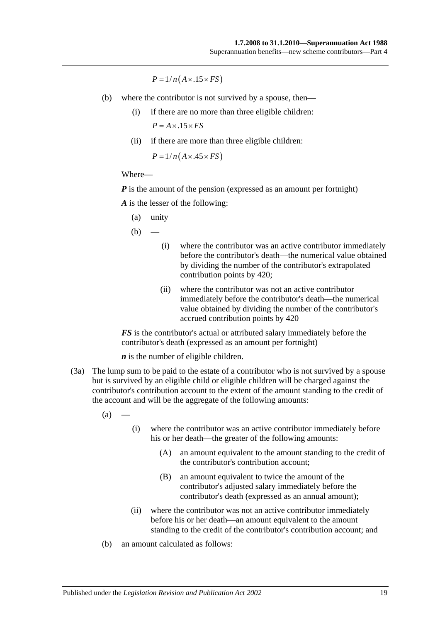$P = 1/n(A \times .15 \times FS)$ 

- (b) where the contributor is not survived by a spouse, then—
	- (i) if there are no more than three eligible children:  $P = A \times .15 \times FS$
	- (ii) if there are more than three eligible children:

 $P = 1/n(A \times .45 \times FS)$ 

#### Where—

*P* is the amount of the pension (expressed as an amount per fortnight)

*A* is the lesser of the following:

(a) unity

 $(b)$ 

- (i) where the contributor was an active contributor immediately before the contributor's death—the numerical value obtained by dividing the number of the contributor's extrapolated contribution points by 420;
- (ii) where the contributor was not an active contributor immediately before the contributor's death—the numerical value obtained by dividing the number of the contributor's accrued contribution points by 420

*FS* is the contributor's actual or attributed salary immediately before the contributor's death (expressed as an amount per fortnight)

*n* is the number of eligible children.

(3a) The lump sum to be paid to the estate of a contributor who is not survived by a spouse but is survived by an eligible child or eligible children will be charged against the contributor's contribution account to the extent of the amount standing to the credit of the account and will be the aggregate of the following amounts:

 $(a)$ 

- (i) where the contributor was an active contributor immediately before his or her death—the greater of the following amounts:
	- (A) an amount equivalent to the amount standing to the credit of the contributor's contribution account;
	- (B) an amount equivalent to twice the amount of the contributor's adjusted salary immediately before the contributor's death (expressed as an annual amount);
- (ii) where the contributor was not an active contributor immediately before his or her death—an amount equivalent to the amount standing to the credit of the contributor's contribution account; and
- (b) an amount calculated as follows: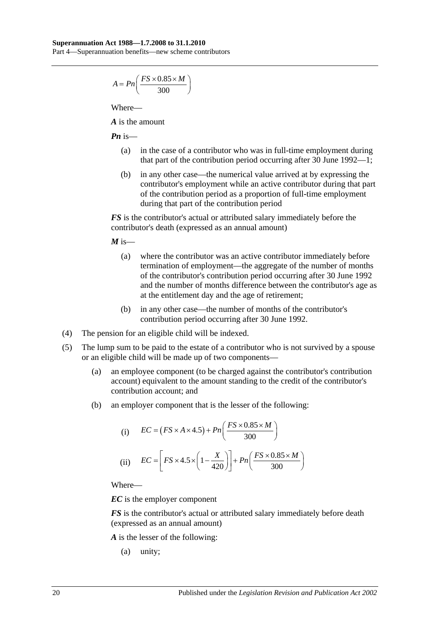$$
A = P n \left( \frac{FS \times 0.85 \times M}{300} \right)
$$

Where—

*A* is the amount

*Pn* is—

- (a) in the case of a contributor who was in full-time employment during that part of the contribution period occurring after 30 June 1992—1;
- (b) in any other case—the numerical value arrived at by expressing the contributor's employment while an active contributor during that part of the contribution period as a proportion of full-time employment during that part of the contribution period

*FS* is the contributor's actual or attributed salary immediately before the contributor's death (expressed as an annual amount)

 $M$  is—

- (a) where the contributor was an active contributor immediately before termination of employment—the aggregate of the number of months of the contributor's contribution period occurring after 30 June 1992 and the number of months difference between the contributor's age as at the entitlement day and the age of retirement;
- (b) in any other case—the number of months of the contributor's contribution period occurring after 30 June 1992.
- (4) The pension for an eligible child will be indexed.
- (5) The lump sum to be paid to the estate of a contributor who is not survived by a spouse or an eligible child will be made up of two components—
	- (a) an employee component (to be charged against the contributor's contribution account) equivalent to the amount standing to the credit of the contributor's contribution account; and
	- (b) an employer component that is the lesser of the following:

(i) 
$$
EC = (FS \times A \times 4.5) + Pn\left(\frac{FS \times 0.85 \times M}{300}\right)
$$
  
(ii) 
$$
EC = \left[FS \times 4.5 \times \left(1 - \frac{X}{420}\right)\right] + Pn\left(\frac{FS \times 0.85 \times M}{300}\right)
$$

Where—

*EC* is the employer component

*FS* is the contributor's actual or attributed salary immediately before death (expressed as an annual amount)

*A* is the lesser of the following:

(a) unity;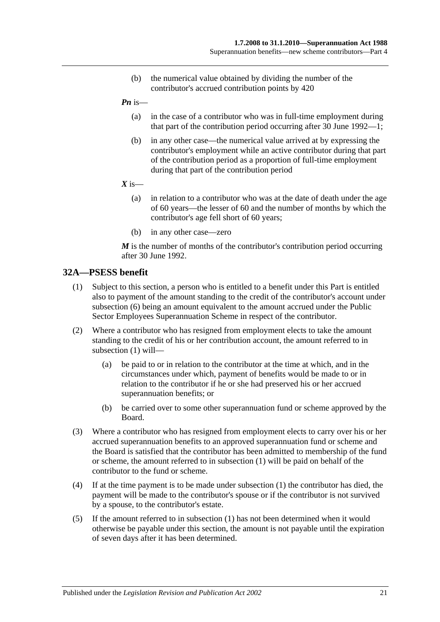- (b) the numerical value obtained by dividing the number of the contributor's accrued contribution points by 420
- *Pn* is—
	- (a) in the case of a contributor who was in full-time employment during that part of the contribution period occurring after 30 June 1992—1;
	- (b) in any other case—the numerical value arrived at by expressing the contributor's employment while an active contributor during that part of the contribution period as a proportion of full-time employment during that part of the contribution period
- $X$  is—
	- (a) in relation to a contributor who was at the date of death under the age of 60 years—the lesser of 60 and the number of months by which the contributor's age fell short of 60 years;
	- (b) in any other case—zero

*M* is the number of months of the contributor's contribution period occurring after 30 June 1992.

## <span id="page-50-0"></span>**32A—PSESS benefit**

- (1) Subject to this section, a person who is entitled to a benefit under this Part is entitled also to payment of the amount standing to the credit of the contributor's account under [subsection](#page-51-0) (6) being an amount equivalent to the amount accrued under the Public Sector Employees Superannuation Scheme in respect of the contributor.
- (2) Where a contributor who has resigned from employment elects to take the amount standing to the credit of his or her contribution account, the amount referred to in [subsection](#page-50-0) (1) will—
	- (a) be paid to or in relation to the contributor at the time at which, and in the circumstances under which, payment of benefits would be made to or in relation to the contributor if he or she had preserved his or her accrued superannuation benefits; or
	- (b) be carried over to some other superannuation fund or scheme approved by the Board.
- (3) Where a contributor who has resigned from employment elects to carry over his or her accrued superannuation benefits to an approved superannuation fund or scheme and the Board is satisfied that the contributor has been admitted to membership of the fund or scheme, the amount referred to in [subsection](#page-50-0) (1) will be paid on behalf of the contributor to the fund or scheme.
- (4) If at the time payment is to be made under [subsection](#page-50-0) (1) the contributor has died, the payment will be made to the contributor's spouse or if the contributor is not survived by a spouse, to the contributor's estate.
- (5) If the amount referred to in [subsection](#page-50-0) (1) has not been determined when it would otherwise be payable under this section, the amount is not payable until the expiration of seven days after it has been determined.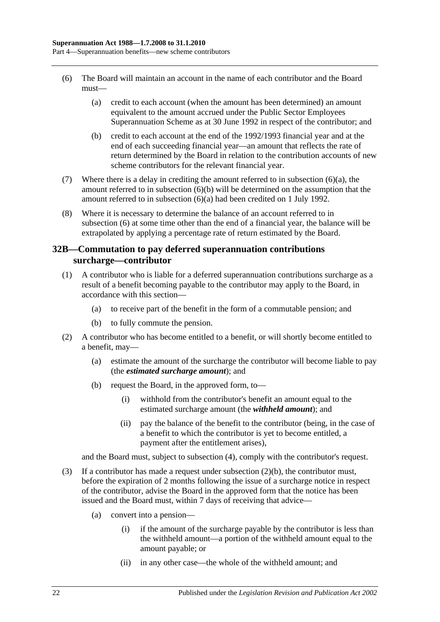- <span id="page-51-1"></span><span id="page-51-0"></span>(6) The Board will maintain an account in the name of each contributor and the Board must—
	- (a) credit to each account (when the amount has been determined) an amount equivalent to the amount accrued under the Public Sector Employees Superannuation Scheme as at 30 June 1992 in respect of the contributor; and
	- (b) credit to each account at the end of the 1992/1993 financial year and at the end of each succeeding financial year—an amount that reflects the rate of return determined by the Board in relation to the contribution accounts of new scheme contributors for the relevant financial year.
- <span id="page-51-2"></span>(7) Where there is a delay in crediting the amount referred to in [subsection](#page-51-1)  $(6)(a)$ , the amount referred to in [subsection](#page-51-2) (6)(b) will be determined on the assumption that the amount referred to in [subsection](#page-51-1) (6)(a) had been credited on 1 July 1992.
- (8) Where it is necessary to determine the balance of an account referred to in [subsection](#page-51-0) (6) at some time other than the end of a financial year, the balance will be extrapolated by applying a percentage rate of return estimated by the Board.

## <span id="page-51-5"></span>**32B—Commutation to pay deferred superannuation contributions surcharge—contributor**

- <span id="page-51-4"></span>(1) A contributor who is liable for a deferred superannuation contributions surcharge as a result of a benefit becoming payable to the contributor may apply to the Board, in accordance with this section—
	- (a) to receive part of the benefit in the form of a commutable pension; and
	- (b) to fully commute the pension.
- <span id="page-51-3"></span>(2) A contributor who has become entitled to a benefit, or will shortly become entitled to a benefit, may—
	- (a) estimate the amount of the surcharge the contributor will become liable to pay (the *estimated surcharge amount*); and
	- (b) request the Board, in the approved form, to—
		- (i) withhold from the contributor's benefit an amount equal to the estimated surcharge amount (the *withheld amount*); and
		- (ii) pay the balance of the benefit to the contributor (being, in the case of a benefit to which the contributor is yet to become entitled, a payment after the entitlement arises),

and the Board must, subject to [subsection](#page-52-0) (4), comply with the contributor's request.

- (3) If a contributor has made a request under [subsection](#page-51-3)  $(2)(b)$ , the contributor must, before the expiration of 2 months following the issue of a surcharge notice in respect of the contributor, advise the Board in the approved form that the notice has been issued and the Board must, within 7 days of receiving that advice—
	- (a) convert into a pension—
		- (i) if the amount of the surcharge payable by the contributor is less than the withheld amount—a portion of the withheld amount equal to the amount payable; or
		- (ii) in any other case—the whole of the withheld amount; and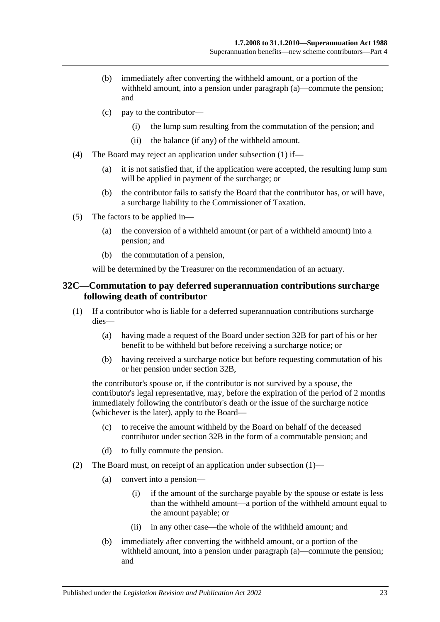- (b) immediately after converting the withheld amount, or a portion of the withheld amount, into a pension under paragraph (a)—commute the pension; and
- (c) pay to the contributor—
	- (i) the lump sum resulting from the commutation of the pension; and
	- (ii) the balance (if any) of the withheld amount.
- <span id="page-52-0"></span>(4) The Board may reject an application under [subsection](#page-51-4) (1) if—
	- (a) it is not satisfied that, if the application were accepted, the resulting lump sum will be applied in payment of the surcharge; or
	- (b) the contributor fails to satisfy the Board that the contributor has, or will have, a surcharge liability to the Commissioner of Taxation.
- (5) The factors to be applied in—
	- (a) the conversion of a withheld amount (or part of a withheld amount) into a pension; and
	- (b) the commutation of a pension,

will be determined by the Treasurer on the recommendation of an actuary.

#### <span id="page-52-2"></span>**32C—Commutation to pay deferred superannuation contributions surcharge following death of contributor**

- <span id="page-52-1"></span>(1) If a contributor who is liable for a deferred superannuation contributions surcharge dies—
	- (a) having made a request of the Board under [section](#page-51-5) 32B for part of his or her benefit to be withheld but before receiving a surcharge notice; or
	- (b) having received a surcharge notice but before requesting commutation of his or her pension under [section](#page-51-5) 32B,

the contributor's spouse or, if the contributor is not survived by a spouse, the contributor's legal representative, may, before the expiration of the period of 2 months immediately following the contributor's death or the issue of the surcharge notice (whichever is the later), apply to the Board—

- (c) to receive the amount withheld by the Board on behalf of the deceased contributor under [section](#page-51-5) 32B in the form of a commutable pension; and
- (d) to fully commute the pension.
- (2) The Board must, on receipt of an application under [subsection](#page-52-1) (1)—
	- (a) convert into a pension—
		- (i) if the amount of the surcharge payable by the spouse or estate is less than the withheld amount—a portion of the withheld amount equal to the amount payable; or
		- (ii) in any other case—the whole of the withheld amount; and
	- (b) immediately after converting the withheld amount, or a portion of the withheld amount, into a pension under paragraph (a)—commute the pension; and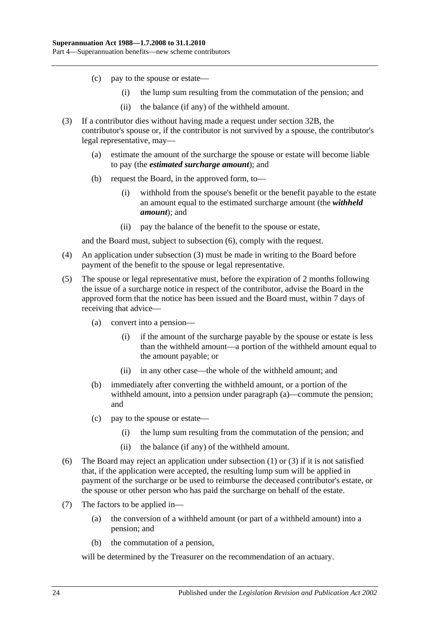- (c) pay to the spouse or estate—
	- (i) the lump sum resulting from the commutation of the pension; and
	- (ii) the balance (if any) of the withheld amount.
- <span id="page-53-1"></span>(3) If a contributor dies without having made a request under [section](#page-51-5) 32B, the contributor's spouse or, if the contributor is not survived by a spouse, the contributor's legal representative, may—
	- (a) estimate the amount of the surcharge the spouse or estate will become liable to pay (the *estimated surcharge amount*); and
	- (b) request the Board, in the approved form, to—
		- (i) withhold from the spouse's benefit or the benefit payable to the estate an amount equal to the estimated surcharge amount (the *withheld amount*); and
		- (ii) pay the balance of the benefit to the spouse or estate,

and the Board must, subject to [subsection](#page-53-0) (6), comply with the request.

- (4) An application under [subsection](#page-53-1) (3) must be made in writing to the Board before payment of the benefit to the spouse or legal representative.
- (5) The spouse or legal representative must, before the expiration of 2 months following the issue of a surcharge notice in respect of the contributor, advise the Board in the approved form that the notice has been issued and the Board must, within 7 days of receiving that advice—
	- (a) convert into a pension—
		- (i) if the amount of the surcharge payable by the spouse or estate is less than the withheld amount—a portion of the withheld amount equal to the amount payable; or
		- (ii) in any other case—the whole of the withheld amount; and
	- (b) immediately after converting the withheld amount, or a portion of the withheld amount, into a pension under paragraph (a)—commute the pension; and
	- (c) pay to the spouse or estate—
		- (i) the lump sum resulting from the commutation of the pension; and
		- (ii) the balance (if any) of the withheld amount.
- <span id="page-53-0"></span>(6) The Board may reject an application under [subsection](#page-52-1) (1) or [\(3\)](#page-53-1) if it is not satisfied that, if the application were accepted, the resulting lump sum will be applied in payment of the surcharge or be used to reimburse the deceased contributor's estate, or the spouse or other person who has paid the surcharge on behalf of the estate.
- (7) The factors to be applied in—
	- (a) the conversion of a withheld amount (or part of a withheld amount) into a pension; and
	- (b) the commutation of a pension,

will be determined by the Treasurer on the recommendation of an actuary.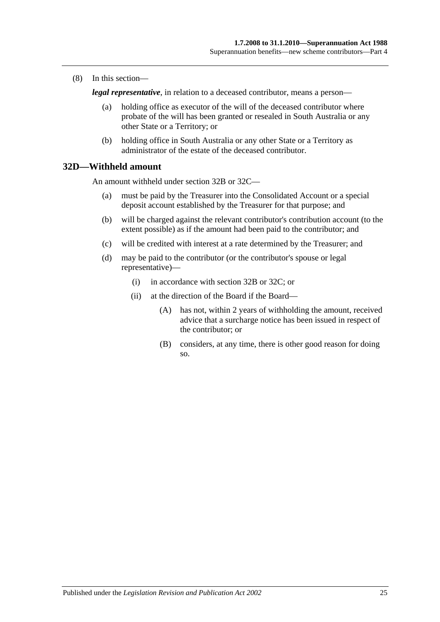(8) In this section—

*legal representative*, in relation to a deceased contributor, means a person—

- (a) holding office as executor of the will of the deceased contributor where probate of the will has been granted or resealed in South Australia or any other State or a Territory; or
- (b) holding office in South Australia or any other State or a Territory as administrator of the estate of the deceased contributor.

## **32D—Withheld amount**

An amount withheld under [section](#page-51-5) 32B or [32C—](#page-52-2)

- (a) must be paid by the Treasurer into the Consolidated Account or a special deposit account established by the Treasurer for that purpose; and
- (b) will be charged against the relevant contributor's contribution account (to the extent possible) as if the amount had been paid to the contributor; and
- (c) will be credited with interest at a rate determined by the Treasurer; and
- (d) may be paid to the contributor (or the contributor's spouse or legal representative)—
	- (i) in accordance with [section](#page-51-5) 32B or [32C;](#page-52-2) or
	- (ii) at the direction of the Board if the Board—
		- (A) has not, within 2 years of withholding the amount, received advice that a surcharge notice has been issued in respect of the contributor; or
		- (B) considers, at any time, there is other good reason for doing so.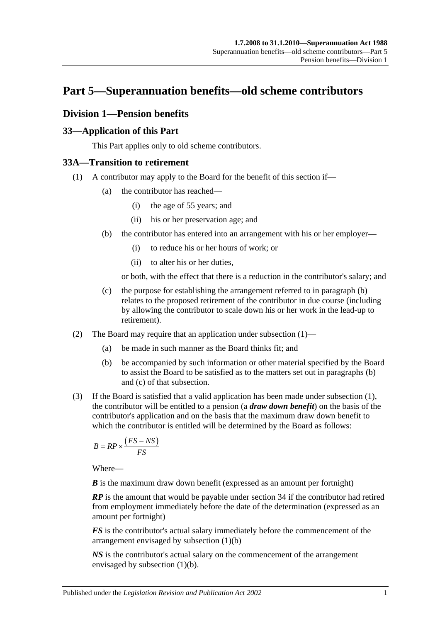# **Part 5—Superannuation benefits—old scheme contributors**

# **Division 1—Pension benefits**

# **33—Application of this Part**

This Part applies only to old scheme contributors.

# <span id="page-56-1"></span>**33A—Transition to retirement**

- <span id="page-56-0"></span>(1) A contributor may apply to the Board for the benefit of this section if—
	- (a) the contributor has reached—
		- (i) the age of 55 years; and
		- (ii) his or her preservation age; and
	- (b) the contributor has entered into an arrangement with his or her employer—
		- (i) to reduce his or her hours of work; or
		- (ii) to alter his or her duties,

or both, with the effect that there is a reduction in the contributor's salary; and

- (c) the purpose for establishing the arrangement referred to in [paragraph](#page-56-0) (b) relates to the proposed retirement of the contributor in due course (including by allowing the contributor to scale down his or her work in the lead-up to retirement).
- (2) The Board may require that an application under [subsection](#page-30-0) (1)—
	- (a) be made in such manner as the Board thinks fit; and
	- (b) be accompanied by such information or other material specified by the Board to assist the Board to be satisfied as to the matters set out in [paragraphs](#page-30-1) (b) and [\(c\)](#page-30-2) of that subsection.
- <span id="page-56-2"></span>(3) If the Board is satisfied that a valid application has been made under [subsection](#page-56-1) (1), the contributor will be entitled to a pension (a *draw down benefit*) on the basis of the contributor's application and on the basis that the maximum draw down benefit to which the contributor is entitled will be determined by the Board as follows:

$$
B = RP \times \frac{\left( FS - NS \right)}{FS}
$$

Where—

*B* is the maximum draw down benefit (expressed as an amount per fortnight)

*RP* is the amount that would be payable under section 34 if the contributor had retired from employment immediately before the date of the determination (expressed as an amount per fortnight)

*FS* is the contributor's actual salary immediately before the commencement of the arrangement envisaged by [subsection](#page-56-0) (1)(b)

*NS* is the contributor's actual salary on the commencement of the arrangement envisaged by [subsection](#page-56-0) (1)(b).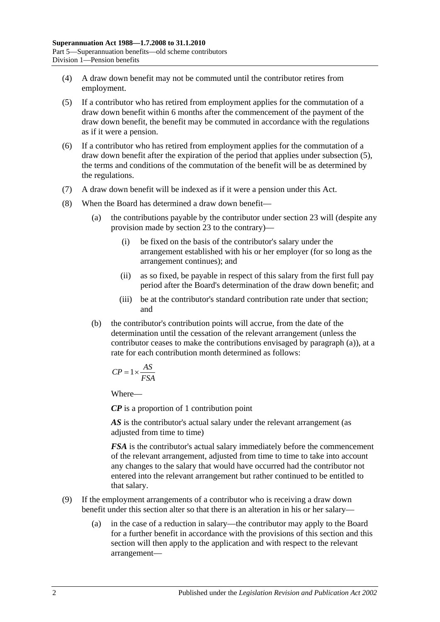- (4) A draw down benefit may not be commuted until the contributor retires from employment.
- <span id="page-57-0"></span>(5) If a contributor who has retired from employment applies for the commutation of a draw down benefit within 6 months after the commencement of the payment of the draw down benefit, the benefit may be commuted in accordance with the regulations as if it were a pension.
- (6) If a contributor who has retired from employment applies for the commutation of a draw down benefit after the expiration of the period that applies under [subsection](#page-57-0) (5), the terms and conditions of the commutation of the benefit will be as determined by the regulations.
- (7) A draw down benefit will be indexed as if it were a pension under this Act.
- <span id="page-57-1"></span>(8) When the Board has determined a draw down benefit—
	- (a) the contributions payable by the contributor under section 23 will (despite any provision made by section 23 to the contrary)—
		- (i) be fixed on the basis of the contributor's salary under the arrangement established with his or her employer (for so long as the arrangement continues); and
		- (ii) as so fixed, be payable in respect of this salary from the first full pay period after the Board's determination of the draw down benefit; and
		- (iii) be at the contributor's standard contribution rate under that section; and
	- (b) the contributor's contribution points will accrue, from the date of the determination until the cessation of the relevant arrangement (unless the contributor ceases to make the contributions envisaged by [paragraph](#page-57-1) (a)), at a rate for each contribution month determined as follows:

$$
CP = 1 \times \frac{AS}{FSA}
$$

Where—

*CP* is a proportion of 1 contribution point

AS is the contributor's actual salary under the relevant arrangement (as adjusted from time to time)

*FSA* is the contributor's actual salary immediately before the commencement of the relevant arrangement, adjusted from time to time to take into account any changes to the salary that would have occurred had the contributor not entered into the relevant arrangement but rather continued to be entitled to that salary.

- (9) If the employment arrangements of a contributor who is receiving a draw down benefit under this section alter so that there is an alteration in his or her salary—
	- (a) in the case of a reduction in salary—the contributor may apply to the Board for a further benefit in accordance with the provisions of this section and this section will then apply to the application and with respect to the relevant arrangement—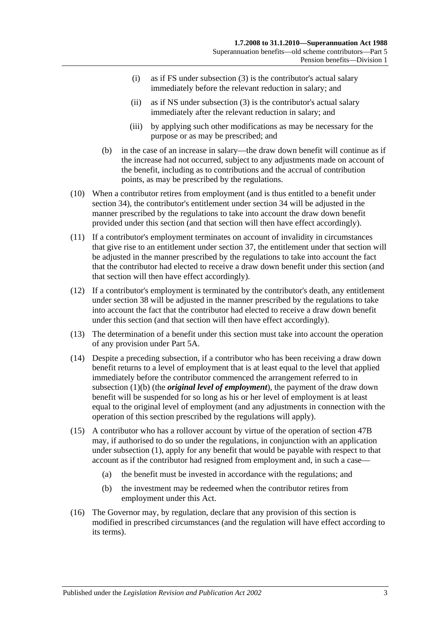- (i) as if FS under [subsection](#page-56-2) (3) is the contributor's actual salary immediately before the relevant reduction in salary; and
- (ii) as if NS under [subsection](#page-56-2) (3) is the contributor's actual salary immediately after the relevant reduction in salary; and
- (iii) by applying such other modifications as may be necessary for the purpose or as may be prescribed; and
- (b) in the case of an increase in salary—the draw down benefit will continue as if the increase had not occurred, subject to any adjustments made on account of the benefit, including as to contributions and the accrual of contribution points, as may be prescribed by the regulations.
- (10) When a contributor retires from employment (and is thus entitled to a benefit under section 34), the contributor's entitlement under section 34 will be adjusted in the manner prescribed by the regulations to take into account the draw down benefit provided under this section (and that section will then have effect accordingly).
- (11) If a contributor's employment terminates on account of invalidity in circumstances that give rise to an entitlement under section 37, the entitlement under that section will be adjusted in the manner prescribed by the regulations to take into account the fact that the contributor had elected to receive a draw down benefit under this section (and that section will then have effect accordingly).
- (12) If a contributor's employment is terminated by the contributor's death, any entitlement under section 38 will be adjusted in the manner prescribed by the regulations to take into account the fact that the contributor had elected to receive a draw down benefit under this section (and that section will then have effect accordingly).
- (13) The determination of a benefit under this section must take into account the operation of any provision under Part 5A.
- (14) Despite a preceding subsection, if a contributor who has been receiving a draw down benefit returns to a level of employment that is at least equal to the level that applied immediately before the contributor commenced the arrangement referred to in [subsection](#page-56-0) (1)(b) (the *original level of employment*), the payment of the draw down benefit will be suspended for so long as his or her level of employment is at least equal to the original level of employment (and any adjustments in connection with the operation of this section prescribed by the regulations will apply).
- (15) A contributor who has a rollover account by virtue of the operation of section 47B may, if authorised to do so under the regulations, in conjunction with an application under [subsection](#page-56-1) (1), apply for any benefit that would be payable with respect to that account as if the contributor had resigned from employment and, in such a case—
	- (a) the benefit must be invested in accordance with the regulations; and
	- (b) the investment may be redeemed when the contributor retires from employment under this Act.
- (16) The Governor may, by regulation, declare that any provision of this section is modified in prescribed circumstances (and the regulation will have effect according to its terms).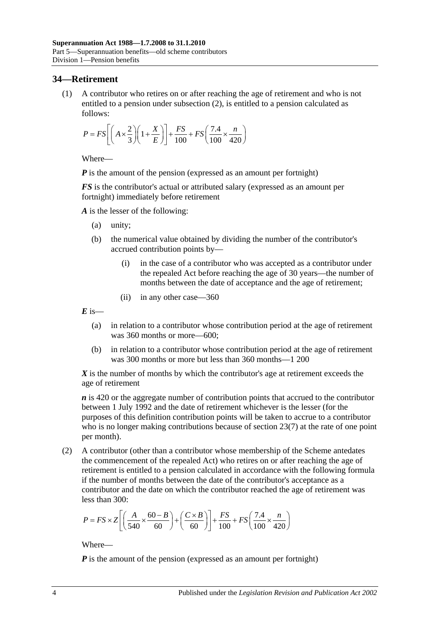## **34—Retirement**

(1) A contributor who retires on or after reaching the age of retirement and who is not entitled to a pension under [subsection](#page-59-0) (2), is entitled to a pension calculated as follows:

$$
P = FS \left[ \left( A \times \frac{2}{3} \right) \left( 1 + \frac{X}{E} \right) \right] + \frac{FS}{100} + FS \left( \frac{7.4}{100} \times \frac{n}{420} \right)
$$

Where—

*P* is the amount of the pension (expressed as an amount per fortnight)

*FS* is the contributor's actual or attributed salary (expressed as an amount per fortnight) immediately before retirement

*A* is the lesser of the following:

- (a) unity;
- (b) the numerical value obtained by dividing the number of the contributor's accrued contribution points by—
	- (i) in the case of a contributor who was accepted as a contributor under the repealed Act before reaching the age of 30 years—the number of months between the date of acceptance and the age of retirement;
	- (ii) in any other case—360

 $E$  is—

- (a) in relation to a contributor whose contribution period at the age of retirement was 360 months or more—600;
- (b) in relation to a contributor whose contribution period at the age of retirement was 300 months or more but less than 360 months—1 200

*X* is the number of months by which the contributor's age at retirement exceeds the age of retirement

*n* is 420 or the aggregate number of contribution points that accrued to the contributor between 1 July 1992 and the date of retirement whichever is the lesser (for the purposes of this definition contribution points will be taken to accrue to a contributor who is no longer making contributions because of [section](#page-28-0) 23(7) at the rate of one point per month).

<span id="page-59-0"></span>(2) A contributor (other than a contributor whose membership of the Scheme antedates the commencement of the repealed Act) who retires on or after reaching the age of retirement is entitled to a pension calculated in accordance with the following formula if the number of months between the date of the contributor's acceptance as a contributor and the date on which the contributor reached the age of retirement was less than 300:

$$
P = FS \times Z \left[ \left( \frac{A}{540} \times \frac{60 - B}{60} \right) + \left( \frac{C \times B}{60} \right) \right] + \frac{FS}{100} + FS \left( \frac{7.4}{100} \times \frac{n}{420} \right)
$$

Where—

*P* is the amount of the pension (expressed as an amount per fortnight)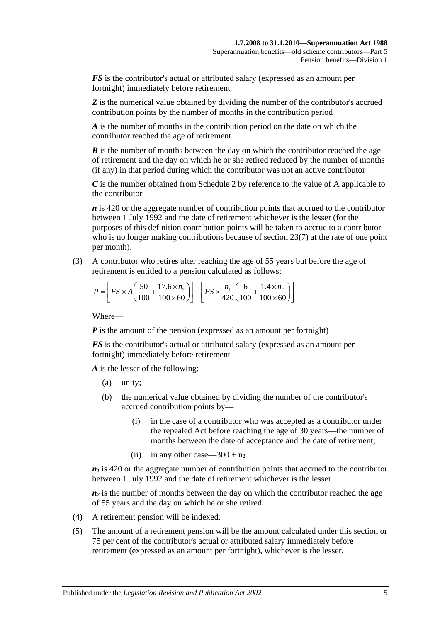*FS* is the contributor's actual or attributed salary (expressed as an amount per fortnight) immediately before retirement

**Z** is the numerical value obtained by dividing the number of the contributor's accrued contribution points by the number of months in the contribution period

*A* is the number of months in the contribution period on the date on which the contributor reached the age of retirement

*B* is the number of months between the day on which the contributor reached the age of retirement and the day on which he or she retired reduced by the number of months (if any) in that period during which the contributor was not an active contributor

*C* is the number obtained from [Schedule 2](#page-124-0) by reference to the value of A applicable to the contributor

*n* is 420 or the aggregate number of contribution points that accrued to the contributor between 1 July 1992 and the date of retirement whichever is the lesser (for the purposes of this definition contribution points will be taken to accrue to a contributor who is no longer making contributions because of [section](#page-28-0) 23(7) at the rate of one point per month).

(3) A contributor who retires after reaching the age of 55 years but before the age of retirement is entitled to a pension calculated as follows:

$$
P = \left[ FS \times A \left( \frac{50}{100} + \frac{17.6 \times n_2}{100 \times 60} \right) \right] + \left[ FS \times \frac{n_1}{420} \left( \frac{6}{100} + \frac{1.4 \times n_2}{100 \times 60} \right) \right]
$$

Where—

*P* is the amount of the pension (expressed as an amount per fortnight)

*FS* is the contributor's actual or attributed salary (expressed as an amount per fortnight) immediately before retirement

*A* is the lesser of the following:

- (a) unity;
- (b) the numerical value obtained by dividing the number of the contributor's accrued contribution points by—
	- (i) in the case of a contributor who was accepted as a contributor under the repealed Act before reaching the age of 30 years—the number of months between the date of acceptance and the date of retirement;
	- (ii) in any other case—300 +  $n_2$

 $n_1$  is 420 or the aggregate number of contribution points that accrued to the contributor between 1 July 1992 and the date of retirement whichever is the lesser

 $n_2$  is the number of months between the day on which the contributor reached the age of 55 years and the day on which he or she retired.

- (4) A retirement pension will be indexed.
- (5) The amount of a retirement pension will be the amount calculated under this section or 75 per cent of the contributor's actual or attributed salary immediately before retirement (expressed as an amount per fortnight), whichever is the lesser.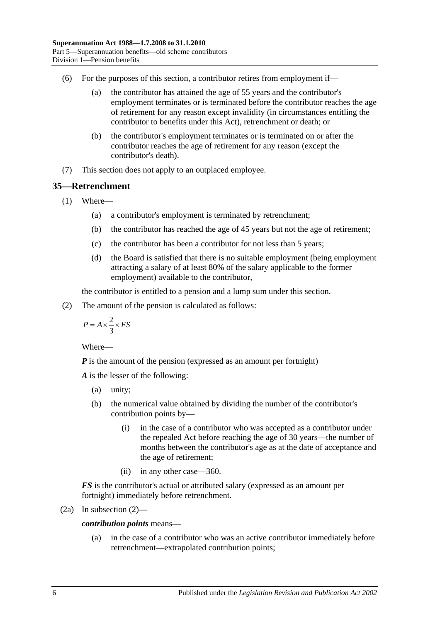- (6) For the purposes of this section, a contributor retires from employment if—
	- (a) the contributor has attained the age of 55 years and the contributor's employment terminates or is terminated before the contributor reaches the age of retirement for any reason except invalidity (in circumstances entitling the contributor to benefits under this Act), retrenchment or death; or
	- (b) the contributor's employment terminates or is terminated on or after the contributor reaches the age of retirement for any reason (except the contributor's death).
- (7) This section does not apply to an outplaced employee.

## <span id="page-61-1"></span>**35—Retrenchment**

- (1) Where—
	- (a) a contributor's employment is terminated by retrenchment;
	- (b) the contributor has reached the age of 45 years but not the age of retirement;
	- (c) the contributor has been a contributor for not less than 5 years;
	- (d) the Board is satisfied that there is no suitable employment (being employment attracting a salary of at least 80% of the salary applicable to the former employment) available to the contributor,

the contributor is entitled to a pension and a lump sum under this section.

<span id="page-61-0"></span>(2) The amount of the pension is calculated as follows:

$$
P = A \times \frac{2}{3} \times FS
$$

Where—

*P* is the amount of the pension (expressed as an amount per fortnight)

*A* is the lesser of the following:

- (a) unity;
- (b) the numerical value obtained by dividing the number of the contributor's contribution points by—
	- (i) in the case of a contributor who was accepted as a contributor under the repealed Act before reaching the age of 30 years—the number of months between the contributor's age as at the date of acceptance and the age of retirement;
	- (ii) in any other case—360.

*FS* is the contributor's actual or attributed salary (expressed as an amount per fortnight) immediately before retrenchment.

$$
(2a) In subsection (2)—
$$

*contribution points* means—

(a) in the case of a contributor who was an active contributor immediately before retrenchment—extrapolated contribution points;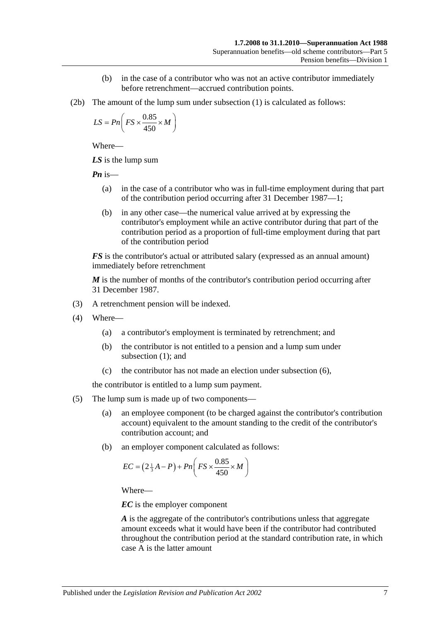- (b) in the case of a contributor who was not an active contributor immediately before retrenchment—accrued contribution points.
- (2b) The amount of the lump sum under [subsection](#page-61-1) (1) is calculated as follows:

$$
LS = Pn\left(FS \times \frac{0.85}{450} \times M\right)
$$

Where—

*LS* is the lump sum

*Pn* is—

- (a) in the case of a contributor who was in full-time employment during that part of the contribution period occurring after 31 December 1987—1;
- (b) in any other case—the numerical value arrived at by expressing the contributor's employment while an active contributor during that part of the contribution period as a proportion of full-time employment during that part of the contribution period

*FS* is the contributor's actual or attributed salary (expressed as an annual amount) immediately before retrenchment

*M* is the number of months of the contributor's contribution period occurring after 31 December 1987.

- (3) A retrenchment pension will be indexed.
- (4) Where—
	- (a) a contributor's employment is terminated by retrenchment; and
	- (b) the contributor is not entitled to a pension and a lump sum under [subsection](#page-61-1) (1); and
	- (c) the contributor has not made an election under [subsection](#page-63-0) (6),

the contributor is entitled to a lump sum payment.

- (5) The lump sum is made up of two components—
	- (a) an employee component (to be charged against the contributor's contribution account) equivalent to the amount standing to the credit of the contributor's contribution account; and
	- (b) an employer component calculated as follows:

$$
EC = \left(2\frac{1}{3}A - P\right) + Pn\left(FS \times \frac{0.85}{450} \times M\right)
$$

Where—

*EC* is the employer component

*A* is the aggregate of the contributor's contributions unless that aggregate amount exceeds what it would have been if the contributor had contributed throughout the contribution period at the standard contribution rate, in which case A is the latter amount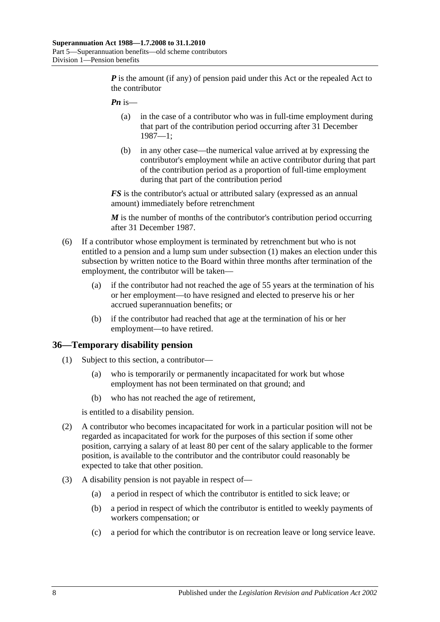*P* is the amount (if any) of pension paid under this Act or the repealed Act to the contributor

- *Pn* is—
	- (a) in the case of a contributor who was in full-time employment during that part of the contribution period occurring after 31 December 1987—1;
	- (b) in any other case—the numerical value arrived at by expressing the contributor's employment while an active contributor during that part of the contribution period as a proportion of full-time employment during that part of the contribution period

*FS* is the contributor's actual or attributed salary (expressed as an annual amount) immediately before retrenchment

*M* is the number of months of the contributor's contribution period occurring after 31 December 1987.

- <span id="page-63-0"></span>(6) If a contributor whose employment is terminated by retrenchment but who is not entitled to a pension and a lump sum under [subsection](#page-61-1) (1) makes an election under this subsection by written notice to the Board within three months after termination of the employment, the contributor will be taken—
	- (a) if the contributor had not reached the age of 55 years at the termination of his or her employment—to have resigned and elected to preserve his or her accrued superannuation benefits; or
	- (b) if the contributor had reached that age at the termination of his or her employment—to have retired.

#### **36—Temporary disability pension**

- (1) Subject to this section, a contributor—
	- (a) who is temporarily or permanently incapacitated for work but whose employment has not been terminated on that ground; and
	- (b) who has not reached the age of retirement,

is entitled to a disability pension.

- (2) A contributor who becomes incapacitated for work in a particular position will not be regarded as incapacitated for work for the purposes of this section if some other position, carrying a salary of at least 80 per cent of the salary applicable to the former position, is available to the contributor and the contributor could reasonably be expected to take that other position.
- (3) A disability pension is not payable in respect of—
	- (a) a period in respect of which the contributor is entitled to sick leave; or
	- (b) a period in respect of which the contributor is entitled to weekly payments of workers compensation; or
	- (c) a period for which the contributor is on recreation leave or long service leave.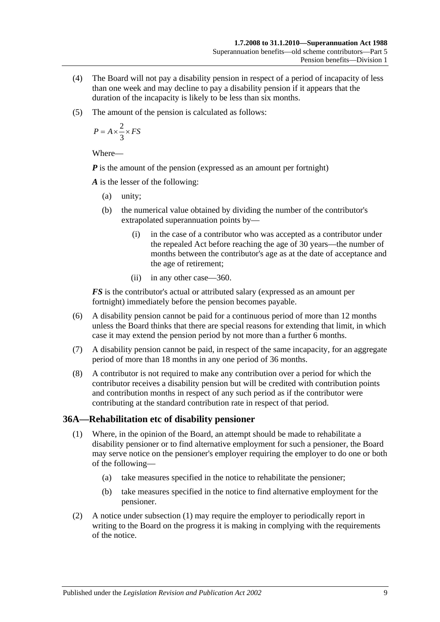- (4) The Board will not pay a disability pension in respect of a period of incapacity of less than one week and may decline to pay a disability pension if it appears that the duration of the incapacity is likely to be less than six months.
- (5) The amount of the pension is calculated as follows:

$$
P = A \times \frac{2}{3} \times FS
$$

Where—

*P* is the amount of the pension (expressed as an amount per fortnight)

*A* is the lesser of the following:

- (a) unity;
- (b) the numerical value obtained by dividing the number of the contributor's extrapolated superannuation points by—
	- (i) in the case of a contributor who was accepted as a contributor under the repealed Act before reaching the age of 30 years—the number of months between the contributor's age as at the date of acceptance and the age of retirement;
	- (ii) in any other case—360.

*FS* is the contributor's actual or attributed salary (expressed as an amount per fortnight) immediately before the pension becomes payable.

- (6) A disability pension cannot be paid for a continuous period of more than 12 months unless the Board thinks that there are special reasons for extending that limit, in which case it may extend the pension period by not more than a further 6 months.
- (7) A disability pension cannot be paid, in respect of the same incapacity, for an aggregate period of more than 18 months in any one period of 36 months.
- (8) A contributor is not required to make any contribution over a period for which the contributor receives a disability pension but will be credited with contribution points and contribution months in respect of any such period as if the contributor were contributing at the standard contribution rate in respect of that period.

## <span id="page-64-0"></span>**36A—Rehabilitation etc of disability pensioner**

- (1) Where, in the opinion of the Board, an attempt should be made to rehabilitate a disability pensioner or to find alternative employment for such a pensioner, the Board may serve notice on the pensioner's employer requiring the employer to do one or both of the following—
	- (a) take measures specified in the notice to rehabilitate the pensioner;
	- (b) take measures specified in the notice to find alternative employment for the pensioner.
- (2) A notice under [subsection](#page-64-0) (1) may require the employer to periodically report in writing to the Board on the progress it is making in complying with the requirements of the notice.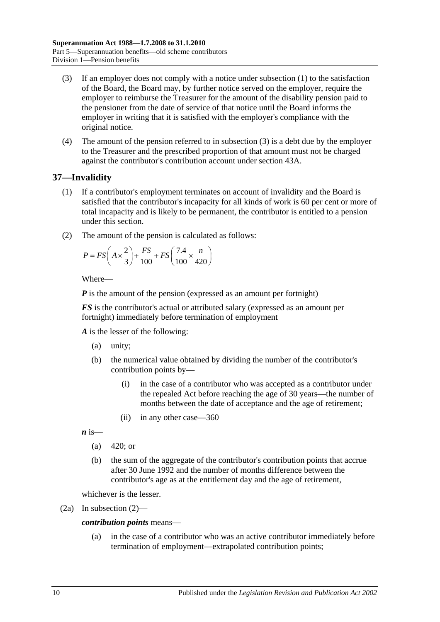- <span id="page-65-0"></span>(3) If an employer does not comply with a notice under [subsection](#page-64-0) (1) to the satisfaction of the Board, the Board may, by further notice served on the employer, require the employer to reimburse the Treasurer for the amount of the disability pension paid to the pensioner from the date of service of that notice until the Board informs the employer in writing that it is satisfied with the employer's compliance with the original notice.
- (4) The amount of the pension referred to in [subsection](#page-65-0) (3) is a debt due by the employer to the Treasurer and the prescribed proportion of that amount must not be charged against the contributor's contribution account under section 43A.

# <span id="page-65-2"></span>**37—Invalidity**

- (1) If a contributor's employment terminates on account of invalidity and the Board is satisfied that the contributor's incapacity for all kinds of work is 60 per cent or more of total incapacity and is likely to be permanent, the contributor is entitled to a pension under this section.
- <span id="page-65-1"></span>(2) The amount of the pension is calculated as follows:

$$
P = FS\left(A \times \frac{2}{3}\right) + \frac{FS}{100} + FS\left(\frac{7.4}{100} \times \frac{n}{420}\right)
$$

Where—

*P* is the amount of the pension (expressed as an amount per fortnight)

*FS* is the contributor's actual or attributed salary (expressed as an amount per fortnight) immediately before termination of employment

*A* is the lesser of the following:

- (a) unity;
- (b) the numerical value obtained by dividing the number of the contributor's contribution points by—
	- (i) in the case of a contributor who was accepted as a contributor under the repealed Act before reaching the age of 30 years—the number of months between the date of acceptance and the age of retirement;
	- (ii) in any other case—360

 $\boldsymbol{n}$  is—

- (a)  $420$ ; or
- (b) the sum of the aggregate of the contributor's contribution points that accrue after 30 June 1992 and the number of months difference between the contributor's age as at the entitlement day and the age of retirement,

whichever is the lesser.

(2a) In [subsection](#page-65-1) (2)—

#### *contribution points* means—

(a) in the case of a contributor who was an active contributor immediately before termination of employment—extrapolated contribution points;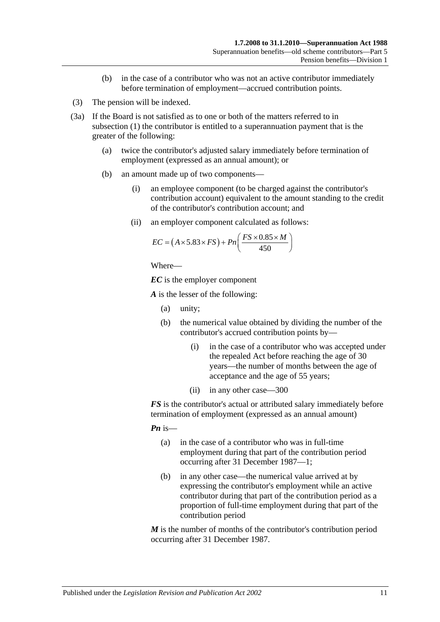- (b) in the case of a contributor who was not an active contributor immediately before termination of employment—accrued contribution points.
- (3) The pension will be indexed.
- <span id="page-66-0"></span>(3a) If the Board is not satisfied as to one or both of the matters referred to in [subsection](#page-65-2) (1) the contributor is entitled to a superannuation payment that is the greater of the following:
	- (a) twice the contributor's adjusted salary immediately before termination of employment (expressed as an annual amount); or
	- (b) an amount made up of two components—
		- (i) an employee component (to be charged against the contributor's contribution account) equivalent to the amount standing to the credit of the contributor's contribution account; and
		- (ii) an employer component calculated as follows:

$$
EC = (A \times 5.83 \times FS) + Pn\left(\frac{FS \times 0.85 \times M}{450}\right)
$$

```
Where—
```
*EC* is the employer component

*A* is the lesser of the following:

- (a) unity;
- (b) the numerical value obtained by dividing the number of the contributor's accrued contribution points by—
	- (i) in the case of a contributor who was accepted under the repealed Act before reaching the age of 30 years—the number of months between the age of acceptance and the age of 55 years;
	- (ii) in any other case—300

*FS* is the contributor's actual or attributed salary immediately before termination of employment (expressed as an annual amount)

*Pn* is—

- (a) in the case of a contributor who was in full-time employment during that part of the contribution period occurring after 31 December 1987—1;
- (b) in any other case—the numerical value arrived at by expressing the contributor's employment while an active contributor during that part of the contribution period as a proportion of full-time employment during that part of the contribution period

*M* is the number of months of the contributor's contribution period occurring after 31 December 1987.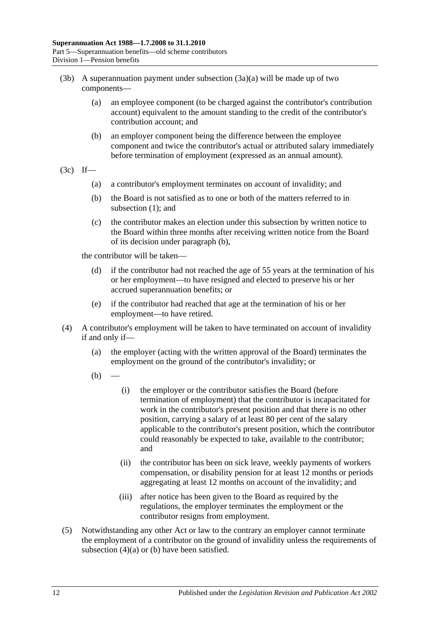- (3b) A superannuation payment under [subsection](#page-66-0)  $(3a)(a)$  will be made up of two components—
	- (a) an employee component (to be charged against the contributor's contribution account) equivalent to the amount standing to the credit of the contributor's contribution account; and
	- (b) an employer component being the difference between the employee component and twice the contributor's actual or attributed salary immediately before termination of employment (expressed as an annual amount).
- <span id="page-67-0"></span> $(3c)$  If—
	- (a) a contributor's employment terminates on account of invalidity; and
	- (b) the Board is not satisfied as to one or both of the matters referred to in [subsection](#page-65-2) (1); and
	- (c) the contributor makes an election under this subsection by written notice to the Board within three months after receiving written notice from the Board of its decision under [paragraph](#page-67-0) (b),

the contributor will be taken—

- (d) if the contributor had not reached the age of 55 years at the termination of his or her employment—to have resigned and elected to preserve his or her accrued superannuation benefits; or
- (e) if the contributor had reached that age at the termination of his or her employment—to have retired.
- <span id="page-67-2"></span><span id="page-67-1"></span>(4) A contributor's employment will be taken to have terminated on account of invalidity if and only if—
	- (a) the employer (acting with the written approval of the Board) terminates the employment on the ground of the contributor's invalidity; or
	- $(b)$
- (i) the employer or the contributor satisfies the Board (before termination of employment) that the contributor is incapacitated for work in the contributor's present position and that there is no other position, carrying a salary of at least 80 per cent of the salary applicable to the contributor's present position, which the contributor could reasonably be expected to take, available to the contributor; and
- (ii) the contributor has been on sick leave, weekly payments of workers compensation, or disability pension for at least 12 months or periods aggregating at least 12 months on account of the invalidity; and
- (iii) after notice has been given to the Board as required by the regulations, the employer terminates the employment or the contributor resigns from employment.
- (5) Notwithstanding any other Act or law to the contrary an employer cannot terminate the employment of a contributor on the ground of invalidity unless the requirements of [subsection](#page-67-1)  $(4)(a)$  or  $(b)$  have been satisfied.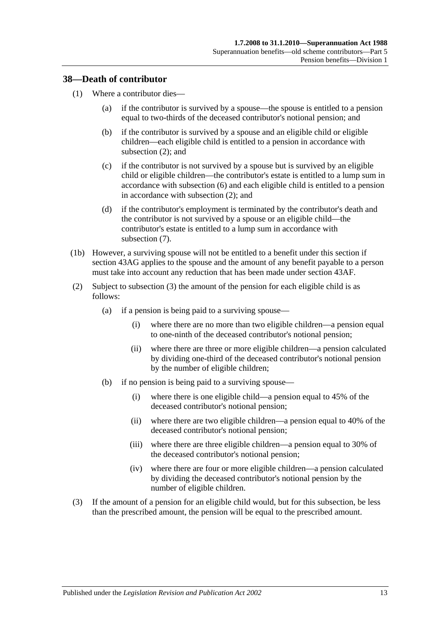#### **38—Death of contributor**

- (1) Where a contributor dies—
	- (a) if the contributor is survived by a spouse—the spouse is entitled to a pension equal to two-thirds of the deceased contributor's notional pension; and
	- (b) if the contributor is survived by a spouse and an eligible child or eligible children—each eligible child is entitled to a pension in accordance with [subsection](#page-68-0) (2); and
	- (c) if the contributor is not survived by a spouse but is survived by an eligible child or eligible children—the contributor's estate is entitled to a lump sum in accordance with [subsection](#page-70-0) (6) and each eligible child is entitled to a pension in accordance with [subsection](#page-68-0) (2); and
	- (d) if the contributor's employment is terminated by the contributor's death and the contributor is not survived by a spouse or an eligible child—the contributor's estate is entitled to a lump sum in accordance with [subsection](#page-70-1) (7).
- (1b) However, a surviving spouse will not be entitled to a benefit under this section if section 43AG applies to the spouse and the amount of any benefit payable to a person must take into account any reduction that has been made under [section](#page-87-0) 43AF.
- <span id="page-68-0"></span>(2) Subject to [subsection](#page-68-1) (3) the amount of the pension for each eligible child is as follows:
	- (a) if a pension is being paid to a surviving spouse—
		- (i) where there are no more than two eligible children—a pension equal to one-ninth of the deceased contributor's notional pension;
		- (ii) where there are three or more eligible children—a pension calculated by dividing one-third of the deceased contributor's notional pension by the number of eligible children;
	- (b) if no pension is being paid to a surviving spouse—
		- (i) where there is one eligible child—a pension equal to 45% of the deceased contributor's notional pension;
		- (ii) where there are two eligible children—a pension equal to 40% of the deceased contributor's notional pension;
		- (iii) where there are three eligible children—a pension equal to 30% of the deceased contributor's notional pension;
		- (iv) where there are four or more eligible children—a pension calculated by dividing the deceased contributor's notional pension by the number of eligible children.
- <span id="page-68-1"></span>(3) If the amount of a pension for an eligible child would, but for this subsection, be less than the prescribed amount, the pension will be equal to the prescribed amount.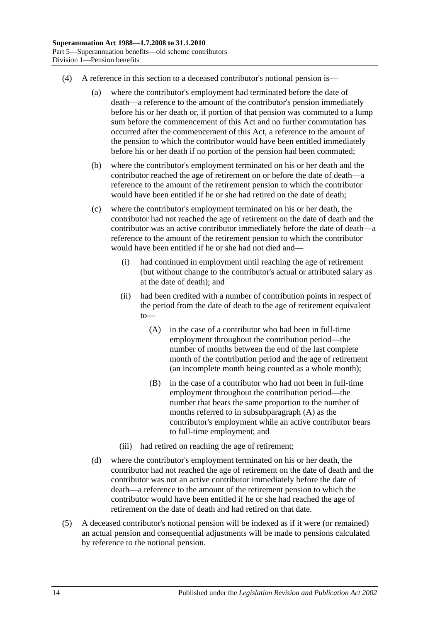- (4) A reference in this section to a deceased contributor's notional pension is—
	- (a) where the contributor's employment had terminated before the date of death—a reference to the amount of the contributor's pension immediately before his or her death or, if portion of that pension was commuted to a lump sum before the commencement of this Act and no further commutation has occurred after the commencement of this Act, a reference to the amount of the pension to which the contributor would have been entitled immediately before his or her death if no portion of the pension had been commuted;
	- (b) where the contributor's employment terminated on his or her death and the contributor reached the age of retirement on or before the date of death—a reference to the amount of the retirement pension to which the contributor would have been entitled if he or she had retired on the date of death;
	- (c) where the contributor's employment terminated on his or her death, the contributor had not reached the age of retirement on the date of death and the contributor was an active contributor immediately before the date of death—a reference to the amount of the retirement pension to which the contributor would have been entitled if he or she had not died and—
		- (i) had continued in employment until reaching the age of retirement (but without change to the contributor's actual or attributed salary as at the date of death); and
		- (ii) had been credited with a number of contribution points in respect of the period from the date of death to the age of retirement equivalent to—
			- (A) in the case of a contributor who had been in full-time employment throughout the contribution period—the number of months between the end of the last complete month of the contribution period and the age of retirement (an incomplete month being counted as a whole month);
			- (B) in the case of a contributor who had not been in full-time employment throughout the contribution period—the number that bears the same proportion to the number of months referred to in [subsubparagraph](#page-69-0) (A) as the contributor's employment while an active contributor bears to full-time employment; and
		- (iii) had retired on reaching the age of retirement;
	- (d) where the contributor's employment terminated on his or her death, the contributor had not reached the age of retirement on the date of death and the contributor was not an active contributor immediately before the date of death—a reference to the amount of the retirement pension to which the contributor would have been entitled if he or she had reached the age of retirement on the date of death and had retired on that date.
- <span id="page-69-0"></span>(5) A deceased contributor's notional pension will be indexed as if it were (or remained) an actual pension and consequential adjustments will be made to pensions calculated by reference to the notional pension.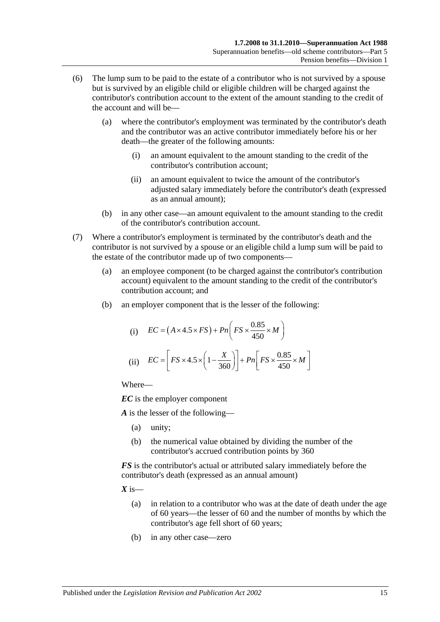- <span id="page-70-0"></span>(6) The lump sum to be paid to the estate of a contributor who is not survived by a spouse but is survived by an eligible child or eligible children will be charged against the contributor's contribution account to the extent of the amount standing to the credit of the account and will be—
	- (a) where the contributor's employment was terminated by the contributor's death and the contributor was an active contributor immediately before his or her death—the greater of the following amounts:
		- (i) an amount equivalent to the amount standing to the credit of the contributor's contribution account;
		- (ii) an amount equivalent to twice the amount of the contributor's adjusted salary immediately before the contributor's death (expressed as an annual amount);
	- (b) in any other case—an amount equivalent to the amount standing to the credit of the contributor's contribution account.
- <span id="page-70-1"></span>(7) Where a contributor's employment is terminated by the contributor's death and the contributor is not survived by a spouse or an eligible child a lump sum will be paid to the estate of the contributor made up of two components—
	- (a) an employee component (to be charged against the contributor's contribution account) equivalent to the amount standing to the credit of the contributor's contribution account; and
	- (b) an employer component that is the lesser of the following:

(i) 
$$
EC = (A \times 4.5 \times FS) + Pn\left(FS \times \frac{0.85}{450} \times M\right)
$$
  
(ii) 
$$
EC = \left[FS \times 4.5 \times \left(1 - \frac{X}{360}\right)\right] + Pn\left[FS \times \frac{0.85}{450} \times M\right]
$$

Where—

*EC* is the employer component

*A* is the lesser of the following—

- (a) unity;
- (b) the numerical value obtained by dividing the number of the contributor's accrued contribution points by 360

*FS* is the contributor's actual or attributed salary immediately before the contributor's death (expressed as an annual amount)

 $X$  is—

- (a) in relation to a contributor who was at the date of death under the age of 60 years—the lesser of 60 and the number of months by which the contributor's age fell short of 60 years;
- (b) in any other case—zero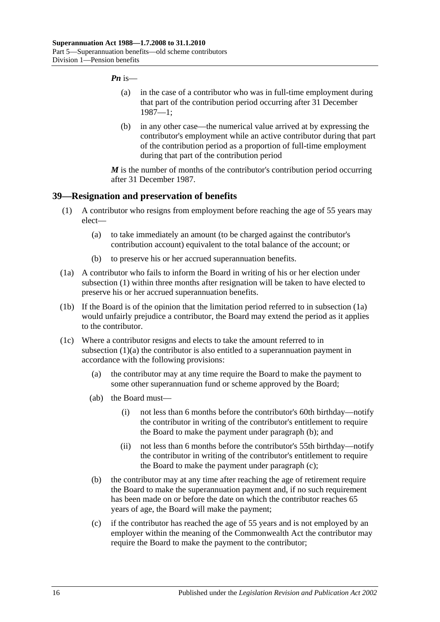#### *Pn* is—

- (a) in the case of a contributor who was in full-time employment during that part of the contribution period occurring after 31 December 1987—1;
- (b) in any other case—the numerical value arrived at by expressing the contributor's employment while an active contributor during that part of the contribution period as a proportion of full-time employment during that part of the contribution period

*M* is the number of months of the contributor's contribution period occurring after 31 December 1987.

#### <span id="page-71-0"></span>**39—Resignation and preservation of benefits**

- <span id="page-71-2"></span>(1) A contributor who resigns from employment before reaching the age of 55 years may elect—
	- (a) to take immediately an amount (to be charged against the contributor's contribution account) equivalent to the total balance of the account; or
	- (b) to preserve his or her accrued superannuation benefits.
- <span id="page-71-1"></span>(1a) A contributor who fails to inform the Board in writing of his or her election under [subsection](#page-71-0) (1) within three months after resignation will be taken to have elected to preserve his or her accrued superannuation benefits.
- (1b) If the Board is of the opinion that the limitation period referred to in [subsection](#page-71-1) (1a) would unfairly prejudice a contributor, the Board may extend the period as it applies to the contributor.
- <span id="page-71-4"></span><span id="page-71-3"></span>(1c) Where a contributor resigns and elects to take the amount referred to in [subsection](#page-71-2) (1)(a) the contributor is also entitled to a superannuation payment in accordance with the following provisions:
	- (a) the contributor may at any time require the Board to make the payment to some other superannuation fund or scheme approved by the Board;
	- (ab) the Board must—
		- (i) not less than 6 months before the contributor's 60th birthday—notify the contributor in writing of the contributor's entitlement to require the Board to make the payment under [paragraph](#page-71-3) (b); and
		- (ii) not less than 6 months before the contributor's 55th birthday—notify the contributor in writing of the contributor's entitlement to require the Board to make the payment under [paragraph](#page-71-4) (c);
	- (b) the contributor may at any time after reaching the age of retirement require the Board to make the superannuation payment and, if no such requirement has been made on or before the date on which the contributor reaches 65 years of age, the Board will make the payment;
	- (c) if the contributor has reached the age of 55 years and is not employed by an employer within the meaning of the Commonwealth Act the contributor may require the Board to make the payment to the contributor;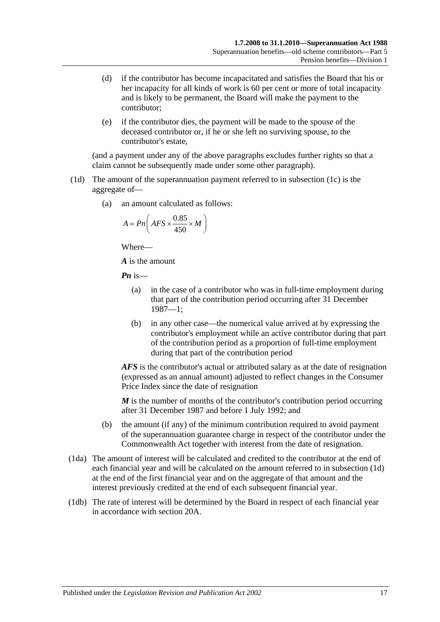- (d) if the contributor has become incapacitated and satisfies the Board that his or her incapacity for all kinds of work is 60 per cent or more of total incapacity and is likely to be permanent, the Board will make the payment to the contributor;
- (e) if the contributor dies, the payment will be made to the spouse of the deceased contributor or, if he or she left no surviving spouse, to the contributor's estate,

(and a payment under any of the above paragraphs excludes further rights so that a claim cannot be subsequently made under some other paragraph).

- <span id="page-72-0"></span>(1d) The amount of the superannuation payment referred to in [subsection](#page-71-0) (1c) is the aggregate of—
	- (a) an amount calculated as follows:

$$
A = P n \left( AFS \times \frac{0.85}{450} \times M \right)
$$

Where—

*A* is the amount

*Pn* is—

- (a) in the case of a contributor who was in full-time employment during that part of the contribution period occurring after 31 December 1987—1;
- (b) in any other case—the numerical value arrived at by expressing the contributor's employment while an active contributor during that part of the contribution period as a proportion of full-time employment during that part of the contribution period

*AFS* is the contributor's actual or attributed salary as at the date of resignation (expressed as an annual amount) adjusted to reflect changes in the Consumer Price Index since the date of resignation

*M* is the number of months of the contributor's contribution period occurring after 31 December 1987 and before 1 July 1992; and

- (b) the amount (if any) of the minimum contribution required to avoid payment of the superannuation guarantee charge in respect of the contributor under the Commonwealth Act together with interest from the date of resignation.
- (1da) The amount of interest will be calculated and credited to the contributor at the end of each financial year and will be calculated on the amount referred to in [subsection](#page-72-0) (1d) at the end of the first financial year and on the aggregate of that amount and the interest previously credited at the end of each subsequent financial year.
- (1db) The rate of interest will be determined by the Board in respect of each financial year in accordance with [section](#page-21-0) 20A.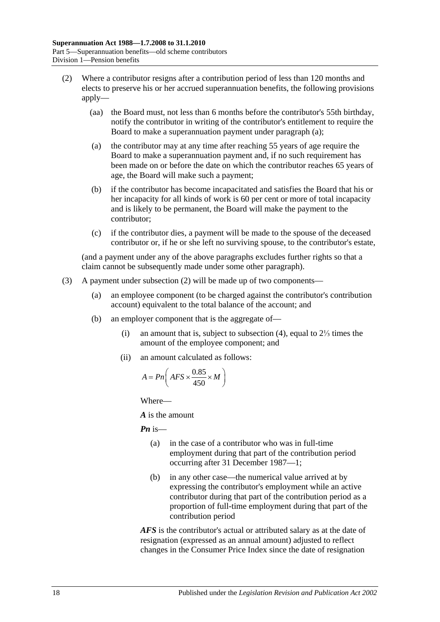- <span id="page-73-1"></span><span id="page-73-0"></span>(2) Where a contributor resigns after a contribution period of less than 120 months and elects to preserve his or her accrued superannuation benefits, the following provisions apply—
	- (aa) the Board must, not less than 6 months before the contributor's 55th birthday, notify the contributor in writing of the contributor's entitlement to require the Board to make a superannuation payment under [paragraph](#page-73-0) (a);
	- (a) the contributor may at any time after reaching 55 years of age require the Board to make a superannuation payment and, if no such requirement has been made on or before the date on which the contributor reaches 65 years of age, the Board will make such a payment;
	- (b) if the contributor has become incapacitated and satisfies the Board that his or her incapacity for all kinds of work is 60 per cent or more of total incapacity and is likely to be permanent, the Board will make the payment to the contributor;
	- (c) if the contributor dies, a payment will be made to the spouse of the deceased contributor or, if he or she left no surviving spouse, to the contributor's estate,

(and a payment under any of the above paragraphs excludes further rights so that a claim cannot be subsequently made under some other paragraph).

- <span id="page-73-2"></span>(3) A payment under [subsection](#page-73-1) (2) will be made up of two components—
	- (a) an employee component (to be charged against the contributor's contribution account) equivalent to the total balance of the account; and
	- (b) an employer component that is the aggregate of—
		- (i) an amount that is, subject to [subsection](#page-74-0) (4), equal to 2⅓ times the amount of the employee component; and
		- (ii) an amount calculated as follows:

$$
A = P n \left( AFS \times \frac{0.85}{450} \times M \right)
$$

Where—

*A* is the amount

*Pn* is—

- (a) in the case of a contributor who was in full-time employment during that part of the contribution period occurring after 31 December 1987—1;
- (b) in any other case—the numerical value arrived at by expressing the contributor's employment while an active contributor during that part of the contribution period as a proportion of full-time employment during that part of the contribution period

*AFS* is the contributor's actual or attributed salary as at the date of resignation (expressed as an annual amount) adjusted to reflect changes in the Consumer Price Index since the date of resignation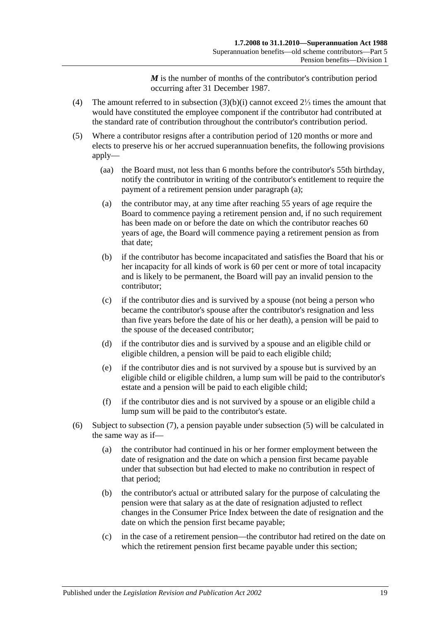*M* is the number of months of the contributor's contribution period occurring after 31 December 1987.

- <span id="page-74-0"></span>(4) The amount referred to in [subsection](#page-73-2) (3)(b)(i) cannot exceed 2⅓ times the amount that would have constituted the employee component if the contributor had contributed at the standard rate of contribution throughout the contributor's contribution period.
- <span id="page-74-3"></span><span id="page-74-2"></span><span id="page-74-1"></span>(5) Where a contributor resigns after a contribution period of 120 months or more and elects to preserve his or her accrued superannuation benefits, the following provisions apply—
	- (aa) the Board must, not less than 6 months before the contributor's 55th birthday, notify the contributor in writing of the contributor's entitlement to require the payment of a retirement pension under [paragraph](#page-74-1) (a);
	- (a) the contributor may, at any time after reaching 55 years of age require the Board to commence paying a retirement pension and, if no such requirement has been made on or before the date on which the contributor reaches 60 years of age, the Board will commence paying a retirement pension as from that date;
	- (b) if the contributor has become incapacitated and satisfies the Board that his or her incapacity for all kinds of work is 60 per cent or more of total incapacity and is likely to be permanent, the Board will pay an invalid pension to the contributor;
	- (c) if the contributor dies and is survived by a spouse (not being a person who became the contributor's spouse after the contributor's resignation and less than five years before the date of his or her death), a pension will be paid to the spouse of the deceased contributor;
	- (d) if the contributor dies and is survived by a spouse and an eligible child or eligible children, a pension will be paid to each eligible child;
	- (e) if the contributor dies and is not survived by a spouse but is survived by an eligible child or eligible children, a lump sum will be paid to the contributor's estate and a pension will be paid to each eligible child;
	- (f) if the contributor dies and is not survived by a spouse or an eligible child a lump sum will be paid to the contributor's estate.
- <span id="page-74-4"></span>(6) Subject to [subsection](#page-75-0) (7), a pension payable under [subsection](#page-74-2) (5) will be calculated in the same way as if—
	- (a) the contributor had continued in his or her former employment between the date of resignation and the date on which a pension first became payable under that subsection but had elected to make no contribution in respect of that period;
	- (b) the contributor's actual or attributed salary for the purpose of calculating the pension were that salary as at the date of resignation adjusted to reflect changes in the Consumer Price Index between the date of resignation and the date on which the pension first became payable;
	- (c) in the case of a retirement pension—the contributor had retired on the date on which the retirement pension first became payable under this section;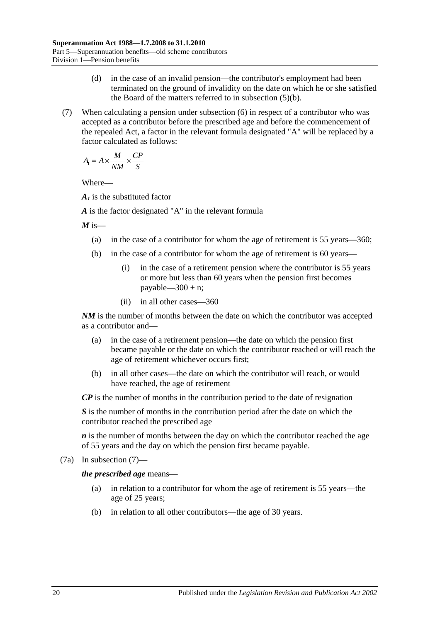- (d) in the case of an invalid pension—the contributor's employment had been terminated on the ground of invalidity on the date on which he or she satisfied the Board of the matters referred to in [subsection](#page-74-3) (5)(b).
- <span id="page-75-0"></span>(7) When calculating a pension under [subsection](#page-74-4) (6) in respect of a contributor who was accepted as a contributor before the prescribed age and before the commencement of the repealed Act, a factor in the relevant formula designated "A" will be replaced by a factor calculated as follows:

$$
A_1 = A \times \frac{M}{NM} \times \frac{CP}{S}
$$

Where—

*A1* is the substituted factor

*A* is the factor designated "A" in the relevant formula

 $M$  is—

- (a) in the case of a contributor for whom the age of retirement is 55 years—360;
- (b) in the case of a contributor for whom the age of retirement is 60 years—
	- (i) in the case of a retirement pension where the contributor is 55 years or more but less than 60 years when the pension first becomes payable— $300 + n$ ;
	- (ii) in all other cases—360

*NM* is the number of months between the date on which the contributor was accepted as a contributor and—

- (a) in the case of a retirement pension—the date on which the pension first became payable or the date on which the contributor reached or will reach the age of retirement whichever occurs first;
- (b) in all other cases—the date on which the contributor will reach, or would have reached, the age of retirement

*CP* is the number of months in the contribution period to the date of resignation

*S* is the number of months in the contribution period after the date on which the contributor reached the prescribed age

*n* is the number of months between the day on which the contributor reached the age of 55 years and the day on which the pension first became payable.

(7a) In [subsection](#page-75-0) (7)—

*the prescribed age* means—

- (a) in relation to a contributor for whom the age of retirement is 55 years—the age of 25 years;
- (b) in relation to all other contributors—the age of 30 years.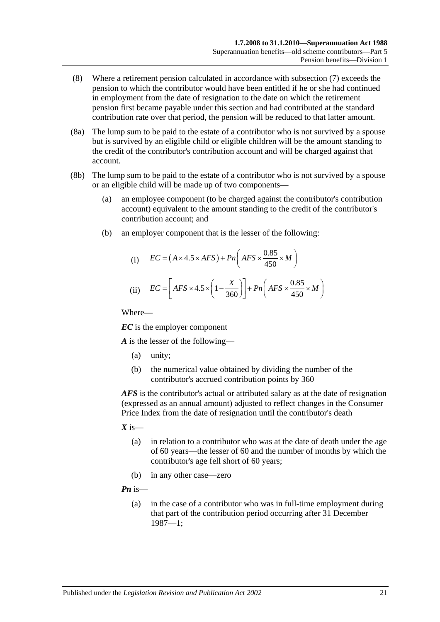- (8) Where a retirement pension calculated in accordance with [subsection](#page-75-0) (7) exceeds the pension to which the contributor would have been entitled if he or she had continued in employment from the date of resignation to the date on which the retirement pension first became payable under this section and had contributed at the standard contribution rate over that period, the pension will be reduced to that latter amount.
- (8a) The lump sum to be paid to the estate of a contributor who is not survived by a spouse but is survived by an eligible child or eligible children will be the amount standing to the credit of the contributor's contribution account and will be charged against that account.
- (8b) The lump sum to be paid to the estate of a contributor who is not survived by a spouse or an eligible child will be made up of two components—
	- (a) an employee component (to be charged against the contributor's contribution account) equivalent to the amount standing to the credit of the contributor's contribution account; and
	- (b) an employer component that is the lesser of the following:

(i) 
$$
EC = (A \times 4.5 \times AFS) + Pn\left(AFS \times \frac{0.85}{450} \times M\right)
$$
  
(ii) 
$$
EC = \left[AFS \times 4.5 \times \left(1 - \frac{X}{360}\right)\right] + Pn\left(AFS \times \frac{0.85}{450} \times M\right)
$$

Where—

*EC* is the employer component

*A* is the lesser of the following—

- (a) unity;
- (b) the numerical value obtained by dividing the number of the contributor's accrued contribution points by 360

*AFS* is the contributor's actual or attributed salary as at the date of resignation (expressed as an annual amount) adjusted to reflect changes in the Consumer Price Index from the date of resignation until the contributor's death

- $X$  is—
	- (a) in relation to a contributor who was at the date of death under the age of 60 years—the lesser of 60 and the number of months by which the contributor's age fell short of 60 years;
	- (b) in any other case—zero

*Pn* is—

(a) in the case of a contributor who was in full-time employment during that part of the contribution period occurring after 31 December 1987—1;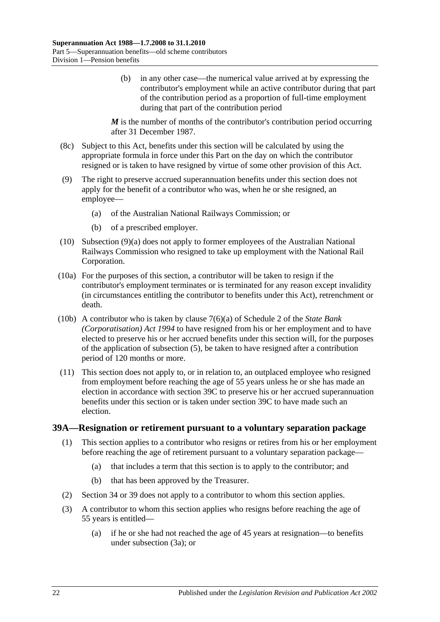(b) in any other case—the numerical value arrived at by expressing the contributor's employment while an active contributor during that part of the contribution period as a proportion of full-time employment during that part of the contribution period

*M* is the number of months of the contributor's contribution period occurring after 31 December 1987.

- (8c) Subject to this Act, benefits under this section will be calculated by using the appropriate formula in force under this Part on the day on which the contributor resigned or is taken to have resigned by virtue of some other provision of this Act.
- <span id="page-77-0"></span>(9) The right to preserve accrued superannuation benefits under this section does not apply for the benefit of a contributor who was, when he or she resigned, an employee—
	- (a) of the Australian National Railways Commission; or
	- (b) of a prescribed employer.
- (10) [Subsection](#page-77-0) (9)(a) does not apply to former employees of the Australian National Railways Commission who resigned to take up employment with the National Rail Corporation.
- (10a) For the purposes of this section, a contributor will be taken to resign if the contributor's employment terminates or is terminated for any reason except invalidity (in circumstances entitling the contributor to benefits under this Act), retrenchment or death.
- (10b) A contributor who is taken by clause 7(6)(a) of Schedule 2 of the *[State Bank](http://www.legislation.sa.gov.au/index.aspx?action=legref&type=act&legtitle=State%20Bank%20(Corporatisation)%20Act%201994)  [\(Corporatisation\) Act](http://www.legislation.sa.gov.au/index.aspx?action=legref&type=act&legtitle=State%20Bank%20(Corporatisation)%20Act%201994) 1994* to have resigned from his or her employment and to have elected to preserve his or her accrued benefits under this section will, for the purposes of the application of [subsection](#page-74-2) (5), be taken to have resigned after a contribution period of 120 months or more.
- (11) This section does not apply to, or in relation to, an outplaced employee who resigned from employment before reaching the age of 55 years unless he or she has made an election in accordance with [section](#page-80-0) 39C to preserve his or her accrued superannuation benefits under this section or is taken under [section](#page-80-0) 39C to have made such an election.

#### <span id="page-77-2"></span><span id="page-77-1"></span>**39A—Resignation or retirement pursuant to a voluntary separation package**

- (1) This section applies to a contributor who resigns or retires from his or her employment before reaching the age of retirement pursuant to a voluntary separation package—
	- (a) that includes a term that this section is to apply to the contributor; and
	- (b) that has been approved by the Treasurer.
- (2) [Section](#page-59-0) 34 or [39](#page-71-1) does not apply to a contributor to whom this section applies.
- (3) A contributor to whom this section applies who resigns before reaching the age of 55 years is entitled—
	- (a) if he or she had not reached the age of 45 years at resignation—to benefits under [subsection](#page-78-0) (3a); or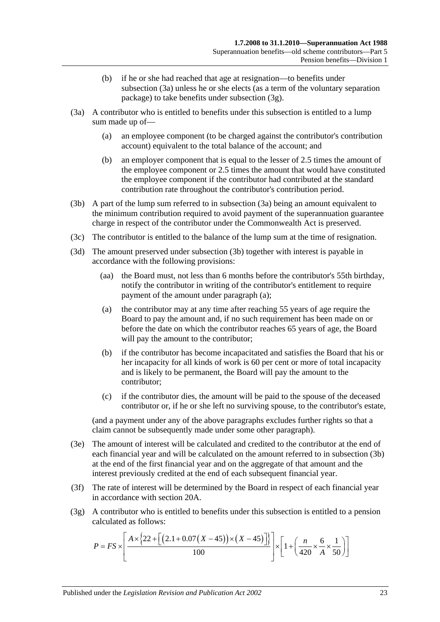- (b) if he or she had reached that age at resignation—to benefits under [subsection](#page-78-0) (3a) unless he or she elects (as a term of the voluntary separation package) to take benefits under [subsection](#page-78-1) (3g).
- <span id="page-78-4"></span><span id="page-78-0"></span>(3a) A contributor who is entitled to benefits under this subsection is entitled to a lump sum made up of—
	- (a) an employee component (to be charged against the contributor's contribution account) equivalent to the total balance of the account; and
	- (b) an employer component that is equal to the lesser of 2.5 times the amount of the employee component or 2.5 times the amount that would have constituted the employee component if the contributor had contributed at the standard contribution rate throughout the contributor's contribution period.
- <span id="page-78-2"></span>(3b) A part of the lump sum referred to in [subsection](#page-78-0) (3a) being an amount equivalent to the minimum contribution required to avoid payment of the superannuation guarantee charge in respect of the contributor under the Commonwealth Act is preserved.
- (3c) The contributor is entitled to the balance of the lump sum at the time of resignation.
- <span id="page-78-3"></span>(3d) The amount preserved under [subsection](#page-78-2) (3b) together with interest is payable in accordance with the following provisions:
	- (aa) the Board must, not less than 6 months before the contributor's 55th birthday, notify the contributor in writing of the contributor's entitlement to require payment of the amount under [paragraph](#page-78-3) (a);
	- (a) the contributor may at any time after reaching 55 years of age require the Board to pay the amount and, if no such requirement has been made on or before the date on which the contributor reaches 65 years of age, the Board will pay the amount to the contributor;
	- (b) if the contributor has become incapacitated and satisfies the Board that his or her incapacity for all kinds of work is 60 per cent or more of total incapacity and is likely to be permanent, the Board will pay the amount to the contributor;
	- (c) if the contributor dies, the amount will be paid to the spouse of the deceased contributor or, if he or she left no surviving spouse, to the contributor's estate,

(and a payment under any of the above paragraphs excludes further rights so that a claim cannot be subsequently made under some other paragraph).

- (3e) The amount of interest will be calculated and credited to the contributor at the end of each financial year and will be calculated on the amount referred to in [subsection](#page-78-2) (3b) at the end of the first financial year and on the aggregate of that amount and the interest previously credited at the end of each subsequent financial year.
- (3f) The rate of interest will be determined by the Board in respect of each financial year in accordance with [section](#page-21-0) 20A.
- <span id="page-78-1"></span>(3g) A contributor who is entitled to benefits under this subsection is entitled to a pension calculated as follows:

$$
P = FS \times \left[ \frac{A \times \left\{ 22 + \left[ \left( 2.1 + 0.07 \left( X - 45 \right) \right) \times \left( X - 45 \right) \right] \right\}}{100} \right] \times \left[ 1 + \left( \frac{n}{420} \times \frac{6}{A} \times \frac{1}{50} \right) \right]
$$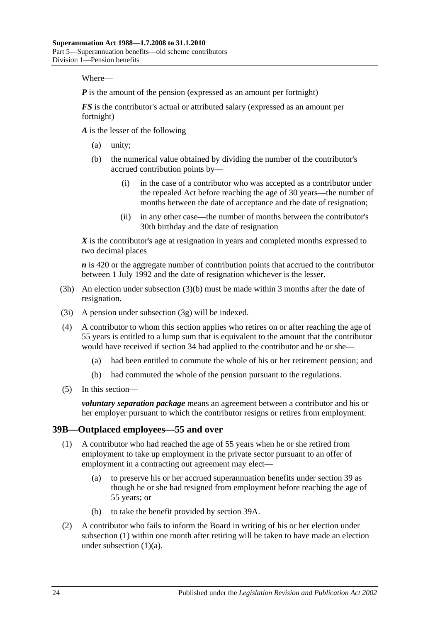Where—

*P* is the amount of the pension (expressed as an amount per fortnight)

*FS* is the contributor's actual or attributed salary (expressed as an amount per fortnight)

*A* is the lesser of the following

- (a) unity;
- (b) the numerical value obtained by dividing the number of the contributor's accrued contribution points by—
	- (i) in the case of a contributor who was accepted as a contributor under the repealed Act before reaching the age of 30 years—the number of months between the date of acceptance and the date of resignation;
	- (ii) in any other case—the number of months between the contributor's 30th birthday and the date of resignation

*X* is the contributor's age at resignation in years and completed months expressed to two decimal places

*n* is 420 or the aggregate number of contribution points that accrued to the contributor between 1 July 1992 and the date of resignation whichever is the lesser.

- (3h) An election under [subsection](#page-78-4) (3)(b) must be made within 3 months after the date of resignation.
- (3i) A pension under [subsection](#page-78-1) (3g) will be indexed.
- (4) A contributor to whom this section applies who retires on or after reaching the age of 55 years is entitled to a lump sum that is equivalent to the amount that the contributor would have received if [section](#page-59-0) 34 had applied to the contributor and he or she—
	- (a) had been entitled to commute the whole of his or her retirement pension; and
	- (b) had commuted the whole of the pension pursuant to the regulations.
- (5) In this section—

*voluntary separation package* means an agreement between a contributor and his or her employer pursuant to which the contributor resigns or retires from employment.

#### <span id="page-79-0"></span>**39B—Outplaced employees—55 and over**

- <span id="page-79-1"></span>(1) A contributor who had reached the age of 55 years when he or she retired from employment to take up employment in the private sector pursuant to an offer of employment in a contracting out agreement may elect—
	- (a) to preserve his or her accrued superannuation benefits under [section](#page-71-1) 39 as though he or she had resigned from employment before reaching the age of 55 years; or
	- (b) to take the benefit provided by [section](#page-77-1) 39A.
- <span id="page-79-3"></span><span id="page-79-2"></span>(2) A contributor who fails to inform the Board in writing of his or her election under [subsection](#page-79-0) (1) within one month after retiring will be taken to have made an election under [subsection](#page-79-1)  $(1)(a)$ .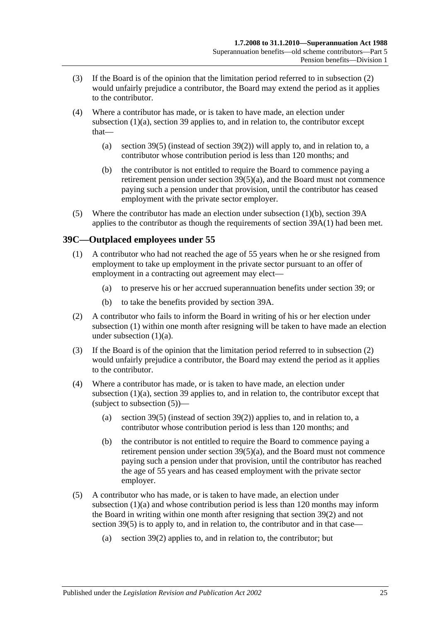- (3) If the Board is of the opinion that the limitation period referred to in [subsection](#page-79-2) (2) would unfairly prejudice a contributor, the Board may extend the period as it applies to the contributor.
- (4) Where a contributor has made, or is taken to have made, an election under [subsection](#page-79-1) (1)(a), [section](#page-71-1) 39 applies to, and in relation to, the contributor except that
	- (a) [section](#page-74-2) 39(5) (instead of [section](#page-73-1) 39(2)) will apply to, and in relation to, a contributor whose contribution period is less than 120 months; and
	- (b) the contributor is not entitled to require the Board to commence paying a retirement pension under section [39\(5\)\(a\),](#page-74-1) and the Board must not commence paying such a pension under that provision, until the contributor has ceased employment with the private sector employer.
- (5) Where the contributor has made an election under [subsection](#page-79-3) (1)(b), [section](#page-77-1) 39A applies to the contributor as though the requirements of [section](#page-77-2) 39A(1) had been met.

# <span id="page-80-1"></span><span id="page-80-0"></span>**39C—Outplaced employees under 55**

- <span id="page-80-2"></span>(1) A contributor who had not reached the age of 55 years when he or she resigned from employment to take up employment in the private sector pursuant to an offer of employment in a contracting out agreement may elect—
	- (a) to preserve his or her accrued superannuation benefits under [section](#page-71-1) 39; or
	- (b) to take the benefits provided by [section](#page-77-1) 39A.
- <span id="page-80-5"></span><span id="page-80-3"></span>(2) A contributor who fails to inform the Board in writing of his or her election under [subsection](#page-80-1) (1) within one month after resigning will be taken to have made an election under [subsection](#page-80-2) (1)(a).
- (3) If the Board is of the opinion that the limitation period referred to in [subsection](#page-80-3) (2) would unfairly prejudice a contributor, the Board may extend the period as it applies to the contributor.
- (4) Where a contributor has made, or is taken to have made, an election under [subsection](#page-80-2) (1)(a), [section](#page-71-1) 39 applies to, and in relation to, the contributor except that (subject to [subsection](#page-80-4)  $(5)$ )—
	- (a) [section](#page-74-2) 39(5) (instead of [section](#page-73-1) 39(2)) applies to, and in relation to, a contributor whose contribution period is less than 120 months; and
	- (b) the contributor is not entitled to require the Board to commence paying a retirement pension under section  $39(5)(a)$ , and the Board must not commence paying such a pension under that provision, until the contributor has reached the age of 55 years and has ceased employment with the private sector employer.
- <span id="page-80-4"></span>(5) A contributor who has made, or is taken to have made, an election under [subsection](#page-80-2) (1)(a) and whose contribution period is less than 120 months may inform the Board in writing within one month after resigning that [section](#page-73-1) 39(2) and not [section](#page-74-2) 39(5) is to apply to, and in relation to, the contributor and in that case—
	- (a) [section](#page-73-1) 39(2) applies to, and in relation to, the contributor; but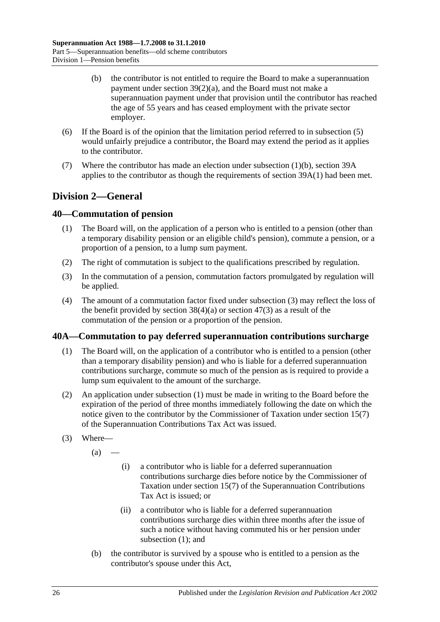- (b) the contributor is not entitled to require the Board to make a superannuation payment under section [39\(2\)\(a\),](#page-73-0) and the Board must not make a superannuation payment under that provision until the contributor has reached the age of 55 years and has ceased employment with the private sector employer.
- (6) If the Board is of the opinion that the limitation period referred to in [subsection](#page-80-4) (5) would unfairly prejudice a contributor, the Board may extend the period as it applies to the contributor.
- (7) Where the contributor has made an election under [subsection](#page-80-5) (1)(b), [section](#page-77-1) 39A applies to the contributor as though the requirements of [section](#page-77-2) 39A(1) had been met.

# **Division 2—General**

## <span id="page-81-3"></span>**40—Commutation of pension**

- (1) The Board will, on the application of a person who is entitled to a pension (other than a temporary disability pension or an eligible child's pension), commute a pension, or a proportion of a pension, to a lump sum payment.
- (2) The right of commutation is subject to the qualifications prescribed by regulation.
- <span id="page-81-0"></span>(3) In the commutation of a pension, commutation factors promulgated by regulation will be applied.
- (4) The amount of a commutation factor fixed under [subsection](#page-81-0) (3) may reflect the loss of the benefit provided by [section](#page-97-0)  $38(4)(a)$  or section  $47(3)$  as a result of the commutation of the pension or a proportion of the pension.

## <span id="page-81-1"></span>**40A—Commutation to pay deferred superannuation contributions surcharge**

- (1) The Board will, on the application of a contributor who is entitled to a pension (other than a temporary disability pension) and who is liable for a deferred superannuation contributions surcharge, commute so much of the pension as is required to provide a lump sum equivalent to the amount of the surcharge.
- (2) An application under [subsection](#page-81-1) (1) must be made in writing to the Board before the expiration of the period of three months immediately following the date on which the notice given to the contributor by the Commissioner of Taxation under section 15(7) of the Superannuation Contributions Tax Act was issued.
- <span id="page-81-2"></span>(3) Where—
	- $(a)$  —
- (i) a contributor who is liable for a deferred superannuation contributions surcharge dies before notice by the Commissioner of Taxation under section 15(7) of the Superannuation Contributions Tax Act is issued; or
- (ii) a contributor who is liable for a deferred superannuation contributions surcharge dies within three months after the issue of such a notice without having commuted his or her pension under [subsection](#page-81-1) (1); and
- (b) the contributor is survived by a spouse who is entitled to a pension as the contributor's spouse under this Act,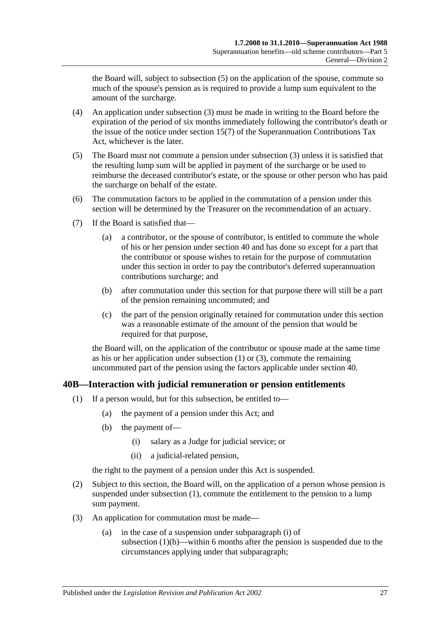the Board will, subject to [subsection](#page-82-0) (5) on the application of the spouse, commute so much of the spouse's pension as is required to provide a lump sum equivalent to the amount of the surcharge.

- (4) An application under [subsection](#page-81-2) (3) must be made in writing to the Board before the expiration of the period of six months immediately following the contributor's death or the issue of the notice under section 15(7) of the Superannuation Contributions Tax Act, whichever is the later.
- <span id="page-82-0"></span>(5) The Board must not commute a pension under [subsection](#page-81-2) (3) unless it is satisfied that the resulting lump sum will be applied in payment of the surcharge or be used to reimburse the deceased contributor's estate, or the spouse or other person who has paid the surcharge on behalf of the estate.
- (6) The commutation factors to be applied in the commutation of a pension under this section will be determined by the Treasurer on the recommendation of an actuary.
- (7) If the Board is satisfied that—
	- (a) a contributor, or the spouse of contributor, is entitled to commute the whole of his or her pension under [section](#page-81-3) 40 and has done so except for a part that the contributor or spouse wishes to retain for the purpose of commutation under this section in order to pay the contributor's deferred superannuation contributions surcharge; and
	- (b) after commutation under this section for that purpose there will still be a part of the pension remaining uncommuted; and
	- (c) the part of the pension originally retained for commutation under this section was a reasonable estimate of the amount of the pension that would be required for that purpose,

the Board will, on the application of the contributor or spouse made at the same time as his or her application under [subsection](#page-81-1) (1) or [\(3\),](#page-81-2) commute the remaining uncommuted part of the pension using the factors applicable under [section](#page-81-3) 40.

## <span id="page-82-1"></span>**40B—Interaction with judicial remuneration or pension entitlements**

- <span id="page-82-3"></span><span id="page-82-2"></span>(1) If a person would, but for this subsection, be entitled to—
	- (a) the payment of a pension under this Act; and
	- (b) the payment of—
		- (i) salary as a Judge for judicial service; or
		- (ii) a judicial-related pension,

the right to the payment of a pension under this Act is suspended.

- <span id="page-82-4"></span>(2) Subject to this section, the Board will, on the application of a person whose pension is suspended under [subsection](#page-82-1) (1), commute the entitlement to the pension to a lump sum payment.
- <span id="page-82-5"></span>(3) An application for commutation must be made—
	- (a) in the case of a suspension under [subparagraph](#page-82-2) (i) of [subsection](#page-82-3)  $(1)(b)$ —within 6 months after the pension is suspended due to the circumstances applying under that subparagraph;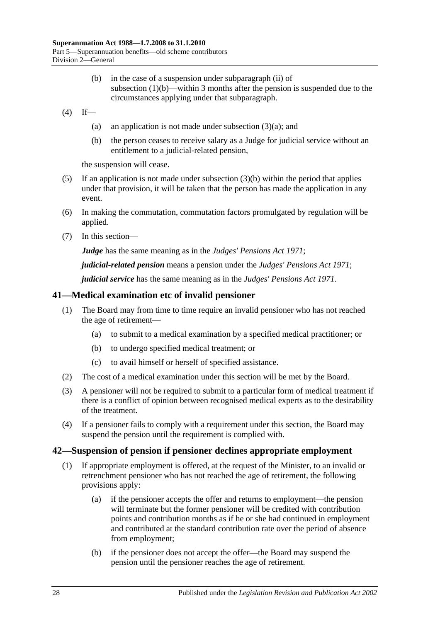- (b) in the case of a suspension under [subparagraph](#page-82-4) (ii) of [subsection](#page-82-3) (1)(b)—within 3 months after the pension is suspended due to the circumstances applying under that subparagraph.
- <span id="page-83-0"></span> $(4)$  If
	- (a) an application is not made under [subsection](#page-82-5)  $(3)(a)$ ; and
	- (b) the person ceases to receive salary as a Judge for judicial service without an entitlement to a judicial-related pension,

the suspension will cease.

- (5) If an application is not made under [subsection](#page-83-0)  $(3)(b)$  within the period that applies under that provision, it will be taken that the person has made the application in any event.
- (6) In making the commutation, commutation factors promulgated by regulation will be applied.
- (7) In this section—

*Judge* has the same meaning as in the *[Judges' Pensions Act](http://www.legislation.sa.gov.au/index.aspx?action=legref&type=act&legtitle=Judges%20Pensions%20Act%201971) 1971*;

*judicial-related pension* means a pension under the *[Judges' Pensions Act](http://www.legislation.sa.gov.au/index.aspx?action=legref&type=act&legtitle=Judges%20Pensions%20Act%201971) 1971*;

*judicial service* has the same meaning as in the *[Judges' Pensions Act](http://www.legislation.sa.gov.au/index.aspx?action=legref&type=act&legtitle=Judges%20Pensions%20Act%201971) 1971*.

#### **41—Medical examination etc of invalid pensioner**

- (1) The Board may from time to time require an invalid pensioner who has not reached the age of retirement—
	- (a) to submit to a medical examination by a specified medical practitioner; or
	- (b) to undergo specified medical treatment; or
	- (c) to avail himself or herself of specified assistance.
- (2) The cost of a medical examination under this section will be met by the Board.
- (3) A pensioner will not be required to submit to a particular form of medical treatment if there is a conflict of opinion between recognised medical experts as to the desirability of the treatment.
- (4) If a pensioner fails to comply with a requirement under this section, the Board may suspend the pension until the requirement is complied with.

#### <span id="page-83-1"></span>**42—Suspension of pension if pensioner declines appropriate employment**

- (1) If appropriate employment is offered, at the request of the Minister, to an invalid or retrenchment pensioner who has not reached the age of retirement, the following provisions apply:
	- (a) if the pensioner accepts the offer and returns to employment—the pension will terminate but the former pensioner will be credited with contribution points and contribution months as if he or she had continued in employment and contributed at the standard contribution rate over the period of absence from employment;
	- (b) if the pensioner does not accept the offer—the Board may suspend the pension until the pensioner reaches the age of retirement.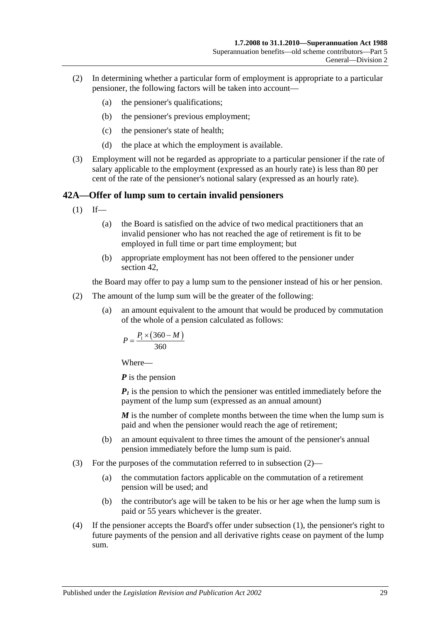- (2) In determining whether a particular form of employment is appropriate to a particular pensioner, the following factors will be taken into account—
	- (a) the pensioner's qualifications;
	- (b) the pensioner's previous employment;
	- (c) the pensioner's state of health;
	- (d) the place at which the employment is available.
- (3) Employment will not be regarded as appropriate to a particular pensioner if the rate of salary applicable to the employment (expressed as an hourly rate) is less than 80 per cent of the rate of the pensioner's notional salary (expressed as an hourly rate).

# <span id="page-84-1"></span>**42A—Offer of lump sum to certain invalid pensioners**

- $(1)$  If—
	- (a) the Board is satisfied on the advice of two medical practitioners that an invalid pensioner who has not reached the age of retirement is fit to be employed in full time or part time employment; but
	- (b) appropriate employment has not been offered to the pensioner under [section](#page-83-1) 42,

the Board may offer to pay a lump sum to the pensioner instead of his or her pension.

- <span id="page-84-0"></span>(2) The amount of the lump sum will be the greater of the following:
	- (a) an amount equivalent to the amount that would be produced by commutation of the whole of a pension calculated as follows:

$$
P = \frac{P_1 \times (360 - M)}{360}
$$

Where—

*P* is the pension

 $P_1$  is the pension to which the pensioner was entitled immediately before the payment of the lump sum (expressed as an annual amount)

*M* is the number of complete months between the time when the lump sum is paid and when the pensioner would reach the age of retirement;

- (b) an amount equivalent to three times the amount of the pensioner's annual pension immediately before the lump sum is paid.
- (3) For the purposes of the commutation referred to in [subsection](#page-84-0) (2)—
	- (a) the commutation factors applicable on the commutation of a retirement pension will be used; and
	- (b) the contributor's age will be taken to be his or her age when the lump sum is paid or 55 years whichever is the greater.
- (4) If the pensioner accepts the Board's offer under [subsection](#page-84-1) (1), the pensioner's right to future payments of the pension and all derivative rights cease on payment of the lump sum.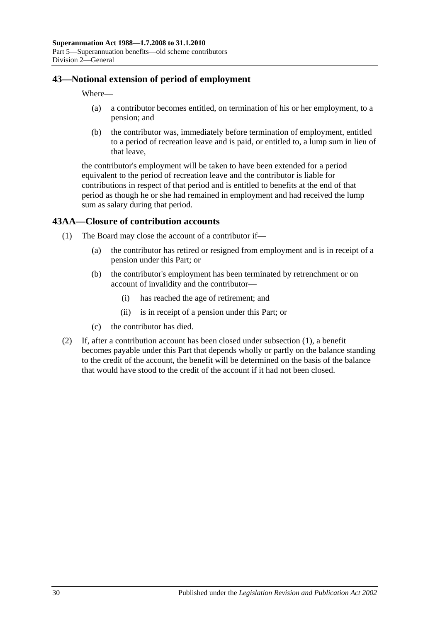## **43—Notional extension of period of employment**

Where—

- (a) a contributor becomes entitled, on termination of his or her employment, to a pension; and
- (b) the contributor was, immediately before termination of employment, entitled to a period of recreation leave and is paid, or entitled to, a lump sum in lieu of that leave,

the contributor's employment will be taken to have been extended for a period equivalent to the period of recreation leave and the contributor is liable for contributions in respect of that period and is entitled to benefits at the end of that period as though he or she had remained in employment and had received the lump sum as salary during that period.

## <span id="page-85-0"></span>**43AA—Closure of contribution accounts**

- (1) The Board may close the account of a contributor if—
	- (a) the contributor has retired or resigned from employment and is in receipt of a pension under this Part; or
	- (b) the contributor's employment has been terminated by retrenchment or on account of invalidity and the contributor—
		- (i) has reached the age of retirement; and
		- (ii) is in receipt of a pension under this Part; or
	- (c) the contributor has died.
- (2) If, after a contribution account has been closed under [subsection](#page-85-0) (1), a benefit becomes payable under this Part that depends wholly or partly on the balance standing to the credit of the account, the benefit will be determined on the basis of the balance that would have stood to the credit of the account if it had not been closed.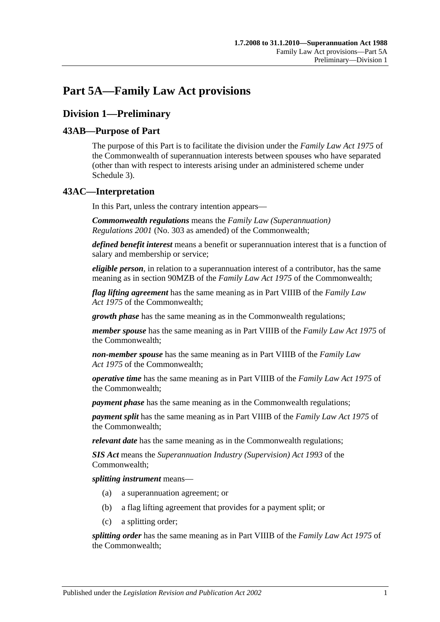# **Part 5A—Family Law Act provisions**

# **Division 1—Preliminary**

## **43AB—Purpose of Part**

The purpose of this Part is to facilitate the division under the *Family Law Act 1975* of the Commonwealth of superannuation interests between spouses who have separated (other than with respect to interests arising under an administered scheme under [Schedule 3\)](#page-128-0).

## **43AC—Interpretation**

In this Part, unless the contrary intention appears—

*Commonwealth regulations* means the *Family Law (Superannuation) Regulations 2001* (No. 303 as amended) of the Commonwealth;

*defined benefit interest* means a benefit or superannuation interest that is a function of salary and membership or service;

*eligible person*, in relation to a superannuation interest of a contributor, has the same meaning as in section 90MZB of the *Family Law Act 1975* of the Commonwealth;

*flag lifting agreement* has the same meaning as in Part VIIIB of the *Family Law Act 1975* of the Commonwealth;

*growth phase* has the same meaning as in the Commonwealth regulations;

*member spouse* has the same meaning as in Part VIIIB of the *Family Law Act 1975* of the Commonwealth;

*non-member spouse* has the same meaning as in Part VIIIB of the *Family Law Act 1975* of the Commonwealth;

*operative time* has the same meaning as in Part VIIIB of the *Family Law Act 1975* of the Commonwealth;

*payment phase* has the same meaning as in the Commonwealth regulations;

*payment split* has the same meaning as in Part VIIIB of the *Family Law Act 1975* of the Commonwealth;

*relevant date* has the same meaning as in the Commonwealth regulations;

*SIS Act* means the *Superannuation Industry (Supervision) Act 1993* of the Commonwealth;

*splitting instrument* means—

- (a) a superannuation agreement; or
- (b) a flag lifting agreement that provides for a payment split; or
- (c) a splitting order;

*splitting order* has the same meaning as in Part VIIIB of the *Family Law Act 1975* of the Commonwealth;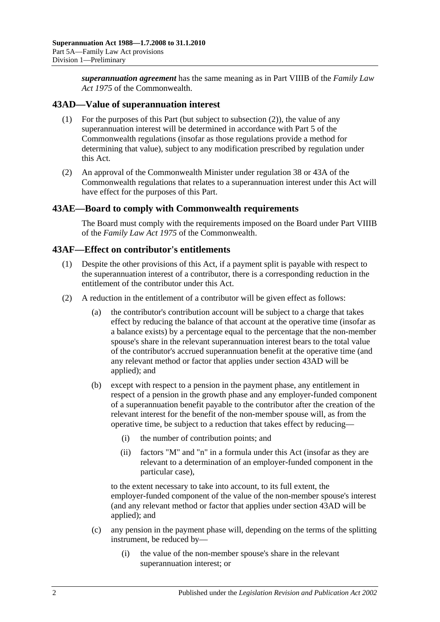*superannuation agreement* has the same meaning as in Part VIIIB of the *Family Law Act 1975* of the Commonwealth.

## <span id="page-87-1"></span>**43AD—Value of superannuation interest**

- (1) For the purposes of this Part (but subject to [subsection](#page-87-0) (2)), the value of any superannuation interest will be determined in accordance with Part 5 of the Commonwealth regulations (insofar as those regulations provide a method for determining that value), subject to any modification prescribed by regulation under this Act.
- <span id="page-87-0"></span>(2) An approval of the Commonwealth Minister under regulation 38 or 43A of the Commonwealth regulations that relates to a superannuation interest under this Act will have effect for the purposes of this Part.

#### **43AE—Board to comply with Commonwealth requirements**

The Board must comply with the requirements imposed on the Board under Part VIIIB of the *Family Law Act 1975* of the Commonwealth.

#### **43AF—Effect on contributor's entitlements**

- (1) Despite the other provisions of this Act, if a payment split is payable with respect to the superannuation interest of a contributor, there is a corresponding reduction in the entitlement of the contributor under this Act.
- <span id="page-87-2"></span>(2) A reduction in the entitlement of a contributor will be given effect as follows:
	- (a) the contributor's contribution account will be subject to a charge that takes effect by reducing the balance of that account at the operative time (insofar as a balance exists) by a percentage equal to the percentage that the non-member spouse's share in the relevant superannuation interest bears to the total value of the contributor's accrued superannuation benefit at the operative time (and any relevant method or factor that applies under [section](#page-87-1) 43AD will be applied); and
	- (b) except with respect to a pension in the payment phase, any entitlement in respect of a pension in the growth phase and any employer-funded component of a superannuation benefit payable to the contributor after the creation of the relevant interest for the benefit of the non-member spouse will, as from the operative time, be subject to a reduction that takes effect by reducing—
		- (i) the number of contribution points; and
		- (ii) factors "M" and "n" in a formula under this Act (insofar as they are relevant to a determination of an employer-funded component in the particular case),

to the extent necessary to take into account, to its full extent, the employer-funded component of the value of the non-member spouse's interest (and any relevant method or factor that applies under [section](#page-87-1) 43AD will be applied); and

- (c) any pension in the payment phase will, depending on the terms of the splitting instrument, be reduced by—
	- (i) the value of the non-member spouse's share in the relevant superannuation interest; or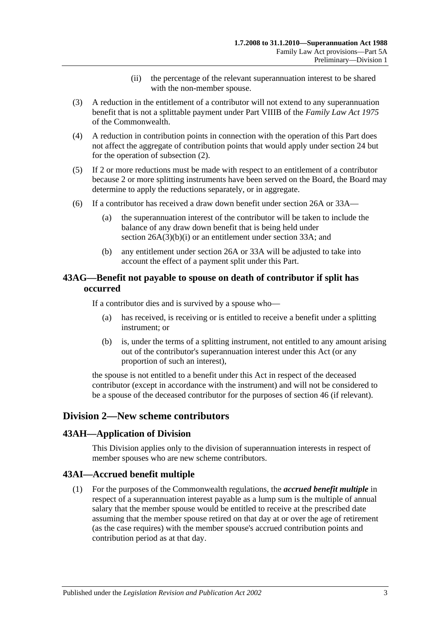- (ii) the percentage of the relevant superannuation interest to be shared with the non-member spouse.
- (3) A reduction in the entitlement of a contributor will not extend to any superannuation benefit that is not a splittable payment under Part VIIIB of the *Family Law Act 1975* of the Commonwealth.
- (4) A reduction in contribution points in connection with the operation of this Part does not affect the aggregate of contribution points that would apply under [section](#page-28-0) 24 but for the operation of [subsection](#page-87-2) (2).
- (5) If 2 or more reductions must be made with respect to an entitlement of a contributor because 2 or more splitting instruments have been served on the Board, the Board may determine to apply the reductions separately, or in aggregate.
- (6) If a contributor has received a draw down benefit under [section](#page-30-0) 26A or [33A—](#page-56-0)
	- (a) the superannuation interest of the contributor will be taken to include the balance of any draw down benefit that is being held under section [26A\(3\)\(b\)\(i\)](#page-31-0) or an entitlement under [section](#page-56-0) 33A; and
	- (b) any entitlement under [section](#page-30-0) 26A or [33A](#page-56-0) will be adjusted to take into account the effect of a payment split under this Part.

## **43AG—Benefit not payable to spouse on death of contributor if split has occurred**

If a contributor dies and is survived by a spouse who—

- (a) has received, is receiving or is entitled to receive a benefit under a splitting instrument; or
- (b) is, under the terms of a splitting instrument, not entitled to any amount arising out of the contributor's superannuation interest under this Act (or any proportion of such an interest),

the spouse is not entitled to a benefit under this Act in respect of the deceased contributor (except in accordance with the instrument) and will not be considered to be a spouse of the deceased contributor for the purposes of [section](#page-96-0) 46 (if relevant).

# **Division 2—New scheme contributors**

#### **43AH—Application of Division**

This Division applies only to the division of superannuation interests in respect of member spouses who are new scheme contributors.

## **43AI—Accrued benefit multiple**

(1) For the purposes of the Commonwealth regulations, the *accrued benefit multiple* in respect of a superannuation interest payable as a lump sum is the multiple of annual salary that the member spouse would be entitled to receive at the prescribed date assuming that the member spouse retired on that day at or over the age of retirement (as the case requires) with the member spouse's accrued contribution points and contribution period as at that day.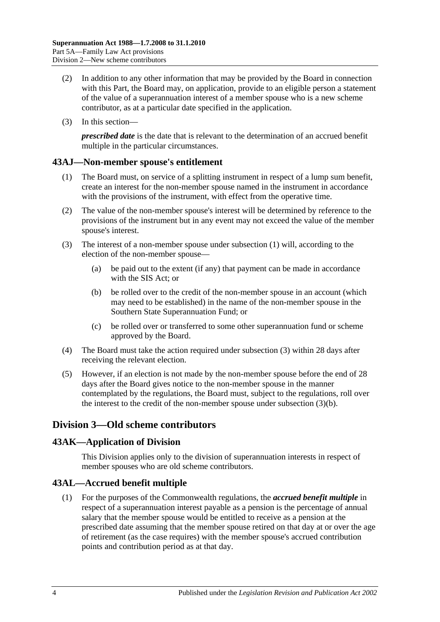- (2) In addition to any other information that may be provided by the Board in connection with this Part, the Board may, on application, provide to an eligible person a statement of the value of a superannuation interest of a member spouse who is a new scheme contributor, as at a particular date specified in the application.
- (3) In this section—

*prescribed date* is the date that is relevant to the determination of an accrued benefit multiple in the particular circumstances.

## <span id="page-89-0"></span>**43AJ—Non-member spouse's entitlement**

- (1) The Board must, on service of a splitting instrument in respect of a lump sum benefit, create an interest for the non-member spouse named in the instrument in accordance with the provisions of the instrument, with effect from the operative time.
- (2) The value of the non-member spouse's interest will be determined by reference to the provisions of the instrument but in any event may not exceed the value of the member spouse's interest.
- <span id="page-89-2"></span><span id="page-89-1"></span>(3) The interest of a non-member spouse under [subsection](#page-89-0) (1) will, according to the election of the non-member spouse—
	- (a) be paid out to the extent (if any) that payment can be made in accordance with the SIS Act; or
	- (b) be rolled over to the credit of the non-member spouse in an account (which may need to be established) in the name of the non-member spouse in the Southern State Superannuation Fund; or
	- (c) be rolled over or transferred to some other superannuation fund or scheme approved by the Board.
- (4) The Board must take the action required under [subsection](#page-89-1) (3) within 28 days after receiving the relevant election.
- (5) However, if an election is not made by the non-member spouse before the end of 28 days after the Board gives notice to the non-member spouse in the manner contemplated by the regulations, the Board must, subject to the regulations, roll over the interest to the credit of the non-member spouse under [subsection](#page-89-2) (3)(b).

# **Division 3—Old scheme contributors**

## **43AK—Application of Division**

This Division applies only to the division of superannuation interests in respect of member spouses who are old scheme contributors.

## **43AL—Accrued benefit multiple**

(1) For the purposes of the Commonwealth regulations, the *accrued benefit multiple* in respect of a superannuation interest payable as a pension is the percentage of annual salary that the member spouse would be entitled to receive as a pension at the prescribed date assuming that the member spouse retired on that day at or over the age of retirement (as the case requires) with the member spouse's accrued contribution points and contribution period as at that day.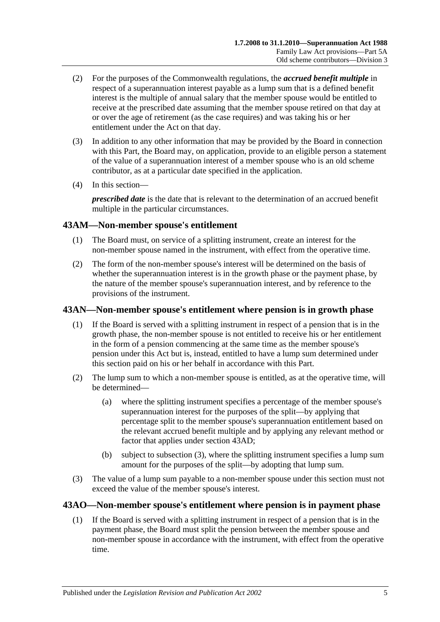- (2) For the purposes of the Commonwealth regulations, the *accrued benefit multiple* in respect of a superannuation interest payable as a lump sum that is a defined benefit interest is the multiple of annual salary that the member spouse would be entitled to receive at the prescribed date assuming that the member spouse retired on that day at or over the age of retirement (as the case requires) and was taking his or her entitlement under the Act on that day.
- (3) In addition to any other information that may be provided by the Board in connection with this Part, the Board may, on application, provide to an eligible person a statement of the value of a superannuation interest of a member spouse who is an old scheme contributor, as at a particular date specified in the application.
- (4) In this section—

*prescribed date* is the date that is relevant to the determination of an accrued benefit multiple in the particular circumstances.

## **43AM—Non-member spouse's entitlement**

- (1) The Board must, on service of a splitting instrument, create an interest for the non-member spouse named in the instrument, with effect from the operative time.
- (2) The form of the non-member spouse's interest will be determined on the basis of whether the superannuation interest is in the growth phase or the payment phase, by the nature of the member spouse's superannuation interest, and by reference to the provisions of the instrument.

## **43AN—Non-member spouse's entitlement where pension is in growth phase**

- (1) If the Board is served with a splitting instrument in respect of a pension that is in the growth phase, the non-member spouse is not entitled to receive his or her entitlement in the form of a pension commencing at the same time as the member spouse's pension under this Act but is, instead, entitled to have a lump sum determined under this section paid on his or her behalf in accordance with this Part.
- (2) The lump sum to which a non-member spouse is entitled, as at the operative time, will be determined—
	- (a) where the splitting instrument specifies a percentage of the member spouse's superannuation interest for the purposes of the split—by applying that percentage split to the member spouse's superannuation entitlement based on the relevant accrued benefit multiple and by applying any relevant method or factor that applies under [section](#page-87-1) 43AD;
	- (b) subject to [subsection](#page-90-0) (3), where the splitting instrument specifies a lump sum amount for the purposes of the split—by adopting that lump sum.
- <span id="page-90-0"></span>(3) The value of a lump sum payable to a non-member spouse under this section must not exceed the value of the member spouse's interest.

## <span id="page-90-1"></span>**43AO—Non-member spouse's entitlement where pension is in payment phase**

(1) If the Board is served with a splitting instrument in respect of a pension that is in the payment phase, the Board must split the pension between the member spouse and non-member spouse in accordance with the instrument, with effect from the operative time.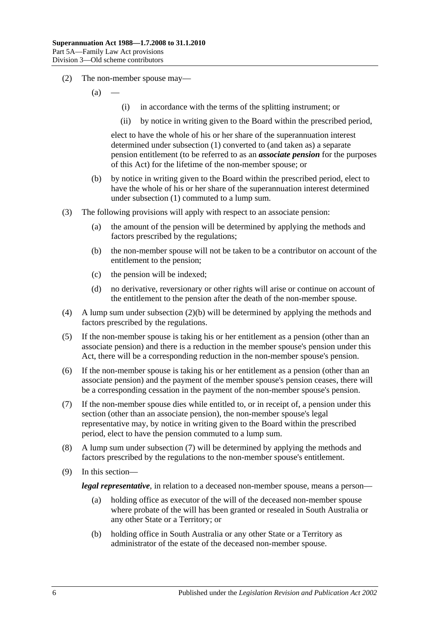- (2) The non-member spouse may—
	- $(a)$
- (i) in accordance with the terms of the splitting instrument; or
- (ii) by notice in writing given to the Board within the prescribed period,

elect to have the whole of his or her share of the superannuation interest determined under [subsection](#page-90-1) (1) converted to (and taken as) a separate pension entitlement (to be referred to as an *associate pension* for the purposes of this Act) for the lifetime of the non-member spouse; or

- <span id="page-91-0"></span>(b) by notice in writing given to the Board within the prescribed period, elect to have the whole of his or her share of the superannuation interest determined under [subsection](#page-90-1) (1) commuted to a lump sum.
- (3) The following provisions will apply with respect to an associate pension:
	- (a) the amount of the pension will be determined by applying the methods and factors prescribed by the regulations;
	- (b) the non-member spouse will not be taken to be a contributor on account of the entitlement to the pension;
	- (c) the pension will be indexed;
	- (d) no derivative, reversionary or other rights will arise or continue on account of the entitlement to the pension after the death of the non-member spouse.
- (4) A lump sum under [subsection](#page-91-0) (2)(b) will be determined by applying the methods and factors prescribed by the regulations.
- (5) If the non-member spouse is taking his or her entitlement as a pension (other than an associate pension) and there is a reduction in the member spouse's pension under this Act, there will be a corresponding reduction in the non-member spouse's pension.
- (6) If the non-member spouse is taking his or her entitlement as a pension (other than an associate pension) and the payment of the member spouse's pension ceases, there will be a corresponding cessation in the payment of the non-member spouse's pension.
- <span id="page-91-1"></span>(7) If the non-member spouse dies while entitled to, or in receipt of, a pension under this section (other than an associate pension), the non-member spouse's legal representative may, by notice in writing given to the Board within the prescribed period, elect to have the pension commuted to a lump sum.
- (8) A lump sum under [subsection](#page-91-1) (7) will be determined by applying the methods and factors prescribed by the regulations to the non-member spouse's entitlement.
- (9) In this section—

*legal representative*, in relation to a deceased non-member spouse, means a person—

- (a) holding office as executor of the will of the deceased non-member spouse where probate of the will has been granted or resealed in South Australia or any other State or a Territory; or
- (b) holding office in South Australia or any other State or a Territory as administrator of the estate of the deceased non-member spouse.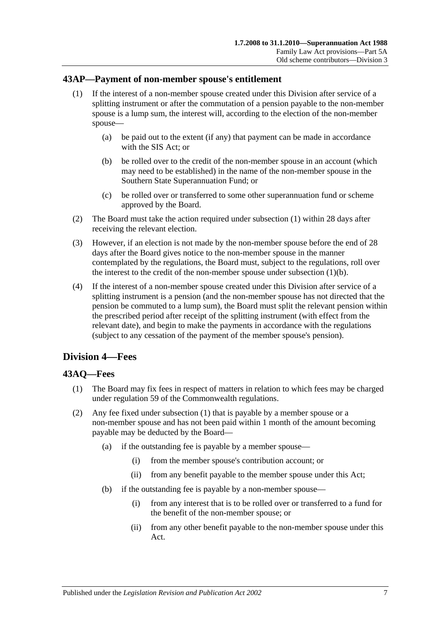#### <span id="page-92-0"></span>**43AP—Payment of non-member spouse's entitlement**

- (1) If the interest of a non-member spouse created under this Division after service of a splitting instrument or after the commutation of a pension payable to the non-member spouse is a lump sum, the interest will, according to the election of the non-member spouse—
	- (a) be paid out to the extent (if any) that payment can be made in accordance with the SIS Act; or
	- (b) be rolled over to the credit of the non-member spouse in an account (which may need to be established) in the name of the non-member spouse in the Southern State Superannuation Fund; or
	- (c) be rolled over or transferred to some other superannuation fund or scheme approved by the Board.
- <span id="page-92-1"></span>(2) The Board must take the action required under [subsection](#page-92-0) (1) within 28 days after receiving the relevant election.
- (3) However, if an election is not made by the non-member spouse before the end of 28 days after the Board gives notice to the non-member spouse in the manner contemplated by the regulations, the Board must, subject to the regulations, roll over the interest to the credit of the non-member spouse under [subsection](#page-92-1)  $(1)(b)$ .
- (4) If the interest of a non-member spouse created under this Division after service of a splitting instrument is a pension (and the non-member spouse has not directed that the pension be commuted to a lump sum), the Board must split the relevant pension within the prescribed period after receipt of the splitting instrument (with effect from the relevant date), and begin to make the payments in accordance with the regulations (subject to any cessation of the payment of the member spouse's pension).

# **Division 4—Fees**

## <span id="page-92-2"></span>**43AQ—Fees**

- (1) The Board may fix fees in respect of matters in relation to which fees may be charged under regulation 59 of the Commonwealth regulations.
- (2) Any fee fixed under [subsection](#page-92-2) (1) that is payable by a member spouse or a non-member spouse and has not been paid within 1 month of the amount becoming payable may be deducted by the Board—
	- (a) if the outstanding fee is payable by a member spouse—
		- (i) from the member spouse's contribution account; or
		- (ii) from any benefit payable to the member spouse under this Act;
	- (b) if the outstanding fee is payable by a non-member spouse—
		- (i) from any interest that is to be rolled over or transferred to a fund for the benefit of the non-member spouse; or
		- (ii) from any other benefit payable to the non-member spouse under this Act.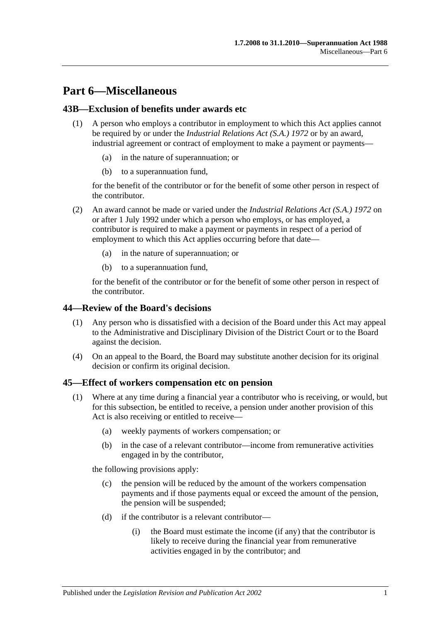# **Part 6—Miscellaneous**

## **43B—Exclusion of benefits under awards etc**

- (1) A person who employs a contributor in employment to which this Act applies cannot be required by or under the *[Industrial Relations Act \(S.A.\)](http://www.legislation.sa.gov.au/index.aspx?action=legref&type=act&legtitle=Industrial%20Relations%20Act%20(S.A.)%201972) 1972* or by an award, industrial agreement or contract of employment to make a payment or payments
	- in the nature of superannuation; or
	- (b) to a superannuation fund,

for the benefit of the contributor or for the benefit of some other person in respect of the contributor.

- (2) An award cannot be made or varied under the *[Industrial Relations Act \(S.A.\)](http://www.legislation.sa.gov.au/index.aspx?action=legref&type=act&legtitle=Industrial%20Relations%20Act%20(S.A.)%201972) 1972* on or after 1 July 1992 under which a person who employs, or has employed, a contributor is required to make a payment or payments in respect of a period of employment to which this Act applies occurring before that date—
	- (a) in the nature of superannuation; or
	- (b) to a superannuation fund,

for the benefit of the contributor or for the benefit of some other person in respect of the contributor.

## **44—Review of the Board's decisions**

- (1) Any person who is dissatisfied with a decision of the Board under this Act may appeal to the Administrative and Disciplinary Division of the District Court or to the Board against the decision.
- (4) On an appeal to the Board, the Board may substitute another decision for its original decision or confirm its original decision.

## <span id="page-94-2"></span><span id="page-94-0"></span>**45—Effect of workers compensation etc on pension**

- <span id="page-94-1"></span>(1) Where at any time during a financial year a contributor who is receiving, or would, but for this subsection, be entitled to receive, a pension under another provision of this Act is also receiving or entitled to receive—
	- (a) weekly payments of workers compensation; or
	- (b) in the case of a relevant contributor—income from remunerative activities engaged in by the contributor,

the following provisions apply:

- (c) the pension will be reduced by the amount of the workers compensation payments and if those payments equal or exceed the amount of the pension, the pension will be suspended;
- (d) if the contributor is a relevant contributor—
	- (i) the Board must estimate the income (if any) that the contributor is likely to receive during the financial year from remunerative activities engaged in by the contributor; and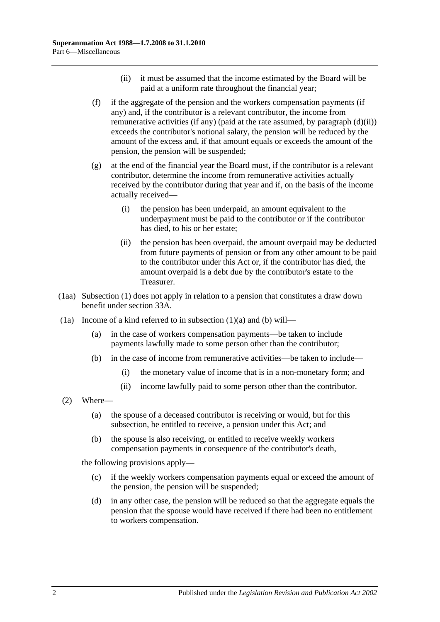- (ii) it must be assumed that the income estimated by the Board will be paid at a uniform rate throughout the financial year;
- <span id="page-95-2"></span><span id="page-95-0"></span>(f) if the aggregate of the pension and the workers compensation payments (if any) and, if the contributor is a relevant contributor, the income from remunerative activities (if any) (paid at the rate assumed, by [paragraph](#page-95-0) (d)(ii)) exceeds the contributor's notional salary, the pension will be reduced by the amount of the excess and, if that amount equals or exceeds the amount of the pension, the pension will be suspended;
- (g) at the end of the financial year the Board must, if the contributor is a relevant contributor, determine the income from remunerative activities actually received by the contributor during that year and if, on the basis of the income actually received—
	- (i) the pension has been underpaid, an amount equivalent to the underpayment must be paid to the contributor or if the contributor has died, to his or her estate;
	- (ii) the pension has been overpaid, the amount overpaid may be deducted from future payments of pension or from any other amount to be paid to the contributor under this Act or, if the contributor has died, the amount overpaid is a debt due by the contributor's estate to the Treasurer.
- (1aa) [Subsection](#page-94-0) (1) does not apply in relation to a pension that constitutes a draw down benefit under [section](#page-56-0) 33A.
- <span id="page-95-1"></span>(1a) Income of a kind referred to in [subsection](#page-94-1)  $(1)(a)$  and  $(b)$  will—
	- (a) in the case of workers compensation payments—be taken to include payments lawfully made to some person other than the contributor;
	- (b) in the case of income from remunerative activities—be taken to include—
		- (i) the monetary value of income that is in a non-monetary form; and
		- (ii) income lawfully paid to some person other than the contributor.
- (2) Where—
	- (a) the spouse of a deceased contributor is receiving or would, but for this subsection, be entitled to receive, a pension under this Act; and
	- (b) the spouse is also receiving, or entitled to receive weekly workers compensation payments in consequence of the contributor's death,

the following provisions apply—

- (c) if the weekly workers compensation payments equal or exceed the amount of the pension, the pension will be suspended;
- (d) in any other case, the pension will be reduced so that the aggregate equals the pension that the spouse would have received if there had been no entitlement to workers compensation.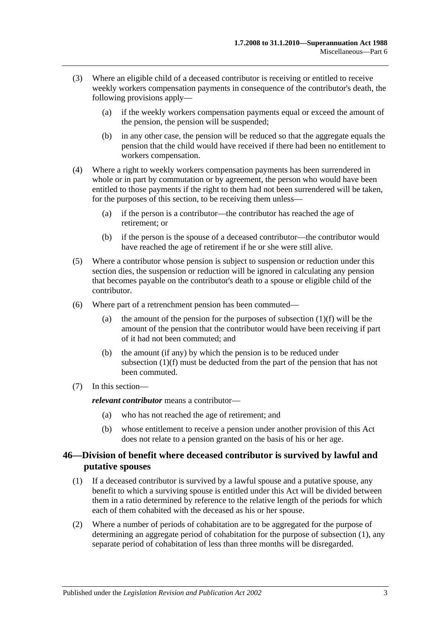- (3) Where an eligible child of a deceased contributor is receiving or entitled to receive weekly workers compensation payments in consequence of the contributor's death, the following provisions apply—
	- (a) if the weekly workers compensation payments equal or exceed the amount of the pension, the pension will be suspended;
	- (b) in any other case, the pension will be reduced so that the aggregate equals the pension that the child would have received if there had been no entitlement to workers compensation.
- (4) Where a right to weekly workers compensation payments has been surrendered in whole or in part by commutation or by agreement, the person who would have been entitled to those payments if the right to them had not been surrendered will be taken, for the purposes of this section, to be receiving them unless—
	- (a) if the person is a contributor—the contributor has reached the age of retirement; or
	- (b) if the person is the spouse of a deceased contributor—the contributor would have reached the age of retirement if he or she were still alive.
- (5) Where a contributor whose pension is subject to suspension or reduction under this section dies, the suspension or reduction will be ignored in calculating any pension that becomes payable on the contributor's death to a spouse or eligible child of the contributor.
- (6) Where part of a retrenchment pension has been commuted
	- (a) the amount of the pension for the purposes of [subsection](#page-95-2)  $(1)(f)$  will be the amount of the pension that the contributor would have been receiving if part of it had not been commuted; and
	- (b) the amount (if any) by which the pension is to be reduced under [subsection](#page-95-2) (1)(f) must be deducted from the part of the pension that has not been commuted.
- (7) In this section—

*relevant contributor* means a contributor—

- (a) who has not reached the age of retirement; and
- (b) whose entitlement to receive a pension under another provision of this Act does not relate to a pension granted on the basis of his or her age.

## <span id="page-96-0"></span>**46—Division of benefit where deceased contributor is survived by lawful and putative spouses**

- <span id="page-96-1"></span>(1) If a deceased contributor is survived by a lawful spouse and a putative spouse, any benefit to which a surviving spouse is entitled under this Act will be divided between them in a ratio determined by reference to the relative length of the periods for which each of them cohabited with the deceased as his or her spouse.
- (2) Where a number of periods of cohabitation are to be aggregated for the purpose of determining an aggregate period of cohabitation for the purpose of [subsection](#page-96-1) (1), any separate period of cohabitation of less than three months will be disregarded.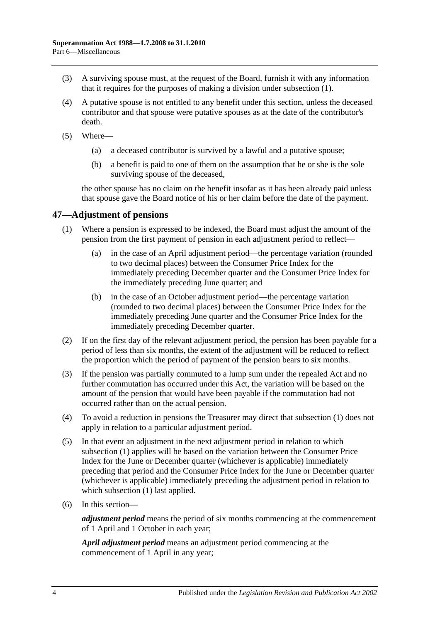- (3) A surviving spouse must, at the request of the Board, furnish it with any information that it requires for the purposes of making a division under [subsection](#page-96-1) (1).
- (4) A putative spouse is not entitled to any benefit under this section, unless the deceased contributor and that spouse were putative spouses as at the date of the contributor's death.
- (5) Where—
	- (a) a deceased contributor is survived by a lawful and a putative spouse;
	- (b) a benefit is paid to one of them on the assumption that he or she is the sole surviving spouse of the deceased,

the other spouse has no claim on the benefit insofar as it has been already paid unless that spouse gave the Board notice of his or her claim before the date of the payment.

## <span id="page-97-1"></span>**47—Adjustment of pensions**

- (1) Where a pension is expressed to be indexed, the Board must adjust the amount of the pension from the first payment of pension in each adjustment period to reflect—
	- (a) in the case of an April adjustment period—the percentage variation (rounded to two decimal places) between the Consumer Price Index for the immediately preceding December quarter and the Consumer Price Index for the immediately preceding June quarter; and
	- (b) in the case of an October adjustment period—the percentage variation (rounded to two decimal places) between the Consumer Price Index for the immediately preceding June quarter and the Consumer Price Index for the immediately preceding December quarter.
- (2) If on the first day of the relevant adjustment period, the pension has been payable for a period of less than six months, the extent of the adjustment will be reduced to reflect the proportion which the period of payment of the pension bears to six months.
- <span id="page-97-0"></span>(3) If the pension was partially commuted to a lump sum under the repealed Act and no further commutation has occurred under this Act, the variation will be based on the amount of the pension that would have been payable if the commutation had not occurred rather than on the actual pension.
- (4) To avoid a reduction in pensions the Treasurer may direct that [subsection](#page-97-1) (1) does not apply in relation to a particular adjustment period.
- (5) In that event an adjustment in the next adjustment period in relation to which [subsection](#page-97-1) (1) applies will be based on the variation between the Consumer Price Index for the June or December quarter (whichever is applicable) immediately preceding that period and the Consumer Price Index for the June or December quarter (whichever is applicable) immediately preceding the adjustment period in relation to which [subsection](#page-97-1) (1) last applied.
- (6) In this section—

*adjustment period* means the period of six months commencing at the commencement of 1 April and 1 October in each year;

*April adjustment period* means an adjustment period commencing at the commencement of 1 April in any year;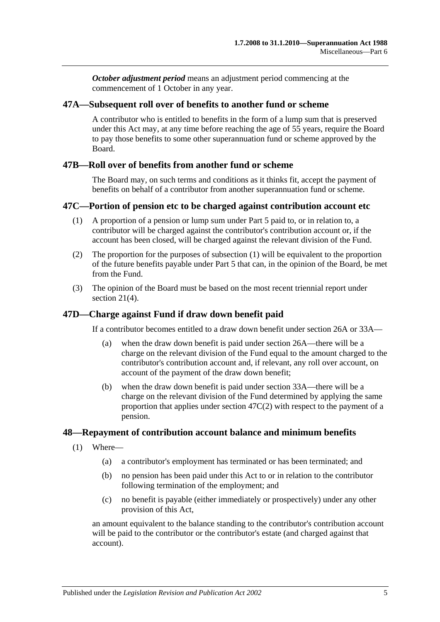*October adjustment period* means an adjustment period commencing at the commencement of 1 October in any year.

#### **47A—Subsequent roll over of benefits to another fund or scheme**

A contributor who is entitled to benefits in the form of a lump sum that is preserved under this Act may, at any time before reaching the age of 55 years, require the Board to pay those benefits to some other superannuation fund or scheme approved by the Board.

#### **47B—Roll over of benefits from another fund or scheme**

The Board may, on such terms and conditions as it thinks fit, accept the payment of benefits on behalf of a contributor from another superannuation fund or scheme.

#### <span id="page-98-0"></span>**47C—Portion of pension etc to be charged against contribution account etc**

- (1) A proportion of a pension or lump sum under [Part 5](#page-56-1) paid to, or in relation to, a contributor will be charged against the contributor's contribution account or, if the account has been closed, will be charged against the relevant division of the Fund.
- <span id="page-98-1"></span>(2) The proportion for the purposes of [subsection](#page-98-0) (1) will be equivalent to the proportion of the future benefits payable under [Part 5](#page-56-1) that can, in the opinion of the Board, be met from the Fund.
- (3) The opinion of the Board must be based on the most recent triennial report under [section](#page-23-0) 21(4).

## **47D—Charge against Fund if draw down benefit paid**

If a contributor becomes entitled to a draw down benefit under [section](#page-30-0) 26A or [33A—](#page-56-0)

- (a) when the draw down benefit is paid under [section](#page-30-0) 26A—there will be a charge on the relevant division of the Fund equal to the amount charged to the contributor's contribution account and, if relevant, any roll over account, on account of the payment of the draw down benefit;
- (b) when the draw down benefit is paid under [section](#page-56-0) 33A—there will be a charge on the relevant division of the Fund determined by applying the same proportion that applies under [section](#page-98-1) 47C(2) with respect to the payment of a pension.

#### **48—Repayment of contribution account balance and minimum benefits**

- (1) Where—
	- (a) a contributor's employment has terminated or has been terminated; and
	- (b) no pension has been paid under this Act to or in relation to the contributor following termination of the employment; and
	- (c) no benefit is payable (either immediately or prospectively) under any other provision of this Act,

an amount equivalent to the balance standing to the contributor's contribution account will be paid to the contributor or the contributor's estate (and charged against that account).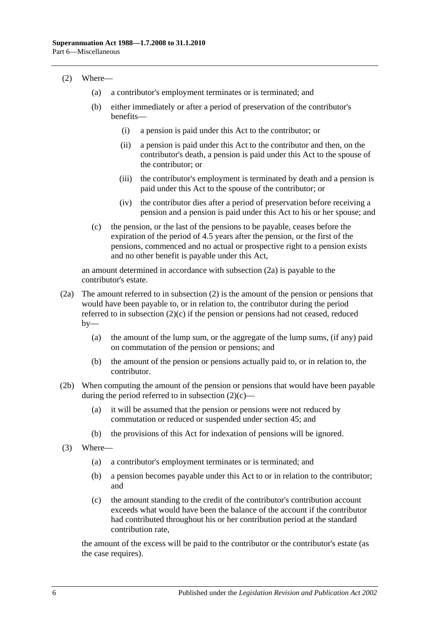#### <span id="page-99-1"></span>(2) Where—

- (a) a contributor's employment terminates or is terminated; and
- (b) either immediately or after a period of preservation of the contributor's benefits—
	- (i) a pension is paid under this Act to the contributor; or
	- (ii) a pension is paid under this Act to the contributor and then, on the contributor's death, a pension is paid under this Act to the spouse of the contributor; or
	- (iii) the contributor's employment is terminated by death and a pension is paid under this Act to the spouse of the contributor; or
	- (iv) the contributor dies after a period of preservation before receiving a pension and a pension is paid under this Act to his or her spouse; and
- <span id="page-99-2"></span>(c) the pension, or the last of the pensions to be payable, ceases before the expiration of the period of 4.5 years after the pension, or the first of the pensions, commenced and no actual or prospective right to a pension exists and no other benefit is payable under this Act,

an amount determined in accordance with [subsection](#page-99-0) (2a) is payable to the contributor's estate.

- <span id="page-99-0"></span>(2a) The amount referred to in [subsection](#page-99-1) (2) is the amount of the pension or pensions that would have been payable to, or in relation to, the contributor during the period referred to in [subsection](#page-99-2)  $(2)(c)$  if the pension or pensions had not ceased, reduced  $by-$ 
	- (a) the amount of the lump sum, or the aggregate of the lump sums, (if any) paid on commutation of the pension or pensions; and
	- (b) the amount of the pension or pensions actually paid to, or in relation to, the contributor.
- (2b) When computing the amount of the pension or pensions that would have been payable during the period referred to in [subsection](#page-99-2)  $(2)(c)$ —
	- (a) it will be assumed that the pension or pensions were not reduced by commutation or reduced or suspended under [section](#page-94-2) 45; and
	- (b) the provisions of this Act for indexation of pensions will be ignored.
- (3) Where—
	- (a) a contributor's employment terminates or is terminated; and
	- (b) a pension becomes payable under this Act to or in relation to the contributor; and
	- (c) the amount standing to the credit of the contributor's contribution account exceeds what would have been the balance of the account if the contributor had contributed throughout his or her contribution period at the standard contribution rate,

the amount of the excess will be paid to the contributor or the contributor's estate (as the case requires).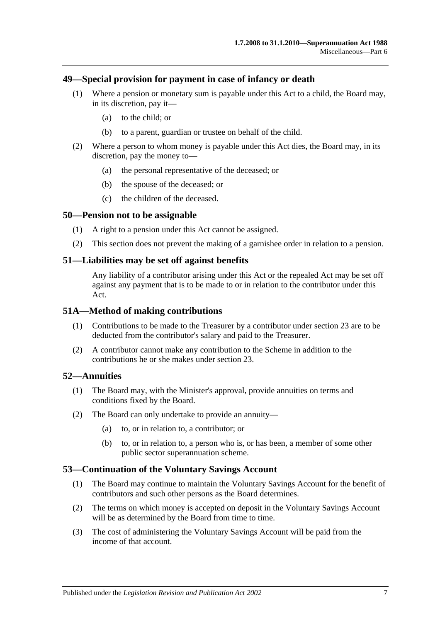#### **49—Special provision for payment in case of infancy or death**

- (1) Where a pension or monetary sum is payable under this Act to a child, the Board may, in its discretion, pay it—
	- (a) to the child; or
	- (b) to a parent, guardian or trustee on behalf of the child.
- (2) Where a person to whom money is payable under this Act dies, the Board may, in its discretion, pay the money to—
	- (a) the personal representative of the deceased; or
	- (b) the spouse of the deceased; or
	- (c) the children of the deceased.

#### **50—Pension not to be assignable**

- (1) A right to a pension under this Act cannot be assigned.
- (2) This section does not prevent the making of a garnishee order in relation to a pension.

#### **51—Liabilities may be set off against benefits**

Any liability of a contributor arising under this Act or the repealed Act may be set off against any payment that is to be made to or in relation to the contributor under this Act.

#### **51A—Method of making contributions**

- (1) Contributions to be made to the Treasurer by a contributor under [section](#page-26-0) 23 are to be deducted from the contributor's salary and paid to the Treasurer.
- (2) A contributor cannot make any contribution to the Scheme in addition to the contributions he or she makes under [section](#page-26-0) 23.

#### **52—Annuities**

- (1) The Board may, with the Minister's approval, provide annuities on terms and conditions fixed by the Board.
- (2) The Board can only undertake to provide an annuity—
	- (a) to, or in relation to, a contributor; or
	- (b) to, or in relation to, a person who is, or has been, a member of some other public sector superannuation scheme.

#### **53—Continuation of the Voluntary Savings Account**

- (1) The Board may continue to maintain the Voluntary Savings Account for the benefit of contributors and such other persons as the Board determines.
- (2) The terms on which money is accepted on deposit in the Voluntary Savings Account will be as determined by the Board from time to time.
- (3) The cost of administering the Voluntary Savings Account will be paid from the income of that account.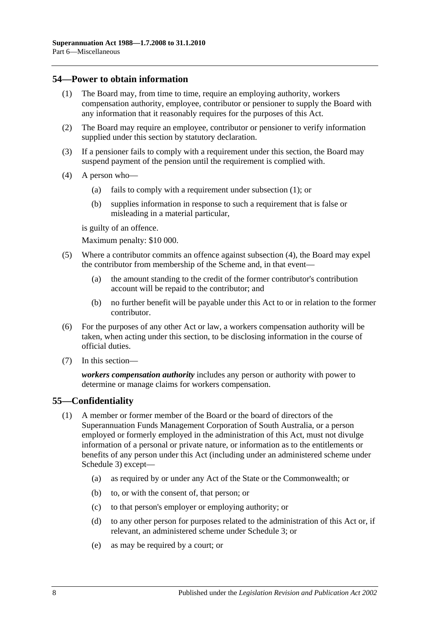#### <span id="page-101-0"></span>**54—Power to obtain information**

- (1) The Board may, from time to time, require an employing authority, workers compensation authority, employee, contributor or pensioner to supply the Board with any information that it reasonably requires for the purposes of this Act.
- (2) The Board may require an employee, contributor or pensioner to verify information supplied under this section by statutory declaration.
- (3) If a pensioner fails to comply with a requirement under this section, the Board may suspend payment of the pension until the requirement is complied with.
- <span id="page-101-1"></span>(4) A person who—
	- (a) fails to comply with a requirement under [subsection](#page-101-0) (1); or
	- (b) supplies information in response to such a requirement that is false or misleading in a material particular,

is guilty of an offence.

Maximum penalty: \$10 000.

- (5) Where a contributor commits an offence against [subsection](#page-101-1) (4), the Board may expel the contributor from membership of the Scheme and, in that event—
	- (a) the amount standing to the credit of the former contributor's contribution account will be repaid to the contributor; and
	- (b) no further benefit will be payable under this Act to or in relation to the former contributor.
- (6) For the purposes of any other Act or law, a workers compensation authority will be taken, when acting under this section, to be disclosing information in the course of official duties.
- (7) In this section—

*workers compensation authority* includes any person or authority with power to determine or manage claims for workers compensation.

## **55—Confidentiality**

- (1) A member or former member of the Board or the board of directors of the Superannuation Funds Management Corporation of South Australia, or a person employed or formerly employed in the administration of this Act, must not divulge information of a personal or private nature, or information as to the entitlements or benefits of any person under this Act (including under an administered scheme under [Schedule 3\)](#page-128-0) except—
	- (a) as required by or under any Act of the State or the Commonwealth; or
	- (b) to, or with the consent of, that person; or
	- (c) to that person's employer or employing authority; or
	- (d) to any other person for purposes related to the administration of this Act or, if relevant, an administered scheme under [Schedule 3;](#page-128-0) or
	- (e) as may be required by a court; or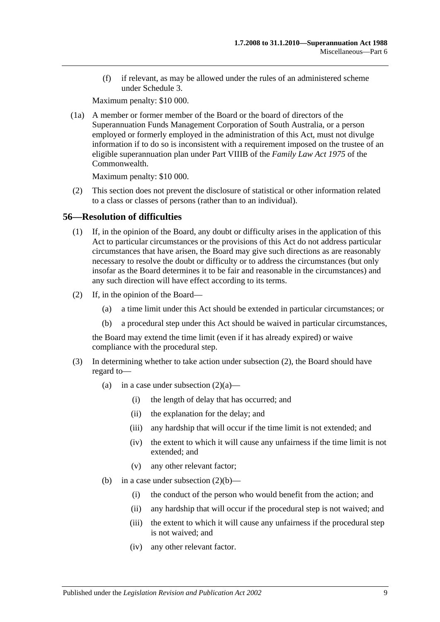(f) if relevant, as may be allowed under the rules of an administered scheme under [Schedule 3.](#page-128-0)

Maximum penalty: \$10 000.

(1a) A member or former member of the Board or the board of directors of the Superannuation Funds Management Corporation of South Australia, or a person employed or formerly employed in the administration of this Act, must not divulge information if to do so is inconsistent with a requirement imposed on the trustee of an eligible superannuation plan under Part VIIIB of the *Family Law Act 1975* of the Commonwealth.

Maximum penalty: \$10 000.

(2) This section does not prevent the disclosure of statistical or other information related to a class or classes of persons (rather than to an individual).

#### **56—Resolution of difficulties**

- (1) If, in the opinion of the Board, any doubt or difficulty arises in the application of this Act to particular circumstances or the provisions of this Act do not address particular circumstances that have arisen, the Board may give such directions as are reasonably necessary to resolve the doubt or difficulty or to address the circumstances (but only insofar as the Board determines it to be fair and reasonable in the circumstances) and any such direction will have effect according to its terms.
- <span id="page-102-2"></span><span id="page-102-1"></span><span id="page-102-0"></span>(2) If, in the opinion of the Board—
	- (a) a time limit under this Act should be extended in particular circumstances; or
	- (b) a procedural step under this Act should be waived in particular circumstances,

the Board may extend the time limit (even if it has already expired) or waive compliance with the procedural step.

- <span id="page-102-3"></span>(3) In determining whether to take action under [subsection](#page-102-0) (2), the Board should have regard to
	- (a) in a case under [subsection](#page-102-1)  $(2)(a)$ 
		- (i) the length of delay that has occurred; and
		- (ii) the explanation for the delay; and
		- (iii) any hardship that will occur if the time limit is not extended; and
		- (iv) the extent to which it will cause any unfairness if the time limit is not extended; and
		- (v) any other relevant factor;
	- (b) in a case under [subsection](#page-102-2)  $(2)(b)$ 
		- (i) the conduct of the person who would benefit from the action; and
		- (ii) any hardship that will occur if the procedural step is not waived; and
		- (iii) the extent to which it will cause any unfairness if the procedural step is not waived; and
		- (iv) any other relevant factor.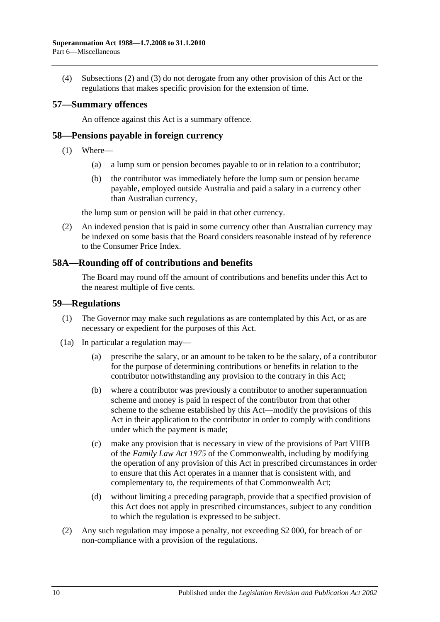(4) [Subsections](#page-102-0) (2) and [\(3\)](#page-102-3) do not derogate from any other provision of this Act or the regulations that makes specific provision for the extension of time.

#### **57—Summary offences**

An offence against this Act is a summary offence.

#### **58—Pensions payable in foreign currency**

- (1) Where—
	- (a) a lump sum or pension becomes payable to or in relation to a contributor;
	- (b) the contributor was immediately before the lump sum or pension became payable, employed outside Australia and paid a salary in a currency other than Australian currency,

the lump sum or pension will be paid in that other currency.

(2) An indexed pension that is paid in some currency other than Australian currency may be indexed on some basis that the Board considers reasonable instead of by reference to the Consumer Price Index.

#### **58A—Rounding off of contributions and benefits**

The Board may round off the amount of contributions and benefits under this Act to the nearest multiple of five cents.

#### **59—Regulations**

- (1) The Governor may make such regulations as are contemplated by this Act, or as are necessary or expedient for the purposes of this Act.
- (1a) In particular a regulation may—
	- (a) prescribe the salary, or an amount to be taken to be the salary, of a contributor for the purpose of determining contributions or benefits in relation to the contributor notwithstanding any provision to the contrary in this Act;
	- (b) where a contributor was previously a contributor to another superannuation scheme and money is paid in respect of the contributor from that other scheme to the scheme established by this Act—modify the provisions of this Act in their application to the contributor in order to comply with conditions under which the payment is made;
	- (c) make any provision that is necessary in view of the provisions of Part VIIIB of the *Family Law Act 1975* of the Commonwealth, including by modifying the operation of any provision of this Act in prescribed circumstances in order to ensure that this Act operates in a manner that is consistent with, and complementary to, the requirements of that Commonwealth Act;
	- (d) without limiting a preceding paragraph, provide that a specified provision of this Act does not apply in prescribed circumstances, subject to any condition to which the regulation is expressed to be subject.
- (2) Any such regulation may impose a penalty, not exceeding \$2 000, for breach of or non-compliance with a provision of the regulations.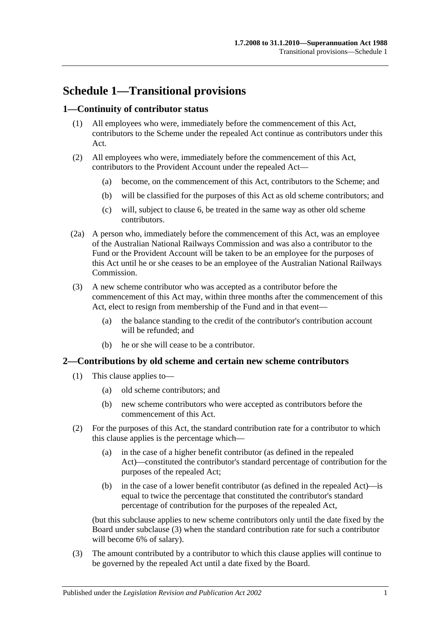# **Schedule 1—Transitional provisions**

## **1—Continuity of contributor status**

- (1) All employees who were, immediately before the commencement of this Act, contributors to the Scheme under the repealed Act continue as contributors under this Act.
- (2) All employees who were, immediately before the commencement of this Act, contributors to the Provident Account under the repealed Act—
	- (a) become, on the commencement of this Act, contributors to the Scheme; and
	- (b) will be classified for the purposes of this Act as old scheme contributors; and
	- (c) will, subject to [clause](#page-107-0) 6, be treated in the same way as other old scheme contributors.
- (2a) A person who, immediately before the commencement of this Act, was an employee of the Australian National Railways Commission and was also a contributor to the Fund or the Provident Account will be taken to be an employee for the purposes of this Act until he or she ceases to be an employee of the Australian National Railways Commission.
- (3) A new scheme contributor who was accepted as a contributor before the commencement of this Act may, within three months after the commencement of this Act, elect to resign from membership of the Fund and in that event—
	- (a) the balance standing to the credit of the contributor's contribution account will be refunded; and
	- (b) he or she will cease to be a contributor.

## **2—Contributions by old scheme and certain new scheme contributors**

- (1) This clause applies to—
	- (a) old scheme contributors; and
	- (b) new scheme contributors who were accepted as contributors before the commencement of this Act.
- (2) For the purposes of this Act, the standard contribution rate for a contributor to which this clause applies is the percentage which—
	- (a) in the case of a higher benefit contributor (as defined in the repealed Act)—constituted the contributor's standard percentage of contribution for the purposes of the repealed Act;
	- (b) in the case of a lower benefit contributor (as defined in the repealed Act)—is equal to twice the percentage that constituted the contributor's standard percentage of contribution for the purposes of the repealed Act,

(but this subclause applies to new scheme contributors only until the date fixed by the Board under [subclause](#page-104-0) (3) when the standard contribution rate for such a contributor will become 6% of salary).

<span id="page-104-0"></span>(3) The amount contributed by a contributor to which this clause applies will continue to be governed by the repealed Act until a date fixed by the Board.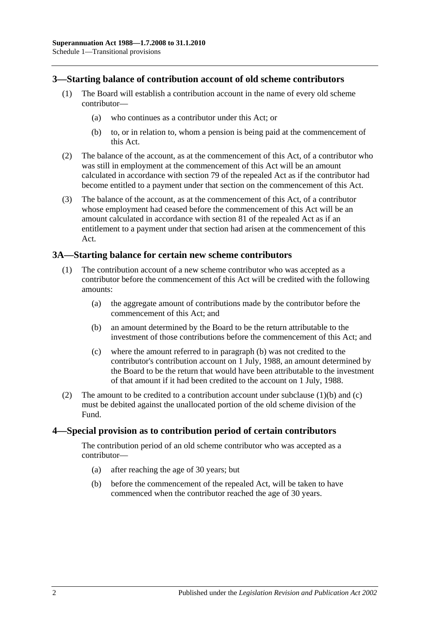#### **3—Starting balance of contribution account of old scheme contributors**

- (1) The Board will establish a contribution account in the name of every old scheme contributor—
	- (a) who continues as a contributor under this Act; or
	- (b) to, or in relation to, whom a pension is being paid at the commencement of this Act.
- (2) The balance of the account, as at the commencement of this Act, of a contributor who was still in employment at the commencement of this Act will be an amount calculated in accordance with section 79 of the repealed Act as if the contributor had become entitled to a payment under that section on the commencement of this Act.
- (3) The balance of the account, as at the commencement of this Act, of a contributor whose employment had ceased before the commencement of this Act will be an amount calculated in accordance with section 81 of the repealed Act as if an entitlement to a payment under that section had arisen at the commencement of this Act.

#### **3A—Starting balance for certain new scheme contributors**

- <span id="page-105-0"></span>(1) The contribution account of a new scheme contributor who was accepted as a contributor before the commencement of this Act will be credited with the following amounts:
	- (a) the aggregate amount of contributions made by the contributor before the commencement of this Act; and
	- (b) an amount determined by the Board to be the return attributable to the investment of those contributions before the commencement of this Act; and
	- (c) where the amount referred to in [paragraph](#page-105-0) (b) was not credited to the contributor's contribution account on 1 July, 1988, an amount determined by the Board to be the return that would have been attributable to the investment of that amount if it had been credited to the account on 1 July, 1988.
- <span id="page-105-1"></span>(2) The amount to be credited to a contribution account under [subclause](#page-105-0)  $(1)(b)$  and  $(c)$ must be debited against the unallocated portion of the old scheme division of the Fund.

#### **4—Special provision as to contribution period of certain contributors**

The contribution period of an old scheme contributor who was accepted as a contributor—

- (a) after reaching the age of 30 years; but
- (b) before the commencement of the repealed Act, will be taken to have commenced when the contributor reached the age of 30 years.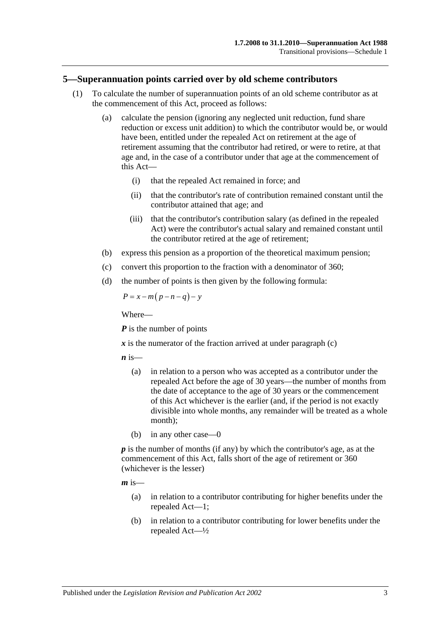#### **5—Superannuation points carried over by old scheme contributors**

- (1) To calculate the number of superannuation points of an old scheme contributor as at the commencement of this Act, proceed as follows:
	- (a) calculate the pension (ignoring any neglected unit reduction, fund share reduction or excess unit addition) to which the contributor would be, or would have been, entitled under the repealed Act on retirement at the age of retirement assuming that the contributor had retired, or were to retire, at that age and, in the case of a contributor under that age at the commencement of this Act—
		- (i) that the repealed Act remained in force; and
		- (ii) that the contributor's rate of contribution remained constant until the contributor attained that age; and
		- (iii) that the contributor's contribution salary (as defined in the repealed Act) were the contributor's actual salary and remained constant until the contributor retired at the age of retirement;
	- (b) express this pension as a proportion of the theoretical maximum pension;
	- (c) convert this proportion to the fraction with a denominator of 360;
	- (d) the number of points is then given by the following formula:

<span id="page-106-0"></span>
$$
P = x - m(p - n - q) - y
$$

Where—

*P* is the number of points

 $\boldsymbol{x}$  is the numerator of the fraction arrived at under [paragraph](#page-106-0) (c)

 $\boldsymbol{n}$  is—

- (a) in relation to a person who was accepted as a contributor under the repealed Act before the age of 30 years—the number of months from the date of acceptance to the age of 30 years or the commencement of this Act whichever is the earlier (and, if the period is not exactly divisible into whole months, any remainder will be treated as a whole month);
- (b) in any other case—0

*p* is the number of months (if any) by which the contributor's age, as at the commencement of this Act, falls short of the age of retirement or 360 (whichever is the lesser)

 $m$  is—

- (a) in relation to a contributor contributing for higher benefits under the repealed Act—1;
- (b) in relation to a contributor contributing for lower benefits under the repealed Act—½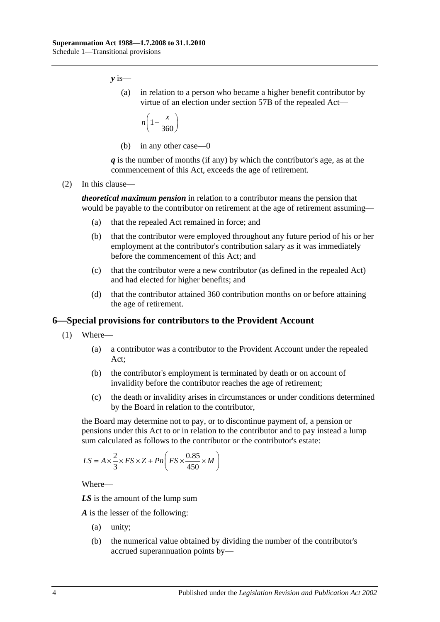*y* is—

(a) in relation to a person who became a higher benefit contributor by virtue of an election under section 57B of the repealed Act—

$$
n\left(1-\frac{x}{360}\right)
$$

(b) in any other case—0

*q* is the number of months (if any) by which the contributor's age, as at the commencement of this Act, exceeds the age of retirement.

(2) In this clause—

*theoretical maximum pension* in relation to a contributor means the pension that would be payable to the contributor on retirement at the age of retirement assuming—

- (a) that the repealed Act remained in force; and
- (b) that the contributor were employed throughout any future period of his or her employment at the contributor's contribution salary as it was immediately before the commencement of this Act; and
- (c) that the contributor were a new contributor (as defined in the repealed Act) and had elected for higher benefits; and
- (d) that the contributor attained 360 contribution months on or before attaining the age of retirement.

#### <span id="page-107-0"></span>**6—Special provisions for contributors to the Provident Account**

- (1) Where—
	- (a) a contributor was a contributor to the Provident Account under the repealed Act;
	- (b) the contributor's employment is terminated by death or on account of invalidity before the contributor reaches the age of retirement;
	- (c) the death or invalidity arises in circumstances or under conditions determined by the Board in relation to the contributor,

the Board may determine not to pay, or to discontinue payment of, a pension or pensions under this Act to or in relation to the contributor and to pay instead a lump sum calculated as follows to the contributor or the contributor's estate:

$$
LS = A \times \frac{2}{3} \times FS \times Z + Pn \left( FS \times \frac{0.85}{450} \times M \right)
$$

Where—

*LS* is the amount of the lump sum

*A* is the lesser of the following:

- (a) unity;
- (b) the numerical value obtained by dividing the number of the contributor's accrued superannuation points by—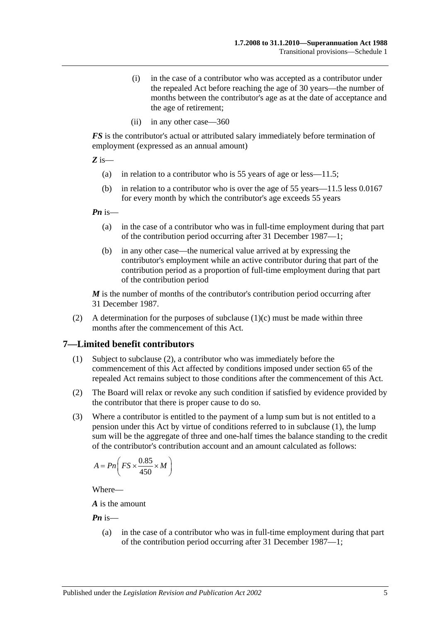- (i) in the case of a contributor who was accepted as a contributor under the repealed Act before reaching the age of 30 years—the number of months between the contributor's age as at the date of acceptance and the age of retirement;
- (ii) in any other case—360

*FS* is the contributor's actual or attributed salary immediately before termination of employment (expressed as an annual amount)

*Z* is—

- (a) in relation to a contributor who is 55 years of age or less—11.5;
- (b) in relation to a contributor who is over the age of 55 years—11.5 less 0.0167 for every month by which the contributor's age exceeds 55 years

*Pn* is—

- (a) in the case of a contributor who was in full-time employment during that part of the contribution period occurring after 31 December 1987—1;
- (b) in any other case—the numerical value arrived at by expressing the contributor's employment while an active contributor during that part of the contribution period as a proportion of full-time employment during that part of the contribution period

*M* is the number of months of the contributor's contribution period occurring after 31 December 1987.

(2) A determination for the purposes of [subclause](#page-107-0)  $(1)(c)$  must be made within three months after the commencement of this Act.

#### <span id="page-108-1"></span>**7—Limited benefit contributors**

- (1) Subject to [subclause](#page-108-0) (2), a contributor who was immediately before the commencement of this Act affected by conditions imposed under section 65 of the repealed Act remains subject to those conditions after the commencement of this Act.
- <span id="page-108-0"></span>(2) The Board will relax or revoke any such condition if satisfied by evidence provided by the contributor that there is proper cause to do so.
- (3) Where a contributor is entitled to the payment of a lump sum but is not entitled to a pension under this Act by virtue of conditions referred to in [subclause](#page-108-1) (1), the lump sum will be the aggregate of three and one-half times the balance standing to the credit of the contributor's contribution account and an amount calculated as follows:

$$
A = P n \left( FS \times \frac{0.85}{450} \times M \right)
$$

Where—

*A* is the amount

*Pn* is—

(a) in the case of a contributor who was in full-time employment during that part of the contribution period occurring after 31 December 1987—1;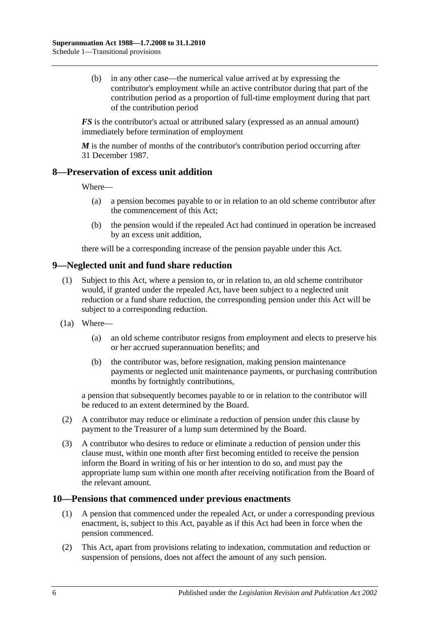(b) in any other case—the numerical value arrived at by expressing the contributor's employment while an active contributor during that part of the contribution period as a proportion of full-time employment during that part of the contribution period

*FS* is the contributor's actual or attributed salary (expressed as an annual amount) immediately before termination of employment

*M* is the number of months of the contributor's contribution period occurring after 31 December 1987.

#### **8—Preservation of excess unit addition**

Where—

- (a) a pension becomes payable to or in relation to an old scheme contributor after the commencement of this Act;
- (b) the pension would if the repealed Act had continued in operation be increased by an excess unit addition,

there will be a corresponding increase of the pension payable under this Act.

## **9—Neglected unit and fund share reduction**

- (1) Subject to this Act, where a pension to, or in relation to, an old scheme contributor would, if granted under the repealed Act, have been subject to a neglected unit reduction or a fund share reduction, the corresponding pension under this Act will be subject to a corresponding reduction.
- (1a) Where—
	- (a) an old scheme contributor resigns from employment and elects to preserve his or her accrued superannuation benefits; and
	- (b) the contributor was, before resignation, making pension maintenance payments or neglected unit maintenance payments, or purchasing contribution months by fortnightly contributions,

a pension that subsequently becomes payable to or in relation to the contributor will be reduced to an extent determined by the Board.

- (2) A contributor may reduce or eliminate a reduction of pension under this clause by payment to the Treasurer of a lump sum determined by the Board.
- (3) A contributor who desires to reduce or eliminate a reduction of pension under this clause must, within one month after first becoming entitled to receive the pension inform the Board in writing of his or her intention to do so, and must pay the appropriate lump sum within one month after receiving notification from the Board of the relevant amount.

#### **10—Pensions that commenced under previous enactments**

- (1) A pension that commenced under the repealed Act, or under a corresponding previous enactment, is, subject to this Act, payable as if this Act had been in force when the pension commenced.
- (2) This Act, apart from provisions relating to indexation, commutation and reduction or suspension of pensions, does not affect the amount of any such pension.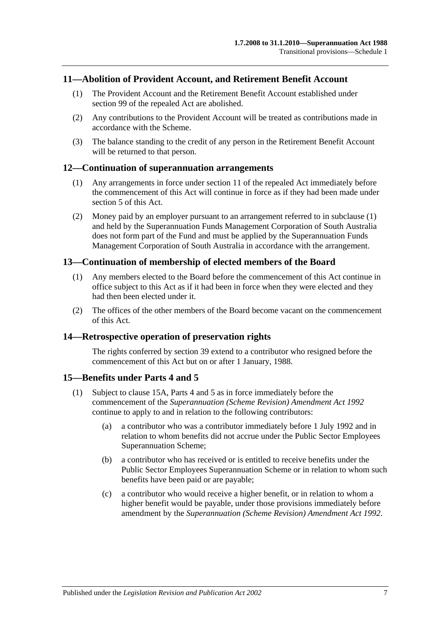#### **11—Abolition of Provident Account, and Retirement Benefit Account**

- (1) The Provident Account and the Retirement Benefit Account established under section 99 of the repealed Act are abolished.
- (2) Any contributions to the Provident Account will be treated as contributions made in accordance with the Scheme.
- (3) The balance standing to the credit of any person in the Retirement Benefit Account will be returned to that person.

#### <span id="page-110-0"></span>**12—Continuation of superannuation arrangements**

- (1) Any arrangements in force under section 11 of the repealed Act immediately before the commencement of this Act will continue in force as if they had been made under [section](#page-14-0) 5 of this Act.
- (2) Money paid by an employer pursuant to an arrangement referred to in [subclause](#page-110-0) (1) and held by the Superannuation Funds Management Corporation of South Australia does not form part of the Fund and must be applied by the Superannuation Funds Management Corporation of South Australia in accordance with the arrangement.

#### **13—Continuation of membership of elected members of the Board**

- (1) Any members elected to the Board before the commencement of this Act continue in office subject to this Act as if it had been in force when they were elected and they had then been elected under it.
- (2) The offices of the other members of the Board become vacant on the commencement of this Act.

#### **14—Retrospective operation of preservation rights**

The rights conferred by [section](#page-71-0) 39 extend to a contributor who resigned before the commencement of this Act but on or after 1 January, 1988.

#### <span id="page-110-2"></span>**15—Benefits under [Parts 4](#page-30-0) and [5](#page-56-0)**

- <span id="page-110-1"></span>(1) Subject to [clause](#page-111-0) 15A, [Parts 4](#page-30-0) and [5](#page-56-0) as in force immediately before the commencement of the *[Superannuation \(Scheme Revision\) Amendment Act](http://www.legislation.sa.gov.au/index.aspx?action=legref&type=act&legtitle=Superannuation%20(Scheme%20Revision)%20Amendment%20Act%201992) 1992* continue to apply to and in relation to the following contributors:
	- (a) a contributor who was a contributor immediately before 1 July 1992 and in relation to whom benefits did not accrue under the Public Sector Employees Superannuation Scheme;
	- (b) a contributor who has received or is entitled to receive benefits under the Public Sector Employees Superannuation Scheme or in relation to whom such benefits have been paid or are payable;
	- (c) a contributor who would receive a higher benefit, or in relation to whom a higher benefit would be payable, under those provisions immediately before amendment by the *[Superannuation \(Scheme Revision\) Amendment Act](http://www.legislation.sa.gov.au/index.aspx?action=legref&type=act&legtitle=Superannuation%20(Scheme%20Revision)%20Amendment%20Act%201992) 1992*.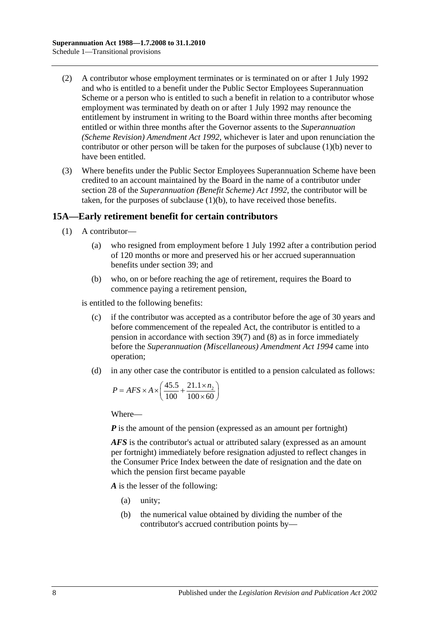- (2) A contributor whose employment terminates or is terminated on or after 1 July 1992 and who is entitled to a benefit under the Public Sector Employees Superannuation Scheme or a person who is entitled to such a benefit in relation to a contributor whose employment was terminated by death on or after 1 July 1992 may renounce the entitlement by instrument in writing to the Board within three months after becoming entitled or within three months after the Governor assents to the *[Superannuation](http://www.legislation.sa.gov.au/index.aspx?action=legref&type=act&legtitle=Superannuation%20(Scheme%20Revision)%20Amendment%20Act%201992)  [\(Scheme Revision\) Amendment Act](http://www.legislation.sa.gov.au/index.aspx?action=legref&type=act&legtitle=Superannuation%20(Scheme%20Revision)%20Amendment%20Act%201992) 1992*, whichever is later and upon renunciation the contributor or other person will be taken for the purposes of [subclause](#page-110-1) (1)(b) never to have been entitled.
- (3) Where benefits under the Public Sector Employees Superannuation Scheme have been credited to an account maintained by the Board in the name of a contributor under section 28 of the *[Superannuation \(Benefit Scheme\) Act](http://www.legislation.sa.gov.au/index.aspx?action=legref&type=act&legtitle=Superannuation%20(Benefit%20Scheme)%20Act%201992) 1992*, the contributor will be taken, for the purposes of [subclause](#page-110-1) (1)(b), to have received those benefits.

### <span id="page-111-0"></span>**15A—Early retirement benefit for certain contributors**

- (1) A contributor—
	- (a) who resigned from employment before 1 July 1992 after a contribution period of 120 months or more and preserved his or her accrued superannuation benefits under [section](#page-71-0) 39; and
	- (b) who, on or before reaching the age of retirement, requires the Board to commence paying a retirement pension,

<span id="page-111-1"></span>is entitled to the following benefits:

- (c) if the contributor was accepted as a contributor before the age of 30 years and before commencement of the repealed Act, the contributor is entitled to a pension in accordance with [section](#page-75-0) 39(7) and [\(8\)](#page-76-0) as in force immediately before the *[Superannuation \(Miscellaneous\) Amendment Act](http://www.legislation.sa.gov.au/index.aspx?action=legref&type=act&legtitle=Superannuation%20(Miscellaneous)%20Amendment%20Act%201994) 1994* came into operation;
- <span id="page-111-2"></span>(d) in any other case the contributor is entitled to a pension calculated as follows:

$$
P = AFS \times A \times \left(\frac{45.5}{100} + \frac{21.1 \times n_2}{100 \times 60}\right)
$$

Where—

*P* is the amount of the pension (expressed as an amount per fortnight)

*AFS* is the contributor's actual or attributed salary (expressed as an amount per fortnight) immediately before resignation adjusted to reflect changes in the Consumer Price Index between the date of resignation and the date on which the pension first became payable

*A* is the lesser of the following:

- (a) unity;
- (b) the numerical value obtained by dividing the number of the contributor's accrued contribution points by—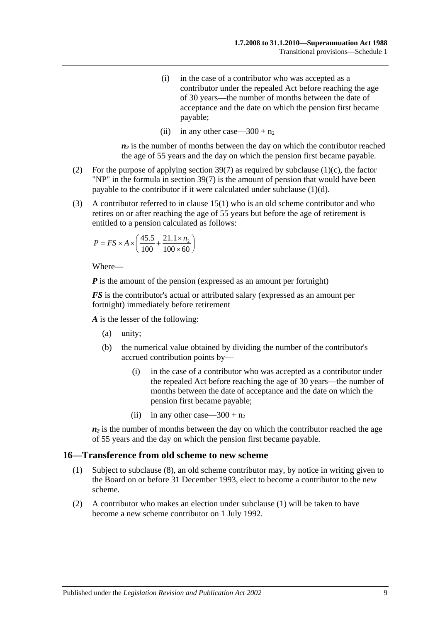- (i) in the case of a contributor who was accepted as a contributor under the repealed Act before reaching the age of 30 years—the number of months between the date of acceptance and the date on which the pension first became payable;
- (ii) in any other case—300 +  $n_2$

 $n_2$  is the number of months between the day on which the contributor reached the age of 55 years and the day on which the pension first became payable.

- (2) For the purpose of applying [section](#page-75-0) 39(7) as required by [subclause](#page-111-1) (1)(c), the factor "NP" in the formula in [section](#page-75-0) 39(7) is the amount of pension that would have been payable to the contributor if it were calculated under [subclause](#page-111-2) (1)(d).
- (3) A contributor referred to in [clause](#page-110-2) 15(1) who is an old scheme contributor and who retires on or after reaching the age of 55 years but before the age of retirement is entitled to a pension calculated as follows:

$$
P = FS \times A \times \left(\frac{45.5}{100} + \frac{21.1 \times n_2}{100 \times 60}\right)
$$

Where—

*P* is the amount of the pension (expressed as an amount per fortnight)

*FS* is the contributor's actual or attributed salary (expressed as an amount per fortnight) immediately before retirement

*A* is the lesser of the following:

- (a) unity;
- (b) the numerical value obtained by dividing the number of the contributor's accrued contribution points by—
	- (i) in the case of a contributor who was accepted as a contributor under the repealed Act before reaching the age of 30 years—the number of months between the date of acceptance and the date on which the pension first became payable;
	- (ii) in any other case—300 +  $n_2$

 $n_2$  is the number of months between the day on which the contributor reached the age of 55 years and the day on which the pension first became payable.

#### <span id="page-112-0"></span>**16—Transference from old scheme to new scheme**

- (1) Subject to [subclause](#page-113-0) (8), an old scheme contributor may, by notice in writing given to the Board on or before 31 December 1993, elect to become a contributor to the new scheme.
- (2) A contributor who makes an election under [subclause](#page-112-0) (1) will be taken to have become a new scheme contributor on 1 July 1992.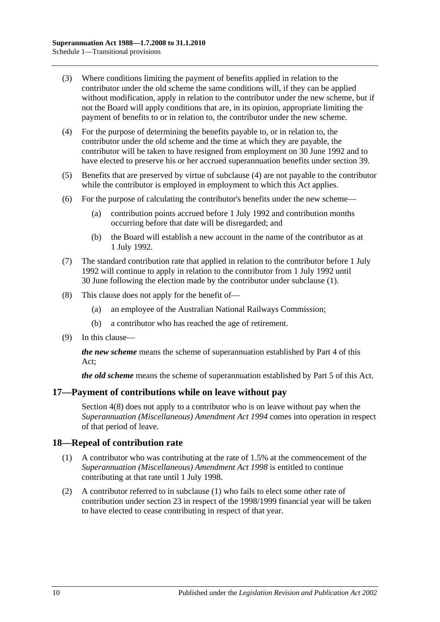- (3) Where conditions limiting the payment of benefits applied in relation to the contributor under the old scheme the same conditions will, if they can be applied without modification, apply in relation to the contributor under the new scheme, but if not the Board will apply conditions that are, in its opinion, appropriate limiting the payment of benefits to or in relation to, the contributor under the new scheme.
- <span id="page-113-1"></span>(4) For the purpose of determining the benefits payable to, or in relation to, the contributor under the old scheme and the time at which they are payable, the contributor will be taken to have resigned from employment on 30 June 1992 and to have elected to preserve his or her accrued superannuation benefits under [section](#page-71-0) 39.
- (5) Benefits that are preserved by virtue of [subclause](#page-113-1) (4) are not payable to the contributor while the contributor is employed in employment to which this Act applies.
- (6) For the purpose of calculating the contributor's benefits under the new scheme—
	- (a) contribution points accrued before 1 July 1992 and contribution months occurring before that date will be disregarded; and
	- (b) the Board will establish a new account in the name of the contributor as at 1 July 1992.
- (7) The standard contribution rate that applied in relation to the contributor before 1 July 1992 will continue to apply in relation to the contributor from 1 July 1992 until 30 June following the election made by the contributor under [subclause](#page-112-0) (1).
- <span id="page-113-0"></span>(8) This clause does not apply for the benefit of—
	- (a) an employee of the Australian National Railways Commission;
	- (b) a contributor who has reached the age of retirement.
- (9) In this clause—

*the new scheme* means the scheme of superannuation established by [Part 4](#page-30-0) of this Act;

*the old scheme* means the scheme of superannuation established by [Part 5](#page-56-0) of this Act.

#### **17—Payment of contributions while on leave without pay**

[Section](#page-12-0) 4(8) does not apply to a contributor who is on leave without pay when the *[Superannuation \(Miscellaneous\) Amendment Act](http://www.legislation.sa.gov.au/index.aspx?action=legref&type=act&legtitle=Superannuation%20(Miscellaneous)%20Amendment%20Act%201994) 1994* comes into operation in respect of that period of leave.

#### <span id="page-113-2"></span>**18—Repeal of contribution rate**

- (1) A contributor who was contributing at the rate of 1.5% at the commencement of the *[Superannuation \(Miscellaneous\) Amendment Act](http://www.legislation.sa.gov.au/index.aspx?action=legref&type=act&legtitle=Superannuation%20(Miscellaneous)%20Amendment%20Act%201998) 1998* is entitled to continue contributing at that rate until 1 July 1998.
- (2) A contributor referred to in [subclause](#page-113-2) (1) who fails to elect some other rate of contribution under [section](#page-26-0) 23 in respect of the 1998/1999 financial year will be taken to have elected to cease contributing in respect of that year.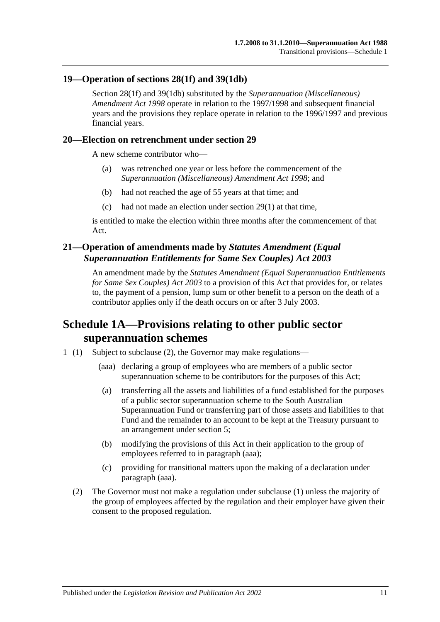#### **19—Operation of [sections](#page-35-0) 28(1f) and [39\(1db\)](#page-72-0)**

[Section](#page-35-0) 28(1f) and [39\(1db\)](#page-72-0) substituted by the *[Superannuation \(Miscellaneous\)](http://www.legislation.sa.gov.au/index.aspx?action=legref&type=act&legtitle=Superannuation%20(Miscellaneous)%20Amendment%20Act%201998)  [Amendment Act](http://www.legislation.sa.gov.au/index.aspx?action=legref&type=act&legtitle=Superannuation%20(Miscellaneous)%20Amendment%20Act%201998) 1998* operate in relation to the 1997/1998 and subsequent financial years and the provisions they replace operate in relation to the 1996/1997 and previous financial years.

#### **20—Election on retrenchment under [section](#page-40-0) 29**

A new scheme contributor who—

- (a) was retrenched one year or less before the commencement of the *[Superannuation \(Miscellaneous\) Amendment Act](http://www.legislation.sa.gov.au/index.aspx?action=legref&type=act&legtitle=Superannuation%20(Miscellaneous)%20Amendment%20Act%201998) 1998*; and
- (b) had not reached the age of 55 years at that time; and
- (c) had not made an election under [section](#page-40-1) 29(1) at that time,

is entitled to make the election within three months after the commencement of that Act.

## **21—Operation of amendments made by** *Statutes Amendment (Equal Superannuation Entitlements for Same Sex Couples) Act 2003*

An amendment made by the *[Statutes Amendment \(Equal Superannuation Entitlements](http://www.legislation.sa.gov.au/index.aspx?action=legref&type=act&legtitle=Statutes%20Amendment%20(Equal%20Superannuation%20Entitlements%20for%20Same%20Sex%20Couples)%20Act%202003)  [for Same Sex Couples\) Act 2003](http://www.legislation.sa.gov.au/index.aspx?action=legref&type=act&legtitle=Statutes%20Amendment%20(Equal%20Superannuation%20Entitlements%20for%20Same%20Sex%20Couples)%20Act%202003)* to a provision of this Act that provides for, or relates to, the payment of a pension, lump sum or other benefit to a person on the death of a contributor applies only if the death occurs on or after 3 July 2003.

# **Schedule 1A—Provisions relating to other public sector superannuation schemes**

- <span id="page-114-0"></span>1 (1) Subject to subclause (2), the Governor may make regulations—
	- (aaa) declaring a group of employees who are members of a public sector superannuation scheme to be contributors for the purposes of this Act;
	- (a) transferring all the assets and liabilities of a fund established for the purposes of a public sector superannuation scheme to the South Australian Superannuation Fund or transferring part of those assets and liabilities to that Fund and the remainder to an account to be kept at the Treasury pursuant to an arrangement under [section](#page-14-0) 5;
	- (b) modifying the provisions of this Act in their application to the group of employees referred to in [paragraph](#page-114-0) (aaa);
	- (c) providing for transitional matters upon the making of a declaration under [paragraph](#page-114-0) (aaa).
	- (2) The Governor must not make a regulation under subclause (1) unless the majority of the group of employees affected by the regulation and their employer have given their consent to the proposed regulation.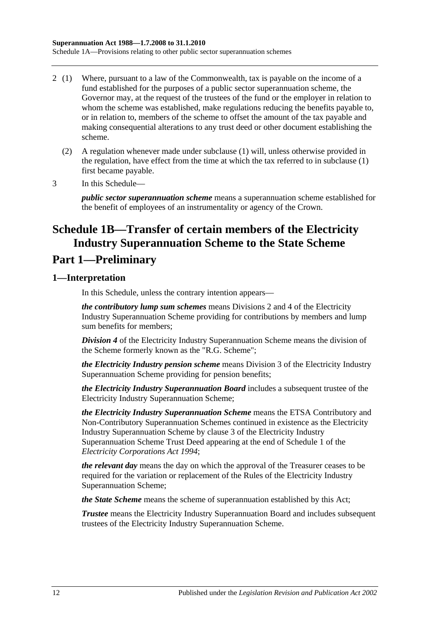- 2 (1) Where, pursuant to a law of the Commonwealth, tax is payable on the income of a fund established for the purposes of a public sector superannuation scheme, the Governor may, at the request of the trustees of the fund or the employer in relation to whom the scheme was established, make regulations reducing the benefits payable to, or in relation to, members of the scheme to offset the amount of the tax payable and making consequential alterations to any trust deed or other document establishing the scheme.
	- (2) A regulation whenever made under subclause (1) will, unless otherwise provided in the regulation, have effect from the time at which the tax referred to in subclause (1) first became payable.
- 3 In this Schedule—

*public sector superannuation scheme* means a superannuation scheme established for the benefit of employees of an instrumentality or agency of the Crown.

# **Schedule 1B—Transfer of certain members of the Electricity Industry Superannuation Scheme to the State Scheme**

# **Part 1—Preliminary**

## **1—Interpretation**

In this Schedule, unless the contrary intention appears—

*the contributory lump sum schemes* means Divisions 2 and 4 of the Electricity Industry Superannuation Scheme providing for contributions by members and lump sum benefits for members;

*Division 4* of the Electricity Industry Superannuation Scheme means the division of the Scheme formerly known as the "R.G. Scheme";

*the Electricity Industry pension scheme* means Division 3 of the Electricity Industry Superannuation Scheme providing for pension benefits;

*the Electricity Industry Superannuation Board* includes a subsequent trustee of the Electricity Industry Superannuation Scheme;

*the Electricity Industry Superannuation Scheme* means the ETSA Contributory and Non-Contributory Superannuation Schemes continued in existence as the Electricity Industry Superannuation Scheme by clause 3 of the Electricity Industry Superannuation Scheme Trust Deed appearing at the end of Schedule 1 of the *[Electricity Corporations Act](http://www.legislation.sa.gov.au/index.aspx?action=legref&type=act&legtitle=Electricity%20Corporations%20Act%201994) 1994*;

*the relevant day* means the day on which the approval of the Treasurer ceases to be required for the variation or replacement of the Rules of the Electricity Industry Superannuation Scheme;

*the State Scheme* means the scheme of superannuation established by this Act;

*Trustee* means the Electricity Industry Superannuation Board and includes subsequent trustees of the Electricity Industry Superannuation Scheme.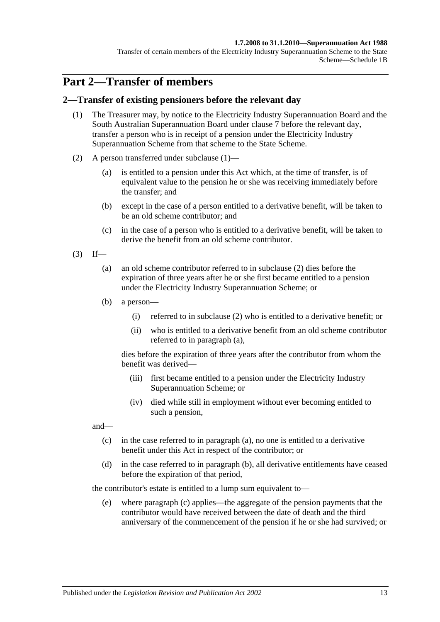#### **1.7.2008 to 31.1.2010—Superannuation Act 1988**

Transfer of certain members of the Electricity Industry Superannuation Scheme to the State Scheme—Schedule 1B

# **Part 2—Transfer of members**

#### <span id="page-116-0"></span>**2—Transfer of existing pensioners before the relevant day**

- (1) The Treasurer may, by notice to the Electricity Industry Superannuation Board and the South Australian Superannuation Board under [clause](#page-123-0) 7 before the relevant day, transfer a person who is in receipt of a pension under the Electricity Industry Superannuation Scheme from that scheme to the State Scheme.
- <span id="page-116-1"></span>(2) A person transferred under [subclause](#page-116-0) (1)—
	- (a) is entitled to a pension under this Act which, at the time of transfer, is of equivalent value to the pension he or she was receiving immediately before the transfer; and
	- (b) except in the case of a person entitled to a derivative benefit, will be taken to be an old scheme contributor; and
	- (c) in the case of a person who is entitled to a derivative benefit, will be taken to derive the benefit from an old scheme contributor.
- <span id="page-116-3"></span><span id="page-116-2"></span> $(3)$  If—
	- (a) an old scheme contributor referred to in [subclause](#page-116-1) (2) dies before the expiration of three years after he or she first became entitled to a pension under the Electricity Industry Superannuation Scheme; or
	- (b) a person—
		- (i) referred to in [subclause](#page-116-1) (2) who is entitled to a derivative benefit; or
		- (ii) who is entitled to a derivative benefit from an old scheme contributor referred to in [paragraph](#page-116-2) (a),

dies before the expiration of three years after the contributor from whom the benefit was derived—

- (iii) first became entitled to a pension under the Electricity Industry Superannuation Scheme; or
- (iv) died while still in employment without ever becoming entitled to such a pension,

<span id="page-116-4"></span>and—

- (c) in the case referred to in [paragraph](#page-116-2) (a), no one is entitled to a derivative benefit under this Act in respect of the contributor; or
- <span id="page-116-5"></span>(d) in the case referred to in [paragraph](#page-116-3) (b), all derivative entitlements have ceased before the expiration of that period,

the contributor's estate is entitled to a lump sum equivalent to—

(e) where [paragraph](#page-116-4) (c) applies—the aggregate of the pension payments that the contributor would have received between the date of death and the third anniversary of the commencement of the pension if he or she had survived; or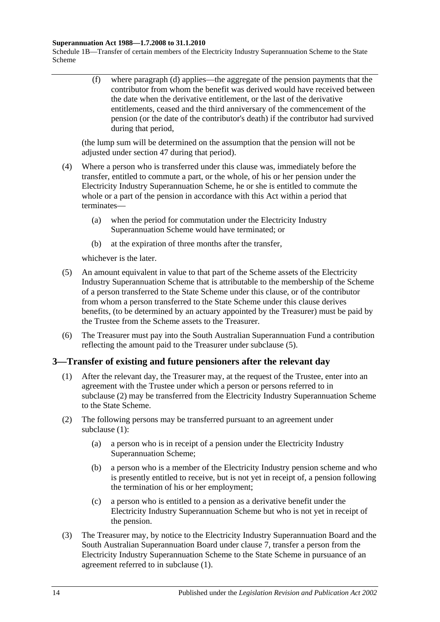#### **Superannuation Act 1988—1.7.2008 to 31.1.2010**

Schedule 1B—Transfer of certain members of the Electricity Industry Superannuation Scheme to the State Scheme

> (f) where [paragraph](#page-116-5) (d) applies—the aggregate of the pension payments that the contributor from whom the benefit was derived would have received between the date when the derivative entitlement, or the last of the derivative entitlements, ceased and the third anniversary of the commencement of the pension (or the date of the contributor's death) if the contributor had survived during that period,

(the lump sum will be determined on the assumption that the pension will not be adjusted under [section](#page-97-0) 47 during that period).

- (4) Where a person who is transferred under this clause was, immediately before the transfer, entitled to commute a part, or the whole, of his or her pension under the Electricity Industry Superannuation Scheme, he or she is entitled to commute the whole or a part of the pension in accordance with this Act within a period that terminates—
	- (a) when the period for commutation under the Electricity Industry Superannuation Scheme would have terminated; or
	- (b) at the expiration of three months after the transfer,

whichever is the later.

- <span id="page-117-0"></span>(5) An amount equivalent in value to that part of the Scheme assets of the Electricity Industry Superannuation Scheme that is attributable to the membership of the Scheme of a person transferred to the State Scheme under this clause, or of the contributor from whom a person transferred to the State Scheme under this clause derives benefits, (to be determined by an actuary appointed by the Treasurer) must be paid by the Trustee from the Scheme assets to the Treasurer.
- (6) The Treasurer must pay into the South Australian Superannuation Fund a contribution reflecting the amount paid to the Treasurer under [subclause](#page-117-0) (5).

### <span id="page-117-2"></span>**3—Transfer of existing and future pensioners after the relevant day**

- (1) After the relevant day, the Treasurer may, at the request of the Trustee, enter into an agreement with the Trustee under which a person or persons referred to in [subclause](#page-117-1) (2) may be transferred from the Electricity Industry Superannuation Scheme to the State Scheme.
- <span id="page-117-4"></span><span id="page-117-1"></span>(2) The following persons may be transferred pursuant to an agreement under [subclause](#page-117-2) (1):
	- (a) a person who is in receipt of a pension under the Electricity Industry Superannuation Scheme;
	- (b) a person who is a member of the Electricity Industry pension scheme and who is presently entitled to receive, but is not yet in receipt of, a pension following the termination of his or her employment;
	- (c) a person who is entitled to a pension as a derivative benefit under the Electricity Industry Superannuation Scheme but who is not yet in receipt of the pension.
- <span id="page-117-5"></span><span id="page-117-3"></span>(3) The Treasurer may, by notice to the Electricity Industry Superannuation Board and the South Australian Superannuation Board under [clause](#page-123-0) 7, transfer a person from the Electricity Industry Superannuation Scheme to the State Scheme in pursuance of an agreement referred to in [subclause](#page-117-2) (1).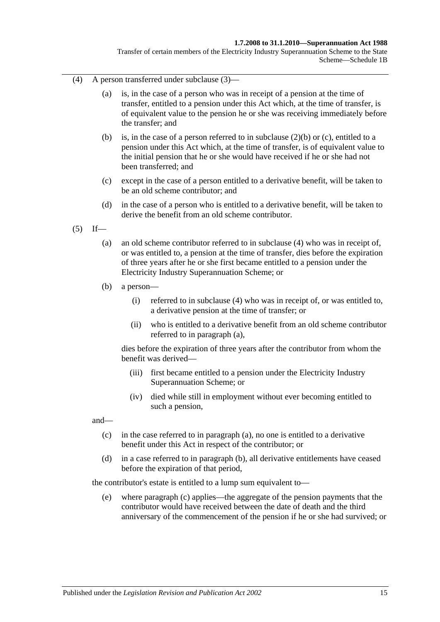#### **1.7.2008 to 31.1.2010—Superannuation Act 1988**

Transfer of certain members of the Electricity Industry Superannuation Scheme to the State Scheme—Schedule 1B

- <span id="page-118-0"></span>(4) A person transferred under [subclause](#page-117-3) (3)—
	- (a) is, in the case of a person who was in receipt of a pension at the time of transfer, entitled to a pension under this Act which, at the time of transfer, is of equivalent value to the pension he or she was receiving immediately before the transfer; and
	- (b) is, in the case of a person referred to in [subclause](#page-117-4) (2)(b) or [\(c\),](#page-117-5) entitled to a pension under this Act which, at the time of transfer, is of equivalent value to the initial pension that he or she would have received if he or she had not been transferred; and
	- (c) except in the case of a person entitled to a derivative benefit, will be taken to be an old scheme contributor; and
	- (d) in the case of a person who is entitled to a derivative benefit, will be taken to derive the benefit from an old scheme contributor.
- <span id="page-118-2"></span><span id="page-118-1"></span> $(5)$  If—
	- (a) an old scheme contributor referred to in [subclause](#page-118-0) (4) who was in receipt of, or was entitled to, a pension at the time of transfer, dies before the expiration of three years after he or she first became entitled to a pension under the Electricity Industry Superannuation Scheme; or
	- (b) a person—
		- (i) referred to in [subclause](#page-118-0) (4) who was in receipt of, or was entitled to, a derivative pension at the time of transfer; or
		- (ii) who is entitled to a derivative benefit from an old scheme contributor referred to in [paragraph](#page-118-1) (a),

dies before the expiration of three years after the contributor from whom the benefit was derived—

- (iii) first became entitled to a pension under the Electricity Industry Superannuation Scheme; or
- (iv) died while still in employment without ever becoming entitled to such a pension,

<span id="page-118-3"></span>and—

- (c) in the case referred to in [paragraph](#page-118-1) (a), no one is entitled to a derivative benefit under this Act in respect of the contributor; or
- <span id="page-118-4"></span>(d) in a case referred to in [paragraph](#page-118-2) (b), all derivative entitlements have ceased before the expiration of that period,

the contributor's estate is entitled to a lump sum equivalent to—

(e) where [paragraph](#page-118-3) (c) applies—the aggregate of the pension payments that the contributor would have received between the date of death and the third anniversary of the commencement of the pension if he or she had survived; or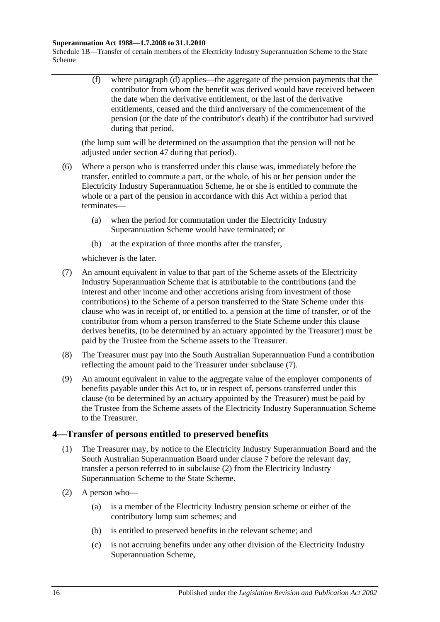#### **Superannuation Act 1988—1.7.2008 to 31.1.2010**

Schedule 1B—Transfer of certain members of the Electricity Industry Superannuation Scheme to the State Scheme

> (f) where [paragraph](#page-118-4) (d) applies—the aggregate of the pension payments that the contributor from whom the benefit was derived would have received between the date when the derivative entitlement, or the last of the derivative entitlements, ceased and the third anniversary of the commencement of the pension (or the date of the contributor's death) if the contributor had survived during that period,

(the lump sum will be determined on the assumption that the pension will not be adjusted under [section](#page-97-0) 47 during that period).

- (6) Where a person who is transferred under this clause was, immediately before the transfer, entitled to commute a part, or the whole, of his or her pension under the Electricity Industry Superannuation Scheme, he or she is entitled to commute the whole or a part of the pension in accordance with this Act within a period that terminates—
	- (a) when the period for commutation under the Electricity Industry Superannuation Scheme would have terminated; or
	- (b) at the expiration of three months after the transfer,

whichever is the later.

- <span id="page-119-0"></span>(7) An amount equivalent in value to that part of the Scheme assets of the Electricity Industry Superannuation Scheme that is attributable to the contributions (and the interest and other income and other accretions arising from investment of those contributions) to the Scheme of a person transferred to the State Scheme under this clause who was in receipt of, or entitled to, a pension at the time of transfer, or of the contributor from whom a person transferred to the State Scheme under this clause derives benefits, (to be determined by an actuary appointed by the Treasurer) must be paid by the Trustee from the Scheme assets to the Treasurer.
- (8) The Treasurer must pay into the South Australian Superannuation Fund a contribution reflecting the amount paid to the Treasurer under [subclause](#page-119-0) (7).
- (9) An amount equivalent in value to the aggregate value of the employer components of benefits payable under this Act to, or in respect of, persons transferred under this clause (to be determined by an actuary appointed by the Treasurer) must be paid by the Trustee from the Scheme assets of the Electricity Industry Superannuation Scheme to the Treasurer.

### <span id="page-119-2"></span>**4—Transfer of persons entitled to preserved benefits**

- (1) The Treasurer may, by notice to the Electricity Industry Superannuation Board and the South Australian Superannuation Board under [clause](#page-123-0) 7 before the relevant day, transfer a person referred to in [subclause](#page-119-1) (2) from the Electricity Industry Superannuation Scheme to the State Scheme.
- <span id="page-119-1"></span>(2) A person who—
	- (a) is a member of the Electricity Industry pension scheme or either of the contributory lump sum schemes; and
	- (b) is entitled to preserved benefits in the relevant scheme; and
	- (c) is not accruing benefits under any other division of the Electricity Industry Superannuation Scheme,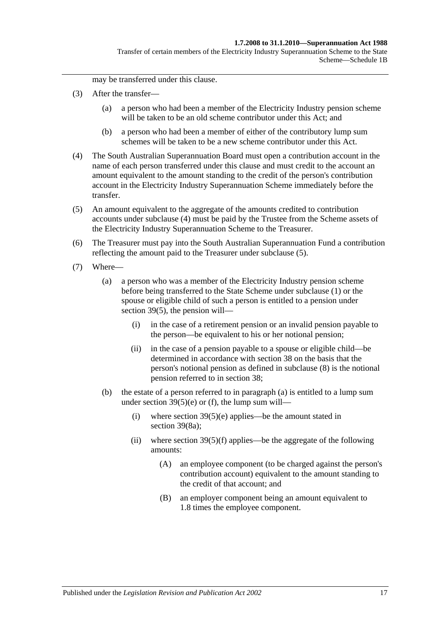may be transferred under this clause.

- (3) After the transfer—
	- (a) a person who had been a member of the Electricity Industry pension scheme will be taken to be an old scheme contributor under this Act; and
	- (b) a person who had been a member of either of the contributory lump sum schemes will be taken to be a new scheme contributor under this Act.
- <span id="page-120-0"></span>(4) The South Australian Superannuation Board must open a contribution account in the name of each person transferred under this clause and must credit to the account an amount equivalent to the amount standing to the credit of the person's contribution account in the Electricity Industry Superannuation Scheme immediately before the transfer.
- <span id="page-120-1"></span>(5) An amount equivalent to the aggregate of the amounts credited to contribution accounts under [subclause](#page-120-0) (4) must be paid by the Trustee from the Scheme assets of the Electricity Industry Superannuation Scheme to the Treasurer.
- (6) The Treasurer must pay into the South Australian Superannuation Fund a contribution reflecting the amount paid to the Treasurer under [subclause](#page-120-1) (5).
- <span id="page-120-3"></span><span id="page-120-2"></span>(7) Where—
	- (a) a person who was a member of the Electricity Industry pension scheme before being transferred to the State Scheme under [subclause](#page-119-2) (1) or the spouse or eligible child of such a person is entitled to a pension under [section](#page-74-0) 39(5), the pension will—
		- (i) in the case of a retirement pension or an invalid pension payable to the person—be equivalent to his or her notional pension;
		- (ii) in the case of a pension payable to a spouse or eligible child—be determined in accordance with [section](#page-68-0) 38 on the basis that the person's notional pension as defined in [subclause](#page-121-0) (8) is the notional pension referred to in [section](#page-68-0) 38;
	- (b) the estate of a person referred to in [paragraph](#page-120-2) (a) is entitled to a lump sum under section  $39(5)(e)$  or [\(f\),](#page-74-2) the lump sum will—
		- (i) where section  $39(5)(e)$  applies—be the amount stated in [section](#page-76-1) 39(8a);
		- (ii) where section  $39(5)(f)$  applies—be the aggregate of the following amounts:
			- (A) an employee component (to be charged against the person's contribution account) equivalent to the amount standing to the credit of that account; and
			- (B) an employer component being an amount equivalent to 1.8 times the employee component.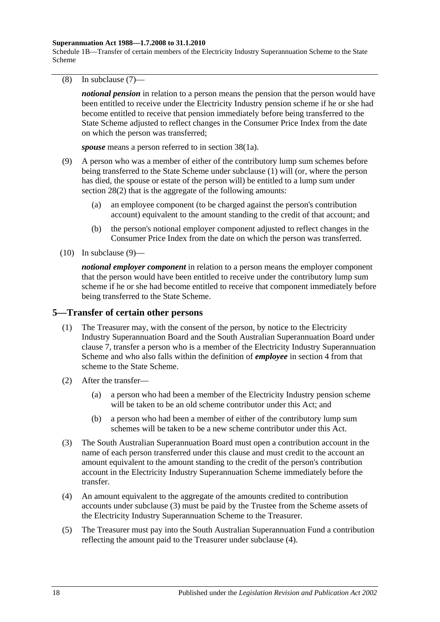#### **Superannuation Act 1988—1.7.2008 to 31.1.2010**

Schedule 1B—Transfer of certain members of the Electricity Industry Superannuation Scheme to the State Scheme

<span id="page-121-0"></span>(8) In [subclause](#page-120-3) (7)—

*notional pension* in relation to a person means the pension that the person would have been entitled to receive under the Electricity Industry pension scheme if he or she had become entitled to receive that pension immediately before being transferred to the State Scheme adjusted to reflect changes in the Consumer Price Index from the date on which the person was transferred;

*spouse* means a person referred to in section 38(1a).

- <span id="page-121-1"></span>(9) A person who was a member of either of the contributory lump sum schemes before being transferred to the State Scheme under [subclause](#page-119-2) (1) will (or, where the person has died, the spouse or estate of the person will) be entitled to a lump sum under [section](#page-35-1) 28(2) that is the aggregate of the following amounts:
	- (a) an employee component (to be charged against the person's contribution account) equivalent to the amount standing to the credit of that account; and
	- (b) the person's notional employer component adjusted to reflect changes in the Consumer Price Index from the date on which the person was transferred.
- $(10)$  In [subclause](#page-121-1)  $(9)$ —

*notional employer component* in relation to a person means the employer component that the person would have been entitled to receive under the contributory lump sum scheme if he or she had become entitled to receive that component immediately before being transferred to the State Scheme.

#### <span id="page-121-4"></span>**5—Transfer of certain other persons**

- (1) The Treasurer may, with the consent of the person, by notice to the Electricity Industry Superannuation Board and the South Australian Superannuation Board under [clause](#page-123-0) 7, transfer a person who is a member of the Electricity Industry Superannuation Scheme and who also falls within the definition of *employee* in [section](#page-6-0) 4 from that scheme to the State Scheme.
- (2) After the transfer—
	- (a) a person who had been a member of the Electricity Industry pension scheme will be taken to be an old scheme contributor under this Act; and
	- (b) a person who had been a member of either of the contributory lump sum schemes will be taken to be a new scheme contributor under this Act.
- <span id="page-121-2"></span>(3) The South Australian Superannuation Board must open a contribution account in the name of each person transferred under this clause and must credit to the account an amount equivalent to the amount standing to the credit of the person's contribution account in the Electricity Industry Superannuation Scheme immediately before the transfer.
- <span id="page-121-3"></span>(4) An amount equivalent to the aggregate of the amounts credited to contribution accounts under [subclause](#page-121-2) (3) must be paid by the Trustee from the Scheme assets of the Electricity Industry Superannuation Scheme to the Treasurer.
- (5) The Treasurer must pay into the South Australian Superannuation Fund a contribution reflecting the amount paid to the Treasurer under [subclause](#page-121-3) (4).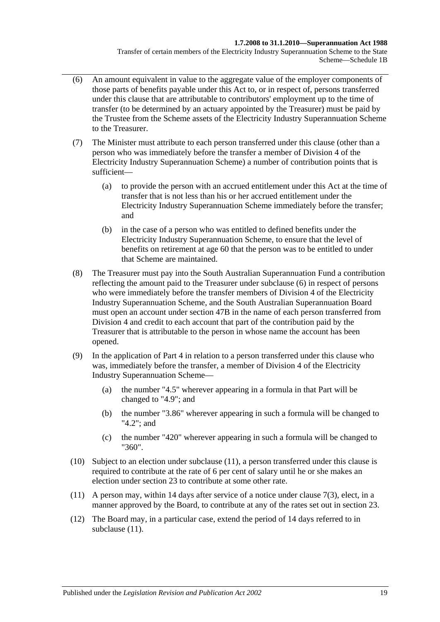#### **1.7.2008 to 31.1.2010—Superannuation Act 1988**

Transfer of certain members of the Electricity Industry Superannuation Scheme to the State Scheme—Schedule 1B

- <span id="page-122-0"></span>(6) An amount equivalent in value to the aggregate value of the employer components of those parts of benefits payable under this Act to, or in respect of, persons transferred under this clause that are attributable to contributors' employment up to the time of transfer (to be determined by an actuary appointed by the Treasurer) must be paid by the Trustee from the Scheme assets of the Electricity Industry Superannuation Scheme to the Treasurer.
- (7) The Minister must attribute to each person transferred under this clause (other than a person who was immediately before the transfer a member of Division 4 of the Electricity Industry Superannuation Scheme) a number of contribution points that is sufficient—
	- (a) to provide the person with an accrued entitlement under this Act at the time of transfer that is not less than his or her accrued entitlement under the Electricity Industry Superannuation Scheme immediately before the transfer; and
	- (b) in the case of a person who was entitled to defined benefits under the Electricity Industry Superannuation Scheme, to ensure that the level of benefits on retirement at age 60 that the person was to be entitled to under that Scheme are maintained.
- (8) The Treasurer must pay into the South Australian Superannuation Fund a contribution reflecting the amount paid to the Treasurer under [subclause](#page-122-0) (6) in respect of persons who were immediately before the transfer members of Division 4 of the Electricity Industry Superannuation Scheme, and the South Australian Superannuation Board must open an account under [section](#page-98-0) 47B in the name of each person transferred from Division 4 and credit to each account that part of the contribution paid by the Treasurer that is attributable to the person in whose name the account has been opened.
- (9) In the application of [Part 4](#page-30-0) in relation to a person transferred under this clause who was, immediately before the transfer, a member of Division 4 of the Electricity Industry Superannuation Scheme—
	- (a) the number "4.5" wherever appearing in a formula in that Part will be changed to "4.9"; and
	- (b) the number "3.86" wherever appearing in such a formula will be changed to "4.2"; and
	- (c) the number "420" wherever appearing in such a formula will be changed to "360".
- (10) Subject to an election under [subclause](#page-122-1) (11), a person transferred under this clause is required to contribute at the rate of 6 per cent of salary until he or she makes an election under [section](#page-26-0) 23 to contribute at some other rate.
- <span id="page-122-1"></span>(11) A person may, within 14 days after service of a notice under [clause](#page-123-1) 7(3), elect, in a manner approved by the Board, to contribute at any of the rates set out in [section](#page-26-0) 23.
- (12) The Board may, in a particular case, extend the period of 14 days referred to in [subclause](#page-122-1)  $(11)$ .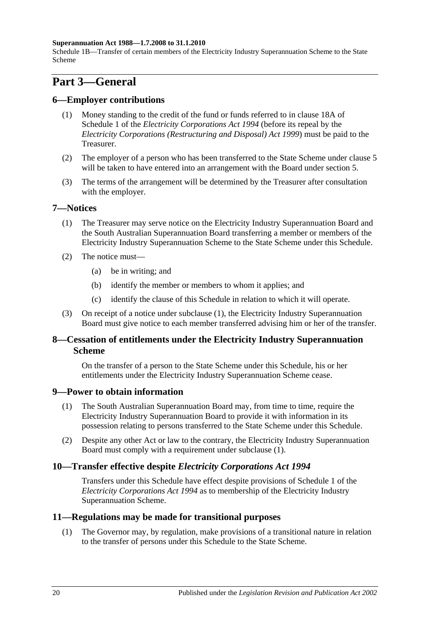#### **Superannuation Act 1988—1.7.2008 to 31.1.2010**

Schedule 1B—Transfer of certain members of the Electricity Industry Superannuation Scheme to the State Scheme

# **Part 3—General**

#### **6—Employer contributions**

- (1) Money standing to the credit of the fund or funds referred to in clause 18A of Schedule 1 of the *[Electricity Corporations Act](http://www.legislation.sa.gov.au/index.aspx?action=legref&type=act&legtitle=Electricity%20Corporations%20Act%201994) 1994* (before its repeal by the *[Electricity Corporations \(Restructuring and Disposal\) Act](http://www.legislation.sa.gov.au/index.aspx?action=legref&type=act&legtitle=Electricity%20Corporations%20(Restructuring%20and%20Disposal)%20Act%201999) 1999*) must be paid to the Treasurer.
- (2) The employer of a person who has been transferred to the State Scheme under [clause](#page-121-4) 5 will be taken to have entered into an arrangement with the Board under [section](#page-14-0) 5.
- (3) The terms of the arrangement will be determined by the Treasurer after consultation with the employer.

#### <span id="page-123-2"></span><span id="page-123-0"></span>**7—Notices**

- (1) The Treasurer may serve notice on the Electricity Industry Superannuation Board and the South Australian Superannuation Board transferring a member or members of the Electricity Industry Superannuation Scheme to the State Scheme under this Schedule.
- (2) The notice must—
	- (a) be in writing; and
	- (b) identify the member or members to whom it applies; and
	- (c) identify the clause of this Schedule in relation to which it will operate.
- <span id="page-123-1"></span>(3) On receipt of a notice under [subclause](#page-123-2) (1), the Electricity Industry Superannuation Board must give notice to each member transferred advising him or her of the transfer.

### **8—Cessation of entitlements under the Electricity Industry Superannuation Scheme**

On the transfer of a person to the State Scheme under this Schedule, his or her entitlements under the Electricity Industry Superannuation Scheme cease.

#### <span id="page-123-3"></span>**9—Power to obtain information**

- (1) The South Australian Superannuation Board may, from time to time, require the Electricity Industry Superannuation Board to provide it with information in its possession relating to persons transferred to the State Scheme under this Schedule.
- (2) Despite any other Act or law to the contrary, the Electricity Industry Superannuation Board must comply with a requirement under [subclause](#page-123-3) (1).

### **10—Transfer effective despite** *Electricity Corporations Act 1994*

Transfers under this Schedule have effect despite provisions of Schedule 1 of the *[Electricity Corporations Act](http://www.legislation.sa.gov.au/index.aspx?action=legref&type=act&legtitle=Electricity%20Corporations%20Act%201994) 1994* as to membership of the Electricity Industry Superannuation Scheme.

#### **11—Regulations may be made for transitional purposes**

(1) The Governor may, by regulation, make provisions of a transitional nature in relation to the transfer of persons under this Schedule to the State Scheme.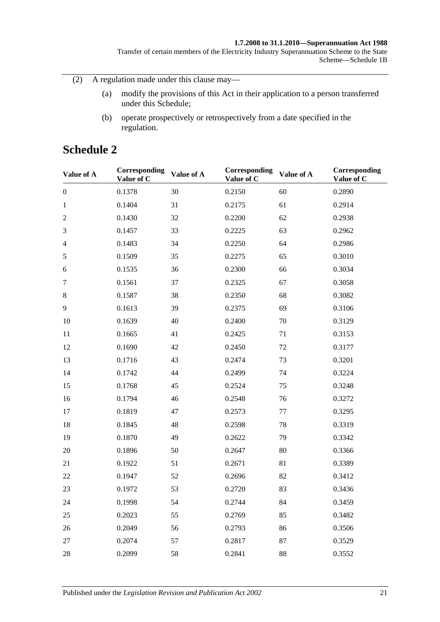#### **1.7.2008 to 31.1.2010—Superannuation Act 1988**

Transfer of certain members of the Electricity Industry Superannuation Scheme to the State Scheme—Schedule 1B

(2) A regulation made under this clause may—

- (a) modify the provisions of this Act in their application to a person transferred under this Schedule;
- (b) operate prospectively or retrospectively from a date specified in the regulation.

# **Schedule 2**

| Value of A       | Corresponding<br>Value of C | Value of A | Corresponding<br>Value of C | Value of A | Corresponding<br>Value of C |
|------------------|-----------------------------|------------|-----------------------------|------------|-----------------------------|
| $\boldsymbol{0}$ | 0.1378                      | 30         | 0.2150                      | 60         | 0.2890                      |
| $\mathbf{1}$     | 0.1404                      | 31         | 0.2175                      | 61         | 0.2914                      |
| $\overline{2}$   | 0.1430                      | 32         | 0.2200                      | 62         | 0.2938                      |
| 3                | 0.1457                      | 33         | 0.2225                      | 63         | 0.2962                      |
| $\overline{4}$   | 0.1483                      | 34         | 0.2250                      | 64         | 0.2986                      |
| $\sqrt{5}$       | 0.1509                      | 35         | 0.2275                      | 65         | 0.3010                      |
| 6                | 0.1535                      | 36         | 0.2300                      | 66         | 0.3034                      |
| $\tau$           | 0.1561                      | 37         | 0.2325                      | 67         | 0.3058                      |
| $8\,$            | 0.1587                      | 38         | 0.2350                      | 68         | 0.3082                      |
| 9                | 0.1613                      | 39         | 0.2375                      | 69         | 0.3106                      |
| 10               | 0.1639                      | 40         | 0.2400                      | 70         | 0.3129                      |
| 11               | 0.1665                      | 41         | 0.2425                      | 71         | 0.3153                      |
| 12               | 0.1690                      | 42         | 0.2450                      | 72         | 0.3177                      |
| 13               | 0.1716                      | 43         | 0.2474                      | 73         | 0.3201                      |
| 14               | 0.1742                      | 44         | 0.2499                      | 74         | 0.3224                      |
| 15               | 0.1768                      | 45         | 0.2524                      | 75         | 0.3248                      |
| 16               | 0.1794                      | 46         | 0.2548                      | 76         | 0.3272                      |
| 17               | 0.1819                      | 47         | 0.2573                      | 77         | 0.3295                      |
| 18               | 0.1845                      | 48         | 0.2598                      | 78         | 0.3319                      |
| 19               | 0.1870                      | 49         | 0.2622                      | 79         | 0.3342                      |
| 20               | 0.1896                      | 50         | 0.2647                      | 80         | 0.3366                      |
| 21               | 0.1922                      | 51         | 0.2671                      | 81         | 0.3389                      |
| 22               | 0.1947                      | 52         | 0.2696                      | 82         | 0.3412                      |
| 23               | 0.1972                      | 53         | 0.2720                      | 83         | 0.3436                      |
| 24               | 0.1998                      | 54         | 0.2744                      | 84         | 0.3459                      |
| 25               | 0.2023                      | 55         | 0.2769                      | 85         | 0.3482                      |
| 26               | 0.2049                      | 56         | 0.2793                      | 86         | 0.3506                      |
| 27               | 0.2074                      | 57         | 0.2817                      | 87         | 0.3529                      |
| 28               | 0.2099                      | 58         | 0.2841                      | 88         | 0.3552                      |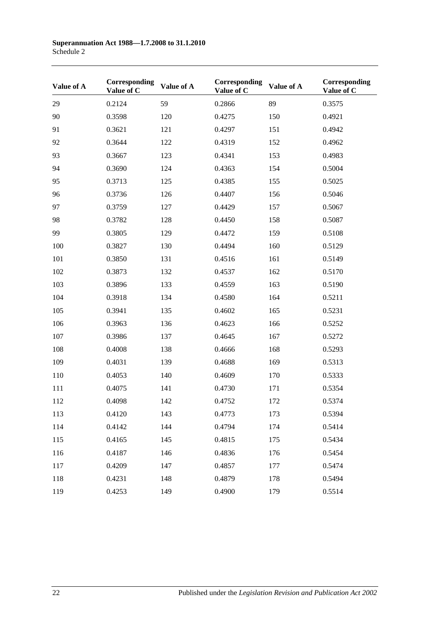| Value of A | Corresponding<br>Value of C | Value of A | Corresponding<br>Value of C | Value of A | Corresponding<br>Value of C |
|------------|-----------------------------|------------|-----------------------------|------------|-----------------------------|
| 29         | 0.2124                      | 59         | 0.2866                      | 89         | 0.3575                      |
| 90         | 0.3598                      | 120        | 0.4275                      | 150        | 0.4921                      |
| 91         | 0.3621                      | 121        | 0.4297                      | 151        | 0.4942                      |
| 92         | 0.3644                      | 122        | 0.4319                      | 152        | 0.4962                      |
| 93         | 0.3667                      | 123        | 0.4341                      | 153        | 0.4983                      |
| 94         | 0.3690                      | 124        | 0.4363                      | 154        | 0.5004                      |
| 95         | 0.3713                      | 125        | 0.4385                      | 155        | 0.5025                      |
| 96         | 0.3736                      | 126        | 0.4407                      | 156        | 0.5046                      |
| 97         | 0.3759                      | 127        | 0.4429                      | 157        | 0.5067                      |
| 98         | 0.3782                      | 128        | 0.4450                      | 158        | 0.5087                      |
| 99         | 0.3805                      | 129        | 0.4472                      | 159        | 0.5108                      |
| 100        | 0.3827                      | 130        | 0.4494                      | 160        | 0.5129                      |
| 101        | 0.3850                      | 131        | 0.4516                      | 161        | 0.5149                      |
| 102        | 0.3873                      | 132        | 0.4537                      | 162        | 0.5170                      |
| 103        | 0.3896                      | 133        | 0.4559                      | 163        | 0.5190                      |
| 104        | 0.3918                      | 134        | 0.4580                      | 164        | 0.5211                      |
| 105        | 0.3941                      | 135        | 0.4602                      | 165        | 0.5231                      |
| 106        | 0.3963                      | 136        | 0.4623                      | 166        | 0.5252                      |
| 107        | 0.3986                      | 137        | 0.4645                      | 167        | 0.5272                      |
| 108        | 0.4008                      | 138        | 0.4666                      | 168        | 0.5293                      |
| 109        | 0.4031                      | 139        | 0.4688                      | 169        | 0.5313                      |
| 110        | 0.4053                      | 140        | 0.4609                      | 170        | 0.5333                      |
| 111        | 0.4075                      | 141        | 0.4730                      | 171        | 0.5354                      |
| 112        | 0.4098                      | 142        | 0.4752                      | 172        | 0.5374                      |
| 113        | 0.4120                      | 143        | 0.4773                      | 173        | 0.5394                      |
| 114        | 0.4142                      | 144        | 0.4794                      | 174        | 0.5414                      |
| 115        | 0.4165                      | 145        | 0.4815                      | 175        | 0.5434                      |
| 116        | 0.4187                      | 146        | 0.4836                      | 176        | 0.5454                      |
| 117        | 0.4209                      | 147        | 0.4857                      | 177        | 0.5474                      |
| 118        | 0.4231                      | 148        | 0.4879                      | 178        | 0.5494                      |
| 119        | 0.4253                      | 149        | 0.4900                      | 179        | 0.5514                      |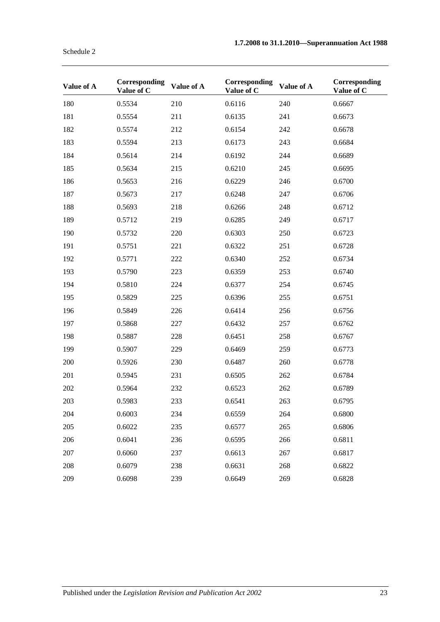| Value of A | Corresponding<br>Value of C | Value of A | Corresponding<br>Value of C | Value of A | Corresponding<br>Value of C |
|------------|-----------------------------|------------|-----------------------------|------------|-----------------------------|
| 180        | 0.5534                      | 210        | 0.6116                      | 240        | 0.6667                      |
| 181        | 0.5554                      | 211        | 0.6135                      | 241        | 0.6673                      |
| 182        | 0.5574                      | 212        | 0.6154                      | 242        | 0.6678                      |
| 183        | 0.5594                      | 213        | 0.6173                      | 243        | 0.6684                      |
| 184        | 0.5614                      | 214        | 0.6192                      | 244        | 0.6689                      |
| 185        | 0.5634                      | 215        | 0.6210                      | 245        | 0.6695                      |
| 186        | 0.5653                      | 216        | 0.6229                      | 246        | 0.6700                      |
| 187        | 0.5673                      | 217        | 0.6248                      | 247        | 0.6706                      |
| 188        | 0.5693                      | 218        | 0.6266                      | 248        | 0.6712                      |
| 189        | 0.5712                      | 219        | 0.6285                      | 249        | 0.6717                      |
| 190        | 0.5732                      | 220        | 0.6303                      | 250        | 0.6723                      |
| 191        | 0.5751                      | 221        | 0.6322                      | 251        | 0.6728                      |
| 192        | 0.5771                      | 222        | 0.6340                      | 252        | 0.6734                      |
| 193        | 0.5790                      | 223        | 0.6359                      | 253        | 0.6740                      |
| 194        | 0.5810                      | 224        | 0.6377                      | 254        | 0.6745                      |
| 195        | 0.5829                      | 225        | 0.6396                      | 255        | 0.6751                      |
| 196        | 0.5849                      | 226        | 0.6414                      | 256        | 0.6756                      |
| 197        | 0.5868                      | 227        | 0.6432                      | 257        | 0.6762                      |
| 198        | 0.5887                      | 228        | 0.6451                      | 258        | 0.6767                      |
| 199        | 0.5907                      | 229        | 0.6469                      | 259        | 0.6773                      |
| 200        | 0.5926                      | 230        | 0.6487                      | 260        | 0.6778                      |
| 201        | 0.5945                      | 231        | 0.6505                      | 262        | 0.6784                      |
| 202        | 0.5964                      | 232        | 0.6523                      | 262        | 0.6789                      |
| 203        | 0.5983                      | 233        | 0.6541                      | 263        | 0.6795                      |
| 204        | 0.6003                      | 234        | 0.6559                      | 264        | 0.6800                      |
| 205        | 0.6022                      | 235        | 0.6577                      | 265        | 0.6806                      |
| 206        | 0.6041                      | 236        | 0.6595                      | 266        | 0.6811                      |
| 207        | 0.6060                      | 237        | 0.6613                      | 267        | 0.6817                      |
| 208        | 0.6079                      | 238        | 0.6631                      | 268        | 0.6822                      |
| 209        | 0.6098                      | 239        | 0.6649                      | 269        | 0.6828                      |

Schedule 2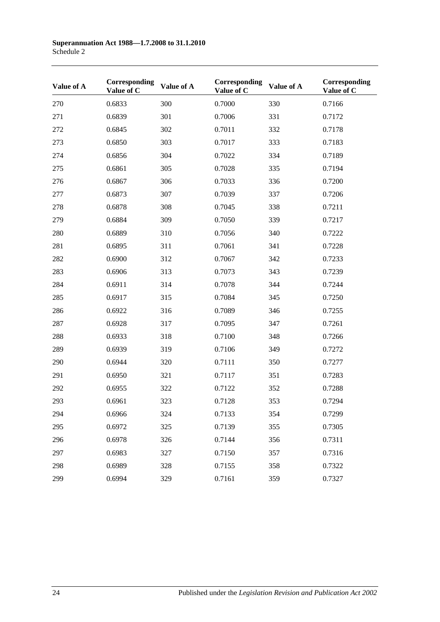| Value of A | Corresponding<br>Value of C | Value of A | Corresponding<br>Value of C | Value of A | Corresponding<br>Value of C |
|------------|-----------------------------|------------|-----------------------------|------------|-----------------------------|
| 270        | 0.6833                      | 300        | 0.7000                      | 330        | 0.7166                      |
| 271        | 0.6839                      | 301        | 0.7006                      | 331        | 0.7172                      |
| 272        | 0.6845                      | 302        | 0.7011                      | 332        | 0.7178                      |
| 273        | 0.6850                      | 303        | 0.7017                      | 333        | 0.7183                      |
| 274        | 0.6856                      | 304        | 0.7022                      | 334        | 0.7189                      |
| 275        | 0.6861                      | 305        | 0.7028                      | 335        | 0.7194                      |
| 276        | 0.6867                      | 306        | 0.7033                      | 336        | 0.7200                      |
| 277        | 0.6873                      | 307        | 0.7039                      | 337        | 0.7206                      |
| 278        | 0.6878                      | 308        | 0.7045                      | 338        | 0.7211                      |
| 279        | 0.6884                      | 309        | 0.7050                      | 339        | 0.7217                      |
| 280        | 0.6889                      | 310        | 0.7056                      | 340        | 0.7222                      |
| 281        | 0.6895                      | 311        | 0.7061                      | 341        | 0.7228                      |
| 282        | 0.6900                      | 312        | 0.7067                      | 342        | 0.7233                      |
| 283        | 0.6906                      | 313        | 0.7073                      | 343        | 0.7239                      |
| 284        | 0.6911                      | 314        | 0.7078                      | 344        | 0.7244                      |
| 285        | 0.6917                      | 315        | 0.7084                      | 345        | 0.7250                      |
| 286        | 0.6922                      | 316        | 0.7089                      | 346        | 0.7255                      |
| 287        | 0.6928                      | 317        | 0.7095                      | 347        | 0.7261                      |
| 288        | 0.6933                      | 318        | 0.7100                      | 348        | 0.7266                      |
| 289        | 0.6939                      | 319        | 0.7106                      | 349        | 0.7272                      |
| 290        | 0.6944                      | 320        | 0.7111                      | 350        | 0.7277                      |
| 291        | 0.6950                      | 321        | 0.7117                      | 351        | 0.7283                      |
| 292        | 0.6955                      | 322        | 0.7122                      | 352        | 0.7288                      |
| 293        | 0.6961                      | 323        | 0.7128                      | 353        | 0.7294                      |
| 294        | 0.6966                      | 324        | 0.7133                      | 354        | 0.7299                      |
| 295        | 0.6972                      | 325        | 0.7139                      | 355        | 0.7305                      |
| 296        | 0.6978                      | 326        | 0.7144                      | 356        | 0.7311                      |
| 297        | 0.6983                      | 327        | 0.7150                      | 357        | 0.7316                      |
| 298        | 0.6989                      | 328        | 0.7155                      | 358        | 0.7322                      |
| 299        | 0.6994                      | 329        | 0.7161                      | 359        | 0.7327                      |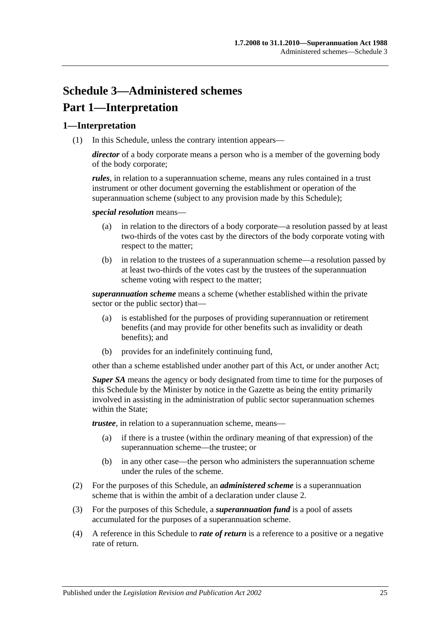# **Schedule 3—Administered schemes Part 1—Interpretation**

## **1—Interpretation**

(1) In this Schedule, unless the contrary intention appears—

*director* of a body corporate means a person who is a member of the governing body of the body corporate;

*rules*, in relation to a superannuation scheme, means any rules contained in a trust instrument or other document governing the establishment or operation of the superannuation scheme (subject to any provision made by this Schedule);

*special resolution* means—

- (a) in relation to the directors of a body corporate—a resolution passed by at least two-thirds of the votes cast by the directors of the body corporate voting with respect to the matter;
- (b) in relation to the trustees of a superannuation scheme—a resolution passed by at least two-thirds of the votes cast by the trustees of the superannuation scheme voting with respect to the matter;

*superannuation scheme* means a scheme (whether established within the private sector or the public sector) that—

- (a) is established for the purposes of providing superannuation or retirement benefits (and may provide for other benefits such as invalidity or death benefits); and
- (b) provides for an indefinitely continuing fund,

other than a scheme established under another part of this Act, or under another Act;

*Super SA* means the agency or body designated from time to time for the purposes of this Schedule by the Minister by notice in the Gazette as being the entity primarily involved in assisting in the administration of public sector superannuation schemes within the State:

*trustee*, in relation to a superannuation scheme, means—

- (a) if there is a trustee (within the ordinary meaning of that expression) of the superannuation scheme—the trustee; or
- (b) in any other case—the person who administers the superannuation scheme under the rules of the scheme.
- (2) For the purposes of this Schedule, an *administered scheme* is a superannuation scheme that is within the ambit of a declaration under [clause](#page-129-0) 2.
- (3) For the purposes of this Schedule, a *superannuation fund* is a pool of assets accumulated for the purposes of a superannuation scheme.
- (4) A reference in this Schedule to *rate of return* is a reference to a positive or a negative rate of return.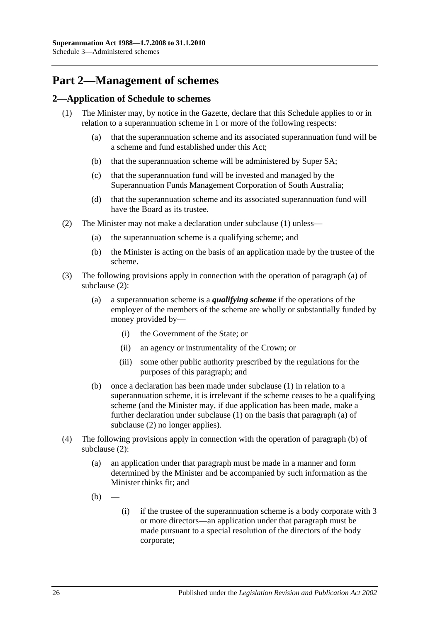# **Part 2—Management of schemes**

### <span id="page-129-1"></span><span id="page-129-0"></span>**2—Application of Schedule to schemes**

- <span id="page-129-6"></span><span id="page-129-5"></span>(1) The Minister may, by notice in the Gazette, declare that this Schedule applies to or in relation to a superannuation scheme in 1 or more of the following respects:
	- (a) that the superannuation scheme and its associated superannuation fund will be a scheme and fund established under this Act;
	- (b) that the superannuation scheme will be administered by Super SA;
	- (c) that the superannuation fund will be invested and managed by the Superannuation Funds Management Corporation of South Australia;
	- (d) that the superannuation scheme and its associated superannuation fund will have the Board as its trustee.
- <span id="page-129-8"></span><span id="page-129-7"></span><span id="page-129-4"></span><span id="page-129-3"></span><span id="page-129-2"></span>(2) The Minister may not make a declaration under [subclause](#page-129-1) (1) unless—
	- (a) the superannuation scheme is a qualifying scheme; and
	- (b) the Minister is acting on the basis of an application made by the trustee of the scheme.
- (3) The following provisions apply in connection with the operation of [paragraph](#page-129-2) (a) of [subclause](#page-129-3) (2):
	- (a) a superannuation scheme is a *qualifying scheme* if the operations of the employer of the members of the scheme are wholly or substantially funded by money provided by—
		- (i) the Government of the State; or
		- (ii) an agency or instrumentality of the Crown; or
		- (iii) some other public authority prescribed by the regulations for the purposes of this paragraph; and
	- (b) once a declaration has been made under [subclause](#page-129-1) (1) in relation to a superannuation scheme, it is irrelevant if the scheme ceases to be a qualifying scheme (and the Minister may, if due application has been made, make a further declaration under [subclause](#page-129-1) (1) on the basis that [paragraph](#page-129-2) (a) of [subclause](#page-129-3) (2) no longer applies).
- (4) The following provisions apply in connection with the operation of [paragraph](#page-129-4) (b) of [subclause](#page-129-3) (2):
	- (a) an application under that paragraph must be made in a manner and form determined by the Minister and be accompanied by such information as the Minister thinks fit; and
	- $(b)$
- (i) if the trustee of the superannuation scheme is a body corporate with 3 or more directors—an application under that paragraph must be made pursuant to a special resolution of the directors of the body corporate;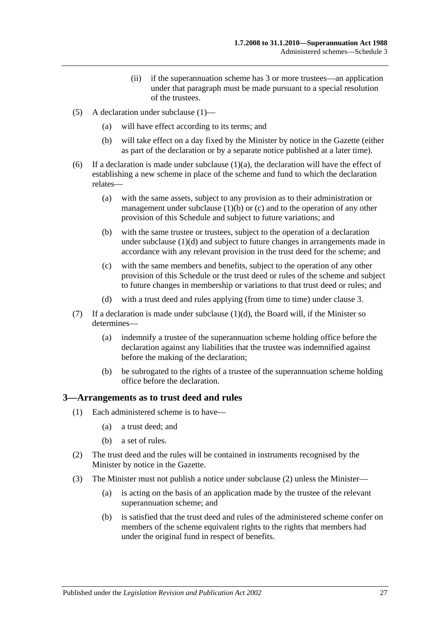- (ii) if the superannuation scheme has 3 or more trustees—an application under that paragraph must be made pursuant to a special resolution of the trustees.
- (5) A declaration under [subclause](#page-129-1) (1)—
	- (a) will have effect according to its terms; and
	- (b) will take effect on a day fixed by the Minister by notice in the Gazette (either as part of the declaration or by a separate notice published at a later time).
- (6) If a declaration is made under [subclause](#page-129-5)  $(1)(a)$ , the declaration will have the effect of establishing a new scheme in place of the scheme and fund to which the declaration relates—
	- (a) with the same assets, subject to any provision as to their administration or management under [subclause](#page-129-6)  $(1)(b)$  or  $(c)$  and to the operation of any other provision of this Schedule and subject to future variations; and
	- (b) with the same trustee or trustees, subject to the operation of a declaration under [subclause](#page-129-8) (1)(d) and subject to future changes in arrangements made in accordance with any relevant provision in the trust deed for the scheme; and
	- (c) with the same members and benefits, subject to the operation of any other provision of this Schedule or the trust deed or rules of the scheme and subject to future changes in membership or variations to that trust deed or rules; and
	- (d) with a trust deed and rules applying (from time to time) under [clause](#page-130-0) 3.
- (7) If a declaration is made under [subclause](#page-129-8)  $(1)(d)$ , the Board will, if the Minister so determines—
	- (a) indemnify a trustee of the superannuation scheme holding office before the declaration against any liabilities that the trustee was indemnified against before the making of the declaration;
	- (b) be subrogated to the rights of a trustee of the superannuation scheme holding office before the declaration.

#### <span id="page-130-0"></span>**3—Arrangements as to trust deed and rules**

- (1) Each administered scheme is to have—
	- (a) a trust deed; and
	- (b) a set of rules.
- <span id="page-130-1"></span>(2) The trust deed and the rules will be contained in instruments recognised by the Minister by notice in the Gazette.
- <span id="page-130-2"></span>(3) The Minister must not publish a notice under [subclause](#page-130-1) (2) unless the Minister—
	- (a) is acting on the basis of an application made by the trustee of the relevant superannuation scheme; and
	- (b) is satisfied that the trust deed and rules of the administered scheme confer on members of the scheme equivalent rights to the rights that members had under the original fund in respect of benefits.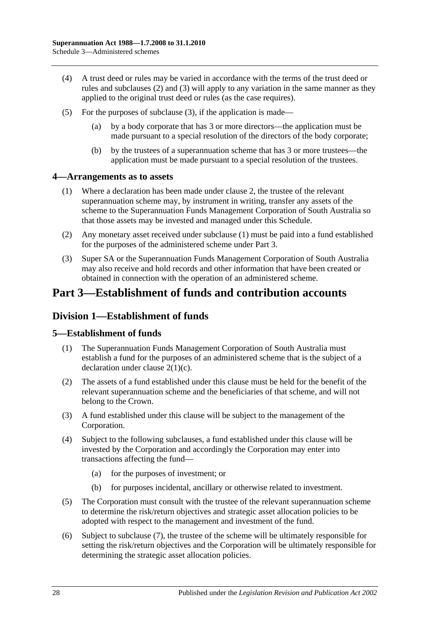- (4) A trust deed or rules may be varied in accordance with the terms of the trust deed or rules and [subclauses](#page-130-1) (2) and [\(3\)](#page-130-2) will apply to any variation in the same manner as they applied to the original trust deed or rules (as the case requires).
- (5) For the purposes of [subclause](#page-130-2) (3), if the application is made—
	- (a) by a body corporate that has 3 or more directors—the application must be made pursuant to a special resolution of the directors of the body corporate;
	- (b) by the trustees of a superannuation scheme that has 3 or more trustees—the application must be made pursuant to a special resolution of the trustees.

#### <span id="page-131-0"></span>**4—Arrangements as to assets**

- (1) Where a declaration has been made under [clause](#page-129-0) 2, the trustee of the relevant superannuation scheme may, by instrument in writing, transfer any assets of the scheme to the Superannuation Funds Management Corporation of South Australia so that those assets may be invested and managed under this Schedule.
- (2) Any monetary asset received under [subclause](#page-131-0) (1) must be paid into a fund established for the purposes of the administered scheme under Part 3.
- (3) Super SA or the Superannuation Funds Management Corporation of South Australia may also receive and hold records and other information that have been created or obtained in connection with the operation of an administered scheme.

# **Part 3—Establishment of funds and contribution accounts**

## **Division 1—Establishment of funds**

### **5—Establishment of funds**

- (1) The Superannuation Funds Management Corporation of South Australia must establish a fund for the purposes of an administered scheme that is the subject of a declaration under clause [2\(1\)\(c\).](#page-129-7)
- (2) The assets of a fund established under this clause must be held for the benefit of the relevant superannuation scheme and the beneficiaries of that scheme, and will not belong to the Crown.
- (3) A fund established under this clause will be subject to the management of the Corporation.
- (4) Subject to the following subclauses, a fund established under this clause will be invested by the Corporation and accordingly the Corporation may enter into transactions affecting the fund—
	- (a) for the purposes of investment; or
	- (b) for purposes incidental, ancillary or otherwise related to investment.
- (5) The Corporation must consult with the trustee of the relevant superannuation scheme to determine the risk/return objectives and strategic asset allocation policies to be adopted with respect to the management and investment of the fund.
- (6) Subject to [subclause](#page-132-0) (7), the trustee of the scheme will be ultimately responsible for setting the risk/return objectives and the Corporation will be ultimately responsible for determining the strategic asset allocation policies.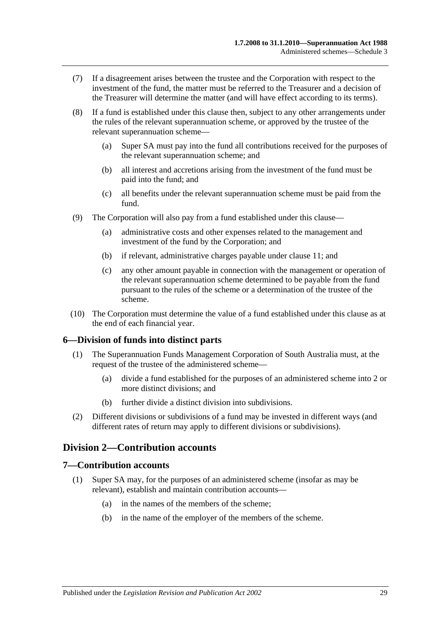- <span id="page-132-0"></span>(7) If a disagreement arises between the trustee and the Corporation with respect to the investment of the fund, the matter must be referred to the Treasurer and a decision of the Treasurer will determine the matter (and will have effect according to its terms).
- (8) If a fund is established under this clause then, subject to any other arrangements under the rules of the relevant superannuation scheme, or approved by the trustee of the relevant superannuation scheme—
	- (a) Super SA must pay into the fund all contributions received for the purposes of the relevant superannuation scheme; and
	- (b) all interest and accretions arising from the investment of the fund must be paid into the fund; and
	- (c) all benefits under the relevant superannuation scheme must be paid from the fund.
- (9) The Corporation will also pay from a fund established under this clause—
	- (a) administrative costs and other expenses related to the management and investment of the fund by the Corporation; and
	- (b) if relevant, administrative charges payable under [clause](#page-134-0) 11; and
	- (c) any other amount payable in connection with the management or operation of the relevant superannuation scheme determined to be payable from the fund pursuant to the rules of the scheme or a determination of the trustee of the scheme.
- (10) The Corporation must determine the value of a fund established under this clause as at the end of each financial year.

### **6—Division of funds into distinct parts**

- (1) The Superannuation Funds Management Corporation of South Australia must, at the request of the trustee of the administered scheme—
	- (a) divide a fund established for the purposes of an administered scheme into 2 or more distinct divisions; and
	- (b) further divide a distinct division into subdivisions.
- (2) Different divisions or subdivisions of a fund may be invested in different ways (and different rates of return may apply to different divisions or subdivisions).

## **Division 2—Contribution accounts**

#### **7—Contribution accounts**

- (1) Super SA may, for the purposes of an administered scheme (insofar as may be relevant), establish and maintain contribution accounts—
	- (a) in the names of the members of the scheme;
	- (b) in the name of the employer of the members of the scheme.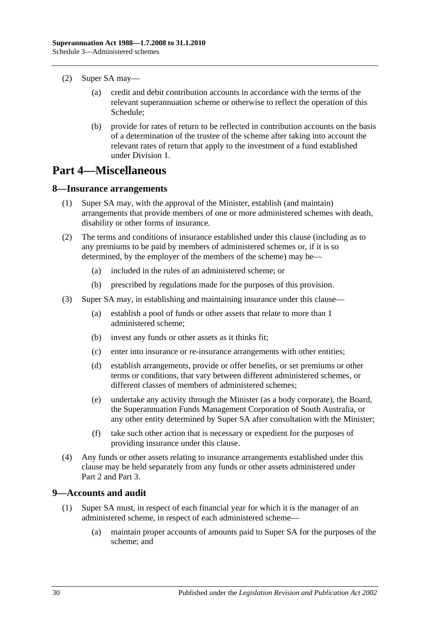- (2) Super SA may—
	- (a) credit and debit contribution accounts in accordance with the terms of the relevant superannuation scheme or otherwise to reflect the operation of this Schedule;
	- (b) provide for rates of return to be reflected in contribution accounts on the basis of a determination of the trustee of the scheme after taking into account the relevant rates of return that apply to the investment of a fund established under Division 1.

# **Part 4—Miscellaneous**

#### **8—Insurance arrangements**

- (1) Super SA may, with the approval of the Minister, establish (and maintain) arrangements that provide members of one or more administered schemes with death, disability or other forms of insurance.
- (2) The terms and conditions of insurance established under this clause (including as to any premiums to be paid by members of administered schemes or, if it is so determined, by the employer of the members of the scheme) may be—
	- (a) included in the rules of an administered scheme; or
	- (b) prescribed by regulations made for the purposes of this provision.
- (3) Super SA may, in establishing and maintaining insurance under this clause—
	- (a) establish a pool of funds or other assets that relate to more than 1 administered scheme;
	- (b) invest any funds or other assets as it thinks fit;
	- (c) enter into insurance or re-insurance arrangements with other entities;
	- (d) establish arrangements, provide or offer benefits, or set premiums or other terms or conditions, that vary between different administered schemes, or different classes of members of administered schemes;
	- (e) undertake any activity through the Minister (as a body corporate), the Board, the Superannuation Funds Management Corporation of South Australia, or any other entity determined by Super SA after consultation with the Minister;
	- (f) take such other action that is necessary or expedient for the purposes of providing insurance under this clause.
- (4) Any funds or other assets relating to insurance arrangements established under this clause may be held separately from any funds or other assets administered under Part 2 and Part 3.

### <span id="page-133-0"></span>**9—Accounts and audit**

- (1) Super SA must, in respect of each financial year for which it is the manager of an administered scheme, in respect of each administered scheme—
	- (a) maintain proper accounts of amounts paid to Super SA for the purposes of the scheme; and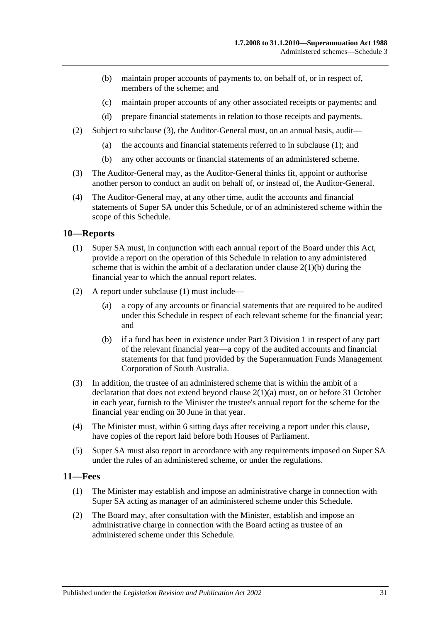- (b) maintain proper accounts of payments to, on behalf of, or in respect of, members of the scheme; and
- (c) maintain proper accounts of any other associated receipts or payments; and
- (d) prepare financial statements in relation to those receipts and payments.
- (2) Subject to [subclause](#page-134-1) (3), the Auditor-General must, on an annual basis, audit—
	- (a) the accounts and financial statements referred to in [subclause](#page-133-0) (1); and
	- (b) any other accounts or financial statements of an administered scheme.
- <span id="page-134-1"></span>(3) The Auditor-General may, as the Auditor-General thinks fit, appoint or authorise another person to conduct an audit on behalf of, or instead of, the Auditor-General.
- (4) The Auditor-General may, at any other time, audit the accounts and financial statements of Super SA under this Schedule, or of an administered scheme within the scope of this Schedule.

### <span id="page-134-2"></span>**10—Reports**

- (1) Super SA must, in conjunction with each annual report of the Board under this Act, provide a report on the operation of this Schedule in relation to any administered scheme that is within the ambit of a declaration under clause  $2(1)(b)$  during the financial year to which the annual report relates.
- (2) A report under [subclause](#page-134-2) (1) must include—
	- (a) a copy of any accounts or financial statements that are required to be audited under this Schedule in respect of each relevant scheme for the financial year; and
	- (b) if a fund has been in existence under Part 3 Division 1 in respect of any part of the relevant financial year—a copy of the audited accounts and financial statements for that fund provided by the Superannuation Funds Management Corporation of South Australia.
- (3) In addition, the trustee of an administered scheme that is within the ambit of a declaration that does not extend beyond clause [2\(1\)\(a\)](#page-129-5) must, on or before 31 October in each year, furnish to the Minister the trustee's annual report for the scheme for the financial year ending on 30 June in that year.
- (4) The Minister must, within 6 sitting days after receiving a report under this clause, have copies of the report laid before both Houses of Parliament.
- (5) Super SA must also report in accordance with any requirements imposed on Super SA under the rules of an administered scheme, or under the regulations.

### <span id="page-134-3"></span><span id="page-134-0"></span>**11—Fees**

- (1) The Minister may establish and impose an administrative charge in connection with Super SA acting as manager of an administered scheme under this Schedule.
- <span id="page-134-4"></span>(2) The Board may, after consultation with the Minister, establish and impose an administrative charge in connection with the Board acting as trustee of an administered scheme under this Schedule.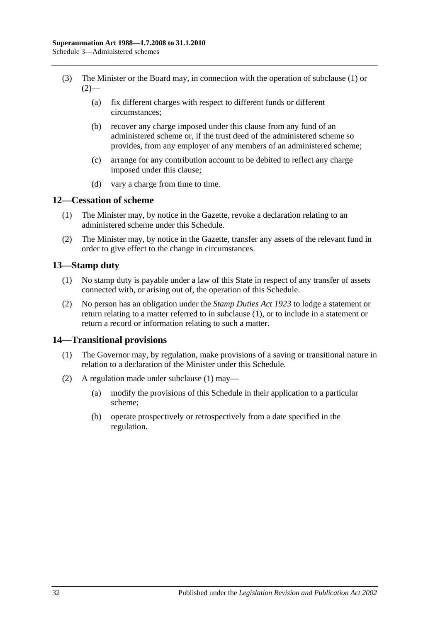- (3) The Minister or the Board may, in connection with the operation of [subclause](#page-134-3) (1) or  $(2)$ —
	- (a) fix different charges with respect to different funds or different circumstances;
	- (b) recover any charge imposed under this clause from any fund of an administered scheme or, if the trust deed of the administered scheme so provides, from any employer of any members of an administered scheme;
	- (c) arrange for any contribution account to be debited to reflect any charge imposed under this clause;
	- (d) vary a charge from time to time.

## **12—Cessation of scheme**

- (1) The Minister may, by notice in the Gazette, revoke a declaration relating to an administered scheme under this Schedule.
- (2) The Minister may, by notice in the Gazette, transfer any assets of the relevant fund in order to give effect to the change in circumstances.

## <span id="page-135-0"></span>**13—Stamp duty**

- (1) No stamp duty is payable under a law of this State in respect of any transfer of assets connected with, or arising out of, the operation of this Schedule.
- (2) No person has an obligation under the *[Stamp Duties Act](http://www.legislation.sa.gov.au/index.aspx?action=legref&type=act&legtitle=Stamp%20Duties%20Act%201923) 1923* to lodge a statement or return relating to a matter referred to in [subclause](#page-135-0) (1), or to include in a statement or return a record or information relating to such a matter.

### <span id="page-135-1"></span>**14—Transitional provisions**

- (1) The Governor may, by regulation, make provisions of a saving or transitional nature in relation to a declaration of the Minister under this Schedule.
- (2) A regulation made under [subclause](#page-135-1) (1) may—
	- (a) modify the provisions of this Schedule in their application to a particular scheme;
	- (b) operate prospectively or retrospectively from a date specified in the regulation.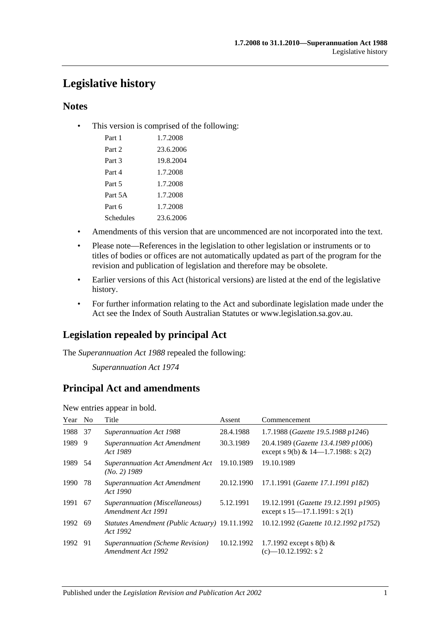# **Legislative history**

## **Notes**

• This version is comprised of the following:

| Part 1    | 1.7.2008  |
|-----------|-----------|
| Part 2    | 23.6.2006 |
| Part 3    | 19.8.2004 |
| Part 4    | 1.7.2008  |
| Part 5    | 1.7.2008  |
| Part 5A   | 1.7.2008  |
| Part 6    | 1.7.2008  |
| Schedules | 23.6.2006 |

- Amendments of this version that are uncommenced are not incorporated into the text.
- Please note—References in the legislation to other legislation or instruments or to titles of bodies or offices are not automatically updated as part of the program for the revision and publication of legislation and therefore may be obsolete.
- Earlier versions of this Act (historical versions) are listed at the end of the legislative history.
- For further information relating to the Act and subordinate legislation made under the Act see the Index of South Australian Statutes or www.legislation.sa.gov.au.

## **Legislation repealed by principal Act**

The *Superannuation Act 1988* repealed the following:

*Superannuation Act 1974*

## **Principal Act and amendments**

New entries appear in bold.

| Year No |     | Title                                                      | Assent     | Commencement                                                                  |
|---------|-----|------------------------------------------------------------|------------|-------------------------------------------------------------------------------|
| 1988    | -37 | <b>Superannuation Act 1988</b>                             | 28.4.1988  | 1.7.1988 (Gazette 19.5.1988 p1246)                                            |
| 1989    | 9   | <b>Superannuation Act Amendment</b><br>Act 1989            | 30.3.1989  | 20.4.1989 (Gazette 13.4.1989 p1006)<br>except s 9(b) & $14-1.7.1988$ : s 2(2) |
| 1989 54 |     | <b>Superannuation Act Amendment Act</b><br>$(No. 2)$ 1989  | 19.10.1989 | 19.10.1989                                                                    |
| 1990    | 78  | <b>Superannuation Act Amendment</b><br>Act 1990            | 20.12.1990 | 17.1.1991 (Gazette 17.1.1991 p182)                                            |
| 1991    | -67 | Superannuation (Miscellaneous)<br>Amendment Act 1991       | 5.12.1991  | 19.12.1991 (Gazette 19.12.1991 p1905)<br>except s $15-17.1.1991$ : s $2(1)$   |
| 1992    | -69 | Statutes Amendment (Public Actuary) 19.11.1992<br>Act 1992 |            | 10.12.1992 (Gazette 10.12.1992 p1752)                                         |
| 1992 91 |     | Superannuation (Scheme Revision)<br>Amendment Act 1992     | 10.12.1992 | 1.7.1992 except s 8(b) $&$<br>$(c)$ —10.12.1992: s 2                          |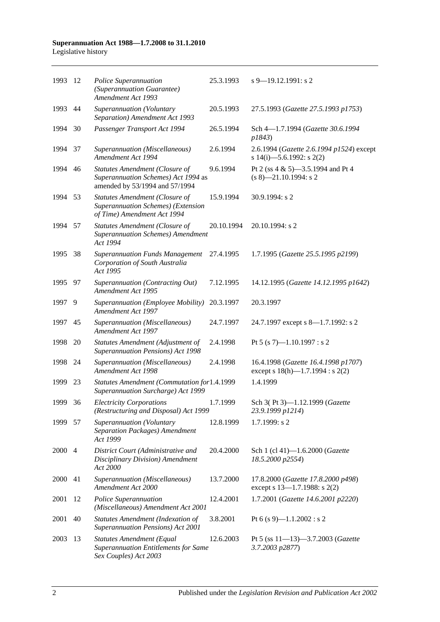| 1993 | -12            | Police Superannuation<br>(Superannuation Guarantee)<br>Amendment Act 1993                                  | 25.3.1993  | $s$ 9–19.12.1991: s 2                                                        |
|------|----------------|------------------------------------------------------------------------------------------------------------|------------|------------------------------------------------------------------------------|
| 1993 | 44             | Superannuation (Voluntary<br>Separation) Amendment Act 1993                                                | 20.5.1993  | 27.5.1993 (Gazette 27.5.1993 p1753)                                          |
| 1994 | 30             | Passenger Transport Act 1994                                                                               | 26.5.1994  | Sch 4-1.7.1994 (Gazette 30.6.1994<br>p1843)                                  |
| 1994 | 37             | Superannuation (Miscellaneous)<br>Amendment Act 1994                                                       | 2.6.1994   | 2.6.1994 (Gazette 2.6.1994 p1524) except<br>s 14(i)-5.6.1992: s 2(2)         |
| 1994 | 46             | Statutes Amendment (Closure of<br>Superannuation Schemes) Act 1994 as<br>amended by 53/1994 and 57/1994    | 9.6.1994   | Pt 2 (ss 4 & 5)-3.5.1994 and Pt 4<br>$(s 8)$ -21.10.1994: s 2                |
| 1994 | 53             | <b>Statutes Amendment (Closure of</b><br>Superannuation Schemes) (Extension<br>of Time) Amendment Act 1994 | 15.9.1994  | 30.9.1994: s 2                                                               |
| 1994 | 57             | <b>Statutes Amendment (Closure of</b><br><b>Superannuation Schemes</b> ) Amendment<br>Act 1994             | 20.10.1994 | 20.10.1994: s 2                                                              |
| 1995 | 38             | <b>Superannuation Funds Management</b><br>Corporation of South Australia<br>Act 1995                       | 27.4.1995  | 1.7.1995 (Gazette 25.5.1995 p2199)                                           |
| 1995 | 97             | Superannuation (Contracting Out)<br>Amendment Act 1995                                                     | 7.12.1995  | 14.12.1995 (Gazette 14.12.1995 p1642)                                        |
| 1997 | 9              | Superannuation (Employee Mobility)<br>Amendment Act 1997                                                   | 20.3.1997  | 20.3.1997                                                                    |
| 1997 | 45             | Superannuation (Miscellaneous)<br>Amendment Act 1997                                                       | 24.7.1997  | 24.7.1997 except s 8-1.7.1992: s 2                                           |
| 1998 | 20             | Statutes Amendment (Adjustment of<br><b>Superannuation Pensions) Act 1998</b>                              | 2.4.1998   | Pt 5 (s 7)-1.10.1997 : s 2                                                   |
| 1998 | 24             | Superannuation (Miscellaneous)<br>Amendment Act 1998                                                       | 2.4.1998   | 16.4.1998 (Gazette 16.4.1998 p1707)<br>except s $18(h)$ —1.7.1994 : s $2(2)$ |
| 1999 | 23             | Statutes Amendment (Commutation for1.4.1999<br>Superannuation Surcharge) Act 1999                          |            | 1.4.1999                                                                     |
| 1999 | 36             | <b>Electricity Corporations</b><br>(Restructuring and Disposal) Act 1999                                   | 1.7.1999   | Sch 3(Pt 3)-1.12.1999 (Gazette<br>23.9.1999 p1214)                           |
| 1999 | 57             | Superannuation (Voluntary<br>Separation Packages) Amendment<br>Act 1999                                    | 12.8.1999  | $1.7.1999$ : s 2                                                             |
| 2000 | $\overline{4}$ | District Court (Administrative and<br>Disciplinary Division) Amendment<br>Act 2000                         | 20.4.2000  | Sch 1 (cl 41)-1.6.2000 (Gazette<br>18.5.2000 p2554)                          |
| 2000 | 41             | Superannuation (Miscellaneous)<br>Amendment Act 2000                                                       | 13.7.2000  | 17.8.2000 (Gazette 17.8.2000 p498)<br>except s $13-1.7.1988$ : s $2(2)$      |
| 2001 | 12             | Police Superannuation<br>(Miscellaneous) Amendment Act 2001                                                | 12.4.2001  | 1.7.2001 (Gazette 14.6.2001 p2220)                                           |
| 2001 | 40             | Statutes Amendment (Indexation of<br>Superannuation Pensions) Act 2001                                     | 3.8.2001   | Pt 6 (s 9)-1.1.2002 : s 2                                                    |
| 2003 | 13             | <b>Statutes Amendment (Equal</b><br><b>Superannuation Entitlements for Same</b><br>Sex Couples) Act 2003   | 12.6.2003  | Pt 5 (ss $11-13-3.7.2003$ (Gazette<br>3.7.2003 p2877)                        |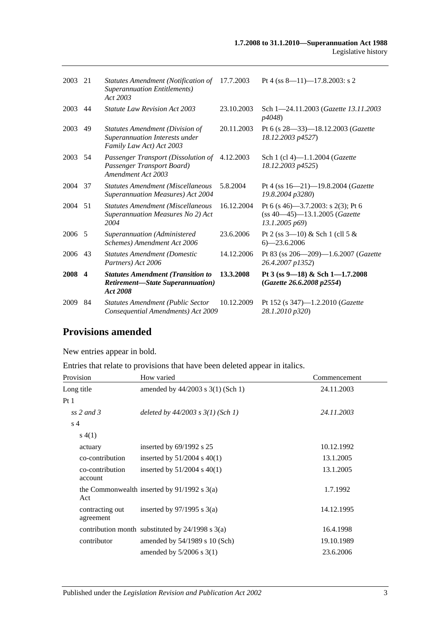| 2003   | 21  | Statutes Amendment (Notification of<br><b>Superannuation Entitlements</b> )<br>Act 2003          | 17.7.2003  | Pt 4 (ss $8-11$ )-17.8.2003: s 2                                                            |
|--------|-----|--------------------------------------------------------------------------------------------------|------------|---------------------------------------------------------------------------------------------|
| 2003   | 44  | <b>Statute Law Revision Act 2003</b>                                                             | 23.10.2003 | Sch 1-24.11.2003 (Gazette 13.11.2003)<br>p4048)                                             |
| 2003   | 49  | Statutes Amendment (Division of<br>Superannuation Interests under<br>Family Law Act) Act 2003    | 20.11.2003 | Pt 6 (s 28–33)–18.12.2003 (Gazette<br>18.12.2003 p4527)                                     |
| 2003   | .54 | Passenger Transport (Dissolution of<br>Passenger Transport Board)<br>Amendment Act 2003          | 4.12.2003  | Sch 1 (cl 4)-1.1.2004 (Gazette<br>18.12.2003 p4525)                                         |
| 2004   | 37  | Statutes Amendment (Miscellaneous<br><b>Superannuation Measures) Act 2004</b>                    | 5.8.2004   | Pt 4 (ss 16-21)-19.8.2004 (Gazette<br>19.8.2004 p3280)                                      |
| 2004   | 51  | <b>Statutes Amendment (Miscellaneous</b><br>Superannuation Measures No 2) Act<br>2004            | 16.12.2004 | Pt 6 (s 46)–3.7.2003: s 2(3); Pt 6<br>$(ss 40 - 45) - 13.1.2005$ (Gazette<br>13.1.2005 p69) |
| 2006 5 |     | Superannuation (Administered<br>Schemes) Amendment Act 2006                                      | 23.6.2006  | Pt 2 (ss $3-10$ ) & Sch 1 (cll 5 &<br>$6 - 23.6.2006$                                       |
| 2006   | 43  | <b>Statutes Amendment (Domestic</b><br>Partners) Act 2006                                        | 14.12.2006 | Pt 83 (ss 206-209)-1.6.2007 (Gazette<br>26.4.2007 p1352)                                    |
| 2008 4 |     | <b>Statutes Amendment (Transition to</b><br><b>Retirement-State Superannuation</b> )<br>Act 2008 | 13.3.2008  | Pt 3 (ss 9-18) & Sch 1-1.7.2008<br>(Gazette 26.6.2008 p2554)                                |
| 2009   | 84  | <b>Statutes Amendment (Public Sector</b><br>Consequential Amendments) Act 2009                   | 10.12.2009 | Pt 152 (s 347)-1.2.2010 (Gazette<br>28.1.2010 p320)                                         |

# **Provisions amended**

New entries appear in bold.

Entries that relate to provisions that have been deleted appear in italics.

| Provision                    | How varied                                           | Commencement |
|------------------------------|------------------------------------------------------|--------------|
| Long title                   | amended by $44/2003$ s 3(1) (Sch 1)                  | 24.11.2003   |
| Pt <sub>1</sub>              |                                                      |              |
| ss 2 and 3                   | deleted by $44/2003$ s $3(1)$ (Sch 1)                | 24.11.2003   |
| s <sub>4</sub>               |                                                      |              |
| s(4(1))                      |                                                      |              |
| actuary                      | inserted by $69/1992$ s $25$                         | 10.12.1992   |
| co-contribution              | inserted by $51/2004$ s $40(1)$                      | 13.1.2005    |
| co-contribution<br>account   | inserted by $51/2004$ s $40(1)$                      | 13.1.2005    |
| Act                          | the Commonwealth inserted by $91/1992$ s 3(a)        | 1.7.1992     |
| contracting out<br>agreement | inserted by $97/1995$ s 3(a)                         | 14.12.1995   |
|                              | contribution month substituted by $24/1998$ s $3(a)$ | 16.4.1998    |
| contributor                  | amended by $54/1989$ s 10 (Sch)                      | 19.10.1989   |
|                              | amended by $5/2006$ s 3(1)                           | 23.6.2006    |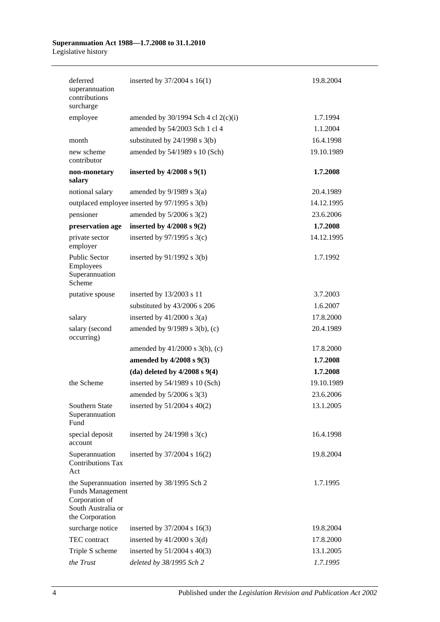| deferred<br>superannuation<br>contributions<br>surcharge                           | inserted by $37/2004$ s $16(1)$               | 19.8.2004  |
|------------------------------------------------------------------------------------|-----------------------------------------------|------------|
| employee                                                                           | amended by $30/1994$ Sch 4 cl 2(c)(i)         | 1.7.1994   |
|                                                                                    | amended by 54/2003 Sch 1 cl 4                 | 1.1.2004   |
| month                                                                              | substituted by $24/1998$ s $3(b)$             | 16.4.1998  |
| new scheme<br>contributor                                                          | amended by 54/1989 s 10 (Sch)                 | 19.10.1989 |
| non-monetary<br>salary                                                             | inserted by $4/2008$ s $9(1)$                 | 1.7.2008   |
| notional salary                                                                    | amended by $9/1989$ s $3(a)$                  | 20.4.1989  |
|                                                                                    | outplaced employee inserted by 97/1995 s 3(b) | 14.12.1995 |
| pensioner                                                                          | amended by $5/2006$ s $3(2)$                  | 23.6.2006  |
| preservation age                                                                   | inserted by $4/2008$ s $9(2)$                 | 1.7.2008   |
| private sector<br>employer                                                         | inserted by $97/1995$ s 3(c)                  | 14.12.1995 |
| <b>Public Sector</b><br>Employees<br>Superannuation<br>Scheme                      | inserted by $91/1992$ s $3(b)$                | 1.7.1992   |
| putative spouse                                                                    | inserted by 13/2003 s 11                      | 3.7.2003   |
|                                                                                    | substituted by 43/2006 s 206                  | 1.6.2007   |
| salary                                                                             | inserted by $41/2000$ s $3(a)$                | 17.8.2000  |
| salary (second<br>occurring)                                                       | amended by 9/1989 s 3(b), (c)                 | 20.4.1989  |
|                                                                                    | amended by $41/2000$ s $3(b)$ , (c)           | 17.8.2000  |
|                                                                                    | amended by 4/2008 s 9(3)                      | 1.7.2008   |
|                                                                                    | (da) deleted by $4/2008$ s $9(4)$             | 1.7.2008   |
| the Scheme                                                                         | inserted by 54/1989 s 10 (Sch)                | 19.10.1989 |
|                                                                                    | amended by $5/2006$ s 3(3)                    | 23.6.2006  |
| Southern State<br>Superannuation<br>Fund                                           | inserted by 51/2004 s 40(2)                   | 13.1.2005  |
| special deposit<br>account                                                         | inserted by $24/1998$ s $3(c)$                | 16.4.1998  |
| Superannuation<br><b>Contributions Tax</b><br>Act                                  | inserted by 37/2004 s 16(2)                   | 19.8.2004  |
| <b>Funds Management</b><br>Corporation of<br>South Australia or<br>the Corporation | the Superannuation inserted by 38/1995 Sch 2  | 1.7.1995   |
| surcharge notice                                                                   | inserted by $37/2004$ s $16(3)$               | 19.8.2004  |
| TEC contract                                                                       | inserted by $41/2000$ s $3(d)$                | 17.8.2000  |
| Triple S scheme                                                                    | inserted by $51/2004$ s $40(3)$               | 13.1.2005  |
| the Trust                                                                          | deleted by 38/1995 Sch 2                      | 1.7.1995   |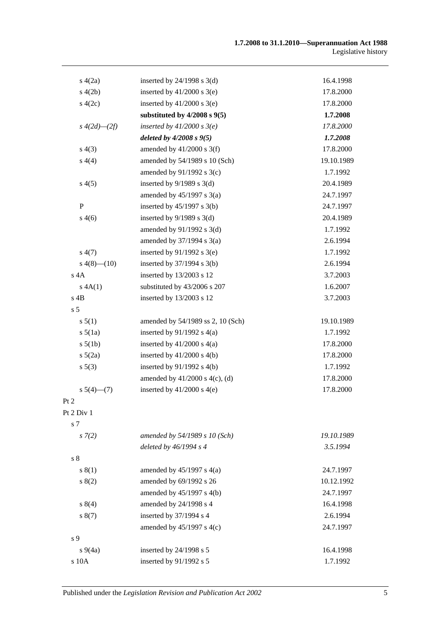| s(4(2a))            | inserted by $24/1998$ s $3(d)$      | 16.4.1998  |
|---------------------|-------------------------------------|------------|
| s(4(2b)             | inserted by $41/2000$ s 3(e)        | 17.8.2000  |
| 4(2c)               | inserted by $41/2000$ s 3(e)        | 17.8.2000  |
|                     | substituted by $4/2008$ s $9(5)$    | 1.7.2008   |
| $s\;4(2d)$ — $(2f)$ | inserted by $41/2000$ s $3(e)$      | 17.8.2000  |
|                     | deleted by $4/2008 s 9(5)$          | 1.7.2008   |
| s(4(3))             | amended by $41/2000$ s 3(f)         | 17.8.2000  |
| s(4(4)              | amended by 54/1989 s 10 (Sch)       | 19.10.1989 |
|                     | amended by $91/1992$ s 3(c)         | 1.7.1992   |
| s(4(5)              | inserted by $9/1989$ s 3(d)         | 20.4.1989  |
|                     | amended by $45/1997$ s $3(a)$       | 24.7.1997  |
| P                   | inserted by $45/1997$ s 3(b)        | 24.7.1997  |
| s(4(6)              | inserted by $9/1989$ s 3(d)         | 20.4.1989  |
|                     | amended by 91/1992 s 3(d)           | 1.7.1992   |
|                     | amended by $37/1994$ s $3(a)$       | 2.6.1994   |
| s(4(7))             | inserted by $91/1992$ s 3(e)        | 1.7.1992   |
| $s\ 4(8)$ (10)      | inserted by $37/1994$ s 3(b)        | 2.6.1994   |
| $s$ 4 $A$           | inserted by 13/2003 s 12            | 3.7.2003   |
| s 4A(1)             | substituted by 43/2006 s 207        | 1.6.2007   |
| $s$ 4B              | inserted by 13/2003 s 12            | 3.7.2003   |
| s <sub>5</sub>      |                                     |            |
| s 5(1)              | amended by 54/1989 ss 2, 10 (Sch)   | 19.10.1989 |
| $s\,5(1a)$          | inserted by $91/1992$ s $4(a)$      | 1.7.1992   |
| $s\ 5(1b)$          | inserted by $41/2000$ s $4(a)$      | 17.8.2000  |
| $s\ 5(2a)$          | inserted by $41/2000$ s $4(b)$      | 17.8.2000  |
| s 5(3)              | inserted by $91/1992$ s $4(b)$      | 1.7.1992   |
|                     | amended by $41/2000$ s $4(c)$ , (d) | 17.8.2000  |
| $s\ 5(4)$ (7)       | inserted by $41/2000$ s $4(e)$      | 17.8.2000  |
| Pt 2                |                                     |            |
| Pt 2 Div 1          |                                     |            |
| s 7                 |                                     |            |
| $s \, 7(2)$         | amended by $54/1989 s 10 (Sch)$     | 19.10.1989 |
|                     | deleted by $46/1994 s 4$            | 3.5.1994   |
| s <sub>8</sub>      |                                     |            |
| s(1)                | amended by $45/1997$ s $4(a)$       | 24.7.1997  |
| s(2)                | amended by 69/1992 s 26             | 10.12.1992 |
|                     | amended by 45/1997 s 4(b)           | 24.7.1997  |
| s 8(4)              | amended by 24/1998 s 4              | 16.4.1998  |
| s(7)                | inserted by 37/1994 s 4             | 2.6.1994   |
|                     | amended by $45/1997$ s $4(c)$       | 24.7.1997  |
| s <sub>9</sub>      |                                     |            |
| $s\,9(4a)$          | inserted by 24/1998 s 5             | 16.4.1998  |
| s 10A               | inserted by 91/1992 s 5             | 1.7.1992   |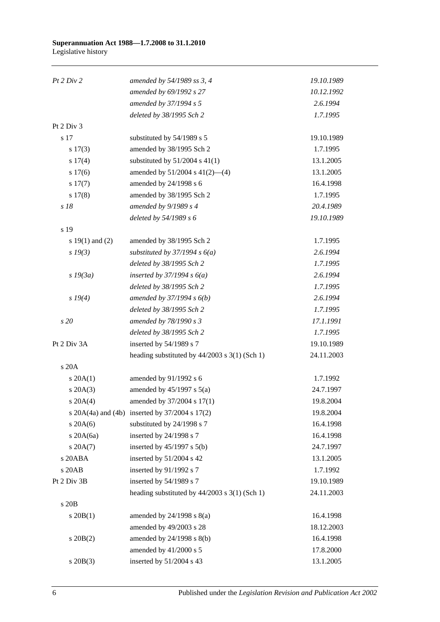| Pt 2 Div 2          | amended by 54/1989 ss 3, 4                             | 19.10.1989 |
|---------------------|--------------------------------------------------------|------------|
|                     | amended by 69/1992 s 27                                | 10.12.1992 |
|                     | amended by 37/1994 s 5                                 | 2.6.1994   |
|                     | deleted by 38/1995 Sch 2                               | 1.7.1995   |
| Pt 2 Div 3          |                                                        |            |
| s 17                | substituted by 54/1989 s 5                             | 19.10.1989 |
| s 17(3)             | amended by 38/1995 Sch 2                               | 1.7.1995   |
| s 17(4)             | substituted by $51/2004$ s $41(1)$                     | 13.1.2005  |
| s 17(6)             | amended by $51/2004$ s $41(2)$ —(4)                    | 13.1.2005  |
| s 17(7)             | amended by 24/1998 s 6                                 | 16.4.1998  |
| s 17(8)             | amended by 38/1995 Sch 2                               | 1.7.1995   |
| s 18                | amended by 9/1989 s 4                                  | 20.4.1989  |
|                     | deleted by 54/1989 s 6                                 | 19.10.1989 |
| s 19                |                                                        |            |
| s $19(1)$ and $(2)$ | amended by 38/1995 Sch 2                               | 1.7.1995   |
| $s\,19(3)$          | substituted by $37/1994 s 6(a)$                        | 2.6.1994   |
|                     | deleted by 38/1995 Sch 2                               | 1.7.1995   |
| $s$ 19 $(3a)$       | inserted by $37/1994 s 6(a)$                           | 2.6.1994   |
|                     | deleted by 38/1995 Sch 2                               | 1.7.1995   |
| s 19(4)             | amended by $37/1994 s 6(b)$                            | 2.6.1994   |
|                     | deleted by 38/1995 Sch 2                               | 1.7.1995   |
| s 20                | amended by 78/1990 s 3                                 | 17.1.1991  |
|                     | deleted by 38/1995 Sch 2                               | 1.7.1995   |
| Pt 2 Div 3A         | inserted by 54/1989 s 7                                | 19.10.1989 |
|                     | heading substituted by 44/2003 s 3(1) (Sch 1)          | 24.11.2003 |
| s 20A               |                                                        |            |
| $s \, 20A(1)$       | amended by 91/1992 s 6                                 | 1.7.1992   |
| $s \, 20A(3)$       | amended by $45/1997$ s $5(a)$                          | 24.7.1997  |
| $s \, 20A(4)$       | amended by 37/2004 s 17(1)                             | 19.8.2004  |
|                     | s $20A(4a)$ and $(4b)$ inserted by $37/2004$ s $17(2)$ | 19.8.2004  |
| $s$ 20A(6)          | substituted by 24/1998 s 7                             | 16.4.1998  |
| $s$ 20A $(6a)$      | inserted by 24/1998 s 7                                | 16.4.1998  |
| s 20A(7)            | inserted by $45/1997$ s $5(b)$                         | 24.7.1997  |
| s 20ABA             | inserted by 51/2004 s 42                               | 13.1.2005  |
| s 20AB              | inserted by 91/1992 s 7                                | 1.7.1992   |
| Pt 2 Div 3B         | inserted by 54/1989 s 7                                | 19.10.1989 |
|                     | heading substituted by $44/2003$ s $3(1)$ (Sch 1)      | 24.11.2003 |
| s 20B               |                                                        |            |
| $s \ 20B(1)$        | amended by $24/1998$ s $8(a)$                          | 16.4.1998  |
|                     | amended by 49/2003 s 28                                | 18.12.2003 |
| $s \, 20B(2)$       | amended by 24/1998 s 8(b)                              | 16.4.1998  |
|                     | amended by 41/2000 s 5                                 | 17.8.2000  |
| $s$ 20 $B(3)$       | inserted by 51/2004 s 43                               | 13.1.2005  |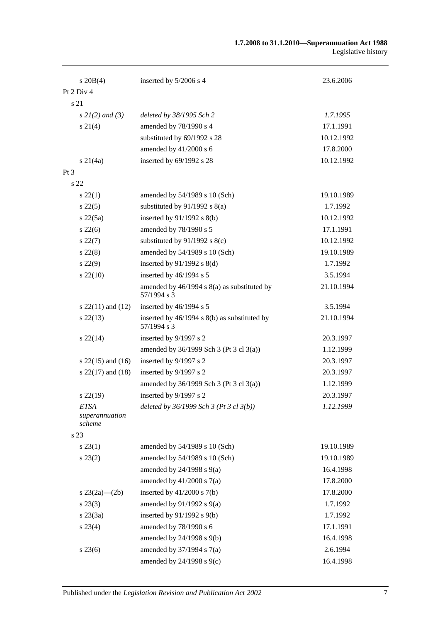| $s \ 20B(4)$                            | inserted by 5/2006 s 4                                         | 23.6.2006  |
|-----------------------------------------|----------------------------------------------------------------|------------|
| Pt 2 Div 4                              |                                                                |            |
| s 21                                    |                                                                |            |
| $s \, 2I(2)$ and (3)                    | deleted by 38/1995 Sch 2                                       | 1.7.1995   |
| $s \, 21(4)$                            | amended by 78/1990 s 4                                         | 17.1.1991  |
|                                         | substituted by 69/1992 s 28                                    | 10.12.1992 |
|                                         | amended by 41/2000 s 6                                         | 17.8.2000  |
| $s \, 21(4a)$                           | inserted by 69/1992 s 28                                       | 10.12.1992 |
| $Pt\,3$                                 |                                                                |            |
| s 22                                    |                                                                |            |
| $s\,22(1)$                              | amended by 54/1989 s 10 (Sch)                                  | 19.10.1989 |
| $s\,22(5)$                              | substituted by $91/1992$ s $8(a)$                              | 1.7.1992   |
| $s\,22(5a)$                             | inserted by $91/1992$ s $8(b)$                                 | 10.12.1992 |
| $s\,22(6)$                              | amended by 78/1990 s 5                                         | 17.1.1991  |
| $s\,22(7)$                              | substituted by $91/1992$ s $8(c)$                              | 10.12.1992 |
| $s\,22(8)$                              | amended by 54/1989 s 10 (Sch)                                  | 19.10.1989 |
| $s\,22(9)$                              | inserted by $91/1992$ s $8(d)$                                 | 1.7.1992   |
| $s\,22(10)$                             | inserted by 46/1994 s 5                                        | 3.5.1994   |
|                                         | amended by $46/1994$ s $8(a)$ as substituted by<br>57/1994 s 3 | 21.10.1994 |
| s $22(11)$ and $(12)$                   | inserted by 46/1994 s 5                                        | 3.5.1994   |
| $s\,22(13)$                             | inserted by 46/1994 s 8(b) as substituted by<br>57/1994 s 3    | 21.10.1994 |
| $s\,22(14)$                             | inserted by 9/1997 s 2                                         | 20.3.1997  |
|                                         | amended by $36/1999$ Sch 3 (Pt 3 cl 3(a))                      | 1.12.1999  |
| s $22(15)$ and $(16)$                   | inserted by 9/1997 s 2                                         | 20.3.1997  |
| s $22(17)$ and $(18)$                   | inserted by 9/1997 s 2                                         | 20.3.1997  |
|                                         | amended by 36/1999 Sch 3 (Pt 3 cl 3(a))                        | 1.12.1999  |
| $s\,22(19)$                             | inserted by 9/1997 s 2                                         | 20.3.1997  |
| <b>ETSA</b><br>superannuation<br>scheme | deleted by $36/1999$ Sch 3 (Pt 3 cl 3(b))                      | 1.12.1999  |
| s 23                                    |                                                                |            |
| s 23(1)                                 | amended by 54/1989 s 10 (Sch)                                  | 19.10.1989 |
| $s\,23(2)$                              | amended by 54/1989 s 10 (Sch)                                  | 19.10.1989 |
|                                         | amended by $24/1998$ s $9(a)$                                  | 16.4.1998  |
|                                         | amended by $41/2000$ s $7(a)$                                  | 17.8.2000  |
| s $23(2a)$ (2b)                         | inserted by $41/2000$ s $7(b)$                                 | 17.8.2000  |
| $s\,23(3)$                              | amended by $91/1992$ s $9(a)$                                  | 1.7.1992   |
| $s\,23(3a)$                             | inserted by $91/1992$ s $9(b)$                                 | 1.7.1992   |
| $s\,23(4)$                              | amended by 78/1990 s 6                                         | 17.1.1991  |
|                                         | amended by 24/1998 s 9(b)                                      | 16.4.1998  |
| $s\,23(6)$                              | amended by $37/1994$ s $7(a)$                                  | 2.6.1994   |
|                                         | amended by $24/1998$ s $9(c)$                                  | 16.4.1998  |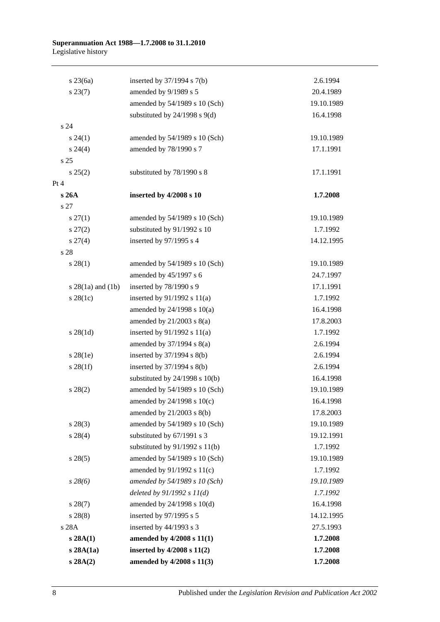| $s\,23(6a)$           | inserted by $37/1994$ s $7(b)$     | 2.6.1994   |
|-----------------------|------------------------------------|------------|
| $s\,23(7)$            | amended by 9/1989 s 5              | 20.4.1989  |
|                       | amended by 54/1989 s 10 (Sch)      | 19.10.1989 |
|                       | substituted by $24/1998$ s $9(d)$  | 16.4.1998  |
| s 24                  |                                    |            |
| $s\,24(1)$            | amended by 54/1989 s 10 (Sch)      | 19.10.1989 |
| $s\,24(4)$            | amended by 78/1990 s 7             | 17.1.1991  |
| s 25                  |                                    |            |
| s 25(2)               | substituted by 78/1990 s 8         | 17.1.1991  |
| Pt 4                  |                                    |            |
| s 26A                 | inserted by 4/2008 s 10            | 1.7.2008   |
| s 27                  |                                    |            |
| $s \, 27(1)$          | amended by 54/1989 s 10 (Sch)      | 19.10.1989 |
| $s\,27(2)$            | substituted by 91/1992 s 10        | 1.7.1992   |
| $s \, 27(4)$          | inserted by 97/1995 s 4            | 14.12.1995 |
| s 28                  |                                    |            |
| $s\,28(1)$            | amended by 54/1989 s 10 (Sch)      | 19.10.1989 |
|                       | amended by 45/1997 s 6             | 24.7.1997  |
| s $28(1a)$ and $(1b)$ | inserted by 78/1990 s 9            | 17.1.1991  |
| $s\,28(1c)$           | inserted by $91/1992$ s $11(a)$    | 1.7.1992   |
|                       | amended by $24/1998$ s $10(a)$     | 16.4.1998  |
|                       | amended by $21/2003$ s $8(a)$      | 17.8.2003  |
| $s \, 28(1d)$         | inserted by $91/1992$ s $11(a)$    | 1.7.1992   |
|                       | amended by $37/1994$ s $8(a)$      | 2.6.1994   |
| $s\,28(1e)$           | inserted by $37/1994$ s $8(b)$     | 2.6.1994   |
| $s \, 28(1f)$         | inserted by $37/1994$ s $8(b)$     | 2.6.1994   |
|                       | substituted by $24/1998$ s $10(b)$ | 16.4.1998  |
| $s\,28(2)$            | amended by 54/1989 s 10 (Sch)      | 19.10.1989 |
|                       | amended by $24/1998$ s $10(c)$     | 16.4.1998  |
|                       | amended by $21/2003$ s $8(b)$      | 17.8.2003  |
| $s\,28(3)$            | amended by 54/1989 s 10 (Sch)      | 19.10.1989 |
| $s\,28(4)$            | substituted by 67/1991 s 3         | 19.12.1991 |
|                       | substituted by $91/1992$ s $11(b)$ | 1.7.1992   |
| $s\,28(5)$            | amended by 54/1989 s 10 (Sch)      | 19.10.1989 |
|                       | amended by 91/1992 s 11(c)         | 1.7.1992   |
| $s\,28(6)$            | amended by 54/1989 s 10 (Sch)      | 19.10.1989 |
|                       | deleted by $91/1992 s 11(d)$       | 1.7.1992   |
| $s\,28(7)$            | amended by 24/1998 s 10(d)         | 16.4.1998  |
| $s\,28(8)$            | inserted by 97/1995 s 5            | 14.12.1995 |
| s 28A                 | inserted by 44/1993 s 3            | 27.5.1993  |
| s 28A(1)              | amended by 4/2008 s 11(1)          | 1.7.2008   |
| s 28A(1a)             | inserted by $4/2008$ s $11(2)$     | 1.7.2008   |
| s 28A(2)              | amended by 4/2008 s 11(3)          | 1.7.2008   |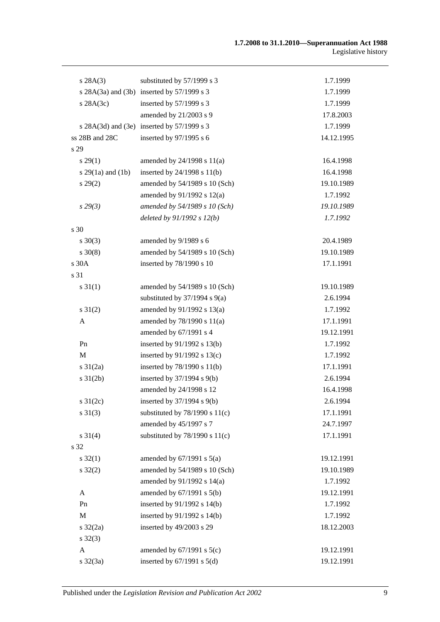| s 28A(3)            | substituted by 57/1999 s 3                 | 1.7.1999   |
|---------------------|--------------------------------------------|------------|
|                     | s 28A(3a) and (3b) inserted by 57/1999 s 3 | 1.7.1999   |
| $s$ 28A(3c)         | inserted by 57/1999 s 3                    | 1.7.1999   |
|                     | amended by 21/2003 s 9                     | 17.8.2003  |
|                     | s 28A(3d) and (3e) inserted by 57/1999 s 3 | 1.7.1999   |
| ss 28B and 28C      | inserted by 97/1995 s 6                    | 14.12.1995 |
| s 29                |                                            |            |
| $s\,29(1)$          | amended by $24/1998$ s $11(a)$             | 16.4.1998  |
| $s$ 29(1a) and (1b) | inserted by $24/1998$ s $11(b)$            | 16.4.1998  |
| $s\,29(2)$          | amended by 54/1989 s 10 (Sch)              | 19.10.1989 |
|                     | amended by 91/1992 s 12(a)                 | 1.7.1992   |
| $s\,29(3)$          | amended by 54/1989 s 10 (Sch)              | 19.10.1989 |
|                     | deleted by $91/1992 s 12(b)$               | 1.7.1992   |
| s 30                |                                            |            |
| $s \ 30(3)$         | amended by 9/1989 s 6                      | 20.4.1989  |
| $s \ 30(8)$         | amended by 54/1989 s 10 (Sch)              | 19.10.1989 |
| s 30A               | inserted by 78/1990 s 10                   | 17.1.1991  |
| s 31                |                                            |            |
| $s \, 31(1)$        | amended by 54/1989 s 10 (Sch)              | 19.10.1989 |
|                     | substituted by $37/1994$ s $9(a)$          | 2.6.1994   |
| $s \, 31(2)$        | amended by 91/1992 s 13(a)                 | 1.7.1992   |
| A                   | amended by 78/1990 s 11(a)                 | 17.1.1991  |
|                     | amended by 67/1991 s 4                     | 19.12.1991 |
| Pn                  | inserted by 91/1992 s 13(b)                | 1.7.1992   |
| M                   | inserted by $91/1992$ s $13(c)$            | 1.7.1992   |
| $s \frac{31}{2a}$   | inserted by 78/1990 s 11(b)                | 17.1.1991  |
| $s \, 31(2b)$       | inserted by $37/1994$ s $9(b)$             | 2.6.1994   |
|                     | amended by 24/1998 s 12                    | 16.4.1998  |
| s $31(2c)$          | inserted by $37/1994$ s $9(b)$             | 2.6.1994   |
| $s \, 31(3)$        | substituted by $78/1990$ s $11(c)$         | 17.1.1991  |
|                     | amended by 45/1997 s 7                     | 24.7.1997  |
| $s \ 31(4)$         | substituted by $78/1990$ s $11(c)$         | 17.1.1991  |
| s 32                |                                            |            |
| $s \, 32(1)$        | amended by $67/1991$ s $5(a)$              | 19.12.1991 |
| $s \, 32(2)$        | amended by 54/1989 s 10 (Sch)              | 19.10.1989 |
|                     | amended by 91/1992 s 14(a)                 | 1.7.1992   |
| $\mathbf{A}$        | amended by $67/1991$ s $5(b)$              | 19.12.1991 |
| Pn                  | inserted by 91/1992 s 14(b)                | 1.7.1992   |
| $\mathbf M$         | inserted by 91/1992 s 14(b)                | 1.7.1992   |
| $s \frac{32}{2a}$   | inserted by 49/2003 s 29                   | 18.12.2003 |
| $s \, 32(3)$        |                                            |            |
| A                   | amended by $67/1991$ s $5(c)$              | 19.12.1991 |
| $s \, 32(3a)$       | inserted by $67/1991$ s $5(d)$             | 19.12.1991 |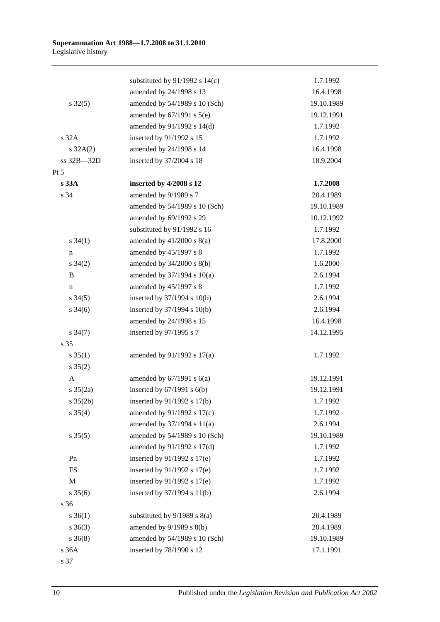|                      | substituted by $91/1992$ s $14(c)$ | 1.7.1992   |
|----------------------|------------------------------------|------------|
|                      | amended by 24/1998 s 13            | 16.4.1998  |
| $s \, 32(5)$         | amended by 54/1989 s 10 (Sch)      | 19.10.1989 |
|                      | amended by $67/1991$ s $5(e)$      | 19.12.1991 |
|                      | amended by 91/1992 s 14(d)         | 1.7.1992   |
| s 32A                | inserted by 91/1992 s 15           | 1.7.1992   |
| $s \, 32A(2)$        | amended by 24/1998 s 14            | 16.4.1998  |
| ss 32B-32D           | inserted by 37/2004 s 18           | 18.9.2004  |
| $Pt\,5$              |                                    |            |
| s 33A                | inserted by 4/2008 s 12            | 1.7.2008   |
| s 34                 | amended by 9/1989 s 7              | 20.4.1989  |
|                      | amended by 54/1989 s 10 (Sch)      | 19.10.1989 |
|                      | amended by 69/1992 s 29            | 10.12.1992 |
|                      | substituted by 91/1992 s 16        | 1.7.1992   |
| $s \, 34(1)$         | amended by $41/2000$ s $8(a)$      | 17.8.2000  |
| $\mathbf n$          | amended by 45/1997 s 8             | 1.7.1992   |
| $s \; 34(2)$         | amended by $34/2000$ s $8(b)$      | 1.6.2000   |
| $\, {\bf B}$         | amended by 37/1994 s 10(a)         | 2.6.1994   |
| $\mathbf n$          | amended by 45/1997 s 8             | 1.7.1992   |
| $s \; 34(5)$         | inserted by $37/1994$ s $10(b)$    | 2.6.1994   |
| $s \frac{34(6)}{2}$  | inserted by 37/1994 s 10(b)        | 2.6.1994   |
|                      | amended by 24/1998 s 15            | 16.4.1998  |
| $s \frac{34(7)}{2}$  | inserted by 97/1995 s 7            | 14.12.1995 |
| s 35                 |                                    |            |
| $s \, 35(1)$         | amended by $91/1992$ s $17(a)$     | 1.7.1992   |
| $s \; 35(2)$         |                                    |            |
| A                    | amended by $67/1991$ s $6(a)$      | 19.12.1991 |
| $s \frac{35(2a)}{2}$ | inserted by $67/1991$ s $6(b)$     | 19.12.1991 |
| $s \, 35(2b)$        | inserted by 91/1992 s 17(b)        | 1.7.1992   |
| $s \; 35(4)$         | amended by 91/1992 s 17(c)         | 1.7.1992   |
|                      | amended by 37/1994 s 11(a)         | 2.6.1994   |
| $s \, 35(5)$         | amended by 54/1989 s 10 (Sch)      | 19.10.1989 |
|                      | amended by 91/1992 s 17(d)         | 1.7.1992   |
| Pn                   | inserted by $91/1992$ s $17(e)$    | 1.7.1992   |
| <b>FS</b>            | inserted by $91/1992$ s $17(e)$    | 1.7.1992   |
| $\mathbf M$          | inserted by $91/1992$ s $17(e)$    | 1.7.1992   |
| $s \; 35(6)$         | inserted by 37/1994 s 11(b)        | 2.6.1994   |
| s 36                 |                                    |            |
| $s \; 36(1)$         | substituted by $9/1989$ s $8(a)$   | 20.4.1989  |
| $s \; 36(3)$         | amended by $9/1989$ s $8(b)$       | 20.4.1989  |
| $s \; 36(8)$         | amended by 54/1989 s 10 (Sch)      | 19.10.1989 |
| s 36A                | inserted by 78/1990 s 12           | 17.1.1991  |
|                      |                                    |            |

s 37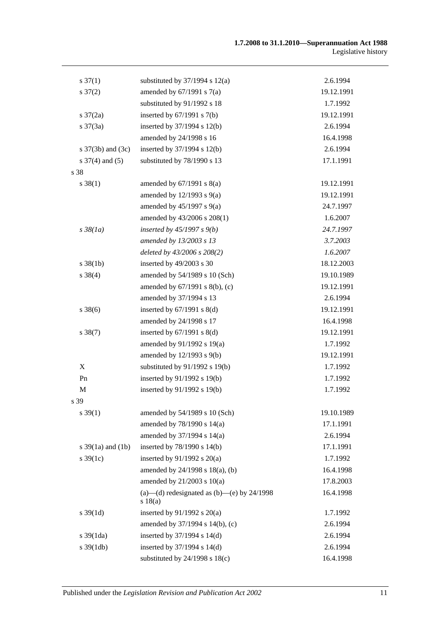| $s \frac{37(1)}{2}$      | substituted by $37/1994$ s $12(a)$                       | 2.6.1994   |
|--------------------------|----------------------------------------------------------|------------|
| $s \frac{37(2)}{2}$      | amended by $67/1991$ s $7(a)$                            | 19.12.1991 |
|                          | substituted by 91/1992 s 18                              | 1.7.1992   |
| $s \frac{37(2a)}{2}$     | inserted by $67/1991$ s $7(b)$                           | 19.12.1991 |
| $s \frac{37(3a)}{2}$     | inserted by 37/1994 s 12(b)                              | 2.6.1994   |
|                          | amended by 24/1998 s 16                                  | 16.4.1998  |
| s $37(3b)$ and $(3c)$    | inserted by $37/1994$ s $12(b)$                          | 2.6.1994   |
| $s \frac{37}{4}$ and (5) | substituted by 78/1990 s 13                              | 17.1.1991  |
| s 38                     |                                                          |            |
| $s \, 38(1)$             | amended by $67/1991$ s $8(a)$                            | 19.12.1991 |
|                          | amended by $12/1993$ s $9(a)$                            | 19.12.1991 |
|                          | amended by $45/1997$ s $9(a)$                            | 24.7.1997  |
|                          | amended by 43/2006 s 208(1)                              | 1.6.2007   |
| $s\,38(1a)$              | inserted by $45/1997 s 9(b)$                             | 24.7.1997  |
|                          | amended by 13/2003 s 13                                  | 3.7.2003   |
|                          | deleted by 43/2006 s 208(2)                              | 1.6.2007   |
| $s \, 38(1b)$            | inserted by 49/2003 s 30                                 | 18.12.2003 |
| $s \ 38(4)$              | amended by 54/1989 s 10 (Sch)                            | 19.10.1989 |
|                          | amended by 67/1991 s 8(b), (c)                           | 19.12.1991 |
|                          | amended by 37/1994 s 13                                  | 2.6.1994   |
| $s \, 38(6)$             | inserted by $67/1991$ s $8(d)$                           | 19.12.1991 |
|                          | amended by 24/1998 s 17                                  | 16.4.1998  |
| $s \, 38(7)$             | inserted by $67/1991$ s $8(d)$                           | 19.12.1991 |
|                          | amended by 91/1992 s 19(a)                               | 1.7.1992   |
|                          | amended by 12/1993 s 9(b)                                | 19.12.1991 |
| X                        | substituted by $91/1992$ s $19(b)$                       | 1.7.1992   |
| P <sub>n</sub>           | inserted by 91/1992 s 19(b)                              | 1.7.1992   |
| $\mathbf M$              | inserted by 91/1992 s 19(b)                              | 1.7.1992   |
| s 39                     |                                                          |            |
| $s \, 39(1)$             | amended by 54/1989 s 10 (Sch)                            | 19.10.1989 |
|                          | amended by 78/1990 s 14(a)                               | 17.1.1991  |
|                          | amended by 37/1994 s 14(a)                               | 2.6.1994   |
| s $39(1a)$ and $(1b)$    | inserted by 78/1990 s 14(b)                              | 17.1.1991  |
| $s \, 39(1c)$            | inserted by $91/1992$ s $20(a)$                          | 1.7.1992   |
|                          | amended by 24/1998 s 18(a), (b)                          | 16.4.1998  |
|                          | amended by $21/2003$ s $10(a)$                           | 17.8.2003  |
|                          | (a)—(d) redesignated as $(b)$ —(e) by 24/1998<br>s 18(a) | 16.4.1998  |
| $s \, 39(1d)$            | inserted by $91/1992$ s $20(a)$                          | 1.7.1992   |
|                          | amended by 37/1994 s 14(b), (c)                          | 2.6.1994   |
| $s \frac{39(1da)}{2}$    | inserted by $37/1994$ s $14(d)$                          | 2.6.1994   |
| $s \frac{39(1db)}{2}$    | inserted by 37/1994 s 14(d)                              | 2.6.1994   |
|                          | substituted by $24/1998$ s $18(c)$                       | 16.4.1998  |
|                          |                                                          |            |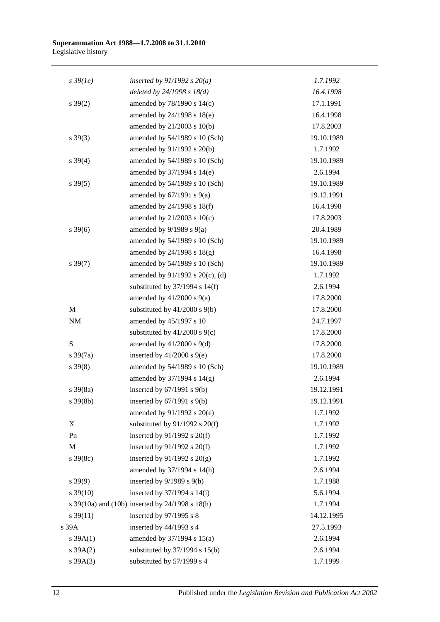#### **Superannuation Act 1988—1.7.2008 to 31.1.2010** Legislative history

| $s\,39(1e)$          | inserted by $91/1992 s 20(a)$                   | 1.7.1992   |
|----------------------|-------------------------------------------------|------------|
|                      | deleted by $24/1998 s 18(d)$                    | 16.4.1998  |
| $s \, 39(2)$         | amended by 78/1990 s 14(c)                      | 17.1.1991  |
|                      | amended by 24/1998 s 18(e)                      | 16.4.1998  |
|                      | amended by 21/2003 s 10(b)                      | 17.8.2003  |
| $s \, 39(3)$         | amended by 54/1989 s 10 (Sch)                   | 19.10.1989 |
|                      | amended by 91/1992 s 20(b)                      | 1.7.1992   |
| $s \ 39(4)$          | amended by 54/1989 s 10 (Sch)                   | 19.10.1989 |
|                      | amended by 37/1994 s 14(e)                      | 2.6.1994   |
| $s \, 39(5)$         | amended by 54/1989 s 10 (Sch)                   | 19.10.1989 |
|                      | amended by $67/1991$ s $9(a)$                   | 19.12.1991 |
|                      | amended by 24/1998 s 18(f)                      | 16.4.1998  |
|                      | amended by $21/2003$ s $10(c)$                  | 17.8.2003  |
| $s \, 39(6)$         | amended by $9/1989$ s $9(a)$                    | 20.4.1989  |
|                      | amended by 54/1989 s 10 (Sch)                   | 19.10.1989 |
|                      | amended by $24/1998$ s $18(g)$                  | 16.4.1998  |
| $s \, 39(7)$         | amended by 54/1989 s 10 (Sch)                   | 19.10.1989 |
|                      | amended by 91/1992 s 20(c), (d)                 | 1.7.1992   |
|                      | substituted by $37/1994$ s $14(f)$              | 2.6.1994   |
|                      | amended by $41/2000$ s $9(a)$                   | 17.8.2000  |
| M                    | substituted by $41/2000$ s $9(b)$               | 17.8.2000  |
| $\rm{NM}$            | amended by 45/1997 s 10                         | 24.7.1997  |
|                      | substituted by $41/2000$ s $9(c)$               | 17.8.2000  |
| S                    | amended by $41/2000$ s $9(d)$                   | 17.8.2000  |
| $s \frac{39(7a)}{2}$ | inserted by $41/2000$ s $9(e)$                  | 17.8.2000  |
| $s \, 39(8)$         | amended by 54/1989 s 10 (Sch)                   | 19.10.1989 |
|                      | amended by 37/1994 s 14(g)                      | 2.6.1994   |
| $s \frac{39(8a)}{2}$ | inserted by $67/1991$ s $9(b)$                  | 19.12.1991 |
| $s \, 39(8b)$        | inserted by $67/1991$ s $9(b)$                  | 19.12.1991 |
|                      | amended by 91/1992 s 20(e)                      | 1.7.1992   |
| X                    | substituted by $91/1992$ s $20(f)$              | 1.7.1992   |
| Pn                   | inserted by $91/1992$ s $20(f)$                 | 1.7.1992   |
| $\mathbf M$          | inserted by $91/1992$ s $20(f)$                 | 1.7.1992   |
| $s \, 39(8c)$        | inserted by $91/1992$ s $20(g)$                 | 1.7.1992   |
|                      | amended by 37/1994 s 14(h)                      | 2.6.1994   |
| $s\,39(9)$           | inserted by $9/1989$ s $9(b)$                   | 1.7.1988   |
| $s \, 39(10)$        | inserted by $37/1994$ s $14(i)$                 | 5.6.1994   |
|                      | s 39(10a) and (10b) inserted by 24/1998 s 18(h) | 1.7.1994   |
| $s \frac{39(11)}{2}$ | inserted by 97/1995 s 8                         | 14.12.1995 |
| s 39A                | inserted by 44/1993 s 4                         | 27.5.1993  |
| $s \, 39A(1)$        | amended by 37/1994 s 15(a)                      | 2.6.1994   |
| $s \, 39A(2)$        | substituted by $37/1994$ s $15(b)$              | 2.6.1994   |
| $s \, 39A(3)$        | substituted by 57/1999 s 4                      | 1.7.1999   |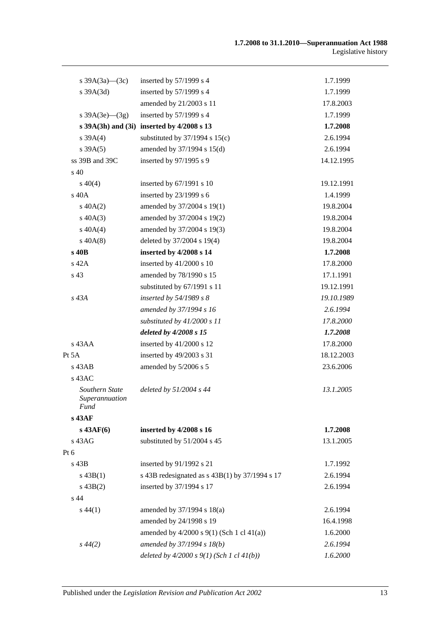| s $39A(3a)$ — $(3c)$                            | inserted by $57/1999$ s 4                        | 1.7.1999   |
|-------------------------------------------------|--------------------------------------------------|------------|
| s 39A(3d)                                       | inserted by 57/1999 s 4                          | 1.7.1999   |
|                                                 | amended by 21/2003 s 11                          | 17.8.2003  |
| s $39A(3e)$ (3g)                                | inserted by $57/1999$ s 4                        | 1.7.1999   |
|                                                 | s $39A(3h)$ and $(3i)$ inserted by $4/2008$ s 13 | 1.7.2008   |
| s $39A(4)$                                      | substituted by $37/1994$ s $15(c)$               | 2.6.1994   |
| s 39A(5)                                        | amended by 37/1994 s 15(d)                       | 2.6.1994   |
| ss 39B and 39C                                  | inserted by 97/1995 s 9                          | 14.12.1995 |
| $\rm s$ 40                                      |                                                  |            |
| $s\ 40(4)$                                      | inserted by 67/1991 s 10                         | 19.12.1991 |
| s 40A                                           | inserted by $23/1999$ s 6                        | 1.4.1999   |
| $s\ 40A(2)$                                     | amended by 37/2004 s 19(1)                       | 19.8.2004  |
| $s\ 40A(3)$                                     | amended by 37/2004 s 19(2)                       | 19.8.2004  |
| $s\ 40A(4)$                                     | amended by 37/2004 s 19(3)                       | 19.8.2004  |
| $s\ 40A(8)$                                     | deleted by 37/2004 s 19(4)                       | 19.8.2004  |
| s 40B                                           | inserted by 4/2008 s 14                          | 1.7.2008   |
| s 42A                                           | inserted by 41/2000 s 10                         | 17.8.2000  |
| s 43                                            | amended by 78/1990 s 15                          | 17.1.1991  |
|                                                 | substituted by 67/1991 s 11                      | 19.12.1991 |
| s 43A                                           | inserted by $54/1989 s 8$                        | 19.10.1989 |
|                                                 | amended by 37/1994 s 16                          | 2.6.1994   |
|                                                 | substituted by $41/2000 s 11$                    | 17.8.2000  |
|                                                 | deleted by 4/2008 s 15                           | 1.7.2008   |
| $s$ 43AA                                        | inserted by $41/2000$ s 12                       | 17.8.2000  |
| Pt 5A                                           | inserted by 49/2003 s 31                         | 18.12.2003 |
| $s$ 43AB                                        | amended by 5/2006 s 5                            | 23.6.2006  |
| $s$ 43AC                                        |                                                  |            |
| Southern State<br>Superannuation<br><b>Fund</b> | deleted by $51/2004$ s 44                        | 13.1.2005  |
| s 43AF                                          |                                                  |            |
| $s$ 43AF(6)                                     | inserted by 4/2008 s 16                          | 1.7.2008   |
| s 43AG                                          | substituted by 51/2004 s 45                      | 13.1.2005  |
| Pt 6                                            |                                                  |            |
| s 43B                                           | inserted by 91/1992 s 21                         | 1.7.1992   |
| $s\,43B(1)$                                     | s 43B redesignated as $s$ 43B(1) by 37/1994 s 17 | 2.6.1994   |
| $s\,43B(2)$                                     | inserted by 37/1994 s 17                         | 2.6.1994   |
| s 44                                            |                                                  |            |
| $s\,44(1)$                                      | amended by $37/1994$ s $18(a)$                   | 2.6.1994   |
|                                                 | amended by 24/1998 s 19                          | 16.4.1998  |
|                                                 | amended by $4/2000$ s $9(1)$ (Sch 1 cl $41(a)$ ) | 1.6.2000   |
| $s\,44(2)$                                      | amended by 37/1994 s 18(b)                       | 2.6.1994   |
|                                                 | deleted by $4/2000 s 9(1)$ (Sch 1 cl $41(b)$ )   | 1.6.2000   |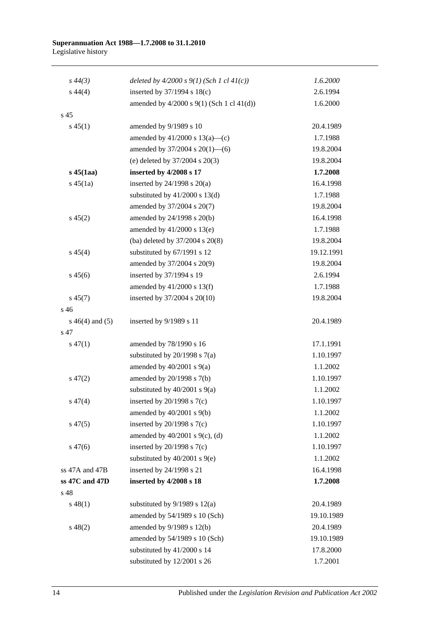#### **Superannuation Act 1988—1.7.2008 to 31.1.2010** Legislative history

| $s\,44(3)$         | deleted by $4/2000 s 9(1)$ (Sch 1 cl $41(c)$ )   | 1.6.2000   |
|--------------------|--------------------------------------------------|------------|
| $s\,44(4)$         | inserted by $37/1994$ s $18(c)$                  | 2.6.1994   |
|                    | amended by $4/2000$ s $9(1)$ (Sch 1 cl $41(d)$ ) | 1.6.2000   |
| s 45               |                                                  |            |
| $s\,45(1)$         | amended by 9/1989 s 10                           | 20.4.1989  |
|                    | amended by $41/2000$ s $13(a)$ —(c)              | 1.7.1988   |
|                    | amended by 37/2004 s 20(1)-6)                    | 19.8.2004  |
|                    | (e) deleted by $37/2004$ s $20(3)$               | 19.8.2004  |
| $s\,45$ (1aa)      | inserted by 4/2008 s 17                          | 1.7.2008   |
| $s\,45(1a)$        | inserted by $24/1998$ s $20(a)$                  | 16.4.1998  |
|                    | substituted by $41/2000$ s $13(d)$               | 1.7.1988   |
|                    | amended by 37/2004 s 20(7)                       | 19.8.2004  |
| $s\,45(2)$         | amended by 24/1998 s 20(b)                       | 16.4.1998  |
|                    | amended by $41/2000$ s $13(e)$                   | 1.7.1988   |
|                    | (ba) deleted by 37/2004 s 20(8)                  | 19.8.2004  |
| $s\,45(4)$         | substituted by 67/1991 s 12                      | 19.12.1991 |
|                    | amended by 37/2004 s 20(9)                       | 19.8.2004  |
| $s\,45(6)$         | inserted by 37/1994 s 19                         | 2.6.1994   |
|                    | amended by 41/2000 s 13(f)                       | 1.7.1988   |
| $s\,45(7)$         | inserted by 37/2004 s 20(10)                     | 19.8.2004  |
| s 46               |                                                  |            |
| $s\ 46(4)$ and (5) | inserted by 9/1989 s 11                          | 20.4.1989  |
| s 47               |                                                  |            |
| $s\,47(1)$         | amended by 78/1990 s 16                          | 17.1.1991  |
|                    | substituted by $20/1998$ s $7(a)$                | 1.10.1997  |
|                    | amended by $40/2001$ s $9(a)$                    | 1.1.2002   |
| $s\,47(2)$         | amended by 20/1998 s 7(b)                        | 1.10.1997  |
|                    | substituted by $40/2001$ s $9(a)$                | 1.1.2002   |
| $s\,47(4)$         | inserted by $20/1998$ s $7(c)$                   | 1.10.1997  |
|                    | amended by $40/2001$ s $9(b)$                    | 1.1.2002   |
| $s\,47(5)$         | inserted by $20/1998$ s $7(c)$                   | 1.10.1997  |
|                    | amended by $40/2001$ s $9(c)$ , (d)              | 1.1.2002   |
| $s\,47(6)$         | inserted by $20/1998$ s $7(c)$                   | 1.10.1997  |
|                    | substituted by $40/2001$ s $9(e)$                | 1.1.2002   |
| ss 47A and 47B     | inserted by 24/1998 s 21                         | 16.4.1998  |
| ss 47C and 47D     | inserted by 4/2008 s 18                          | 1.7.2008   |
| s 48               |                                                  |            |
| $s\,48(1)$         | substituted by $9/1989$ s $12(a)$                | 20.4.1989  |
|                    | amended by 54/1989 s 10 (Sch)                    | 19.10.1989 |
| $s\,48(2)$         | amended by 9/1989 s 12(b)                        | 20.4.1989  |
|                    | amended by 54/1989 s 10 (Sch)                    | 19.10.1989 |
|                    | substituted by 41/2000 s 14                      | 17.8.2000  |
|                    | substituted by 12/2001 s 26                      | 1.7.2001   |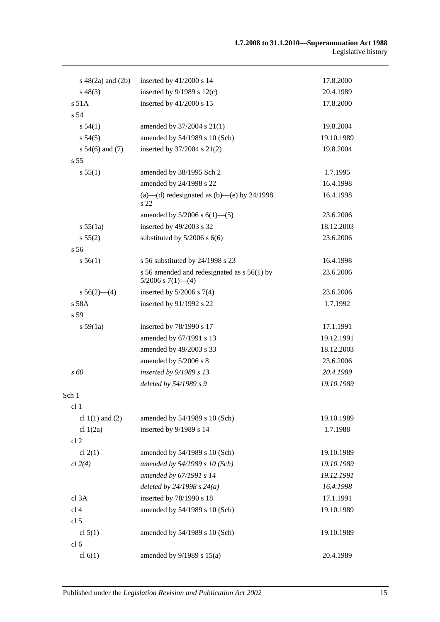| $s\ 48(2a)$ and $(2b)$ | inserted by 41/2000 s 14                                               | 17.8.2000  |
|------------------------|------------------------------------------------------------------------|------------|
| $s\,48(3)$             | inserted by $9/1989$ s $12(c)$                                         | 20.4.1989  |
| s 51A                  | inserted by 41/2000 s 15                                               | 17.8.2000  |
| s 54                   |                                                                        |            |
| s 54(1)                | amended by 37/2004 s 21(1)                                             | 19.8.2004  |
| s 54(5)                | amended by 54/1989 s 10 (Sch)                                          | 19.10.1989 |
| s $54(6)$ and $(7)$    | inserted by 37/2004 s 21(2)                                            | 19.8.2004  |
| s <sub>55</sub>        |                                                                        |            |
| s 55(1)                | amended by 38/1995 Sch 2                                               | 1.7.1995   |
|                        | amended by 24/1998 s 22                                                | 16.4.1998  |
|                        | (a)—(d) redesignated as (b)—(e) by $24/1998$<br>s 22                   | 16.4.1998  |
|                        | amended by $5/2006$ s $6(1)$ — $(5)$                                   | 23.6.2006  |
| s 55(1a)               | inserted by 49/2003 s 32                                               | 18.12.2003 |
| s 55(2)                | substituted by $5/2006$ s $6(6)$                                       | 23.6.2006  |
| s <sub>56</sub>        |                                                                        |            |
| s 56(1)                | s 56 substituted by 24/1998 s 23                                       | 16.4.1998  |
|                        | s 56 amended and redesignated as s 56(1) by<br>$5/2006$ s $7(1)$ - (4) | 23.6.2006  |
| $s\,56(2)$ —(4)        | inserted by $5/2006$ s $7(4)$                                          | 23.6.2006  |
| $s$ 58A                | inserted by 91/1992 s 22                                               | 1.7.1992   |
| s <sub>59</sub>        |                                                                        |            |
| s 59(1a)               | inserted by 78/1990 s 17                                               | 17.1.1991  |
|                        | amended by 67/1991 s 13                                                | 19.12.1991 |
|                        | amended by 49/2003 s 33                                                | 18.12.2003 |
|                        | amended by 5/2006 s 8                                                  | 23.6.2006  |
| s 60                   | inserted by 9/1989 s 13                                                | 20.4.1989  |
|                        | deleted by 54/1989 s 9                                                 | 19.10.1989 |
| Sch 1                  |                                                                        |            |
| cl 1                   |                                                                        |            |
| cl $1(1)$ and $(2)$    | amended by 54/1989 s 10 (Sch)                                          | 19.10.1989 |
| cl $1(2a)$             | inserted by 9/1989 s 14                                                | 1.7.1988   |
| cl <sub>2</sub>        |                                                                        |            |
| cl $2(1)$              | amended by 54/1989 s 10 (Sch)                                          | 19.10.1989 |
| cl 2(4)                | amended by 54/1989 s 10 (Sch)                                          | 19.10.1989 |
|                        | amended by 67/1991 s 14                                                | 19.12.1991 |
|                        | deleted by $24/1998 s 24(a)$                                           | 16.4.1998  |
| cl 3A                  | inserted by 78/1990 s 18                                               | 17.1.1991  |
| cl <sub>4</sub>        | amended by 54/1989 s 10 (Sch)                                          | 19.10.1989 |
| cl 5                   |                                                                        |            |
| cl $5(1)$              | amended by 54/1989 s 10 (Sch)                                          | 19.10.1989 |
| cl <sub>6</sub>        |                                                                        |            |
| cl $6(1)$              | amended by $9/1989$ s $15(a)$                                          | 20.4.1989  |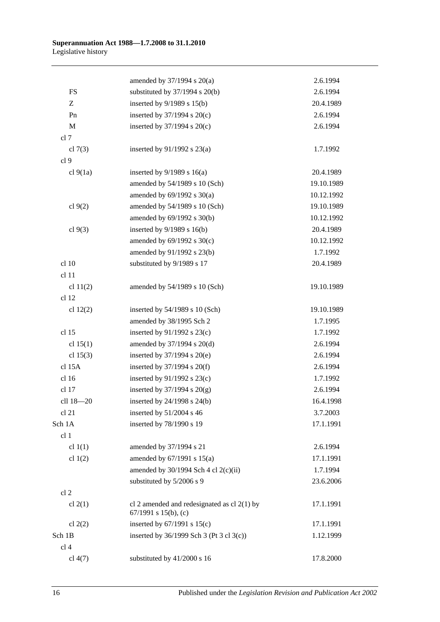|                 | amended by $37/1994$ s $20(a)$                                        | 2.6.1994   |
|-----------------|-----------------------------------------------------------------------|------------|
| <b>FS</b>       | substituted by $37/1994$ s $20(b)$                                    | 2.6.1994   |
| Z               | inserted by $9/1989$ s $15(b)$                                        | 20.4.1989  |
| Pn              | inserted by $37/1994$ s $20(c)$                                       | 2.6.1994   |
| $\mathbf M$     | inserted by $37/1994$ s $20(c)$                                       | 2.6.1994   |
| cl 7            |                                                                       |            |
| cl $7(3)$       | inserted by $91/1992$ s $23(a)$                                       | 1.7.1992   |
| cl 9            |                                                                       |            |
| cl 9(1a)        | inserted by $9/1989$ s 16(a)                                          | 20.4.1989  |
|                 | amended by 54/1989 s 10 (Sch)                                         | 19.10.1989 |
|                 | amended by $69/1992$ s $30(a)$                                        | 10.12.1992 |
| cl $9(2)$       | amended by 54/1989 s 10 (Sch)                                         | 19.10.1989 |
|                 | amended by 69/1992 s 30(b)                                            | 10.12.1992 |
| cl $9(3)$       | inserted by $9/1989$ s $16(b)$                                        | 20.4.1989  |
|                 | amended by $69/1992$ s $30(c)$                                        | 10.12.1992 |
|                 | amended by 91/1992 s 23(b)                                            | 1.7.1992   |
| cl 10           | substituted by 9/1989 s 17                                            | 20.4.1989  |
| cl 11           |                                                                       |            |
| cl $11(2)$      | amended by 54/1989 s 10 (Sch)                                         | 19.10.1989 |
| cl 12           |                                                                       |            |
| cl $12(2)$      | inserted by 54/1989 s 10 (Sch)                                        | 19.10.1989 |
|                 | amended by 38/1995 Sch 2                                              | 1.7.1995   |
| cl 15           | inserted by $91/1992$ s $23(c)$                                       | 1.7.1992   |
| cl $15(1)$      | amended by 37/1994 s 20(d)                                            | 2.6.1994   |
| cl $15(3)$      | inserted by $37/1994$ s $20(e)$                                       | 2.6.1994   |
| cl 15A          | inserted by $37/1994$ s $20(f)$                                       | 2.6.1994   |
| cl 16           | inserted by $91/1992$ s $23(c)$                                       | 1.7.1992   |
| cl 17           | inserted by $37/1994$ s $20(g)$                                       | 2.6.1994   |
| cll 18-20       | inserted by 24/1998 s 24(b)                                           | 16.4.1998  |
| cl 21           | inserted by $51/2004$ s 46                                            | 3.7.2003   |
| Sch 1A          | inserted by 78/1990 s 19                                              | 17.1.1991  |
| cl 1            |                                                                       |            |
| cl $1(1)$       | amended by 37/1994 s 21                                               | 2.6.1994   |
| cl $1(2)$       | amended by $67/1991$ s $15(a)$                                        | 17.1.1991  |
|                 | amended by $30/1994$ Sch 4 cl 2(c)(ii)                                | 1.7.1994   |
|                 | substituted by 5/2006 s 9                                             | 23.6.2006  |
| cl 2            |                                                                       |            |
| cl $2(1)$       | cl 2 amended and redesignated as cl $2(1)$ by<br>67/1991 s 15(b), (c) | 17.1.1991  |
| cl $2(2)$       | inserted by $67/1991$ s $15(c)$                                       | 17.1.1991  |
| Sch 1B          | inserted by 36/1999 Sch 3 (Pt 3 cl 3(c))                              | 1.12.1999  |
| cl <sub>4</sub> |                                                                       |            |
| cl 4(7)         | substituted by 41/2000 s 16                                           | 17.8.2000  |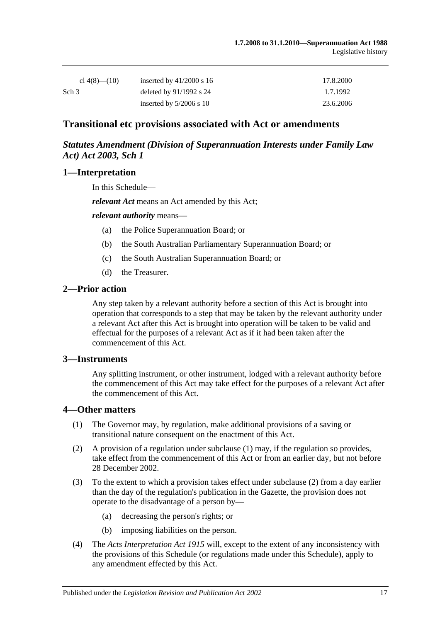| cl $4(8)$ — $(10)$ | inserted by $41/2000$ s 16 | 17.8.2000 |
|--------------------|----------------------------|-----------|
| Sch <sub>3</sub>   | deleted by $91/1992$ s 24  | 1.7.1992  |
|                    | inserted by $5/2006$ s 10  | 23.6.2006 |

## **Transitional etc provisions associated with Act or amendments**

## *Statutes Amendment (Division of Superannuation Interests under Family Law Act) Act 2003, Sch 1*

### **1—Interpretation**

In this Schedule—

*relevant Act* means an Act amended by this Act;

*relevant authority* means—

- (a) the Police Superannuation Board; or
- (b) the South Australian Parliamentary Superannuation Board; or
- (c) the South Australian Superannuation Board; or
- (d) the Treasurer.

#### **2—Prior action**

Any step taken by a relevant authority before a section of this Act is brought into operation that corresponds to a step that may be taken by the relevant authority under a relevant Act after this Act is brought into operation will be taken to be valid and effectual for the purposes of a relevant Act as if it had been taken after the commencement of this Act.

#### **3—Instruments**

Any splitting instrument, or other instrument, lodged with a relevant authority before the commencement of this Act may take effect for the purposes of a relevant Act after the commencement of this Act.

#### **4—Other matters**

- (1) The Governor may, by regulation, make additional provisions of a saving or transitional nature consequent on the enactment of this Act.
- (2) A provision of a regulation under subclause (1) may, if the regulation so provides, take effect from the commencement of this Act or from an earlier day, but not before 28 December 2002.
- (3) To the extent to which a provision takes effect under subclause (2) from a day earlier than the day of the regulation's publication in the Gazette, the provision does not operate to the disadvantage of a person by—
	- (a) decreasing the person's rights; or
	- (b) imposing liabilities on the person.
- (4) The *[Acts Interpretation Act](http://www.legislation.sa.gov.au/index.aspx?action=legref&type=act&legtitle=Acts%20Interpretation%20Act%201915) 1915* will, except to the extent of any inconsistency with the provisions of this Schedule (or regulations made under this Schedule), apply to any amendment effected by this Act.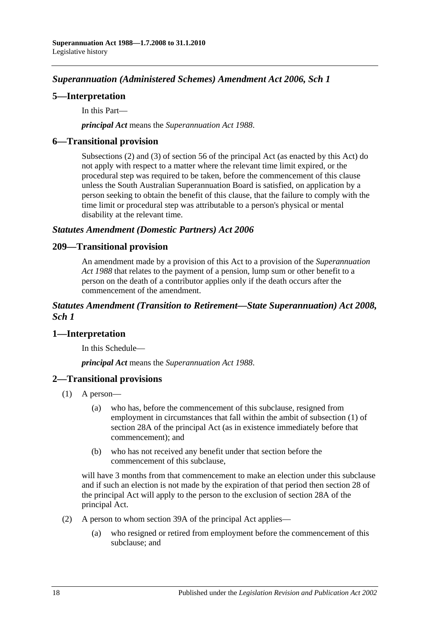# *Superannuation (Administered Schemes) Amendment Act 2006, Sch 1*

## **5—Interpretation**

In this Part—

*principal Act* means the *[Superannuation Act](http://www.legislation.sa.gov.au/index.aspx?action=legref&type=act&legtitle=Superannuation%20Act%201988) 1988*.

## **6—Transitional provision**

Subsections (2) and (3) of section 56 of the principal Act (as enacted by this Act) do not apply with respect to a matter where the relevant time limit expired, or the procedural step was required to be taken, before the commencement of this clause unless the South Australian Superannuation Board is satisfied, on application by a person seeking to obtain the benefit of this clause, that the failure to comply with the time limit or procedural step was attributable to a person's physical or mental disability at the relevant time.

### *Statutes Amendment (Domestic Partners) Act 2006*

### **209—Transitional provision**

An amendment made by a provision of this Act to a provision of the *[Superannuation](http://www.legislation.sa.gov.au/index.aspx?action=legref&type=act&legtitle=Superannuation%20Act%201988)  Act [1988](http://www.legislation.sa.gov.au/index.aspx?action=legref&type=act&legtitle=Superannuation%20Act%201988)* that relates to the payment of a pension, lump sum or other benefit to a person on the death of a contributor applies only if the death occurs after the commencement of the amendment.

## *Statutes Amendment (Transition to Retirement—State Superannuation) Act 2008, Sch 1*

## **1—Interpretation**

In this Schedule—

*principal Act* means the *[Superannuation Act](http://www.legislation.sa.gov.au/index.aspx?action=legref&type=act&legtitle=Superannuation%20Act%201988) 1988*.

## **2—Transitional provisions**

- (1) A person—
	- (a) who has, before the commencement of this subclause, resigned from employment in circumstances that fall within the ambit of subsection (1) of section 28A of the principal Act (as in existence immediately before that commencement); and
	- (b) who has not received any benefit under that section before the commencement of this subclause,

will have 3 months from that commencement to make an election under this subclause and if such an election is not made by the expiration of that period then section 28 of the principal Act will apply to the person to the exclusion of section 28A of the principal Act.

- (2) A person to whom section 39A of the principal Act applies—
	- (a) who resigned or retired from employment before the commencement of this subclause; and